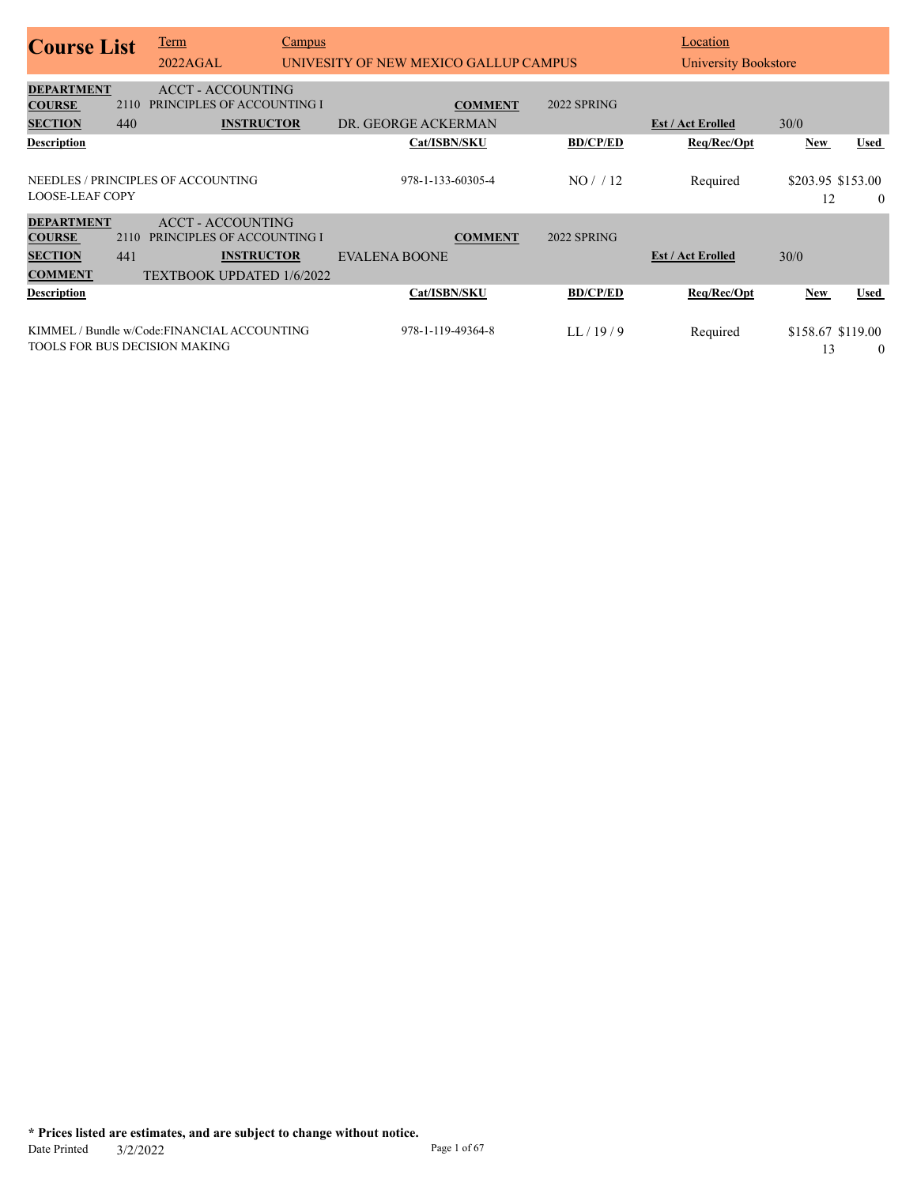| <b>Course List</b>                                                     |             | Term<br>2022AGAL                                                                                                | <b>Campus</b> | UNIVESITY OF NEW MEXICO GALLUP CAMPUS  |                            | Location<br>University Bookstore |                                       |                               |
|------------------------------------------------------------------------|-------------|-----------------------------------------------------------------------------------------------------------------|---------------|----------------------------------------|----------------------------|----------------------------------|---------------------------------------|-------------------------------|
| <b>DEPARTMENT</b><br><b>COURSE</b><br><b>SECTION</b>                   | 2110<br>440 | <b>ACCT - ACCOUNTING</b><br>PRINCIPLES OF ACCOUNTING I<br><b>INSTRUCTOR</b>                                     |               | <b>COMMENT</b><br>DR. GEORGE ACKERMAN  | 2022 SPRING                | <b>Est / Act Erolled</b>         | 30/0                                  |                               |
| <b>Description</b><br><b>LOOSE-LEAF COPY</b>                           |             | NEEDLES / PRINCIPLES OF ACCOUNTING                                                                              |               | Cat/ISBN/SKU<br>978-1-133-60305-4      | <b>BD/CP/ED</b><br>NO/12   | Req/Rec/Opt<br>Required          | <b>New</b><br>\$203.95 \$153.00<br>12 | <b>Used</b><br>$\theta$       |
| <b>DEPARTMENT</b><br><b>COURSE</b><br><b>SECTION</b><br><b>COMMENT</b> | 2110<br>441 | <b>ACCT - ACCOUNTING</b><br>PRINCIPLES OF ACCOUNTING I<br><b>INSTRUCTOR</b><br><b>TEXTBOOK UPDATED 1/6/2022</b> |               | <b>COMMENT</b><br><b>EVALENA BOONE</b> | 2022 SPRING                | <b>Est / Act Erolled</b>         | 30/0                                  |                               |
| <b>Description</b>                                                     |             | KIMMEL/Bundle w/Code:FINANCIAL ACCOUNTING<br><b>TOOLS FOR BUS DECISION MAKING</b>                               |               | Cat/ISBN/SKU<br>978-1-119-49364-8      | <b>BD/CP/ED</b><br>LL/19/9 | Req/Rec/Opt<br>Required          | <b>New</b><br>\$158.67 \$119.00<br>13 | <b>Used</b><br>$\overline{0}$ |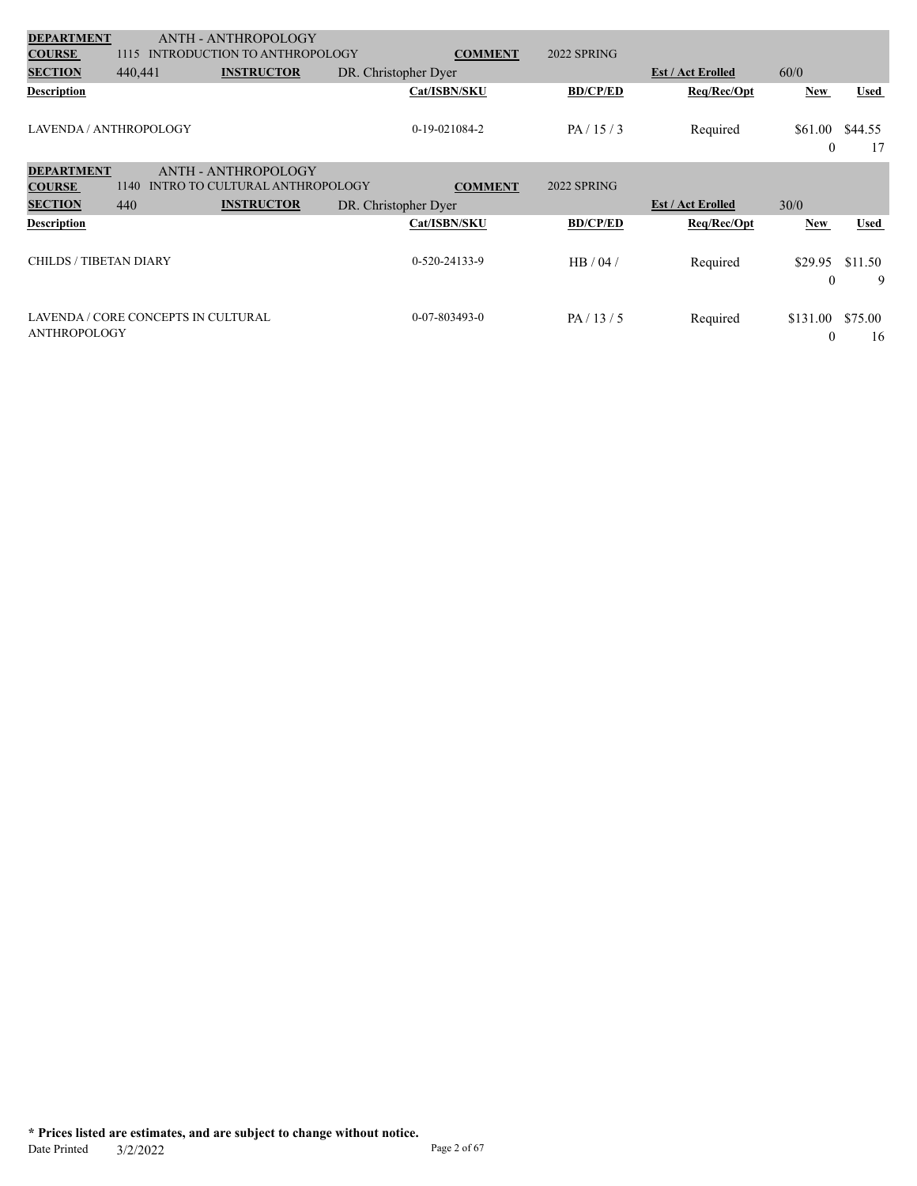| <b>DEPARTMENT</b>                  |         | ANTH - ANTHROPOLOGY                                          |                      |                 |                          |                         |               |
|------------------------------------|---------|--------------------------------------------------------------|----------------------|-----------------|--------------------------|-------------------------|---------------|
| <b>COURSE</b>                      | 1115    | <b>INTRODUCTION TO ANTHROPOLOGY</b>                          | <b>COMMENT</b>       | 2022 SPRING     |                          |                         |               |
| <b>SECTION</b>                     | 440,441 | <b>INSTRUCTOR</b>                                            | DR. Christopher Dyer |                 | <b>Est / Act Erolled</b> | 60/0                    |               |
| <b>Description</b>                 |         |                                                              | Cat/ISBN/SKU         | <b>BD/CP/ED</b> | Req/Rec/Opt              | <b>New</b>              | Used          |
| LAVENDA / ANTHROPOLOGY             |         |                                                              | 0-19-021084-2        | PA/15/3         | Required                 | \$61.00<br>$\mathbf{0}$ | \$44.55<br>17 |
| <b>DEPARTMENT</b><br><b>COURSE</b> | 1140    | <b>ANTH - ANTHROPOLOGY</b><br>INTRO TO CULTURAL ANTHROPOLOGY | <b>COMMENT</b>       | 2022 SPRING     |                          |                         |               |
| <b>SECTION</b>                     | 440     | <b>INSTRUCTOR</b>                                            | DR. Christopher Dyer |                 | <b>Est / Act Erolled</b> | 30/0                    |               |
| <b>Description</b>                 |         |                                                              | Cat/ISBN/SKU         |                 |                          |                         |               |
|                                    |         |                                                              |                      | <b>BD/CP/ED</b> | Req/Rec/Opt              | <b>New</b>              | <b>Used</b>   |
| <b>CHILDS / TIBETAN DIARY</b>      |         |                                                              | 0-520-24133-9        | HB/04/          | Required                 | \$29.95<br>$\mathbf{0}$ | \$11.50<br>9  |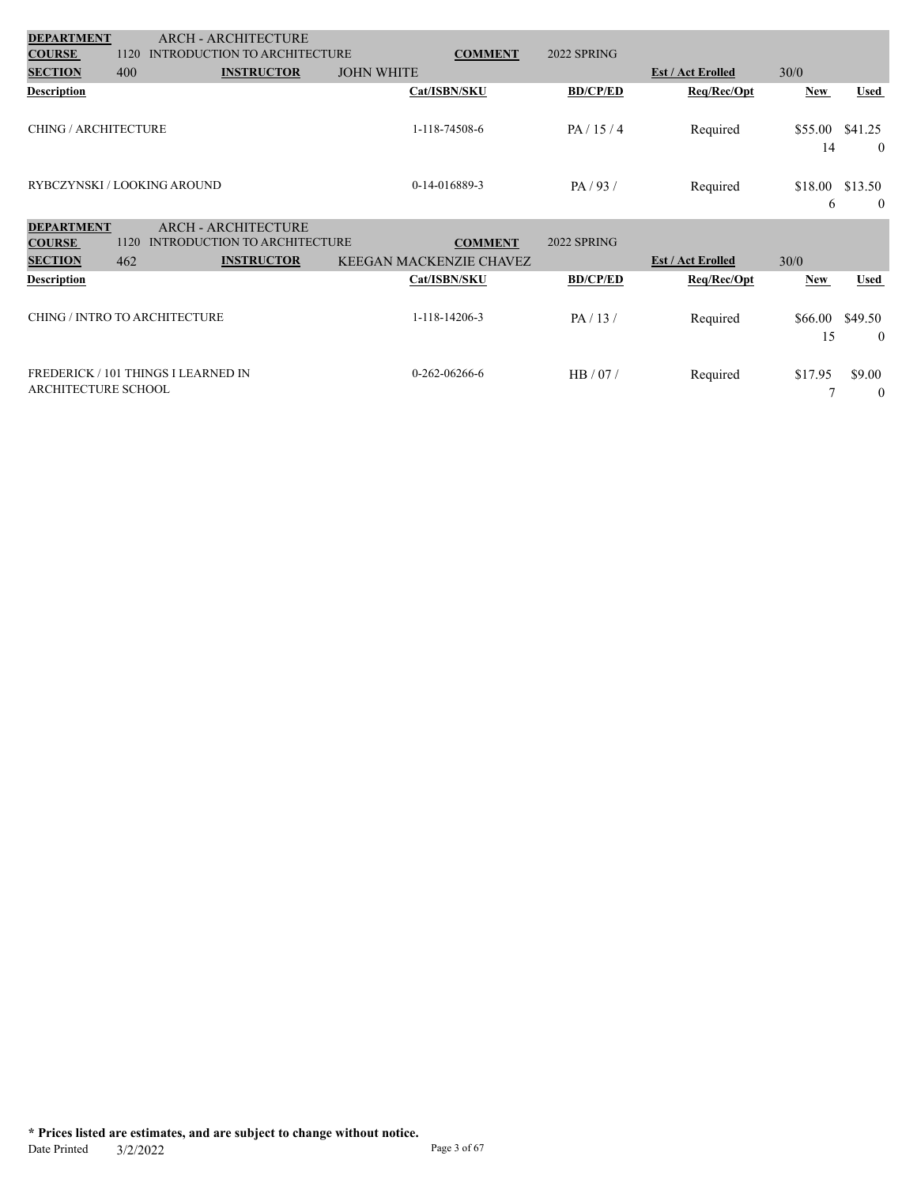| <b>DEPARTMENT</b>             |      | <b>ARCH - ARCHITECTURE</b>          |                                |                 |                 |                          |               |                           |
|-------------------------------|------|-------------------------------------|--------------------------------|-----------------|-----------------|--------------------------|---------------|---------------------------|
| <b>COURSE</b>                 | 1120 | <b>INTRODUCTION TO ARCHITECTURE</b> |                                | <b>COMMENT</b>  | 2022 SPRING     |                          |               |                           |
| <b>SECTION</b>                | 400  | <b>INSTRUCTOR</b>                   | <b>JOHN WHITE</b>              |                 |                 | <b>Est / Act Erolled</b> | 30/0          |                           |
| <b>Description</b>            |      |                                     |                                | Cat/ISBN/SKU    | <b>BD/CP/ED</b> | Req/Rec/Opt              | <b>New</b>    | <b>Used</b>               |
| <b>CHING / ARCHITECTURE</b>   |      |                                     |                                | 1-118-74508-6   | PA/15/4         | Required                 | \$55.00<br>14 | \$41.25<br>$\overline{0}$ |
| RYBCZYNSKI / LOOKING AROUND   |      |                                     |                                | 0-14-016889-3   | PA/93/          | Required                 | \$18.00<br>6  | \$13.50<br>$\overline{0}$ |
| <b>DEPARTMENT</b>             |      | <b>ARCH - ARCHITECTURE</b>          |                                |                 |                 |                          |               |                           |
| <b>COURSE</b>                 | 1120 | <b>INTRODUCTION TO ARCHITECTURE</b> |                                | <b>COMMENT</b>  | 2022 SPRING     |                          |               |                           |
| <b>SECTION</b>                | 462  | <b>INSTRUCTOR</b>                   | <b>KEEGAN MACKENZIE CHAVEZ</b> |                 |                 | <b>Est / Act Erolled</b> | 30/0          |                           |
| <b>Description</b>            |      |                                     |                                | Cat/ISBN/SKU    | <b>BD/CP/ED</b> | Req/Rec/Opt              | <b>New</b>    | <b>Used</b>               |
| CHING / INTRO TO ARCHITECTURE |      |                                     |                                | 1-118-14206-3   | PA/13/          | Required                 | \$66.00<br>15 | \$49.50<br>$\overline{0}$ |
| ARCHITECTURE SCHOOL           |      | FREDERICK / 101 THINGS I LEARNED IN |                                | $0-262-06266-6$ | HB/07/          | Required                 | \$17.95       | \$9.00<br>$\overline{0}$  |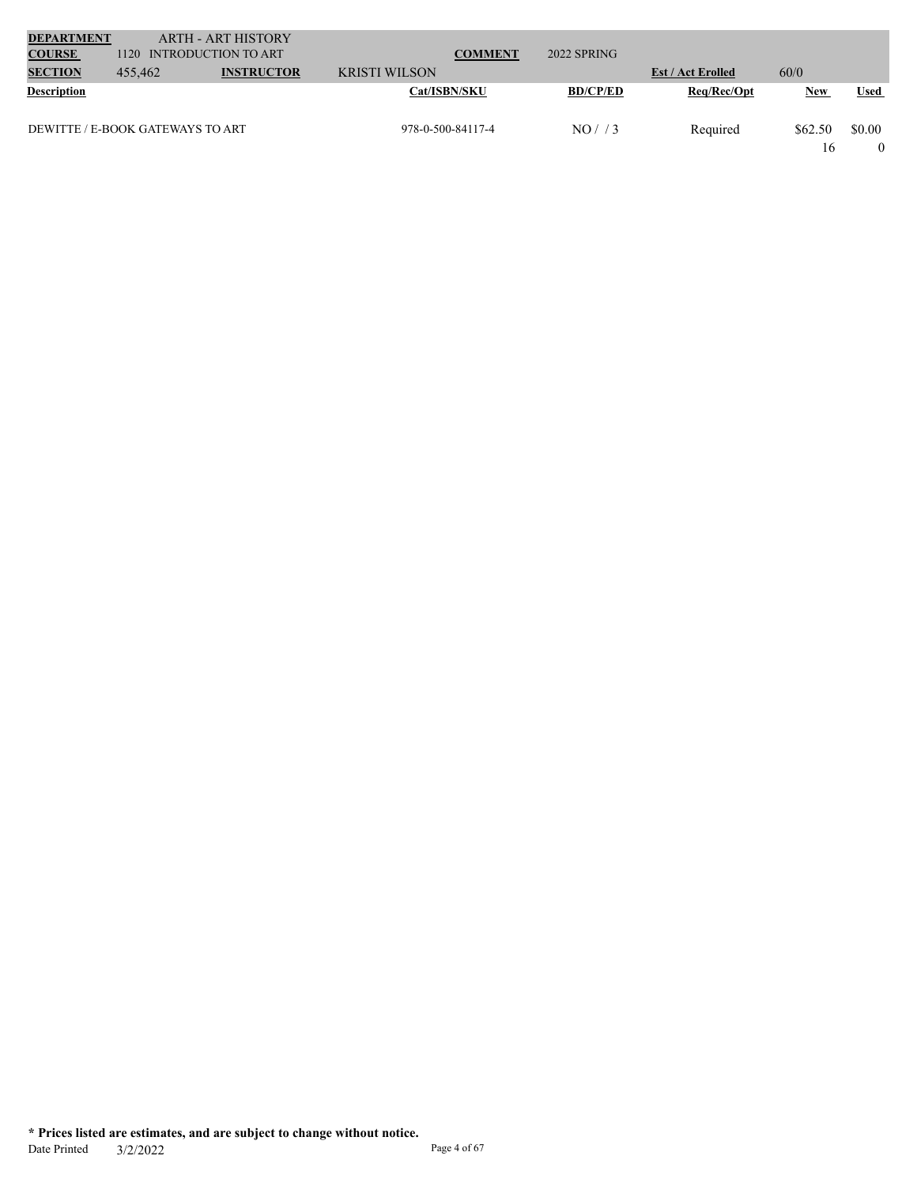| <b>DEPARTMENT</b>  |                                  | <b>ARTH - ART HISTORY</b> |                      |                 |                          |            |             |
|--------------------|----------------------------------|---------------------------|----------------------|-----------------|--------------------------|------------|-------------|
| <b>COURSE</b>      | 1120                             | INTRODUCTION TO ART       | <b>COMMENT</b>       | 2022 SPRING     |                          |            |             |
| <b>SECTION</b>     | 455,462                          | <b>INSTRUCTOR</b>         | <b>KRISTI WILSON</b> |                 | <b>Est / Act Erolled</b> | 60/0       |             |
| <b>Description</b> |                                  |                           | <b>Cat/ISBN/SKU</b>  | <b>BD/CP/ED</b> | Req/Rec/Opt              | <b>New</b> | <b>Used</b> |
|                    | DEWITTE / E-BOOK GATEWAYS TO ART |                           | 978-0-500-84117-4    | NO/73           | Required                 | \$62.50    | \$0.00      |
|                    |                                  |                           |                      |                 |                          | 16         |             |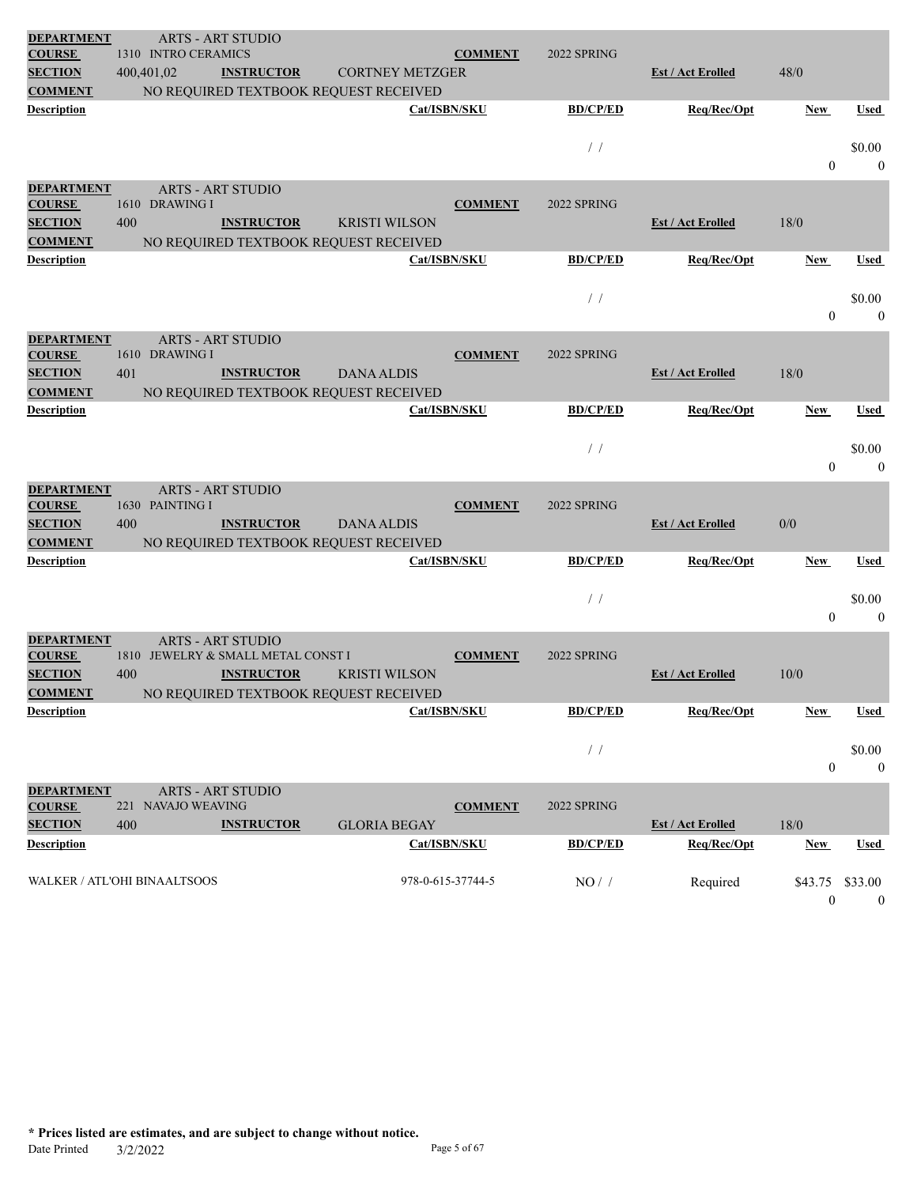| <b>DEPARTMENT</b>                  |                                     | <b>ARTS - ART STUDIO</b>           |                                       |                   |                 |                          |                  |                |
|------------------------------------|-------------------------------------|------------------------------------|---------------------------------------|-------------------|-----------------|--------------------------|------------------|----------------|
| <b>COURSE</b>                      | 1310 INTRO CERAMICS                 |                                    |                                       | <b>COMMENT</b>    | 2022 SPRING     |                          |                  |                |
| <b>SECTION</b>                     | 400,401,02                          | <b>INSTRUCTOR</b>                  | <b>CORTNEY METZGER</b>                |                   |                 | <b>Est / Act Erolled</b> | 48/0             |                |
| <b>COMMENT</b>                     |                                     |                                    | NO REQUIRED TEXTBOOK REQUEST RECEIVED |                   |                 |                          |                  |                |
| <b>Description</b>                 |                                     |                                    | Cat/ISBN/SKU                          |                   | <b>BD/CP/ED</b> | Req/Rec/Opt              | <b>New</b>       | Used           |
|                                    |                                     |                                    |                                       |                   | $\frac{1}{2}$   |                          |                  | \$0.00         |
|                                    |                                     |                                    |                                       |                   |                 |                          | $\mathbf{0}$     | $\theta$       |
| <b>DEPARTMENT</b>                  |                                     |                                    |                                       |                   |                 |                          |                  |                |
| <b>COURSE</b>                      | 1610 DRAWING I                      | <b>ARTS - ART STUDIO</b>           |                                       | <b>COMMENT</b>    | 2022 SPRING     |                          |                  |                |
| <b>SECTION</b>                     | 400                                 | <b>INSTRUCTOR</b>                  | <b>KRISTI WILSON</b>                  |                   |                 | <b>Est / Act Erolled</b> | 18/0             |                |
| <b>COMMENT</b>                     |                                     |                                    | NO REQUIRED TEXTBOOK REQUEST RECEIVED |                   |                 |                          |                  |                |
| <b>Description</b>                 |                                     |                                    |                                       | Cat/ISBN/SKU      | <b>BD/CP/ED</b> | Req/Rec/Opt              | New              | <b>Used</b>    |
|                                    |                                     |                                    |                                       |                   |                 |                          |                  |                |
|                                    |                                     |                                    |                                       |                   | $/$ /           |                          |                  | \$0.00         |
|                                    |                                     |                                    |                                       |                   |                 |                          | $\mathbf{0}$     | $\overline{0}$ |
| <b>DEPARTMENT</b>                  |                                     | <b>ARTS - ART STUDIO</b>           |                                       |                   |                 |                          |                  |                |
| <b>COURSE</b>                      | 1610 DRAWING I                      |                                    |                                       | <b>COMMENT</b>    | 2022 SPRING     |                          |                  |                |
| <b>SECTION</b>                     | 401                                 | <b>INSTRUCTOR</b>                  | <b>DANA ALDIS</b>                     |                   |                 | <b>Est / Act Erolled</b> | 18/0             |                |
| <b>COMMENT</b>                     |                                     |                                    | NO REQUIRED TEXTBOOK REQUEST RECEIVED |                   |                 |                          |                  |                |
| <b>Description</b>                 |                                     |                                    |                                       | Cat/ISBN/SKU      | <b>BD/CP/ED</b> | Req/Rec/Opt              | New              | Used           |
|                                    |                                     |                                    |                                       |                   | $\frac{1}{2}$   |                          |                  | \$0.00         |
|                                    |                                     |                                    |                                       |                   |                 |                          | $\theta$         | $\theta$       |
|                                    |                                     |                                    |                                       |                   |                 |                          |                  |                |
| <b>DEPARTMENT</b><br><b>COURSE</b> | 1630 PAINTING I                     | <b>ARTS - ART STUDIO</b>           |                                       | <b>COMMENT</b>    | 2022 SPRING     |                          |                  |                |
| <b>SECTION</b>                     | 400                                 | <b>INSTRUCTOR</b>                  | <b>DANA ALDIS</b>                     |                   |                 | <b>Est / Act Erolled</b> | 0/0              |                |
| <b>COMMENT</b>                     |                                     |                                    | NO REQUIRED TEXTBOOK REQUEST RECEIVED |                   |                 |                          |                  |                |
| <b>Description</b>                 |                                     |                                    |                                       | Cat/ISBN/SKU      | <b>BD/CP/ED</b> | Req/Rec/Opt              | New              | Used           |
|                                    |                                     |                                    |                                       |                   |                 |                          |                  |                |
|                                    |                                     |                                    |                                       |                   | $\frac{1}{2}$   |                          |                  | \$0.00         |
|                                    |                                     |                                    |                                       |                   |                 |                          | $\mathbf{0}$     | $\overline{0}$ |
| <b>DEPARTMENT</b>                  |                                     | <b>ARTS - ART STUDIO</b>           |                                       |                   |                 |                          |                  |                |
| <b>COURSE</b>                      |                                     | 1810 JEWELRY & SMALL METAL CONST I |                                       | <b>COMMENT</b>    | 2022 SPRING     |                          |                  |                |
| <b>SECTION</b>                     | 400                                 | <b>INSTRUCTOR</b>                  | <b>KRISTI WILSON</b>                  |                   |                 | <b>Est / Act Erolled</b> | 10/0             |                |
| <b>COMMENT</b>                     |                                     |                                    | NO REQUIRED TEXTBOOK REQUEST RECEIVED |                   |                 |                          |                  |                |
| <b>Description</b>                 |                                     |                                    |                                       | Cat/ISBN/SKU      | <b>BD/CP/ED</b> | Req/Rec/Opt              | <b>New</b>       | <b>Used</b>    |
|                                    |                                     |                                    |                                       |                   | $\prime\,$ /    |                          |                  | \$0.00         |
|                                    |                                     |                                    |                                       |                   |                 |                          | $\boldsymbol{0}$ | $\mathbf{0}$   |
|                                    |                                     |                                    |                                       |                   |                 |                          |                  |                |
| <b>DEPARTMENT</b><br><b>COURSE</b> | 221 NAVAJO WEAVING                  | <b>ARTS - ART STUDIO</b>           |                                       | <b>COMMENT</b>    | 2022 SPRING     |                          |                  |                |
| <b>SECTION</b>                     | 400                                 | <b>INSTRUCTOR</b>                  | <b>GLORIA BEGAY</b>                   |                   |                 | <b>Est / Act Erolled</b> | $18/0$           |                |
| <b>Description</b>                 |                                     |                                    |                                       | Cat/ISBN/SKU      | <b>BD/CP/ED</b> | Req/Rec/Opt              | <b>New</b>       | <b>Used</b>    |
|                                    |                                     |                                    |                                       |                   |                 |                          |                  |                |
|                                    | <b>WALKER / ATL'OHI BINAALTSOOS</b> |                                    |                                       | 978-0-615-37744-5 | $NO/$ /         | Required                 | \$43.75 \$33.00  |                |
|                                    |                                     |                                    |                                       |                   |                 |                          | $\boldsymbol{0}$ | $\bf{0}$       |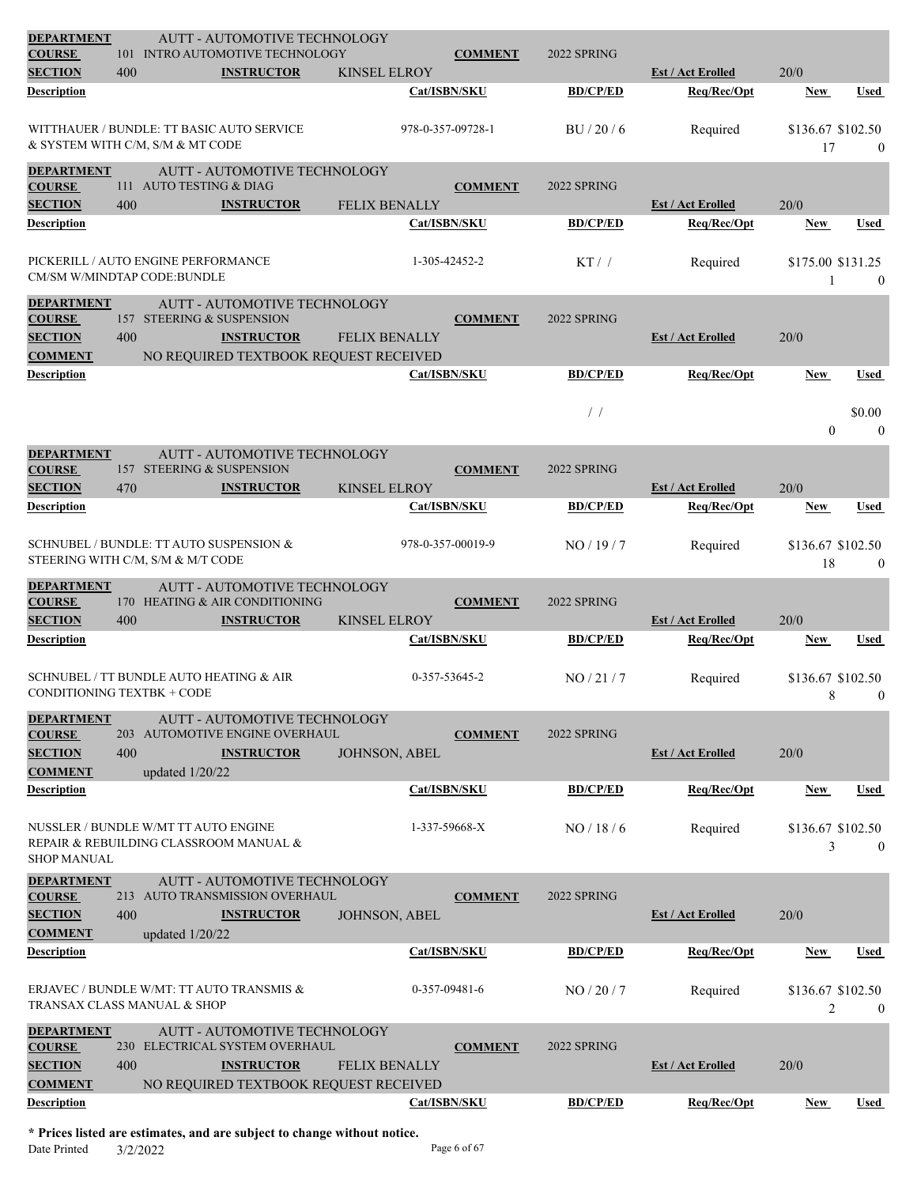| <b>SECTION</b><br>400<br><b>INSTRUCTOR</b><br><b>KINSEL ELROY</b><br><b>Est / Act Erolled</b><br>20/0<br>Cat/ISBN/SKU<br><b>BD/CP/ED</b><br>Req/Rec/Opt<br><b>Description</b><br><b>New</b><br>Used<br>WITTHAUER / BUNDLE: TT BASIC AUTO SERVICE<br>\$136.67 \$102.50<br>978-0-357-09728-1<br>BU/20/6<br>Required<br>& SYSTEM WITH C/M, S/M & MT CODE<br>17<br>$\mathbf{0}$<br><b>DEPARTMENT</b><br>AUTT - AUTOMOTIVE TECHNOLOGY<br>111 AUTO TESTING & DIAG<br><b>COURSE</b><br><b>COMMENT</b><br>2022 SPRING<br><b>SECTION</b><br>400<br><b>INSTRUCTOR</b><br>FELIX BENALLY<br><b>Est / Act Erolled</b><br>20/0<br>Cat/ISBN/SKU<br><b>BD/CP/ED</b><br>Description<br>Req/Rec/Opt<br>New<br>Used<br>PICKERILL / AUTO ENGINE PERFORMANCE<br>$KT$ / /<br>\$175.00 \$131.25<br>1-305-42452-2<br>Required<br>CM/SM W/MINDTAP CODE:BUNDLE<br>$\overline{0}$<br><b>DEPARTMENT</b><br>AUTT - AUTOMOTIVE TECHNOLOGY<br><b>COURSE</b><br>157 STEERING & SUSPENSION<br><b>COMMENT</b><br>2022 SPRING<br><b>SECTION</b><br>400<br>20/0<br><b>INSTRUCTOR</b><br><b>FELIX BENALLY</b><br><b>Est / Act Erolled</b><br><b>COMMENT</b><br>NO REQUIRED TEXTBOOK REQUEST RECEIVED<br><b>BD/CP/ED</b><br>Req/Rec/Opt<br><b>Description</b><br>Cat/ISBN/SKU<br><b>New</b><br>Used<br>$\frac{1}{2}$<br>\$0.00<br>$\boldsymbol{0}$<br>$\theta$<br><b>DEPARTMENT</b><br>AUTT - AUTOMOTIVE TECHNOLOGY<br><b>COURSE</b><br>157 STEERING & SUSPENSION<br><b>COMMENT</b><br>2022 SPRING<br><b>SECTION</b><br>20/0<br>470<br><b>INSTRUCTOR</b><br><b>KINSEL ELROY</b><br><b>Est / Act Erolled</b><br><b>BD/CP/ED</b><br>Cat/ISBN/SKU<br>Req/Rec/Opt<br>Description<br><b>Used</b><br>New<br>SCHNUBEL / BUNDLE: TT AUTO SUSPENSION &<br>978-0-357-00019-9<br>NO/19/7<br>\$136.67 \$102.50<br>Required<br>STEERING WITH C/M, S/M & M/T CODE<br>18<br>$\overline{0}$<br><b>DEPARTMENT</b><br><b>AUTT - AUTOMOTIVE TECHNOLOGY</b><br>170 HEATING & AIR CONDITIONING<br><b>COURSE</b><br><b>COMMENT</b><br>2022 SPRING<br><b>SECTION</b><br>400<br><b>INSTRUCTOR</b><br><b>Est / Act Erolled</b><br>20/0<br><b>KINSEL ELROY</b><br>Description<br>Cat/ISBN/SKU<br><b>BD/CP/ED</b><br>Req/Rec/Opt<br>Used<br>New<br>SCHNUBEL / TT BUNDLE AUTO HEATING & AIR<br>0-357-53645-2<br>NO/21/7<br>\$136.67 \$102.50<br>Required<br><b>CONDITIONING TEXTBK + CODE</b><br>8<br>$\boldsymbol{0}$<br><b>DEPARTMENT</b><br>AUTT - AUTOMOTIVE TECHNOLOGY<br><b>COURSE</b><br>203 AUTOMOTIVE ENGINE OVERHAUL<br><b>COMMENT</b><br>2022 SPRING<br><b>SECTION</b><br>400<br><b>INSTRUCTOR</b><br><b>Est / Act Erolled</b><br>20/0<br><b>JOHNSON, ABEL</b><br><b>COMMENT</b><br>updated 1/20/22<br><b>Description</b><br>Cat/ISBN/SKU<br><b>BD/CP/ED</b><br>Req/Rec/Opt<br>New<br>Used<br>NUSSLER / BUNDLE W/MT TT AUTO ENGINE<br>1-337-59668-X<br>NO/18/6<br>Required<br>\$136.67 \$102.50<br>REPAIR & REBUILDING CLASSROOM MANUAL &<br>3<br>$\theta$<br><b>SHOP MANUAL</b><br><b>DEPARTMENT</b><br>AUTT - AUTOMOTIVE TECHNOLOGY<br>213 AUTO TRANSMISSION OVERHAUL<br><b>COMMENT</b><br>2022 SPRING<br><b>COURSE</b><br><b>SECTION</b><br>400<br><b>INSTRUCTOR</b><br><b>Est / Act Erolled</b><br>20/0<br><b>JOHNSON, ABEL</b><br><b>COMMENT</b><br>updated 1/20/22<br><b>Description</b><br>Cat/ISBN/SKU<br>Req/Rec/Opt<br><b>BD/CP/ED</b><br><b>Used</b><br><b>New</b><br>ERJAVEC / BUNDLE W/MT: TT AUTO TRANSMIS &<br>0-357-09481-6<br>NO / 20 / 7<br>Required<br>\$136.67 \$102.50<br>TRANSAX CLASS MANUAL & SHOP<br>$\overline{2}$<br>$\overline{0}$<br><b>DEPARTMENT</b><br>AUTT - AUTOMOTIVE TECHNOLOGY<br>230 ELECTRICAL SYSTEM OVERHAUL<br>2022 SPRING<br><b>COURSE</b><br><b>COMMENT</b><br><b>SECTION</b><br>400<br><b>INSTRUCTOR</b><br><b>Est / Act Erolled</b><br>20/0<br><b>FELIX BENALLY</b><br><b>COMMENT</b><br>NO REQUIRED TEXTBOOK REQUEST RECEIVED<br>Req/Rec/Opt<br><b>Description</b><br>Cat/ISBN/SKU<br><b>BD/CP/ED</b><br><b>New</b><br>Used | <b>DEPARTMENT</b><br><b>COURSE</b> |  | <b>AUTT - AUTOMOTIVE TECHNOLOGY</b><br>101 INTRO AUTOMOTIVE TECHNOLOGY |  | <b>COMMENT</b> | 2022 SPRING |  |  |
|---------------------------------------------------------------------------------------------------------------------------------------------------------------------------------------------------------------------------------------------------------------------------------------------------------------------------------------------------------------------------------------------------------------------------------------------------------------------------------------------------------------------------------------------------------------------------------------------------------------------------------------------------------------------------------------------------------------------------------------------------------------------------------------------------------------------------------------------------------------------------------------------------------------------------------------------------------------------------------------------------------------------------------------------------------------------------------------------------------------------------------------------------------------------------------------------------------------------------------------------------------------------------------------------------------------------------------------------------------------------------------------------------------------------------------------------------------------------------------------------------------------------------------------------------------------------------------------------------------------------------------------------------------------------------------------------------------------------------------------------------------------------------------------------------------------------------------------------------------------------------------------------------------------------------------------------------------------------------------------------------------------------------------------------------------------------------------------------------------------------------------------------------------------------------------------------------------------------------------------------------------------------------------------------------------------------------------------------------------------------------------------------------------------------------------------------------------------------------------------------------------------------------------------------------------------------------------------------------------------------------------------------------------------------------------------------------------------------------------------------------------------------------------------------------------------------------------------------------------------------------------------------------------------------------------------------------------------------------------------------------------------------------------------------------------------------------------------------------------------------------------------------------------------------------------------------------------------------------------------------------------------------------------------------------------------------------------------------------------------------------------------------------------------------------------------------------------------------------------------------------------------------------------------------------------------------------------------------------------------------------------------------------------------------------------------------------------------------------------------------------------------------------------------------------------------------------------------------------------------------------------------------------------------------|------------------------------------|--|------------------------------------------------------------------------|--|----------------|-------------|--|--|
|                                                                                                                                                                                                                                                                                                                                                                                                                                                                                                                                                                                                                                                                                                                                                                                                                                                                                                                                                                                                                                                                                                                                                                                                                                                                                                                                                                                                                                                                                                                                                                                                                                                                                                                                                                                                                                                                                                                                                                                                                                                                                                                                                                                                                                                                                                                                                                                                                                                                                                                                                                                                                                                                                                                                                                                                                                                                                                                                                                                                                                                                                                                                                                                                                                                                                                                                                                                                                                                                                                                                                                                                                                                                                                                                                                                                                                                                                                                     |                                    |  |                                                                        |  |                |             |  |  |
|                                                                                                                                                                                                                                                                                                                                                                                                                                                                                                                                                                                                                                                                                                                                                                                                                                                                                                                                                                                                                                                                                                                                                                                                                                                                                                                                                                                                                                                                                                                                                                                                                                                                                                                                                                                                                                                                                                                                                                                                                                                                                                                                                                                                                                                                                                                                                                                                                                                                                                                                                                                                                                                                                                                                                                                                                                                                                                                                                                                                                                                                                                                                                                                                                                                                                                                                                                                                                                                                                                                                                                                                                                                                                                                                                                                                                                                                                                                     |                                    |  |                                                                        |  |                |             |  |  |
|                                                                                                                                                                                                                                                                                                                                                                                                                                                                                                                                                                                                                                                                                                                                                                                                                                                                                                                                                                                                                                                                                                                                                                                                                                                                                                                                                                                                                                                                                                                                                                                                                                                                                                                                                                                                                                                                                                                                                                                                                                                                                                                                                                                                                                                                                                                                                                                                                                                                                                                                                                                                                                                                                                                                                                                                                                                                                                                                                                                                                                                                                                                                                                                                                                                                                                                                                                                                                                                                                                                                                                                                                                                                                                                                                                                                                                                                                                                     |                                    |  |                                                                        |  |                |             |  |  |
|                                                                                                                                                                                                                                                                                                                                                                                                                                                                                                                                                                                                                                                                                                                                                                                                                                                                                                                                                                                                                                                                                                                                                                                                                                                                                                                                                                                                                                                                                                                                                                                                                                                                                                                                                                                                                                                                                                                                                                                                                                                                                                                                                                                                                                                                                                                                                                                                                                                                                                                                                                                                                                                                                                                                                                                                                                                                                                                                                                                                                                                                                                                                                                                                                                                                                                                                                                                                                                                                                                                                                                                                                                                                                                                                                                                                                                                                                                                     |                                    |  |                                                                        |  |                |             |  |  |
|                                                                                                                                                                                                                                                                                                                                                                                                                                                                                                                                                                                                                                                                                                                                                                                                                                                                                                                                                                                                                                                                                                                                                                                                                                                                                                                                                                                                                                                                                                                                                                                                                                                                                                                                                                                                                                                                                                                                                                                                                                                                                                                                                                                                                                                                                                                                                                                                                                                                                                                                                                                                                                                                                                                                                                                                                                                                                                                                                                                                                                                                                                                                                                                                                                                                                                                                                                                                                                                                                                                                                                                                                                                                                                                                                                                                                                                                                                                     |                                    |  |                                                                        |  |                |             |  |  |
|                                                                                                                                                                                                                                                                                                                                                                                                                                                                                                                                                                                                                                                                                                                                                                                                                                                                                                                                                                                                                                                                                                                                                                                                                                                                                                                                                                                                                                                                                                                                                                                                                                                                                                                                                                                                                                                                                                                                                                                                                                                                                                                                                                                                                                                                                                                                                                                                                                                                                                                                                                                                                                                                                                                                                                                                                                                                                                                                                                                                                                                                                                                                                                                                                                                                                                                                                                                                                                                                                                                                                                                                                                                                                                                                                                                                                                                                                                                     |                                    |  |                                                                        |  |                |             |  |  |
|                                                                                                                                                                                                                                                                                                                                                                                                                                                                                                                                                                                                                                                                                                                                                                                                                                                                                                                                                                                                                                                                                                                                                                                                                                                                                                                                                                                                                                                                                                                                                                                                                                                                                                                                                                                                                                                                                                                                                                                                                                                                                                                                                                                                                                                                                                                                                                                                                                                                                                                                                                                                                                                                                                                                                                                                                                                                                                                                                                                                                                                                                                                                                                                                                                                                                                                                                                                                                                                                                                                                                                                                                                                                                                                                                                                                                                                                                                                     |                                    |  |                                                                        |  |                |             |  |  |
|                                                                                                                                                                                                                                                                                                                                                                                                                                                                                                                                                                                                                                                                                                                                                                                                                                                                                                                                                                                                                                                                                                                                                                                                                                                                                                                                                                                                                                                                                                                                                                                                                                                                                                                                                                                                                                                                                                                                                                                                                                                                                                                                                                                                                                                                                                                                                                                                                                                                                                                                                                                                                                                                                                                                                                                                                                                                                                                                                                                                                                                                                                                                                                                                                                                                                                                                                                                                                                                                                                                                                                                                                                                                                                                                                                                                                                                                                                                     |                                    |  |                                                                        |  |                |             |  |  |
|                                                                                                                                                                                                                                                                                                                                                                                                                                                                                                                                                                                                                                                                                                                                                                                                                                                                                                                                                                                                                                                                                                                                                                                                                                                                                                                                                                                                                                                                                                                                                                                                                                                                                                                                                                                                                                                                                                                                                                                                                                                                                                                                                                                                                                                                                                                                                                                                                                                                                                                                                                                                                                                                                                                                                                                                                                                                                                                                                                                                                                                                                                                                                                                                                                                                                                                                                                                                                                                                                                                                                                                                                                                                                                                                                                                                                                                                                                                     |                                    |  |                                                                        |  |                |             |  |  |
|                                                                                                                                                                                                                                                                                                                                                                                                                                                                                                                                                                                                                                                                                                                                                                                                                                                                                                                                                                                                                                                                                                                                                                                                                                                                                                                                                                                                                                                                                                                                                                                                                                                                                                                                                                                                                                                                                                                                                                                                                                                                                                                                                                                                                                                                                                                                                                                                                                                                                                                                                                                                                                                                                                                                                                                                                                                                                                                                                                                                                                                                                                                                                                                                                                                                                                                                                                                                                                                                                                                                                                                                                                                                                                                                                                                                                                                                                                                     |                                    |  |                                                                        |  |                |             |  |  |
|                                                                                                                                                                                                                                                                                                                                                                                                                                                                                                                                                                                                                                                                                                                                                                                                                                                                                                                                                                                                                                                                                                                                                                                                                                                                                                                                                                                                                                                                                                                                                                                                                                                                                                                                                                                                                                                                                                                                                                                                                                                                                                                                                                                                                                                                                                                                                                                                                                                                                                                                                                                                                                                                                                                                                                                                                                                                                                                                                                                                                                                                                                                                                                                                                                                                                                                                                                                                                                                                                                                                                                                                                                                                                                                                                                                                                                                                                                                     |                                    |  |                                                                        |  |                |             |  |  |
|                                                                                                                                                                                                                                                                                                                                                                                                                                                                                                                                                                                                                                                                                                                                                                                                                                                                                                                                                                                                                                                                                                                                                                                                                                                                                                                                                                                                                                                                                                                                                                                                                                                                                                                                                                                                                                                                                                                                                                                                                                                                                                                                                                                                                                                                                                                                                                                                                                                                                                                                                                                                                                                                                                                                                                                                                                                                                                                                                                                                                                                                                                                                                                                                                                                                                                                                                                                                                                                                                                                                                                                                                                                                                                                                                                                                                                                                                                                     |                                    |  |                                                                        |  |                |             |  |  |
|                                                                                                                                                                                                                                                                                                                                                                                                                                                                                                                                                                                                                                                                                                                                                                                                                                                                                                                                                                                                                                                                                                                                                                                                                                                                                                                                                                                                                                                                                                                                                                                                                                                                                                                                                                                                                                                                                                                                                                                                                                                                                                                                                                                                                                                                                                                                                                                                                                                                                                                                                                                                                                                                                                                                                                                                                                                                                                                                                                                                                                                                                                                                                                                                                                                                                                                                                                                                                                                                                                                                                                                                                                                                                                                                                                                                                                                                                                                     |                                    |  |                                                                        |  |                |             |  |  |
|                                                                                                                                                                                                                                                                                                                                                                                                                                                                                                                                                                                                                                                                                                                                                                                                                                                                                                                                                                                                                                                                                                                                                                                                                                                                                                                                                                                                                                                                                                                                                                                                                                                                                                                                                                                                                                                                                                                                                                                                                                                                                                                                                                                                                                                                                                                                                                                                                                                                                                                                                                                                                                                                                                                                                                                                                                                                                                                                                                                                                                                                                                                                                                                                                                                                                                                                                                                                                                                                                                                                                                                                                                                                                                                                                                                                                                                                                                                     |                                    |  |                                                                        |  |                |             |  |  |
|                                                                                                                                                                                                                                                                                                                                                                                                                                                                                                                                                                                                                                                                                                                                                                                                                                                                                                                                                                                                                                                                                                                                                                                                                                                                                                                                                                                                                                                                                                                                                                                                                                                                                                                                                                                                                                                                                                                                                                                                                                                                                                                                                                                                                                                                                                                                                                                                                                                                                                                                                                                                                                                                                                                                                                                                                                                                                                                                                                                                                                                                                                                                                                                                                                                                                                                                                                                                                                                                                                                                                                                                                                                                                                                                                                                                                                                                                                                     |                                    |  |                                                                        |  |                |             |  |  |
|                                                                                                                                                                                                                                                                                                                                                                                                                                                                                                                                                                                                                                                                                                                                                                                                                                                                                                                                                                                                                                                                                                                                                                                                                                                                                                                                                                                                                                                                                                                                                                                                                                                                                                                                                                                                                                                                                                                                                                                                                                                                                                                                                                                                                                                                                                                                                                                                                                                                                                                                                                                                                                                                                                                                                                                                                                                                                                                                                                                                                                                                                                                                                                                                                                                                                                                                                                                                                                                                                                                                                                                                                                                                                                                                                                                                                                                                                                                     |                                    |  |                                                                        |  |                |             |  |  |
|                                                                                                                                                                                                                                                                                                                                                                                                                                                                                                                                                                                                                                                                                                                                                                                                                                                                                                                                                                                                                                                                                                                                                                                                                                                                                                                                                                                                                                                                                                                                                                                                                                                                                                                                                                                                                                                                                                                                                                                                                                                                                                                                                                                                                                                                                                                                                                                                                                                                                                                                                                                                                                                                                                                                                                                                                                                                                                                                                                                                                                                                                                                                                                                                                                                                                                                                                                                                                                                                                                                                                                                                                                                                                                                                                                                                                                                                                                                     |                                    |  |                                                                        |  |                |             |  |  |
|                                                                                                                                                                                                                                                                                                                                                                                                                                                                                                                                                                                                                                                                                                                                                                                                                                                                                                                                                                                                                                                                                                                                                                                                                                                                                                                                                                                                                                                                                                                                                                                                                                                                                                                                                                                                                                                                                                                                                                                                                                                                                                                                                                                                                                                                                                                                                                                                                                                                                                                                                                                                                                                                                                                                                                                                                                                                                                                                                                                                                                                                                                                                                                                                                                                                                                                                                                                                                                                                                                                                                                                                                                                                                                                                                                                                                                                                                                                     |                                    |  |                                                                        |  |                |             |  |  |
|                                                                                                                                                                                                                                                                                                                                                                                                                                                                                                                                                                                                                                                                                                                                                                                                                                                                                                                                                                                                                                                                                                                                                                                                                                                                                                                                                                                                                                                                                                                                                                                                                                                                                                                                                                                                                                                                                                                                                                                                                                                                                                                                                                                                                                                                                                                                                                                                                                                                                                                                                                                                                                                                                                                                                                                                                                                                                                                                                                                                                                                                                                                                                                                                                                                                                                                                                                                                                                                                                                                                                                                                                                                                                                                                                                                                                                                                                                                     |                                    |  |                                                                        |  |                |             |  |  |
|                                                                                                                                                                                                                                                                                                                                                                                                                                                                                                                                                                                                                                                                                                                                                                                                                                                                                                                                                                                                                                                                                                                                                                                                                                                                                                                                                                                                                                                                                                                                                                                                                                                                                                                                                                                                                                                                                                                                                                                                                                                                                                                                                                                                                                                                                                                                                                                                                                                                                                                                                                                                                                                                                                                                                                                                                                                                                                                                                                                                                                                                                                                                                                                                                                                                                                                                                                                                                                                                                                                                                                                                                                                                                                                                                                                                                                                                                                                     |                                    |  |                                                                        |  |                |             |  |  |
|                                                                                                                                                                                                                                                                                                                                                                                                                                                                                                                                                                                                                                                                                                                                                                                                                                                                                                                                                                                                                                                                                                                                                                                                                                                                                                                                                                                                                                                                                                                                                                                                                                                                                                                                                                                                                                                                                                                                                                                                                                                                                                                                                                                                                                                                                                                                                                                                                                                                                                                                                                                                                                                                                                                                                                                                                                                                                                                                                                                                                                                                                                                                                                                                                                                                                                                                                                                                                                                                                                                                                                                                                                                                                                                                                                                                                                                                                                                     |                                    |  |                                                                        |  |                |             |  |  |
|                                                                                                                                                                                                                                                                                                                                                                                                                                                                                                                                                                                                                                                                                                                                                                                                                                                                                                                                                                                                                                                                                                                                                                                                                                                                                                                                                                                                                                                                                                                                                                                                                                                                                                                                                                                                                                                                                                                                                                                                                                                                                                                                                                                                                                                                                                                                                                                                                                                                                                                                                                                                                                                                                                                                                                                                                                                                                                                                                                                                                                                                                                                                                                                                                                                                                                                                                                                                                                                                                                                                                                                                                                                                                                                                                                                                                                                                                                                     |                                    |  |                                                                        |  |                |             |  |  |
|                                                                                                                                                                                                                                                                                                                                                                                                                                                                                                                                                                                                                                                                                                                                                                                                                                                                                                                                                                                                                                                                                                                                                                                                                                                                                                                                                                                                                                                                                                                                                                                                                                                                                                                                                                                                                                                                                                                                                                                                                                                                                                                                                                                                                                                                                                                                                                                                                                                                                                                                                                                                                                                                                                                                                                                                                                                                                                                                                                                                                                                                                                                                                                                                                                                                                                                                                                                                                                                                                                                                                                                                                                                                                                                                                                                                                                                                                                                     |                                    |  |                                                                        |  |                |             |  |  |
|                                                                                                                                                                                                                                                                                                                                                                                                                                                                                                                                                                                                                                                                                                                                                                                                                                                                                                                                                                                                                                                                                                                                                                                                                                                                                                                                                                                                                                                                                                                                                                                                                                                                                                                                                                                                                                                                                                                                                                                                                                                                                                                                                                                                                                                                                                                                                                                                                                                                                                                                                                                                                                                                                                                                                                                                                                                                                                                                                                                                                                                                                                                                                                                                                                                                                                                                                                                                                                                                                                                                                                                                                                                                                                                                                                                                                                                                                                                     |                                    |  |                                                                        |  |                |             |  |  |
|                                                                                                                                                                                                                                                                                                                                                                                                                                                                                                                                                                                                                                                                                                                                                                                                                                                                                                                                                                                                                                                                                                                                                                                                                                                                                                                                                                                                                                                                                                                                                                                                                                                                                                                                                                                                                                                                                                                                                                                                                                                                                                                                                                                                                                                                                                                                                                                                                                                                                                                                                                                                                                                                                                                                                                                                                                                                                                                                                                                                                                                                                                                                                                                                                                                                                                                                                                                                                                                                                                                                                                                                                                                                                                                                                                                                                                                                                                                     |                                    |  |                                                                        |  |                |             |  |  |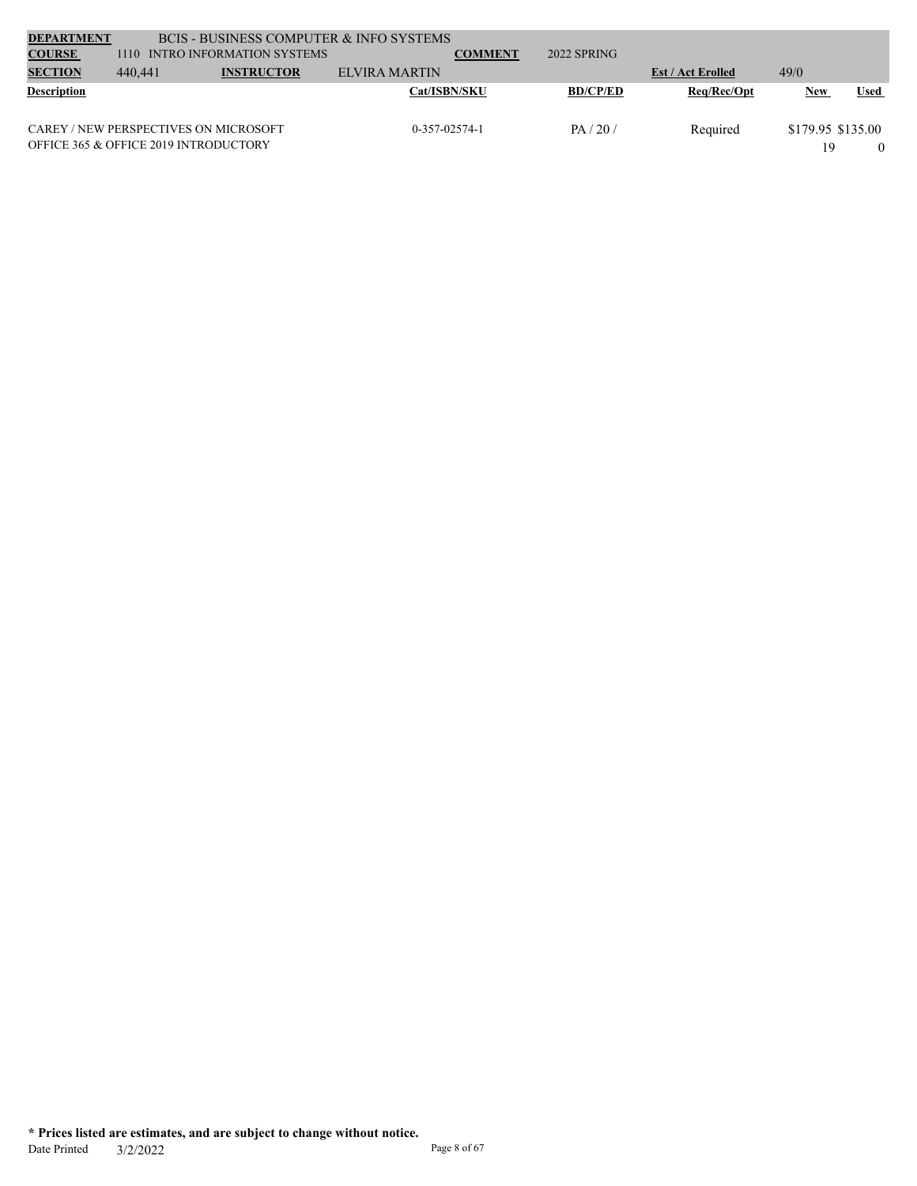| <b>DEPARTMENT</b>  |         | BCIS - BUSINESS COMPUTER & INFO SYSTEMS |                     |                |                 |                          |                   |      |
|--------------------|---------|-----------------------------------------|---------------------|----------------|-----------------|--------------------------|-------------------|------|
| <b>COURSE</b>      | 1110    | INTRO INFORMATION SYSTEMS               |                     | <b>COMMENT</b> | 2022 SPRING     |                          |                   |      |
| <b>SECTION</b>     | 440,441 | <b>INSTRUCTOR</b>                       | ELVIRA MARTIN       |                |                 | <b>Est / Act Erolled</b> | 49/0              |      |
| <b>Description</b> |         |                                         | <b>Cat/ISBN/SKU</b> |                | <b>BD/CP/ED</b> | Req/Rec/Opt              | New               | Used |
|                    |         |                                         |                     |                |                 |                          |                   |      |
|                    |         | CAREY / NEW PERSPECTIVES ON MICROSOFT   | $0-357-02574-1$     |                | PA/20/          | Required                 | \$179.95 \$135.00 |      |
|                    |         | OFFICE 365 & OFFICE 2019 INTRODUCTORY   |                     |                |                 |                          |                   |      |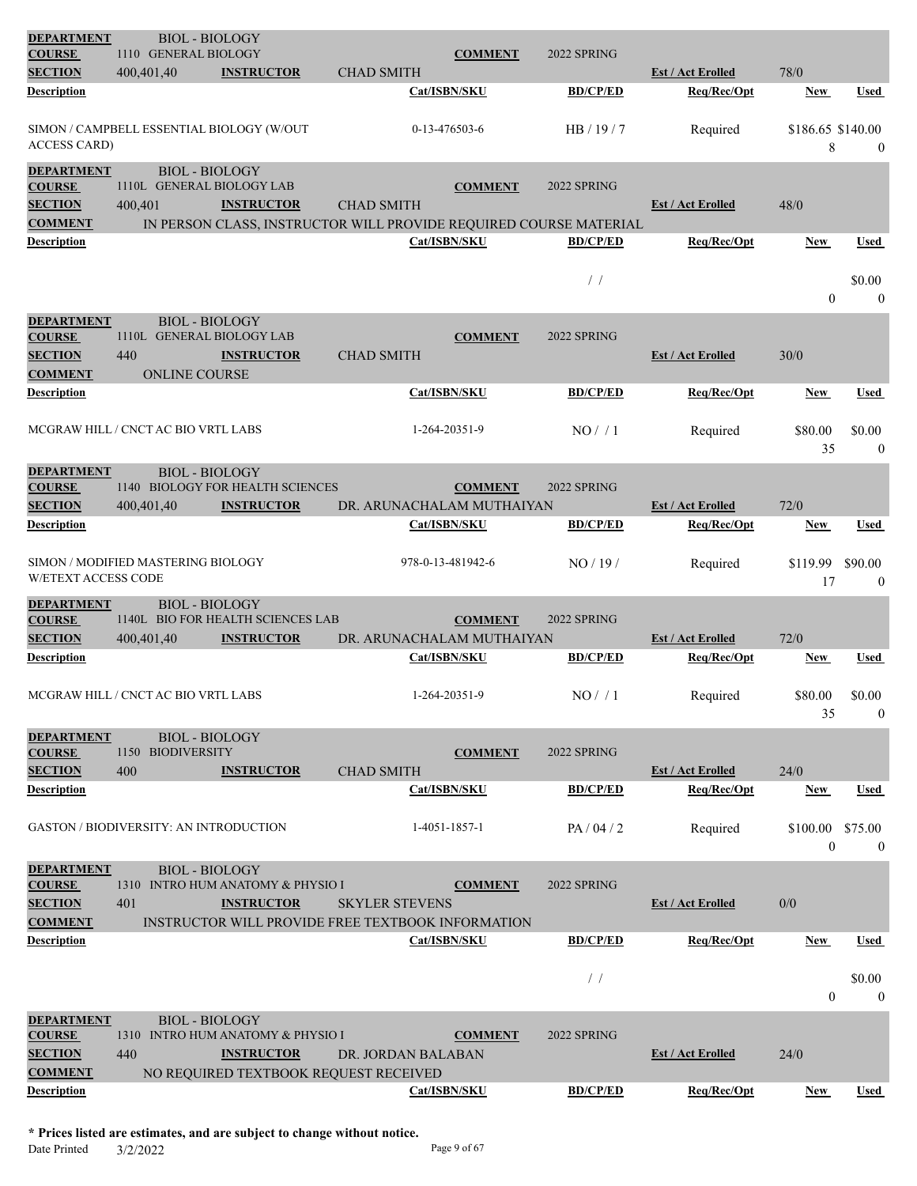| 1110 GENERAL BIOLOGY<br><b>SECTION</b><br>400,401,40<br><b>INSTRUCTOR</b><br><b>CHAD SMITH</b><br><b>Est / Act Erolled</b><br>78/0<br><b>Description</b><br>Cat/ISBN/SKU<br><b>BD/CP/ED</b><br>Req/Rec/Opt<br>Used<br>New<br>SIMON / CAMPBELL ESSENTIAL BIOLOGY (W/OUT<br>0-13-476503-6<br>HB/19/7<br>\$186.65 \$140.00<br>Required<br><b>ACCESS CARD)</b><br>8<br>$\boldsymbol{0}$<br><b>DEPARTMENT</b><br><b>BIOL - BIOLOGY</b><br>1110L GENERAL BIOLOGY LAB<br><b>COURSE</b><br><b>COMMENT</b><br>2022 SPRING<br><b>SECTION</b><br>400,401<br><b>INSTRUCTOR</b><br><b>CHAD SMITH</b><br>48/0<br><b>Est / Act Erolled</b><br><b>COMMENT</b><br>IN PERSON CLASS, INSTRUCTOR WILL PROVIDE REQUIRED COURSE MATERIAL<br><b>Description</b><br>Cat/ISBN/SKU<br><b>BD/CP/ED</b><br>Req/Rec/Opt<br>Used<br>New<br>$/$ /<br>\$0.00<br>$\overline{0}$<br>$\mathbf{0}$<br><b>DEPARTMENT</b><br><b>BIOL - BIOLOGY</b><br><b>COURSE</b><br>1110L GENERAL BIOLOGY LAB<br><b>COMMENT</b><br>2022 SPRING<br><b>SECTION</b><br>440<br><b>CHAD SMITH</b><br>30/0<br><b>INSTRUCTOR</b><br><b>Est / Act Erolled</b><br><b>COMMENT</b><br>ONLINE COURSE<br>Cat/ISBN/SKU<br><b>BD/CP/ED</b><br>Req/Rec/Opt<br>Description<br>New<br>Used<br>MCGRAW HILL / CNCT AC BIO VRTL LABS<br>1-264-20351-9<br>NO/1<br>\$80.00<br>\$0.00<br>Required<br>35<br>$\boldsymbol{0}$<br><b>DEPARTMENT</b><br><b>BIOL - BIOLOGY</b><br>1140 BIOLOGY FOR HEALTH SCIENCES<br><b>COMMENT</b><br>2022 SPRING<br><b>COURSE</b><br><b>SECTION</b><br>72/0<br>400,401,40<br><b>INSTRUCTOR</b><br>DR. ARUNACHALAM MUTHAIYAN<br><b>Est / Act Erolled</b><br><b>BD/CP/ED</b><br>Description<br>Cat/ISBN/SKU<br>Req/Rec/Opt<br><b>Used</b><br>New<br>SIMON / MODIFIED MASTERING BIOLOGY<br>978-0-13-481942-6<br>NO/19/<br>\$119.99<br>\$90.00<br>Required<br><b>W/ETEXT ACCESS CODE</b><br>17<br>$\mathbf{0}$<br><b>BIOL - BIOLOGY</b><br><b>DEPARTMENT</b><br>1140L BIO FOR HEALTH SCIENCES LAB<br><b>COURSE</b><br>2022 SPRING<br><b>COMMENT</b><br><b>SECTION</b><br><b>INSTRUCTOR</b><br><b>Est / Act Erolled</b><br>72/0<br>400,401,40<br>DR. ARUNACHALAM MUTHAIYAN<br><b>Description</b><br>Cat/ISBN/SKU<br><b>BD/CP/ED</b><br>Req/Rec/Opt<br>Used<br>New<br>MCGRAW HILL / CNCT AC BIO VRTL LABS<br>1-264-20351-9<br>NO/1<br>Required<br>\$80.00<br>\$0.00<br>35<br>$\mathbf{0}$<br><b>DEPARTMENT</b><br><b>BIOL - BIOLOGY</b><br>1150 BIODIVERSITY<br><b>COMMENT</b><br>2022 SPRING<br><b>COURSE</b><br>24/0<br><b>SECTION</b><br>400<br><b>INSTRUCTOR</b><br><b>CHAD SMITH</b><br><b>Est / Act Erolled</b><br><b>Description</b><br>Cat/ISBN/SKU<br><b>BD/CP/ED</b><br>Req/Rec/Opt<br>New<br>Used<br><b>GASTON / BIODIVERSITY: AN INTRODUCTION</b><br>1-4051-1857-1<br>\$75.00<br>PA/04/2<br>Required<br>\$100.00<br>$\overline{0}$<br>$\boldsymbol{0}$<br><b>DEPARTMENT</b><br><b>BIOL - BIOLOGY</b><br>1310 INTRO HUM ANATOMY & PHYSIO I<br>2022 SPRING<br><b>COURSE</b><br><b>COMMENT</b><br>0/0<br><b>SECTION</b><br>401<br><b>INSTRUCTOR</b><br><b>SKYLER STEVENS</b><br><b>Est / Act Erolled</b><br><b>COMMENT</b><br>INSTRUCTOR WILL PROVIDE FREE TEXTBOOK INFORMATION<br>Cat/ISBN/SKU<br><b>BD/CP/ED</b><br>Req/Rec/Opt<br>Description<br>New<br>Used<br>/<br>\$0.00<br>$\theta$<br>$\theta$<br><b>DEPARTMENT</b><br><b>BIOL - BIOLOGY</b><br>1310 INTRO HUM ANATOMY & PHYSIO I<br>2022 SPRING<br><b>COURSE</b><br><b>COMMENT</b><br><b>SECTION</b><br>440<br><b>INSTRUCTOR</b><br><b>Est / Act Erolled</b><br>24/0<br>DR. JORDAN BALABAN<br><b>COMMENT</b><br>NO REQUIRED TEXTBOOK REQUEST RECEIVED<br><b>Description</b><br>Req/Rec/Opt<br>Cat/ISBN/SKU<br><b>BD/CP/ED</b><br>Used<br>New | <b>DEPARTMENT</b><br><b>COURSE</b> | <b>BIOL - BIOLOGY</b> |  |                | 2022 SPRING |  |  |
|-------------------------------------------------------------------------------------------------------------------------------------------------------------------------------------------------------------------------------------------------------------------------------------------------------------------------------------------------------------------------------------------------------------------------------------------------------------------------------------------------------------------------------------------------------------------------------------------------------------------------------------------------------------------------------------------------------------------------------------------------------------------------------------------------------------------------------------------------------------------------------------------------------------------------------------------------------------------------------------------------------------------------------------------------------------------------------------------------------------------------------------------------------------------------------------------------------------------------------------------------------------------------------------------------------------------------------------------------------------------------------------------------------------------------------------------------------------------------------------------------------------------------------------------------------------------------------------------------------------------------------------------------------------------------------------------------------------------------------------------------------------------------------------------------------------------------------------------------------------------------------------------------------------------------------------------------------------------------------------------------------------------------------------------------------------------------------------------------------------------------------------------------------------------------------------------------------------------------------------------------------------------------------------------------------------------------------------------------------------------------------------------------------------------------------------------------------------------------------------------------------------------------------------------------------------------------------------------------------------------------------------------------------------------------------------------------------------------------------------------------------------------------------------------------------------------------------------------------------------------------------------------------------------------------------------------------------------------------------------------------------------------------------------------------------------------------------------------------------------------------------------------------------------------------------------------------------------------------------------------------------------------------------------------------------------------------------------------------------------------------------------------------------------------------------------------------------------------------------------------------------------------------------------------------------------------------------------------------------------------------------------------------------------|------------------------------------|-----------------------|--|----------------|-------------|--|--|
|                                                                                                                                                                                                                                                                                                                                                                                                                                                                                                                                                                                                                                                                                                                                                                                                                                                                                                                                                                                                                                                                                                                                                                                                                                                                                                                                                                                                                                                                                                                                                                                                                                                                                                                                                                                                                                                                                                                                                                                                                                                                                                                                                                                                                                                                                                                                                                                                                                                                                                                                                                                                                                                                                                                                                                                                                                                                                                                                                                                                                                                                                                                                                                                                                                                                                                                                                                                                                                                                                                                                                                                                                                                             |                                    |                       |  | <b>COMMENT</b> |             |  |  |
|                                                                                                                                                                                                                                                                                                                                                                                                                                                                                                                                                                                                                                                                                                                                                                                                                                                                                                                                                                                                                                                                                                                                                                                                                                                                                                                                                                                                                                                                                                                                                                                                                                                                                                                                                                                                                                                                                                                                                                                                                                                                                                                                                                                                                                                                                                                                                                                                                                                                                                                                                                                                                                                                                                                                                                                                                                                                                                                                                                                                                                                                                                                                                                                                                                                                                                                                                                                                                                                                                                                                                                                                                                                             |                                    |                       |  |                |             |  |  |
|                                                                                                                                                                                                                                                                                                                                                                                                                                                                                                                                                                                                                                                                                                                                                                                                                                                                                                                                                                                                                                                                                                                                                                                                                                                                                                                                                                                                                                                                                                                                                                                                                                                                                                                                                                                                                                                                                                                                                                                                                                                                                                                                                                                                                                                                                                                                                                                                                                                                                                                                                                                                                                                                                                                                                                                                                                                                                                                                                                                                                                                                                                                                                                                                                                                                                                                                                                                                                                                                                                                                                                                                                                                             |                                    |                       |  |                |             |  |  |
|                                                                                                                                                                                                                                                                                                                                                                                                                                                                                                                                                                                                                                                                                                                                                                                                                                                                                                                                                                                                                                                                                                                                                                                                                                                                                                                                                                                                                                                                                                                                                                                                                                                                                                                                                                                                                                                                                                                                                                                                                                                                                                                                                                                                                                                                                                                                                                                                                                                                                                                                                                                                                                                                                                                                                                                                                                                                                                                                                                                                                                                                                                                                                                                                                                                                                                                                                                                                                                                                                                                                                                                                                                                             |                                    |                       |  |                |             |  |  |
|                                                                                                                                                                                                                                                                                                                                                                                                                                                                                                                                                                                                                                                                                                                                                                                                                                                                                                                                                                                                                                                                                                                                                                                                                                                                                                                                                                                                                                                                                                                                                                                                                                                                                                                                                                                                                                                                                                                                                                                                                                                                                                                                                                                                                                                                                                                                                                                                                                                                                                                                                                                                                                                                                                                                                                                                                                                                                                                                                                                                                                                                                                                                                                                                                                                                                                                                                                                                                                                                                                                                                                                                                                                             |                                    |                       |  |                |             |  |  |
|                                                                                                                                                                                                                                                                                                                                                                                                                                                                                                                                                                                                                                                                                                                                                                                                                                                                                                                                                                                                                                                                                                                                                                                                                                                                                                                                                                                                                                                                                                                                                                                                                                                                                                                                                                                                                                                                                                                                                                                                                                                                                                                                                                                                                                                                                                                                                                                                                                                                                                                                                                                                                                                                                                                                                                                                                                                                                                                                                                                                                                                                                                                                                                                                                                                                                                                                                                                                                                                                                                                                                                                                                                                             |                                    |                       |  |                |             |  |  |
|                                                                                                                                                                                                                                                                                                                                                                                                                                                                                                                                                                                                                                                                                                                                                                                                                                                                                                                                                                                                                                                                                                                                                                                                                                                                                                                                                                                                                                                                                                                                                                                                                                                                                                                                                                                                                                                                                                                                                                                                                                                                                                                                                                                                                                                                                                                                                                                                                                                                                                                                                                                                                                                                                                                                                                                                                                                                                                                                                                                                                                                                                                                                                                                                                                                                                                                                                                                                                                                                                                                                                                                                                                                             |                                    |                       |  |                |             |  |  |
|                                                                                                                                                                                                                                                                                                                                                                                                                                                                                                                                                                                                                                                                                                                                                                                                                                                                                                                                                                                                                                                                                                                                                                                                                                                                                                                                                                                                                                                                                                                                                                                                                                                                                                                                                                                                                                                                                                                                                                                                                                                                                                                                                                                                                                                                                                                                                                                                                                                                                                                                                                                                                                                                                                                                                                                                                                                                                                                                                                                                                                                                                                                                                                                                                                                                                                                                                                                                                                                                                                                                                                                                                                                             |                                    |                       |  |                |             |  |  |
|                                                                                                                                                                                                                                                                                                                                                                                                                                                                                                                                                                                                                                                                                                                                                                                                                                                                                                                                                                                                                                                                                                                                                                                                                                                                                                                                                                                                                                                                                                                                                                                                                                                                                                                                                                                                                                                                                                                                                                                                                                                                                                                                                                                                                                                                                                                                                                                                                                                                                                                                                                                                                                                                                                                                                                                                                                                                                                                                                                                                                                                                                                                                                                                                                                                                                                                                                                                                                                                                                                                                                                                                                                                             |                                    |                       |  |                |             |  |  |
|                                                                                                                                                                                                                                                                                                                                                                                                                                                                                                                                                                                                                                                                                                                                                                                                                                                                                                                                                                                                                                                                                                                                                                                                                                                                                                                                                                                                                                                                                                                                                                                                                                                                                                                                                                                                                                                                                                                                                                                                                                                                                                                                                                                                                                                                                                                                                                                                                                                                                                                                                                                                                                                                                                                                                                                                                                                                                                                                                                                                                                                                                                                                                                                                                                                                                                                                                                                                                                                                                                                                                                                                                                                             |                                    |                       |  |                |             |  |  |
|                                                                                                                                                                                                                                                                                                                                                                                                                                                                                                                                                                                                                                                                                                                                                                                                                                                                                                                                                                                                                                                                                                                                                                                                                                                                                                                                                                                                                                                                                                                                                                                                                                                                                                                                                                                                                                                                                                                                                                                                                                                                                                                                                                                                                                                                                                                                                                                                                                                                                                                                                                                                                                                                                                                                                                                                                                                                                                                                                                                                                                                                                                                                                                                                                                                                                                                                                                                                                                                                                                                                                                                                                                                             |                                    |                       |  |                |             |  |  |
|                                                                                                                                                                                                                                                                                                                                                                                                                                                                                                                                                                                                                                                                                                                                                                                                                                                                                                                                                                                                                                                                                                                                                                                                                                                                                                                                                                                                                                                                                                                                                                                                                                                                                                                                                                                                                                                                                                                                                                                                                                                                                                                                                                                                                                                                                                                                                                                                                                                                                                                                                                                                                                                                                                                                                                                                                                                                                                                                                                                                                                                                                                                                                                                                                                                                                                                                                                                                                                                                                                                                                                                                                                                             |                                    |                       |  |                |             |  |  |
|                                                                                                                                                                                                                                                                                                                                                                                                                                                                                                                                                                                                                                                                                                                                                                                                                                                                                                                                                                                                                                                                                                                                                                                                                                                                                                                                                                                                                                                                                                                                                                                                                                                                                                                                                                                                                                                                                                                                                                                                                                                                                                                                                                                                                                                                                                                                                                                                                                                                                                                                                                                                                                                                                                                                                                                                                                                                                                                                                                                                                                                                                                                                                                                                                                                                                                                                                                                                                                                                                                                                                                                                                                                             |                                    |                       |  |                |             |  |  |
|                                                                                                                                                                                                                                                                                                                                                                                                                                                                                                                                                                                                                                                                                                                                                                                                                                                                                                                                                                                                                                                                                                                                                                                                                                                                                                                                                                                                                                                                                                                                                                                                                                                                                                                                                                                                                                                                                                                                                                                                                                                                                                                                                                                                                                                                                                                                                                                                                                                                                                                                                                                                                                                                                                                                                                                                                                                                                                                                                                                                                                                                                                                                                                                                                                                                                                                                                                                                                                                                                                                                                                                                                                                             |                                    |                       |  |                |             |  |  |
|                                                                                                                                                                                                                                                                                                                                                                                                                                                                                                                                                                                                                                                                                                                                                                                                                                                                                                                                                                                                                                                                                                                                                                                                                                                                                                                                                                                                                                                                                                                                                                                                                                                                                                                                                                                                                                                                                                                                                                                                                                                                                                                                                                                                                                                                                                                                                                                                                                                                                                                                                                                                                                                                                                                                                                                                                                                                                                                                                                                                                                                                                                                                                                                                                                                                                                                                                                                                                                                                                                                                                                                                                                                             |                                    |                       |  |                |             |  |  |
|                                                                                                                                                                                                                                                                                                                                                                                                                                                                                                                                                                                                                                                                                                                                                                                                                                                                                                                                                                                                                                                                                                                                                                                                                                                                                                                                                                                                                                                                                                                                                                                                                                                                                                                                                                                                                                                                                                                                                                                                                                                                                                                                                                                                                                                                                                                                                                                                                                                                                                                                                                                                                                                                                                                                                                                                                                                                                                                                                                                                                                                                                                                                                                                                                                                                                                                                                                                                                                                                                                                                                                                                                                                             |                                    |                       |  |                |             |  |  |
|                                                                                                                                                                                                                                                                                                                                                                                                                                                                                                                                                                                                                                                                                                                                                                                                                                                                                                                                                                                                                                                                                                                                                                                                                                                                                                                                                                                                                                                                                                                                                                                                                                                                                                                                                                                                                                                                                                                                                                                                                                                                                                                                                                                                                                                                                                                                                                                                                                                                                                                                                                                                                                                                                                                                                                                                                                                                                                                                                                                                                                                                                                                                                                                                                                                                                                                                                                                                                                                                                                                                                                                                                                                             |                                    |                       |  |                |             |  |  |
|                                                                                                                                                                                                                                                                                                                                                                                                                                                                                                                                                                                                                                                                                                                                                                                                                                                                                                                                                                                                                                                                                                                                                                                                                                                                                                                                                                                                                                                                                                                                                                                                                                                                                                                                                                                                                                                                                                                                                                                                                                                                                                                                                                                                                                                                                                                                                                                                                                                                                                                                                                                                                                                                                                                                                                                                                                                                                                                                                                                                                                                                                                                                                                                                                                                                                                                                                                                                                                                                                                                                                                                                                                                             |                                    |                       |  |                |             |  |  |
|                                                                                                                                                                                                                                                                                                                                                                                                                                                                                                                                                                                                                                                                                                                                                                                                                                                                                                                                                                                                                                                                                                                                                                                                                                                                                                                                                                                                                                                                                                                                                                                                                                                                                                                                                                                                                                                                                                                                                                                                                                                                                                                                                                                                                                                                                                                                                                                                                                                                                                                                                                                                                                                                                                                                                                                                                                                                                                                                                                                                                                                                                                                                                                                                                                                                                                                                                                                                                                                                                                                                                                                                                                                             |                                    |                       |  |                |             |  |  |
|                                                                                                                                                                                                                                                                                                                                                                                                                                                                                                                                                                                                                                                                                                                                                                                                                                                                                                                                                                                                                                                                                                                                                                                                                                                                                                                                                                                                                                                                                                                                                                                                                                                                                                                                                                                                                                                                                                                                                                                                                                                                                                                                                                                                                                                                                                                                                                                                                                                                                                                                                                                                                                                                                                                                                                                                                                                                                                                                                                                                                                                                                                                                                                                                                                                                                                                                                                                                                                                                                                                                                                                                                                                             |                                    |                       |  |                |             |  |  |
|                                                                                                                                                                                                                                                                                                                                                                                                                                                                                                                                                                                                                                                                                                                                                                                                                                                                                                                                                                                                                                                                                                                                                                                                                                                                                                                                                                                                                                                                                                                                                                                                                                                                                                                                                                                                                                                                                                                                                                                                                                                                                                                                                                                                                                                                                                                                                                                                                                                                                                                                                                                                                                                                                                                                                                                                                                                                                                                                                                                                                                                                                                                                                                                                                                                                                                                                                                                                                                                                                                                                                                                                                                                             |                                    |                       |  |                |             |  |  |
|                                                                                                                                                                                                                                                                                                                                                                                                                                                                                                                                                                                                                                                                                                                                                                                                                                                                                                                                                                                                                                                                                                                                                                                                                                                                                                                                                                                                                                                                                                                                                                                                                                                                                                                                                                                                                                                                                                                                                                                                                                                                                                                                                                                                                                                                                                                                                                                                                                                                                                                                                                                                                                                                                                                                                                                                                                                                                                                                                                                                                                                                                                                                                                                                                                                                                                                                                                                                                                                                                                                                                                                                                                                             |                                    |                       |  |                |             |  |  |
|                                                                                                                                                                                                                                                                                                                                                                                                                                                                                                                                                                                                                                                                                                                                                                                                                                                                                                                                                                                                                                                                                                                                                                                                                                                                                                                                                                                                                                                                                                                                                                                                                                                                                                                                                                                                                                                                                                                                                                                                                                                                                                                                                                                                                                                                                                                                                                                                                                                                                                                                                                                                                                                                                                                                                                                                                                                                                                                                                                                                                                                                                                                                                                                                                                                                                                                                                                                                                                                                                                                                                                                                                                                             |                                    |                       |  |                |             |  |  |
|                                                                                                                                                                                                                                                                                                                                                                                                                                                                                                                                                                                                                                                                                                                                                                                                                                                                                                                                                                                                                                                                                                                                                                                                                                                                                                                                                                                                                                                                                                                                                                                                                                                                                                                                                                                                                                                                                                                                                                                                                                                                                                                                                                                                                                                                                                                                                                                                                                                                                                                                                                                                                                                                                                                                                                                                                                                                                                                                                                                                                                                                                                                                                                                                                                                                                                                                                                                                                                                                                                                                                                                                                                                             |                                    |                       |  |                |             |  |  |
|                                                                                                                                                                                                                                                                                                                                                                                                                                                                                                                                                                                                                                                                                                                                                                                                                                                                                                                                                                                                                                                                                                                                                                                                                                                                                                                                                                                                                                                                                                                                                                                                                                                                                                                                                                                                                                                                                                                                                                                                                                                                                                                                                                                                                                                                                                                                                                                                                                                                                                                                                                                                                                                                                                                                                                                                                                                                                                                                                                                                                                                                                                                                                                                                                                                                                                                                                                                                                                                                                                                                                                                                                                                             |                                    |                       |  |                |             |  |  |
|                                                                                                                                                                                                                                                                                                                                                                                                                                                                                                                                                                                                                                                                                                                                                                                                                                                                                                                                                                                                                                                                                                                                                                                                                                                                                                                                                                                                                                                                                                                                                                                                                                                                                                                                                                                                                                                                                                                                                                                                                                                                                                                                                                                                                                                                                                                                                                                                                                                                                                                                                                                                                                                                                                                                                                                                                                                                                                                                                                                                                                                                                                                                                                                                                                                                                                                                                                                                                                                                                                                                                                                                                                                             |                                    |                       |  |                |             |  |  |
|                                                                                                                                                                                                                                                                                                                                                                                                                                                                                                                                                                                                                                                                                                                                                                                                                                                                                                                                                                                                                                                                                                                                                                                                                                                                                                                                                                                                                                                                                                                                                                                                                                                                                                                                                                                                                                                                                                                                                                                                                                                                                                                                                                                                                                                                                                                                                                                                                                                                                                                                                                                                                                                                                                                                                                                                                                                                                                                                                                                                                                                                                                                                                                                                                                                                                                                                                                                                                                                                                                                                                                                                                                                             |                                    |                       |  |                |             |  |  |
|                                                                                                                                                                                                                                                                                                                                                                                                                                                                                                                                                                                                                                                                                                                                                                                                                                                                                                                                                                                                                                                                                                                                                                                                                                                                                                                                                                                                                                                                                                                                                                                                                                                                                                                                                                                                                                                                                                                                                                                                                                                                                                                                                                                                                                                                                                                                                                                                                                                                                                                                                                                                                                                                                                                                                                                                                                                                                                                                                                                                                                                                                                                                                                                                                                                                                                                                                                                                                                                                                                                                                                                                                                                             |                                    |                       |  |                |             |  |  |
|                                                                                                                                                                                                                                                                                                                                                                                                                                                                                                                                                                                                                                                                                                                                                                                                                                                                                                                                                                                                                                                                                                                                                                                                                                                                                                                                                                                                                                                                                                                                                                                                                                                                                                                                                                                                                                                                                                                                                                                                                                                                                                                                                                                                                                                                                                                                                                                                                                                                                                                                                                                                                                                                                                                                                                                                                                                                                                                                                                                                                                                                                                                                                                                                                                                                                                                                                                                                                                                                                                                                                                                                                                                             |                                    |                       |  |                |             |  |  |
|                                                                                                                                                                                                                                                                                                                                                                                                                                                                                                                                                                                                                                                                                                                                                                                                                                                                                                                                                                                                                                                                                                                                                                                                                                                                                                                                                                                                                                                                                                                                                                                                                                                                                                                                                                                                                                                                                                                                                                                                                                                                                                                                                                                                                                                                                                                                                                                                                                                                                                                                                                                                                                                                                                                                                                                                                                                                                                                                                                                                                                                                                                                                                                                                                                                                                                                                                                                                                                                                                                                                                                                                                                                             |                                    |                       |  |                |             |  |  |
|                                                                                                                                                                                                                                                                                                                                                                                                                                                                                                                                                                                                                                                                                                                                                                                                                                                                                                                                                                                                                                                                                                                                                                                                                                                                                                                                                                                                                                                                                                                                                                                                                                                                                                                                                                                                                                                                                                                                                                                                                                                                                                                                                                                                                                                                                                                                                                                                                                                                                                                                                                                                                                                                                                                                                                                                                                                                                                                                                                                                                                                                                                                                                                                                                                                                                                                                                                                                                                                                                                                                                                                                                                                             |                                    |                       |  |                |             |  |  |
|                                                                                                                                                                                                                                                                                                                                                                                                                                                                                                                                                                                                                                                                                                                                                                                                                                                                                                                                                                                                                                                                                                                                                                                                                                                                                                                                                                                                                                                                                                                                                                                                                                                                                                                                                                                                                                                                                                                                                                                                                                                                                                                                                                                                                                                                                                                                                                                                                                                                                                                                                                                                                                                                                                                                                                                                                                                                                                                                                                                                                                                                                                                                                                                                                                                                                                                                                                                                                                                                                                                                                                                                                                                             |                                    |                       |  |                |             |  |  |
|                                                                                                                                                                                                                                                                                                                                                                                                                                                                                                                                                                                                                                                                                                                                                                                                                                                                                                                                                                                                                                                                                                                                                                                                                                                                                                                                                                                                                                                                                                                                                                                                                                                                                                                                                                                                                                                                                                                                                                                                                                                                                                                                                                                                                                                                                                                                                                                                                                                                                                                                                                                                                                                                                                                                                                                                                                                                                                                                                                                                                                                                                                                                                                                                                                                                                                                                                                                                                                                                                                                                                                                                                                                             |                                    |                       |  |                |             |  |  |
|                                                                                                                                                                                                                                                                                                                                                                                                                                                                                                                                                                                                                                                                                                                                                                                                                                                                                                                                                                                                                                                                                                                                                                                                                                                                                                                                                                                                                                                                                                                                                                                                                                                                                                                                                                                                                                                                                                                                                                                                                                                                                                                                                                                                                                                                                                                                                                                                                                                                                                                                                                                                                                                                                                                                                                                                                                                                                                                                                                                                                                                                                                                                                                                                                                                                                                                                                                                                                                                                                                                                                                                                                                                             |                                    |                       |  |                |             |  |  |
|                                                                                                                                                                                                                                                                                                                                                                                                                                                                                                                                                                                                                                                                                                                                                                                                                                                                                                                                                                                                                                                                                                                                                                                                                                                                                                                                                                                                                                                                                                                                                                                                                                                                                                                                                                                                                                                                                                                                                                                                                                                                                                                                                                                                                                                                                                                                                                                                                                                                                                                                                                                                                                                                                                                                                                                                                                                                                                                                                                                                                                                                                                                                                                                                                                                                                                                                                                                                                                                                                                                                                                                                                                                             |                                    |                       |  |                |             |  |  |
|                                                                                                                                                                                                                                                                                                                                                                                                                                                                                                                                                                                                                                                                                                                                                                                                                                                                                                                                                                                                                                                                                                                                                                                                                                                                                                                                                                                                                                                                                                                                                                                                                                                                                                                                                                                                                                                                                                                                                                                                                                                                                                                                                                                                                                                                                                                                                                                                                                                                                                                                                                                                                                                                                                                                                                                                                                                                                                                                                                                                                                                                                                                                                                                                                                                                                                                                                                                                                                                                                                                                                                                                                                                             |                                    |                       |  |                |             |  |  |
|                                                                                                                                                                                                                                                                                                                                                                                                                                                                                                                                                                                                                                                                                                                                                                                                                                                                                                                                                                                                                                                                                                                                                                                                                                                                                                                                                                                                                                                                                                                                                                                                                                                                                                                                                                                                                                                                                                                                                                                                                                                                                                                                                                                                                                                                                                                                                                                                                                                                                                                                                                                                                                                                                                                                                                                                                                                                                                                                                                                                                                                                                                                                                                                                                                                                                                                                                                                                                                                                                                                                                                                                                                                             |                                    |                       |  |                |             |  |  |
|                                                                                                                                                                                                                                                                                                                                                                                                                                                                                                                                                                                                                                                                                                                                                                                                                                                                                                                                                                                                                                                                                                                                                                                                                                                                                                                                                                                                                                                                                                                                                                                                                                                                                                                                                                                                                                                                                                                                                                                                                                                                                                                                                                                                                                                                                                                                                                                                                                                                                                                                                                                                                                                                                                                                                                                                                                                                                                                                                                                                                                                                                                                                                                                                                                                                                                                                                                                                                                                                                                                                                                                                                                                             |                                    |                       |  |                |             |  |  |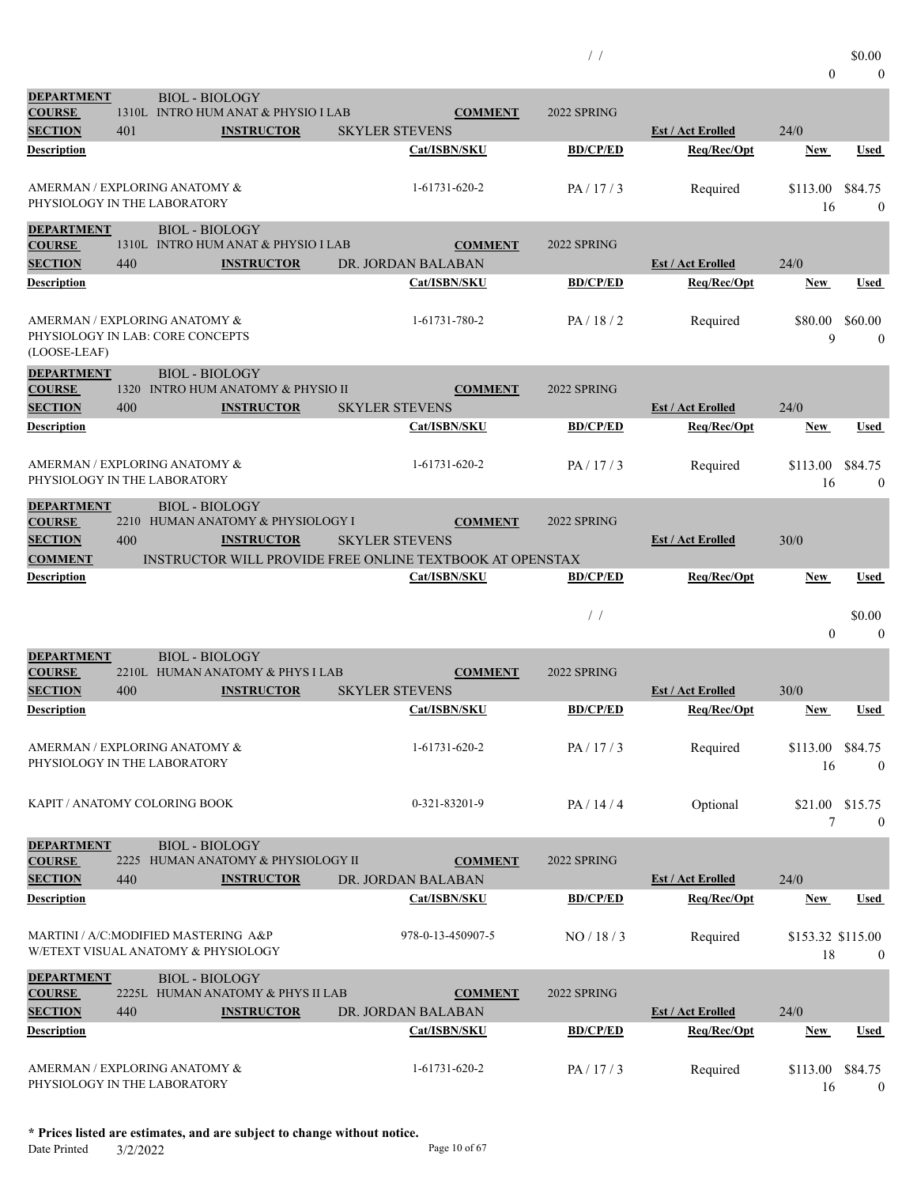| $\mathbf{0}$ | $\boldsymbol{0}$ |
|--------------|------------------|
|              |                  |

| <b>DEPARTMENT</b><br><b>COURSE</b>                                                         |             | <b>BIOL - BIOLOGY</b> | 1310L INTRO HUM ANAT & PHYSIO I LAB                     | <b>COMMENT</b>                                                                                      | 2022 SPRING     |                          |                         |                             |
|--------------------------------------------------------------------------------------------|-------------|-----------------------|---------------------------------------------------------|-----------------------------------------------------------------------------------------------------|-----------------|--------------------------|-------------------------|-----------------------------|
| <b>SECTION</b>                                                                             | 401         |                       | <b>INSTRUCTOR</b>                                       | <b>SKYLER STEVENS</b>                                                                               |                 | <b>Est / Act Erolled</b> | 24/0                    |                             |
| Description                                                                                |             |                       |                                                         | Cat/ISBN/SKU                                                                                        | <b>BD/CP/ED</b> | Req/Rec/Opt              | <b>New</b>              | Used                        |
| AMERMAN / EXPLORING ANATOMY &<br>PHYSIOLOGY IN THE LABORATORY                              |             |                       |                                                         | 1-61731-620-2                                                                                       | PA/17/3         | Required                 | \$113.00<br>16          | \$84.75<br>$\theta$         |
| <b>DEPARTMENT</b><br><b>COURSE</b>                                                         |             | <b>BIOL - BIOLOGY</b> | 1310L INTRO HUM ANAT & PHYSIO I LAB                     | <b>COMMENT</b>                                                                                      | 2022 SPRING     |                          |                         |                             |
| <b>SECTION</b>                                                                             | 440         |                       | <b>INSTRUCTOR</b>                                       | DR. JORDAN BALABAN                                                                                  |                 | <b>Est / Act Erolled</b> | 24/0                    |                             |
| Description                                                                                |             |                       |                                                         | Cat/ISBN/SKU                                                                                        | <b>BD/CP/ED</b> | Req/Rec/Opt              | <u>New</u>              | Used                        |
| AMERMAN / EXPLORING ANATOMY &<br>PHYSIOLOGY IN LAB: CORE CONCEPTS<br>(LOOSE-LEAF)          |             |                       |                                                         | 1-61731-780-2                                                                                       | PA/18/2         | Required                 | \$80.00<br>9            | \$60.00<br>$\mathbf{0}$     |
| <b>DEPARTMENT</b><br><b>COURSE</b><br><b>SECTION</b>                                       | 400         | <b>BIOL - BIOLOGY</b> | 1320 INTRO HUM ANATOMY & PHYSIO II<br><b>INSTRUCTOR</b> | <b>COMMENT</b><br><b>SKYLER STEVENS</b>                                                             | 2022 SPRING     | <b>Est / Act Erolled</b> | 24/0                    |                             |
| Description                                                                                |             |                       |                                                         | Cat/ISBN/SKU                                                                                        | <b>BD/CP/ED</b> | Req/Rec/Opt              | New                     | Used                        |
| AMERMAN / EXPLORING ANATOMY &<br>PHYSIOLOGY IN THE LABORATORY                              |             |                       |                                                         | 1-61731-620-2                                                                                       | PA/17/3         | Required                 | \$113.00<br>16          | \$84.75<br>$\boldsymbol{0}$ |
| <b>DEPARTMENT</b><br><b>COURSE</b><br><b>SECTION</b><br><b>COMMENT</b>                     | 400         | <b>BIOL - BIOLOGY</b> | 2210 HUMAN ANATOMY & PHYSIOLOGY I<br><b>INSTRUCTOR</b>  | <b>COMMENT</b><br><b>SKYLER STEVENS</b><br>INSTRUCTOR WILL PROVIDE FREE ONLINE TEXTBOOK AT OPENSTAX | 2022 SPRING     | <b>Est / Act Erolled</b> | 30/0                    |                             |
| Description                                                                                |             |                       |                                                         | Cat/ISBN/SKU                                                                                        | <b>BD/CP/ED</b> | Req/Rec/Opt              | New                     | Used                        |
|                                                                                            |             |                       |                                                         |                                                                                                     |                 |                          |                         |                             |
|                                                                                            |             |                       |                                                         |                                                                                                     | $\frac{1}{2}$   |                          | $\theta$                | \$0.00<br>$\theta$          |
| <b>DEPARTMENT</b><br><b>COURSE</b>                                                         |             | <b>BIOL - BIOLOGY</b> | 2210L HUMAN ANATOMY & PHYS I LAB                        | <b>COMMENT</b>                                                                                      | 2022 SPRING     |                          |                         |                             |
| <b>SECTION</b>                                                                             | 400         |                       | <b>INSTRUCTOR</b>                                       | <b>SKYLER STEVENS</b>                                                                               |                 | <b>Est / Act Erolled</b> | 30/0                    |                             |
| Description                                                                                |             |                       |                                                         | Cat/ISBN/SKU                                                                                        | <b>BD/CP/ED</b> | Req/Rec/Opt              | <b>New</b>              | Used                        |
| AMERMAN / EXPLORING ANATOMY &<br>PHYSIOLOGY IN THE LABORATORY                              |             |                       |                                                         | 1-61731-620-2                                                                                       | PA/17/3         | Required                 | \$113.00 \$84.75<br>16  | $\overline{0}$              |
| KAPIT / ANATOMY COLORING BOOK                                                              |             |                       |                                                         | 0-321-83201-9                                                                                       | PA/14/4         | Optional                 | \$21.00 \$15.75<br>7    | $\theta$                    |
| <b>DEPARTMENT</b><br><b>COURSE</b><br><b>SECTION</b>                                       | 2225<br>440 | <b>BIOL - BIOLOGY</b> | HUMAN ANATOMY & PHYSIOLOGY II<br><b>INSTRUCTOR</b>      | <b>COMMENT</b><br>DR. JORDAN BALABAN                                                                | 2022 SPRING     | <b>Est / Act Erolled</b> | 24/0                    |                             |
|                                                                                            |             |                       |                                                         | Cat/ISBN/SKU                                                                                        | <b>BD/CP/ED</b> | Req/Rec/Opt              | <b>New</b>              | <b>Used</b>                 |
| Description<br>MARTINI / A/C:MODIFIED MASTERING A&P<br>W/ETEXT VISUAL ANATOMY & PHYSIOLOGY |             |                       |                                                         | 978-0-13-450907-5                                                                                   | NO / 18 / 3     | Required                 | \$153.32 \$115.00<br>18 | $\boldsymbol{0}$            |
| <b>DEPARTMENT</b><br><b>COURSE</b><br><b>SECTION</b>                                       | 440         | <b>BIOL - BIOLOGY</b> | 2225L HUMAN ANATOMY & PHYS II LAB<br><b>INSTRUCTOR</b>  | <b>COMMENT</b><br>DR. JORDAN BALABAN                                                                | 2022 SPRING     | <b>Est / Act Erolled</b> | 24/0                    |                             |
| Description                                                                                |             |                       |                                                         | Cat/ISBN/SKU                                                                                        | <b>BD/CP/ED</b> | Req/Rec/Opt              | <u>New</u>              | Used                        |

Date Printed 3/2/2022 Page 10 of 67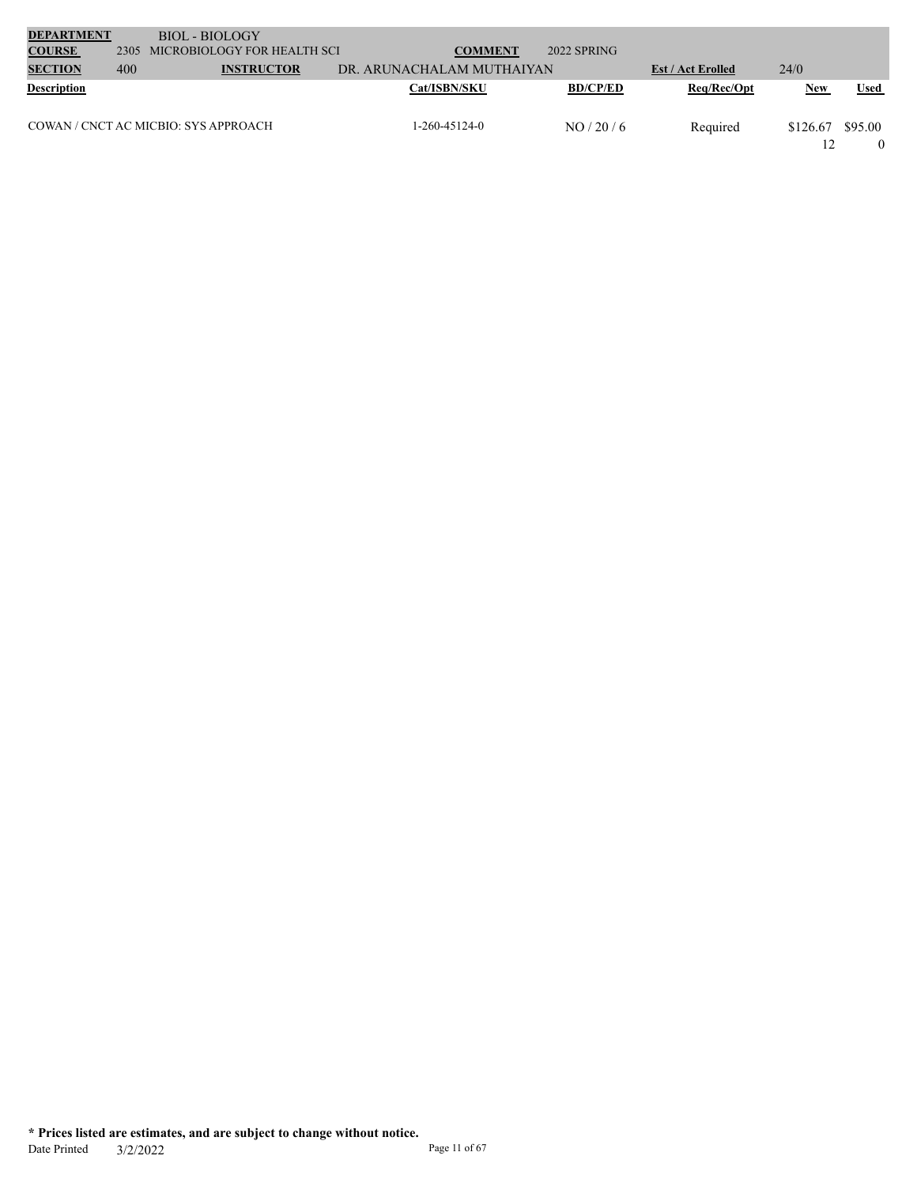| <b>DEPARTMENT</b>  |      | <b>BIOL - BIOLOGY</b>                |                           |                 |                          |            |             |
|--------------------|------|--------------------------------------|---------------------------|-----------------|--------------------------|------------|-------------|
| <b>COURSE</b>      | 2305 | MICROBIOLOGY FOR HEALTH SCI          | <b>COMMENT</b>            | 2022 SPRING     |                          |            |             |
| <b>SECTION</b>     | 400  | <b>INSTRUCTOR</b>                    | DR. ARUNACHALAM MUTHAIYAN |                 | <b>Est / Act Erolled</b> | 24/0       |             |
| <b>Description</b> |      |                                      | <b>Cat/ISBN/SKU</b>       | <b>BD/CP/ED</b> | Req/Rec/Opt              | <b>New</b> | <b>Used</b> |
|                    |      | COWAN / CNCT AC MICBIO: SYS APPROACH | $1-260-45124-0$           | NO/20/6         | Required                 | \$126.67   | \$95.00     |
|                    |      |                                      |                           |                 |                          |            |             |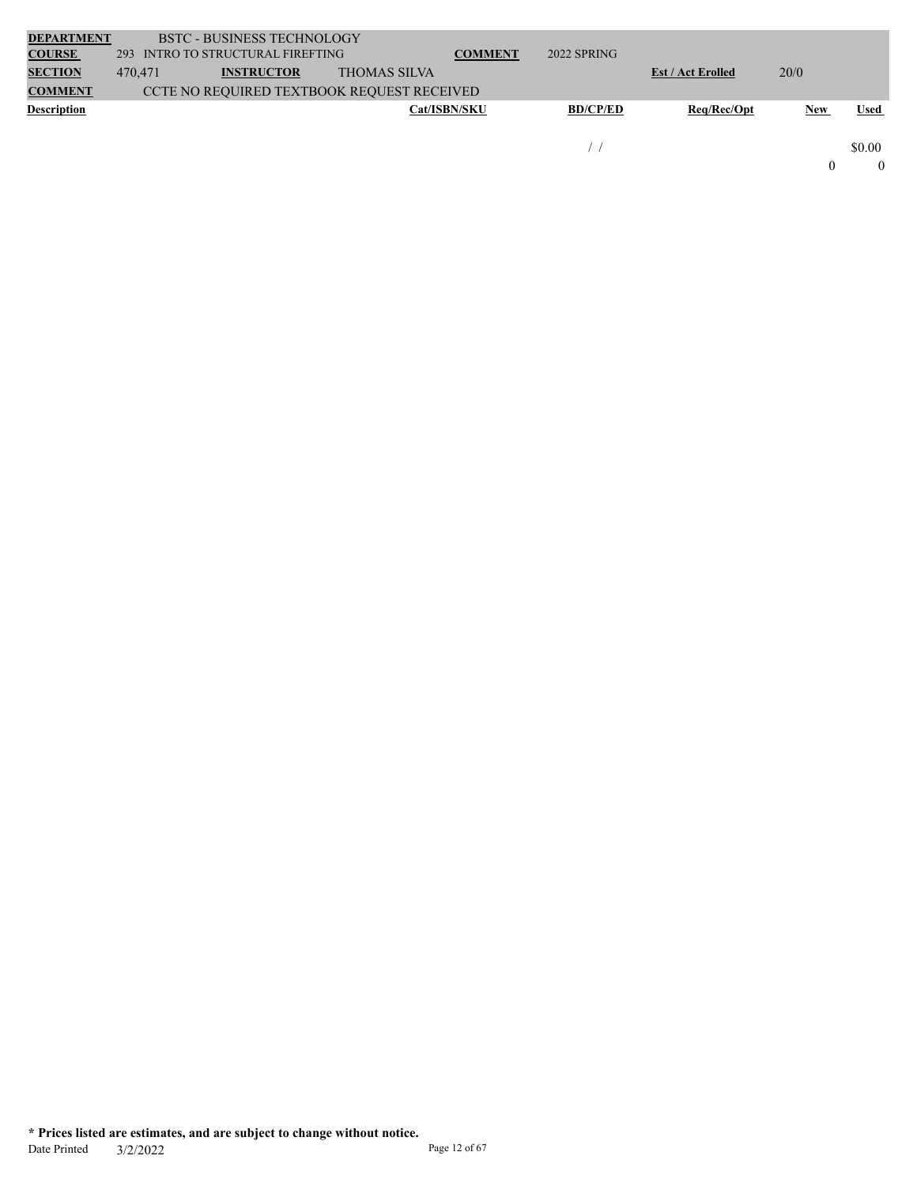| <b>DEPARTMENT</b>  |         | <b>BSTC - BUSINESS TECHNOLOGY</b>          |                     |                     |                 |                          |            |             |
|--------------------|---------|--------------------------------------------|---------------------|---------------------|-----------------|--------------------------|------------|-------------|
| <b>COURSE</b>      | 293     | INTRO TO STRUCTURAL FIREFTING              |                     | <b>COMMENT</b>      | 2022 SPRING     |                          |            |             |
| <b>SECTION</b>     | 470,471 | <b>INSTRUCTOR</b>                          | <b>THOMAS SILVA</b> |                     |                 | <b>Est / Act Erolled</b> | 20/0       |             |
| <b>COMMENT</b>     |         | CCTE NO REQUIRED TEXTBOOK REQUEST RECEIVED |                     |                     |                 |                          |            |             |
| <b>Description</b> |         |                                            |                     | <b>Cat/ISBN/SKU</b> | <b>BD/CP/ED</b> | Req/Rec/Opt              | <b>New</b> | <b>Used</b> |
|                    |         |                                            |                     |                     |                 |                          |            |             |
|                    |         |                                            |                     |                     |                 |                          |            | \$0.00      |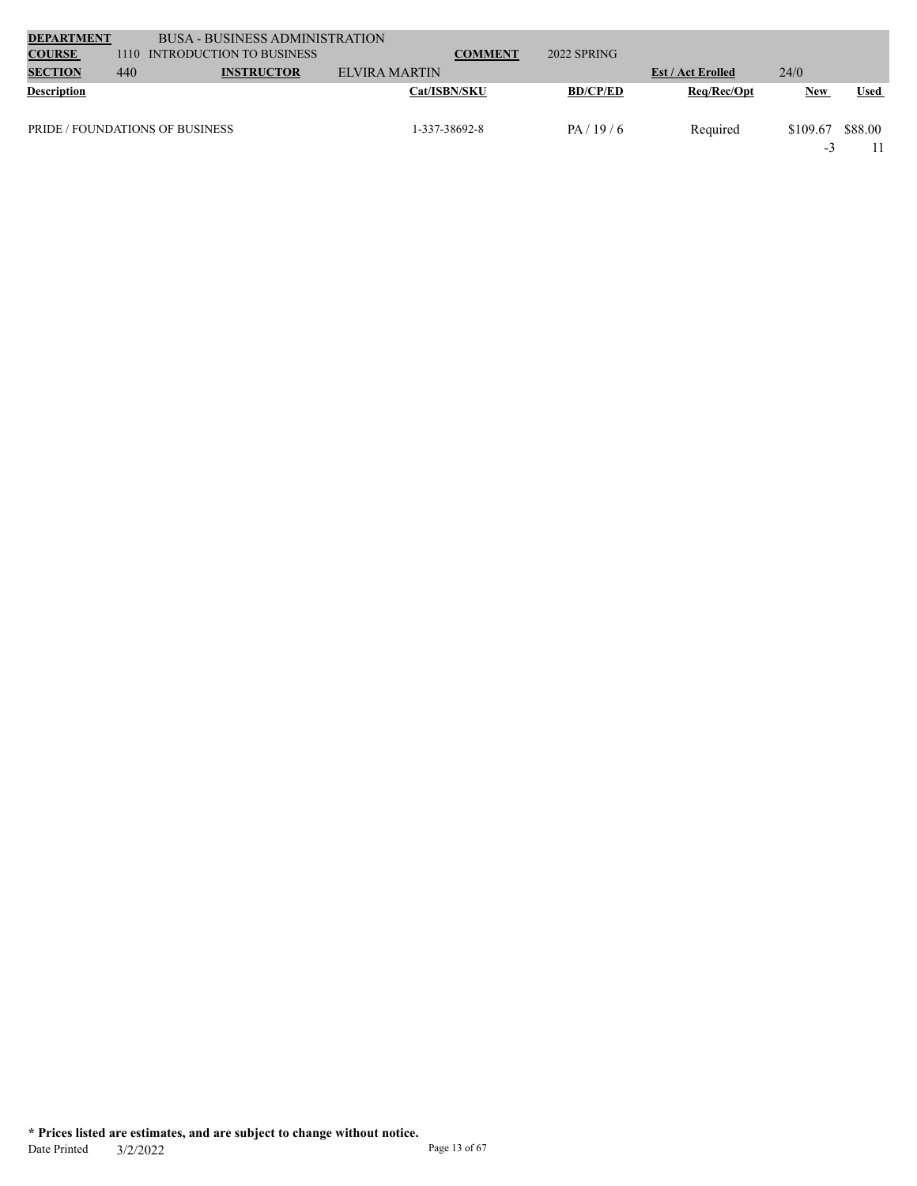| <b>DEPARTMENT</b>  |      | <b>BUSA - BUSINESS ADMINISTRATION</b>  |                     |                |                 |                          |                 |             |
|--------------------|------|----------------------------------------|---------------------|----------------|-----------------|--------------------------|-----------------|-------------|
| <b>COURSE</b>      | 1110 | <b>INTRODUCTION TO BUSINESS</b>        |                     | <b>COMMENT</b> | 2022 SPRING     |                          |                 |             |
| <b>SECTION</b>     | 440  | <b>INSTRUCTOR</b>                      | ELVIRA MARTIN       |                |                 | <b>Est / Act Erolled</b> | 24/0            |             |
| <b>Description</b> |      |                                        | <b>Cat/ISBN/SKU</b> |                | <b>BD/CP/ED</b> | Req/Rec/Opt              | New             | <b>Used</b> |
|                    |      | <b>PRIDE / FOUNDATIONS OF BUSINESS</b> | 1-337-38692-8       |                | PA/19/6         | Required                 | \$109.67<br>- 1 | \$88.00     |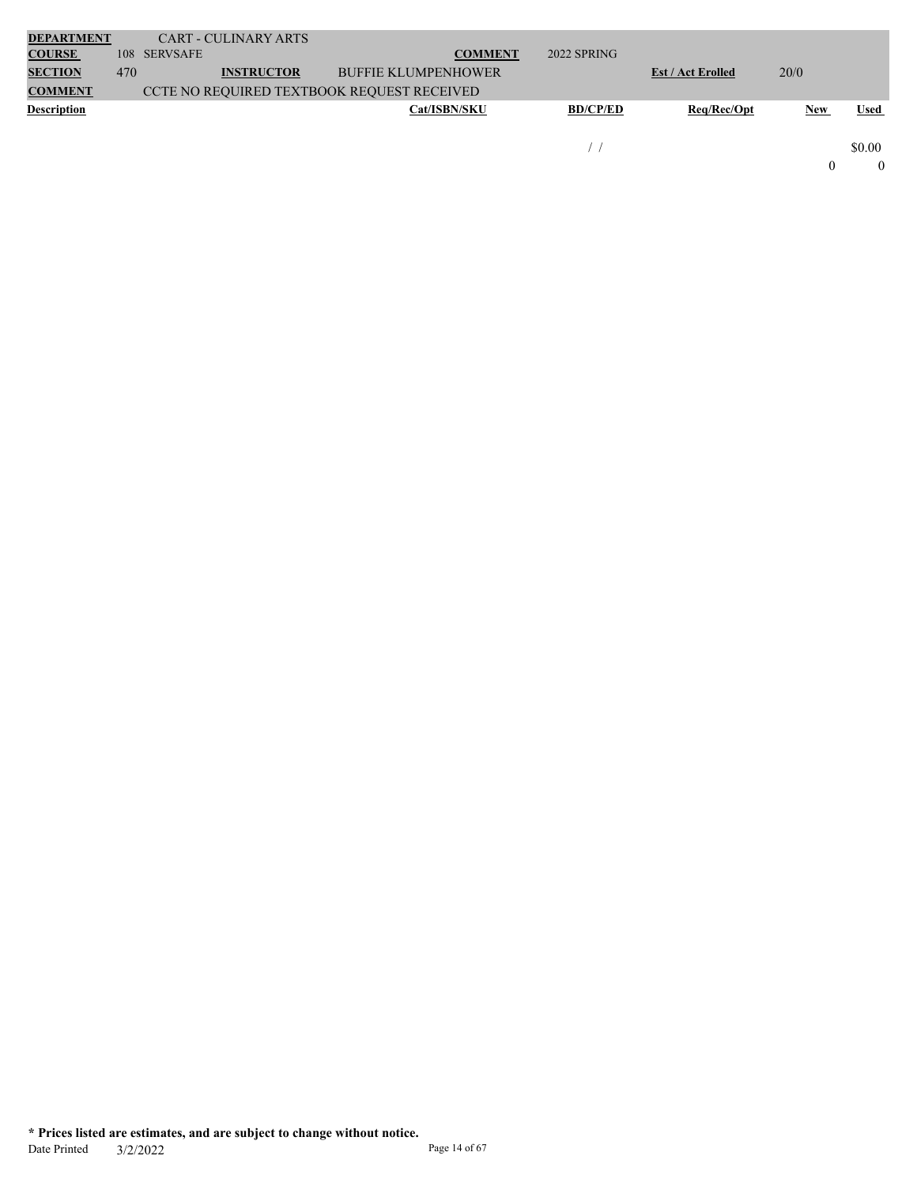| <b>DEPARTMENT</b>  |     | <b>CART - CULINARY ARTS</b>                       |                            |                 |                          |            |             |
|--------------------|-----|---------------------------------------------------|----------------------------|-----------------|--------------------------|------------|-------------|
| <b>COURSE</b>      | 108 | <b>SERVSAFE</b>                                   | <b>COMMENT</b>             | 2022 SPRING     |                          |            |             |
| <b>SECTION</b>     | 470 | <b>INSTRUCTOR</b>                                 | <b>BUFFIE KLUMPENHOWER</b> |                 | <b>Est / Act Erolled</b> | 20/0       |             |
| <b>COMMENT</b>     |     | <b>CCTE NO REQUIRED TEXTBOOK REQUEST RECEIVED</b> |                            |                 |                          |            |             |
| <b>Description</b> |     |                                                   | <b>Cat/ISBN/SKU</b>        | <b>BD/CP/ED</b> | Req/Rec/Opt              | <b>New</b> | <b>Used</b> |
|                    |     |                                                   |                            |                 |                          |            |             |
|                    |     |                                                   |                            |                 |                          |            | \$0.00      |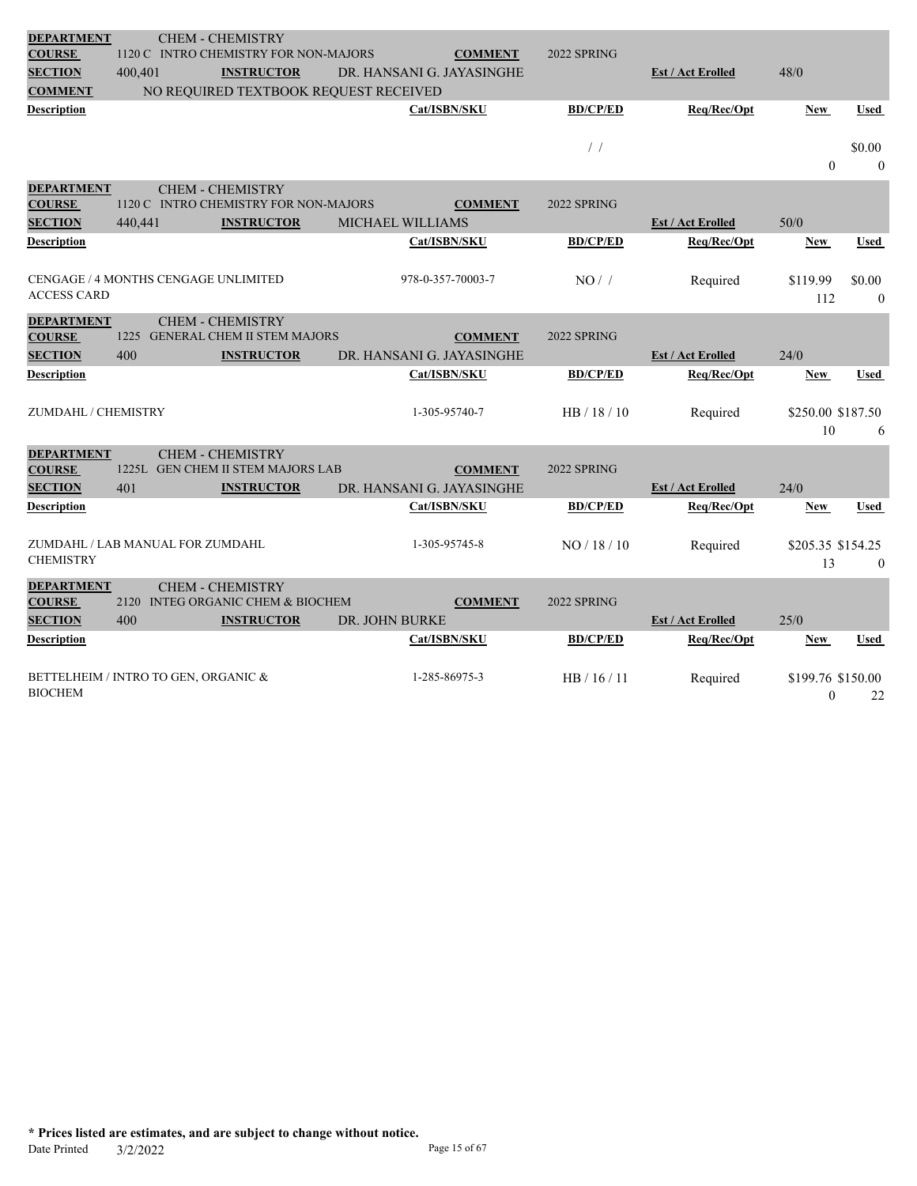| <b>DEPARTMENT</b>   |                                      | <b>CHEM - CHEMISTRY</b>               |                  |                           |                 |                          |                   |                  |
|---------------------|--------------------------------------|---------------------------------------|------------------|---------------------------|-----------------|--------------------------|-------------------|------------------|
| <b>COURSE</b>       |                                      | 1120 C INTRO CHEMISTRY FOR NON-MAJORS |                  | <b>COMMENT</b>            | 2022 SPRING     |                          |                   |                  |
| <b>SECTION</b>      | 400,401                              | <b>INSTRUCTOR</b>                     |                  | DR. HANSANI G. JAYASINGHE |                 | <b>Est / Act Erolled</b> | 48/0              |                  |
| <b>COMMENT</b>      |                                      | NO REQUIRED TEXTBOOK REQUEST RECEIVED |                  |                           |                 |                          |                   |                  |
| <b>Description</b>  |                                      |                                       |                  | Cat/ISBN/SKU              | <b>BD/CP/ED</b> | Req/Rec/Opt              | <b>New</b>        | Used             |
|                     |                                      |                                       |                  |                           |                 |                          |                   |                  |
|                     |                                      |                                       |                  |                           | $\frac{1}{2}$   |                          |                   | \$0.00           |
|                     |                                      |                                       |                  |                           |                 |                          | $\mathbf{0}$      | $\mathbf{0}$     |
| <b>DEPARTMENT</b>   |                                      | <b>CHEM - CHEMISTRY</b>               |                  |                           |                 |                          |                   |                  |
| <b>COURSE</b>       |                                      | 1120 C INTRO CHEMISTRY FOR NON-MAJORS |                  | <b>COMMENT</b>            | 2022 SPRING     |                          |                   |                  |
| <b>SECTION</b>      | 440,441                              | <b>INSTRUCTOR</b>                     | MICHAEL WILLIAMS |                           |                 | <b>Est / Act Erolled</b> | 50/0              |                  |
| Description         |                                      |                                       |                  | Cat/ISBN/SKU              | <b>BD/CP/ED</b> | Req/Rec/Opt              | <b>New</b>        | Used             |
|                     |                                      |                                       |                  |                           |                 |                          |                   |                  |
|                     | CENGAGE / 4 MONTHS CENGAGE UNLIMITED |                                       |                  | 978-0-357-70003-7         | NO/             | Required                 | \$119.99          | \$0.00           |
| <b>ACCESS CARD</b>  |                                      |                                       |                  |                           |                 |                          | 112               | $\mathbf{0}$     |
| <b>DEPARTMENT</b>   |                                      | <b>CHEM - CHEMISTRY</b>               |                  |                           |                 |                          |                   |                  |
| <b>COURSE</b>       | 1225                                 | <b>GENERAL CHEM II STEM MAJORS</b>    |                  | <b>COMMENT</b>            | 2022 SPRING     |                          |                   |                  |
| <b>SECTION</b>      | 400                                  | <b>INSTRUCTOR</b>                     |                  | DR. HANSANI G. JAYASINGHE |                 | <b>Est / Act Erolled</b> | 24/0              |                  |
| Description         |                                      |                                       |                  | Cat/ISBN/SKU              | <b>BD/CP/ED</b> | Req/Rec/Opt              | <b>New</b>        | Used             |
|                     |                                      |                                       |                  |                           |                 |                          |                   |                  |
| ZUMDAHL / CHEMISTRY |                                      |                                       |                  | 1-305-95740-7             | HB / 18 / 10    | Required                 | \$250.00 \$187.50 |                  |
|                     |                                      |                                       |                  |                           |                 |                          | 10                | 6                |
| <b>DEPARTMENT</b>   |                                      | <b>CHEM - CHEMISTRY</b>               |                  |                           |                 |                          |                   |                  |
| <b>COURSE</b>       |                                      | 1225L GEN CHEM II STEM MAJORS LAB     |                  | <b>COMMENT</b>            | 2022 SPRING     |                          |                   |                  |
| <b>SECTION</b>      | 401                                  | <b>INSTRUCTOR</b>                     |                  | DR. HANSANI G. JAYASINGHE |                 | <b>Est / Act Erolled</b> | 24/0              |                  |
| Description         |                                      |                                       |                  | Cat/ISBN/SKU              | <b>BD/CP/ED</b> | Req/Rec/Opt              | <b>New</b>        | Used             |
|                     |                                      |                                       |                  |                           |                 |                          |                   |                  |
|                     | ZUMDAHL / LAB MANUAL FOR ZUMDAHL     |                                       |                  | 1-305-95745-8             | NO / 18 / 10    | Required                 | \$205.35 \$154.25 |                  |
| <b>CHEMISTRY</b>    |                                      |                                       |                  |                           |                 |                          | 13                | $\boldsymbol{0}$ |
| <b>DEPARTMENT</b>   |                                      | <b>CHEM - CHEMISTRY</b>               |                  |                           |                 |                          |                   |                  |
| <b>COURSE</b>       | 2120                                 | INTEG ORGANIC CHEM & BIOCHEM          |                  | <b>COMMENT</b>            | 2022 SPRING     |                          |                   |                  |
| <b>SECTION</b>      | 400                                  | <b>INSTRUCTOR</b>                     | DR. JOHN BURKE   |                           |                 | <b>Est / Act Erolled</b> | 25/0              |                  |
| Description         |                                      |                                       |                  | Cat/ISBN/SKU              | <b>BD/CP/ED</b> | Req/Rec/Opt              | <b>New</b>        | Used             |
|                     |                                      |                                       |                  |                           |                 |                          |                   |                  |
|                     | BETTELHEIM / INTRO TO GEN, ORGANIC & |                                       |                  | 1-285-86975-3             | HB / 16 / 11    | Required                 | \$199.76 \$150.00 |                  |
| <b>BIOCHEM</b>      |                                      |                                       |                  |                           |                 |                          | $\boldsymbol{0}$  | 22               |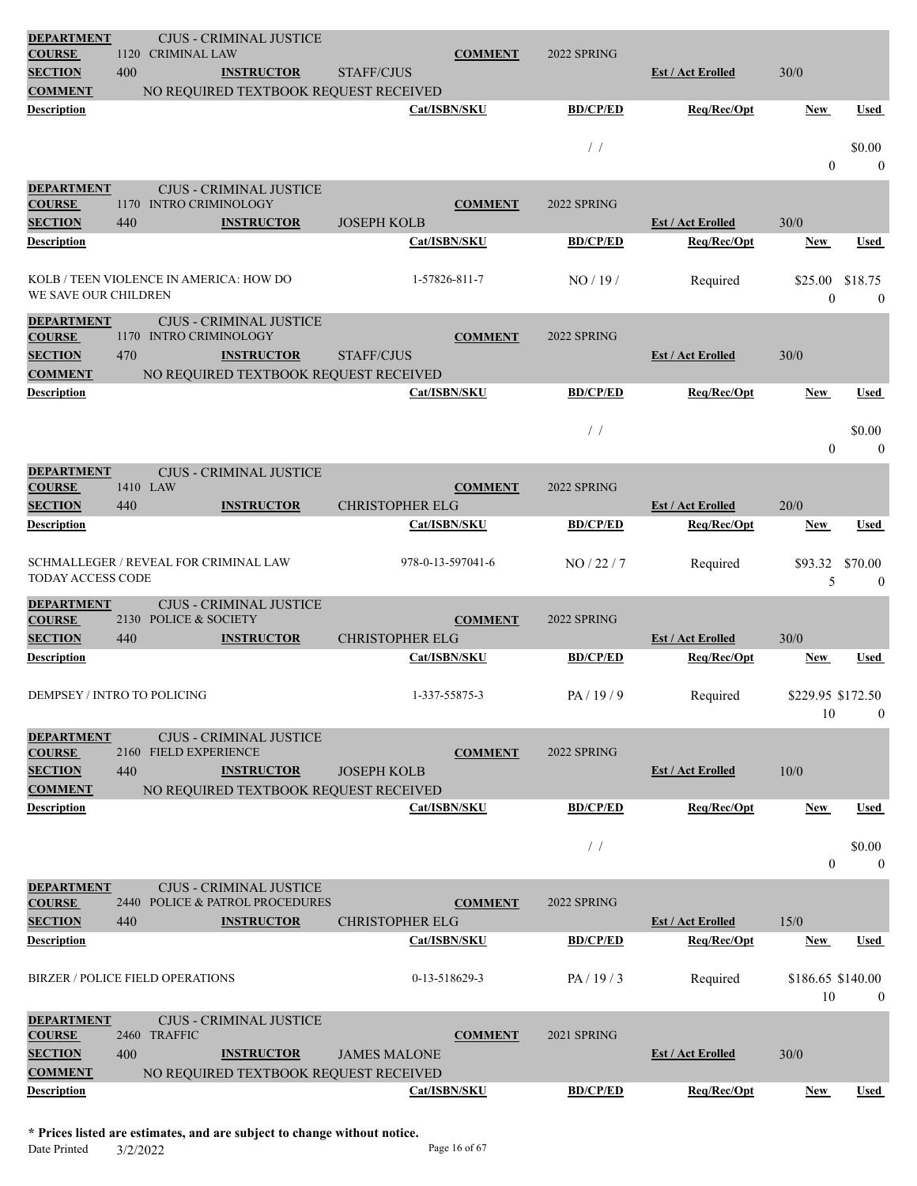| <b>DEPARTMENT</b><br><b>COURSE</b>                                | 1120 | <b>CRIMINAL LAW</b>      | <b>CJUS - CRIMINAL JUSTICE</b>                       |                        | <b>COMMENT</b>    | 2022 SPRING     |                          |                         |                          |
|-------------------------------------------------------------------|------|--------------------------|------------------------------------------------------|------------------------|-------------------|-----------------|--------------------------|-------------------------|--------------------------|
| <b>SECTION</b>                                                    | 400  |                          | <b>INSTRUCTOR</b>                                    | <b>STAFF/CJUS</b>      |                   |                 | <b>Est / Act Erolled</b> | 30/0                    |                          |
| <b>COMMENT</b>                                                    |      |                          | NO REQUIRED TEXTBOOK REQUEST RECEIVED                |                        |                   |                 |                          |                         |                          |
| <b>Description</b>                                                |      |                          |                                                      |                        | Cat/ISBN/SKU      | <b>BD/CP/ED</b> | Req/Rec/Opt              | New                     | Used                     |
|                                                                   |      |                          |                                                      |                        |                   | $\frac{1}{2}$   |                          | $\Omega$                | \$0.00<br>$\mathbf{0}$   |
| <b>DEPARTMENT</b><br><b>COURSE</b>                                | 1170 | <b>INTRO CRIMINOLOGY</b> | <b>CJUS - CRIMINAL JUSTICE</b>                       |                        |                   | 2022 SPRING     |                          |                         |                          |
| <b>SECTION</b>                                                    | 440  |                          | <b>INSTRUCTOR</b>                                    | <b>JOSEPH KOLB</b>     | <b>COMMENT</b>    |                 | <b>Est / Act Erolled</b> | 30/0                    |                          |
| Description                                                       |      |                          |                                                      |                        | Cat/ISBN/SKU      | <b>BD/CP/ED</b> | Req/Rec/Opt              | New                     | <b>Used</b>              |
| KOLB / TEEN VIOLENCE IN AMERICA: HOW DO<br>WE SAVE OUR CHILDREN   |      |                          |                                                      |                        | 1-57826-811-7     | NO/19/          | Required                 | \$25.00<br>$\theta$     | \$18.75<br>$\mathbf{0}$  |
| <b>DEPARTMENT</b>                                                 |      |                          | <b>CJUS - CRIMINAL JUSTICE</b>                       |                        |                   |                 |                          |                         |                          |
| <b>COURSE</b>                                                     |      | 1170 INTRO CRIMINOLOGY   |                                                      |                        | <b>COMMENT</b>    | 2022 SPRING     |                          |                         |                          |
| <b>SECTION</b>                                                    | 470  |                          | <b>INSTRUCTOR</b>                                    | <b>STAFF/CJUS</b>      |                   |                 | <b>Est / Act Erolled</b> | 30/0                    |                          |
| <b>COMMENT</b><br><b>Description</b>                              |      |                          | NO REQUIRED TEXTBOOK REQUEST RECEIVED                |                        | Cat/ISBN/SKU      | <b>BD/CP/ED</b> | Req/Rec/Opt              | New                     | Used                     |
|                                                                   |      |                          |                                                      |                        |                   |                 |                          |                         |                          |
|                                                                   |      |                          |                                                      |                        |                   | $/$ /           |                          | $\overline{0}$          | \$0.00<br>$\overline{0}$ |
| <b>DEPARTMENT</b><br><b>COURSE</b>                                |      | 1410 LAW                 | <b>CJUS - CRIMINAL JUSTICE</b>                       |                        | <b>COMMENT</b>    | 2022 SPRING     |                          |                         |                          |
| <b>SECTION</b>                                                    | 440  |                          | <b>INSTRUCTOR</b>                                    | <b>CHRISTOPHER ELG</b> |                   |                 | <b>Est / Act Erolled</b> | 20/0                    |                          |
| Description                                                       |      |                          |                                                      |                        | Cat/ISBN/SKU      | <b>BD/CP/ED</b> | Req/Rec/Opt              | New                     | <b>Used</b>              |
| SCHMALLEGER / REVEAL FOR CRIMINAL LAW<br><b>TODAY ACCESS CODE</b> |      |                          |                                                      |                        | 978-0-13-597041-6 | NO/22/7         | Required                 | \$93.32<br>5            | \$70.00<br>$\mathbf{0}$  |
| <b>DEPARTMENT</b><br><b>COURSE</b><br><b>SECTION</b>              | 440  | 2130 POLICE & SOCIETY    | <b>CJUS - CRIMINAL JUSTICE</b><br><b>INSTRUCTOR</b>  | <b>CHRISTOPHER ELG</b> | <b>COMMENT</b>    | 2022 SPRING     | <b>Est / Act Erolled</b> | 30/0                    |                          |
| <b>Description</b>                                                |      |                          |                                                      |                        | Cat/ISBN/SKU      | <b>BD/CP/ED</b> | Req/Rec/Opt              | New                     | Used                     |
|                                                                   |      |                          |                                                      |                        |                   |                 |                          |                         |                          |
| DEMPSEY / INTRO TO POLICING                                       |      |                          |                                                      |                        | 1-337-55875-3     | PA/19/9         | Required                 | \$229.95 \$172.50<br>10 | $\mathbf{0}$             |
| <b>DEPARTMENT</b>                                                 |      |                          | <b>CJUS - CRIMINAL JUSTICE</b>                       |                        |                   |                 |                          |                         |                          |
| <b>COURSE</b><br><b>SECTION</b>                                   | 440  | 2160 FIELD EXPERIENCE    | <b>INSTRUCTOR</b>                                    | <b>JOSEPH KOLB</b>     | <b>COMMENT</b>    | 2022 SPRING     | <b>Est / Act Erolled</b> | 10/0                    |                          |
| <b>COMMENT</b>                                                    |      |                          | NO REQUIRED TEXTBOOK REQUEST RECEIVED                |                        |                   |                 |                          |                         |                          |
| <b>Description</b>                                                |      |                          |                                                      |                        | Cat/ISBN/SKU      | <b>BD/CP/ED</b> | Req/Rec/Opt              | New                     | Used                     |
|                                                                   |      |                          |                                                      |                        |                   | $\frac{1}{2}$   |                          | $\overline{0}$          | \$0.00<br>$\overline{0}$ |
| <b>DEPARTMENT</b>                                                 |      |                          | <b>CJUS - CRIMINAL JUSTICE</b>                       |                        |                   |                 |                          |                         |                          |
| <b>COURSE</b><br><b>SECTION</b>                                   | 440  |                          | 2440 POLICE & PATROL PROCEDURES<br><b>INSTRUCTOR</b> | <b>CHRISTOPHER ELG</b> | <b>COMMENT</b>    | 2022 SPRING     | <b>Est / Act Erolled</b> | 15/0                    |                          |
| <b>Description</b>                                                |      |                          |                                                      |                        | Cat/ISBN/SKU      | <b>BD/CP/ED</b> | Req/Rec/Opt              | New                     | Used                     |
| <b>BIRZER / POLICE FIELD OPERATIONS</b>                           |      |                          |                                                      |                        | 0-13-518629-3     | PA/19/3         | Required                 | \$186.65 \$140.00<br>10 | $\mathbf{0}$             |
| <b>DEPARTMENT</b>                                                 |      |                          | <b>CJUS - CRIMINAL JUSTICE</b>                       |                        |                   |                 |                          |                         |                          |
| <b>COURSE</b>                                                     |      | 2460 TRAFFIC             |                                                      |                        | <b>COMMENT</b>    | 2021 SPRING     |                          |                         |                          |
| <b>SECTION</b>                                                    | 400  |                          | <b>INSTRUCTOR</b>                                    | <b>JAMES MALONE</b>    |                   |                 | <b>Est / Act Erolled</b> | 30/0                    |                          |
| <b>COMMENT</b><br><b>Description</b>                              |      |                          | NO REQUIRED TEXTBOOK REQUEST RECEIVED                |                        | Cat/ISBN/SKU      | <b>BD/CP/ED</b> | Req/Rec/Opt              | New                     | Used                     |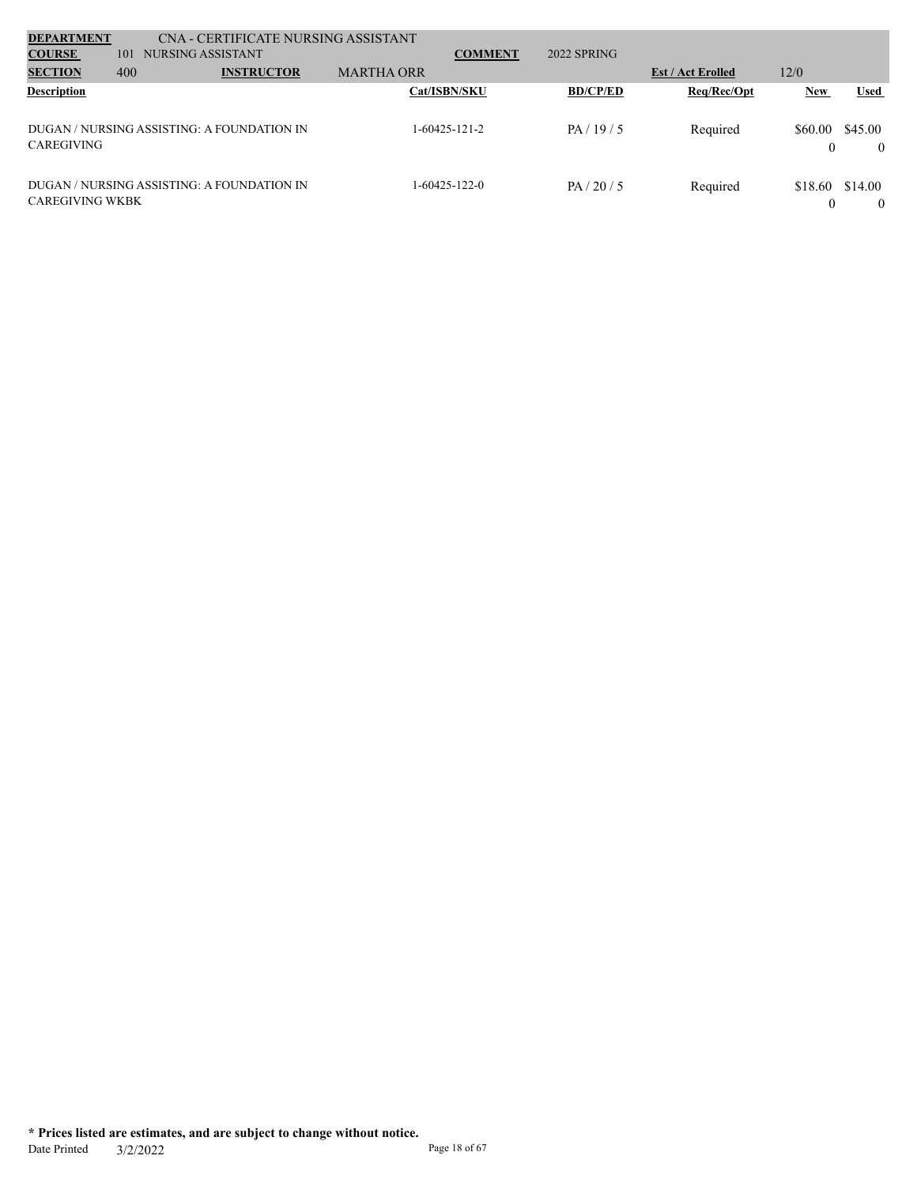| <b>DEPARTMENT</b>      |     | CNA - CERTIFICATE NURSING ASSISTANT        |                   |                |                 |                          |                     |                     |
|------------------------|-----|--------------------------------------------|-------------------|----------------|-----------------|--------------------------|---------------------|---------------------|
| <b>COURSE</b>          | 101 | NURSING ASSISTANT                          |                   | <b>COMMENT</b> | 2022 SPRING     |                          |                     |                     |
| <b>SECTION</b>         | 400 | <b>INSTRUCTOR</b>                          | <b>MARTHA ORR</b> |                |                 | <b>Est / Act Erolled</b> | 12/0                |                     |
| <b>Description</b>     |     |                                            | Cat/ISBN/SKU      |                | <b>BD/CP/ED</b> | Req/Rec/Opt              | <b>New</b>          | Used                |
| CAREGIVING             |     | DUGAN / NURSING ASSISTING: A FOUNDATION IN | 1-60425-121-2     |                | PA/19/5         | Required                 | \$60.00<br>$\Omega$ | \$45.00<br>$\theta$ |
| <b>CAREGIVING WKBK</b> |     | DUGAN / NURSING ASSISTING: A FOUNDATION IN | 1-60425-122-0     |                | PA/20/5         | Required                 | \$18.60<br>$\Omega$ | \$14.00<br>$\theta$ |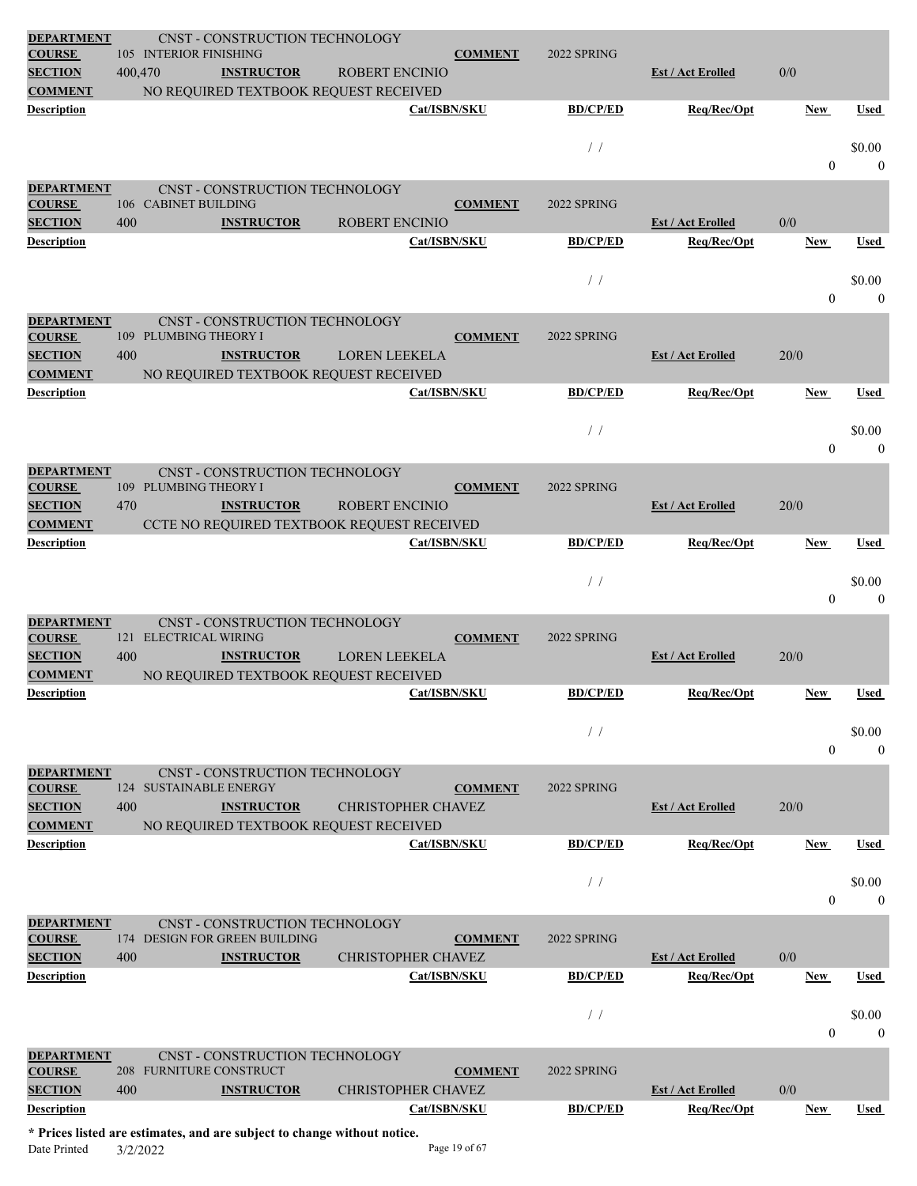| <b>DEPARTMENT</b><br><b>COURSE</b>                                     |         | CNST - CONSTRUCTION TECHNOLOGY<br>105 INTERIOR FINISHING                                                               |                                    | <b>COMMENT</b> | 2022 SPRING                       |                                         |                |                        |
|------------------------------------------------------------------------|---------|------------------------------------------------------------------------------------------------------------------------|------------------------------------|----------------|-----------------------------------|-----------------------------------------|----------------|------------------------|
| <b>SECTION</b>                                                         | 400,470 | <b>INSTRUCTOR</b>                                                                                                      | <b>ROBERT ENCINIO</b>              |                |                                   | <b>Est / Act Erolled</b>                | 0/0            |                        |
| <b>COMMENT</b>                                                         |         | NO REQUIRED TEXTBOOK REQUEST RECEIVED                                                                                  |                                    |                |                                   |                                         |                |                        |
| <b>Description</b>                                                     |         |                                                                                                                        | Cat/ISBN/SKU                       |                | <b>BD/CP/ED</b>                   | Req/Rec/Opt                             | <b>New</b>     | Used                   |
|                                                                        |         |                                                                                                                        |                                    |                | $\left/ \right.$ $\left/ \right.$ |                                         | $\mathbf{0}$   | \$0.00<br>$\mathbf{0}$ |
| <b>DEPARTMENT</b><br><b>COURSE</b>                                     |         | <b>CNST - CONSTRUCTION TECHNOLOGY</b><br>106 CABINET BUILDING                                                          |                                    | <b>COMMENT</b> | 2022 SPRING                       |                                         |                |                        |
| <b>SECTION</b>                                                         | 400     | <b>INSTRUCTOR</b>                                                                                                      | <b>ROBERT ENCINIO</b>              |                |                                   | <b>Est / Act Erolled</b>                | 0/0            |                        |
| <b>Description</b>                                                     |         |                                                                                                                        | Cat/ISBN/SKU                       |                | <b>BD/CP/ED</b>                   | Req/Rec/Opt                             | <b>New</b>     | Used                   |
|                                                                        |         |                                                                                                                        |                                    |                | $/$ /                             |                                         | $\mathbf{0}$   | \$0.00<br>$\mathbf{0}$ |
| <b>DEPARTMENT</b>                                                      |         | CNST - CONSTRUCTION TECHNOLOGY                                                                                         |                                    |                |                                   |                                         |                |                        |
| <b>COURSE</b>                                                          |         | 109 PLUMBING THEORY I                                                                                                  |                                    | <b>COMMENT</b> | 2022 SPRING                       |                                         |                |                        |
| <b>SECTION</b><br><b>COMMENT</b>                                       | 400     | <b>INSTRUCTOR</b><br>NO REQUIRED TEXTBOOK REQUEST RECEIVED                                                             | <b>LOREN LEEKELA</b>               |                |                                   | <b>Est / Act Erolled</b>                | 20/0           |                        |
| <b>Description</b>                                                     |         |                                                                                                                        | Cat/ISBN/SKU                       |                | <b>BD/CP/ED</b>                   | Req/Rec/Opt                             | <b>New</b>     | Used                   |
|                                                                        |         |                                                                                                                        |                                    |                | $/$ /                             |                                         | $\theta$       | \$0.00<br>$\theta$     |
| <b>DEPARTMENT</b>                                                      |         | CNST - CONSTRUCTION TECHNOLOGY                                                                                         |                                    |                |                                   |                                         |                |                        |
| <b>COURSE</b>                                                          |         | 109 PLUMBING THEORY I                                                                                                  |                                    | <b>COMMENT</b> | 2022 SPRING                       |                                         |                |                        |
| <b>SECTION</b><br><b>COMMENT</b>                                       | 470     | <b>INSTRUCTOR</b><br>CCTE NO REQUIRED TEXTBOOK REQUEST RECEIVED                                                        | <b>ROBERT ENCINIO</b>              |                |                                   | <b>Est / Act Erolled</b>                | 20/0           |                        |
| <b>Description</b>                                                     |         |                                                                                                                        | Cat/ISBN/SKU                       |                | <b>BD/CP/ED</b>                   | Req/Rec/Opt                             | <b>New</b>     | <b>Used</b>            |
|                                                                        |         |                                                                                                                        |                                    |                |                                   |                                         |                |                        |
|                                                                        |         |                                                                                                                        |                                    |                |                                   |                                         |                |                        |
|                                                                        |         |                                                                                                                        |                                    |                | $/$ /                             |                                         | $\overline{0}$ | \$0.00<br>$\theta$     |
| <b>DEPARTMENT</b><br><b>COURSE</b>                                     |         | CNST - CONSTRUCTION TECHNOLOGY<br>121 ELECTRICAL WIRING                                                                |                                    | <b>COMMENT</b> | 2022 SPRING                       |                                         |                |                        |
| <b>SECTION</b>                                                         | 400     | <b>INSTRUCTOR</b>                                                                                                      | <b>LOREN LEEKELA</b>               |                |                                   | <b>Est / Act Erolled</b>                | 20/0           |                        |
| <b>COMMENT</b><br>Description                                          |         | NO REQUIRED TEXTBOOK REQUEST RECEIVED                                                                                  | Cat/ISBN/SKU                       |                | <b>BD/CP/ED</b>                   | Req/Rec/Opt                             | <b>New</b>     | Used                   |
|                                                                        |         |                                                                                                                        |                                    |                |                                   |                                         |                |                        |
|                                                                        |         |                                                                                                                        |                                    |                | /                                 |                                         | $\theta$       | \$0.00<br>$\theta$     |
| <b>DEPARTMENT</b><br><b>COURSE</b><br><b>SECTION</b><br><b>COMMENT</b> | 400     | CNST - CONSTRUCTION TECHNOLOGY<br>124 SUSTAINABLE ENERGY<br><b>INSTRUCTOR</b><br>NO REQUIRED TEXTBOOK REQUEST RECEIVED | <b>CHRISTOPHER CHAVEZ</b>          | <b>COMMENT</b> | 2022 SPRING                       | Est / Act Erolled                       | 20/0           |                        |
| <b>Description</b>                                                     |         |                                                                                                                        | Cat/ISBN/SKU                       |                | <b>BD/CP/ED</b>                   | Req/Rec/Opt                             | New            | <b>Used</b>            |
|                                                                        |         |                                                                                                                        |                                    |                | $/$ /                             |                                         | $\overline{0}$ | \$0.00<br>$\theta$     |
| <b>DEPARTMENT</b><br><b>COURSE</b>                                     |         | CNST - CONSTRUCTION TECHNOLOGY<br>174 DESIGN FOR GREEN BUILDING                                                        |                                    | <b>COMMENT</b> | 2022 SPRING                       |                                         |                |                        |
| <b>SECTION</b><br><b>Description</b>                                   | 400     | <b>INSTRUCTOR</b>                                                                                                      | CHRISTOPHER CHAVEZ<br>Cat/ISBN/SKU |                | <b>BD/CP/ED</b>                   | <b>Est / Act Erolled</b><br>Req/Rec/Opt | 0/0<br>New     | Used                   |
|                                                                        |         |                                                                                                                        |                                    |                | /                                 |                                         |                | \$0.00                 |
|                                                                        |         |                                                                                                                        |                                    |                |                                   |                                         | $\theta$       | $\theta$               |
| <b>DEPARTMENT</b><br><b>COURSE</b>                                     |         | CNST - CONSTRUCTION TECHNOLOGY<br>208 FURNITURE CONSTRUCT                                                              |                                    | <b>COMMENT</b> | 2022 SPRING                       |                                         |                |                        |
| <b>SECTION</b>                                                         | 400     | <b>INSTRUCTOR</b>                                                                                                      | <b>CHRISTOPHER CHAVEZ</b>          |                |                                   | <b>Est / Act Erolled</b>                | 0/0            |                        |
| <b>Description</b>                                                     |         |                                                                                                                        | Cat/ISBN/SKU                       |                | <b>BD/CP/ED</b>                   | Req/Rec/Opt                             | <b>New</b>     | Used                   |

**\* Prices listed are estimates, and are subject to change without notice.** Date Printed 3/2/2022 Page 19 of 67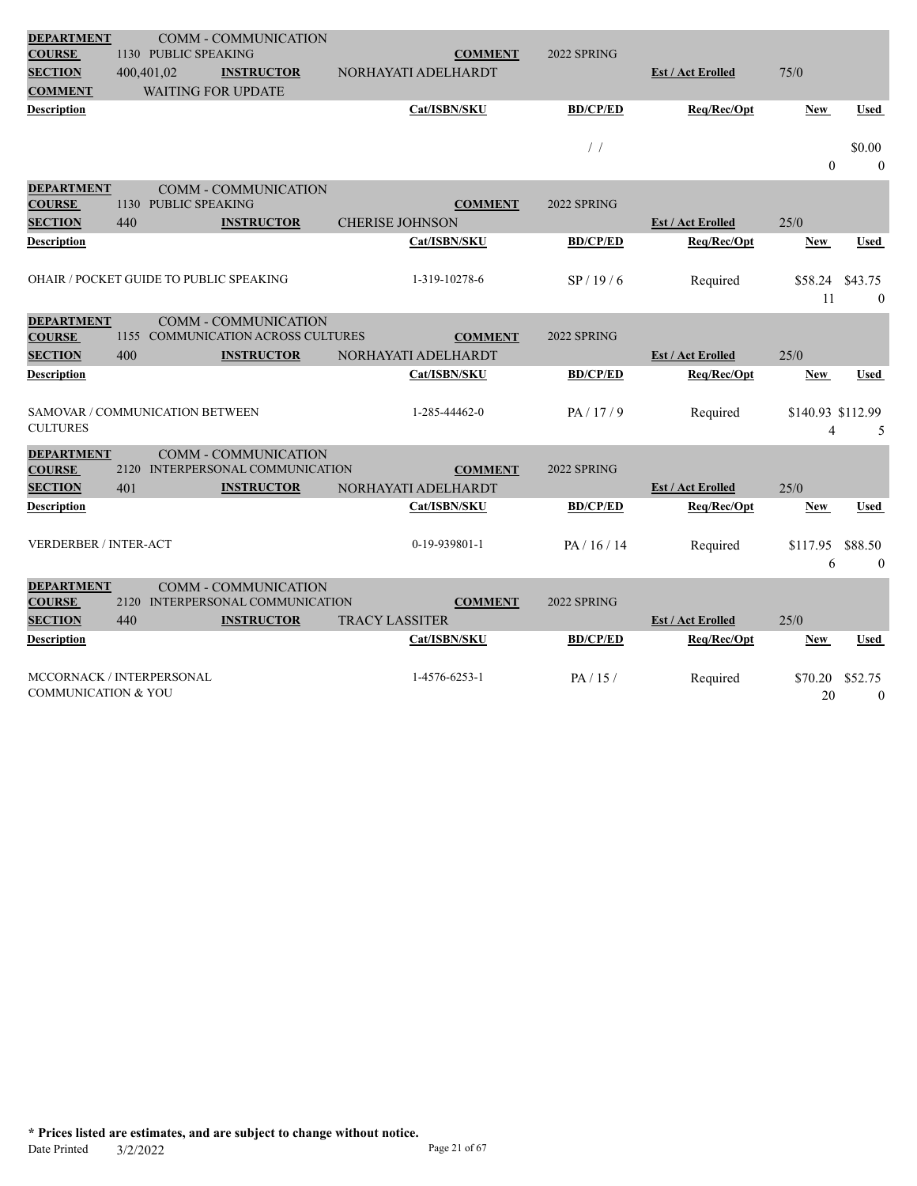| <b>DEPARTMENT</b>                       |            |                      | <b>COMM - COMMUNICATION</b>        |                        |                     |                 |                          |                   |              |
|-----------------------------------------|------------|----------------------|------------------------------------|------------------------|---------------------|-----------------|--------------------------|-------------------|--------------|
| <b>COURSE</b>                           |            | 1130 PUBLIC SPEAKING |                                    |                        | <b>COMMENT</b>      | 2022 SPRING     |                          |                   |              |
| <b>SECTION</b>                          | 400,401,02 |                      | <b>INSTRUCTOR</b>                  |                        | NORHAYATI ADELHARDT |                 | <b>Est / Act Erolled</b> | 75/0              |              |
| <b>COMMENT</b>                          |            |                      | <b>WAITING FOR UPDATE</b>          |                        |                     |                 |                          |                   |              |
| <b>Description</b>                      |            |                      |                                    |                        | Cat/ISBN/SKU        | <b>BD/CP/ED</b> | Req/Rec/Opt              | <b>New</b>        | <b>Used</b>  |
|                                         |            |                      |                                    |                        |                     |                 |                          |                   |              |
|                                         |            |                      |                                    |                        |                     | $\frac{1}{2}$   |                          |                   | \$0.00       |
|                                         |            |                      |                                    |                        |                     |                 |                          | $\theta$          | $\theta$     |
| <b>DEPARTMENT</b>                       |            |                      | <b>COMM - COMMUNICATION</b>        |                        |                     |                 |                          |                   |              |
| <b>COURSE</b>                           |            | 1130 PUBLIC SPEAKING |                                    |                        | <b>COMMENT</b>      | 2022 SPRING     |                          |                   |              |
| <b>SECTION</b>                          | 440        |                      | <b>INSTRUCTOR</b>                  | <b>CHERISE JOHNSON</b> |                     |                 | <b>Est / Act Erolled</b> | 25/0              |              |
| <b>Description</b>                      |            |                      |                                    |                        | Cat/ISBN/SKU        | <b>BD/CP/ED</b> | Req/Rec/Opt              | <b>New</b>        | <b>Used</b>  |
|                                         |            |                      |                                    |                        |                     |                 |                          |                   |              |
| OHAIR / POCKET GUIDE TO PUBLIC SPEAKING |            |                      |                                    |                        | 1-319-10278-6       | SP/19/6         | Required                 | \$58.24           | \$43.75      |
|                                         |            |                      |                                    |                        |                     |                 |                          | 11                | $\mathbf{0}$ |
| <b>DEPARTMENT</b>                       |            |                      | <b>COMM - COMMUNICATION</b>        |                        |                     |                 |                          |                   |              |
| <b>COURSE</b>                           |            |                      | 1155 COMMUNICATION ACROSS CULTURES |                        | <b>COMMENT</b>      | 2022 SPRING     |                          |                   |              |
| <b>SECTION</b>                          | 400        |                      | <b>INSTRUCTOR</b>                  |                        | NORHAYATI ADELHARDT |                 | <b>Est / Act Erolled</b> | 25/0              |              |
| Description                             |            |                      |                                    |                        | Cat/ISBN/SKU        | <b>BD/CP/ED</b> | Req/Rec/Opt              | <b>New</b>        | Used         |
|                                         |            |                      |                                    |                        |                     |                 |                          |                   |              |
| SAMOVAR / COMMUNICATION BETWEEN         |            |                      |                                    |                        | 1-285-44462-0       | PA/17/9         | Required                 | \$140.93 \$112.99 |              |
| <b>CULTURES</b>                         |            |                      |                                    |                        |                     |                 |                          | $\overline{4}$    | 5            |
| <b>DEPARTMENT</b>                       |            |                      | <b>COMM - COMMUNICATION</b>        |                        |                     |                 |                          |                   |              |
| <b>COURSE</b>                           |            |                      | 2120 INTERPERSONAL COMMUNICATION   |                        | <b>COMMENT</b>      | 2022 SPRING     |                          |                   |              |
| <b>SECTION</b>                          | 401        |                      | <b>INSTRUCTOR</b>                  |                        | NORHAYATI ADELHARDT |                 | <b>Est / Act Erolled</b> | 25/0              |              |
| <b>Description</b>                      |            |                      |                                    |                        | Cat/ISBN/SKU        | <b>BD/CP/ED</b> | Req/Rec/Opt              | <b>New</b>        | <b>Used</b>  |
|                                         |            |                      |                                    |                        |                     |                 |                          |                   |              |
| <b>VERDERBER / INTER-ACT</b>            |            |                      |                                    |                        | 0-19-939801-1       | PA/16/14        | Required                 | \$117.95          | \$88.50      |
|                                         |            |                      |                                    |                        |                     |                 |                          | 6                 | $\mathbf{0}$ |
| <b>DEPARTMENT</b>                       |            |                      | <b>COMM - COMMUNICATION</b>        |                        |                     |                 |                          |                   |              |
| <b>COURSE</b>                           |            |                      | 2120 INTERPERSONAL COMMUNICATION   |                        | <b>COMMENT</b>      | 2022 SPRING     |                          |                   |              |
|                                         |            |                      |                                    |                        |                     |                 |                          |                   |              |
| <b>SECTION</b>                          | 440        |                      | <b>INSTRUCTOR</b>                  | <b>TRACY LASSITER</b>  |                     |                 | <b>Est / Act Erolled</b> | 25/0              |              |
| Description                             |            |                      |                                    |                        | Cat/ISBN/SKU        | <b>BD/CP/ED</b> | Req/Rec/Opt              | <b>New</b>        | Used         |
|                                         |            |                      |                                    |                        |                     |                 |                          |                   |              |
| MCCORNACK / INTERPERSONAL               |            |                      |                                    |                        | 1-4576-6253-1       | PA/15/          | Required                 | \$70.20           | \$52.75      |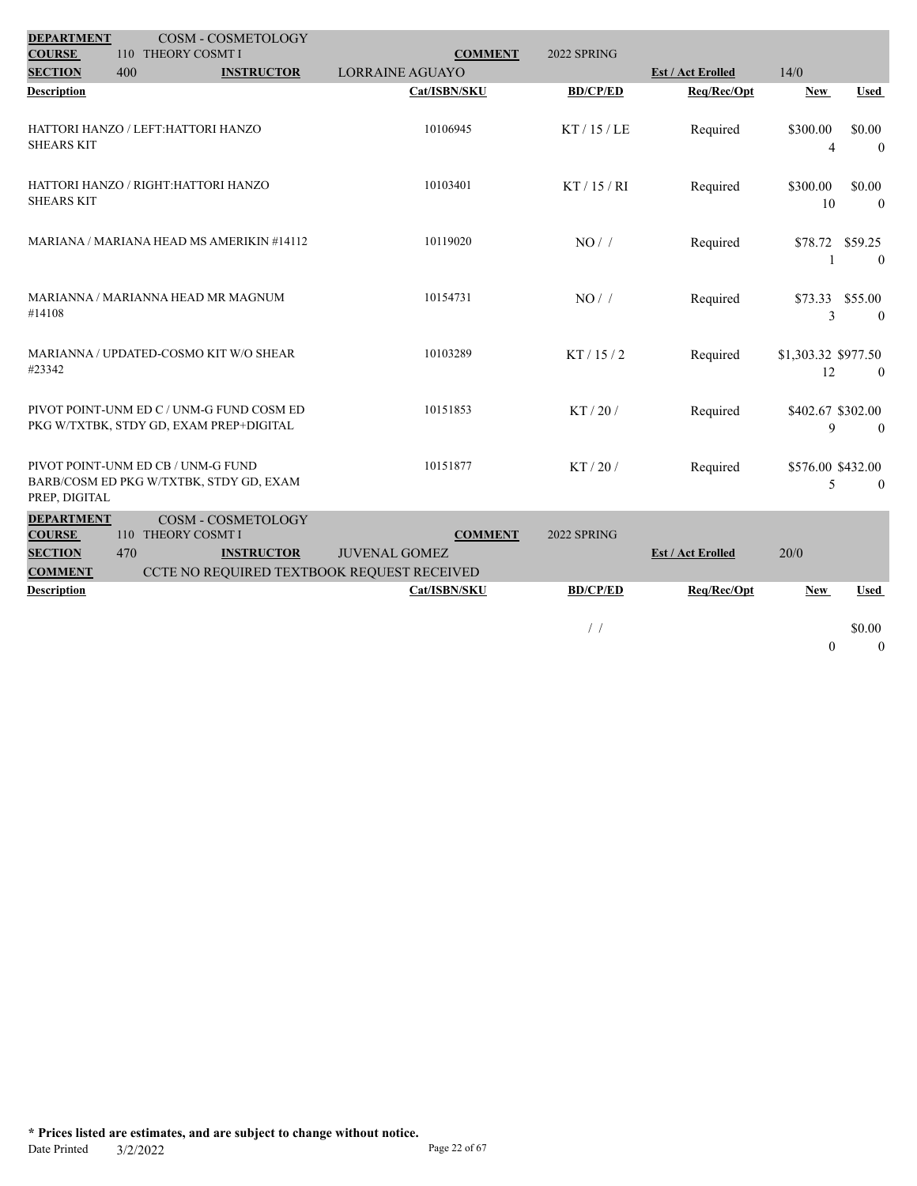| <b>DEPARTMENT</b>               |                                           | COSM - COSMETOLOGY |                                            |                 |                          |                     |                 |
|---------------------------------|-------------------------------------------|--------------------|--------------------------------------------|-----------------|--------------------------|---------------------|-----------------|
| <b>COURSE</b><br><b>SECTION</b> | 110 THEORY COSMT I<br>400                 | <b>INSTRUCTOR</b>  | <b>COMMENT</b><br><b>LORRAINE AGUAYO</b>   | 2022 SPRING     | <b>Est / Act Erolled</b> | 14/0                |                 |
| <b>Description</b>              |                                           |                    | Cat/ISBN/SKU                               | <b>BD/CP/ED</b> | Req/Rec/Opt              | <b>New</b>          | <b>Used</b>     |
|                                 |                                           |                    |                                            |                 |                          |                     |                 |
|                                 | HATTORI HANZO / LEFT:HATTORI HANZO        |                    | 10106945                                   | KT/15/LE        | Required                 | \$300.00            | \$0.00          |
| <b>SHEARS KIT</b>               |                                           |                    |                                            |                 |                          | 4                   | $\overline{0}$  |
|                                 |                                           |                    |                                            |                 |                          |                     |                 |
|                                 | HATTORI HANZO / RIGHT:HATTORI HANZO       |                    | 10103401                                   | KT/15/RI        | Required                 | \$300.00            | \$0.00          |
| <b>SHEARS KIT</b>               |                                           |                    |                                            |                 |                          | 10                  | $\overline{0}$  |
|                                 | MARIANA / MARIANA HEAD MS AMERIKIN #14112 |                    | 10119020                                   |                 |                          |                     |                 |
|                                 |                                           |                    |                                            | NO/             | Required                 | \$78.72 \$59.25     | $\theta$        |
|                                 |                                           |                    |                                            |                 |                          |                     |                 |
|                                 | MARIANNA / MARIANNA HEAD MR MAGNUM        |                    | 10154731                                   | NO/             | Required                 |                     | \$73.33 \$55.00 |
| #14108                          |                                           |                    |                                            |                 |                          | 3                   | $\theta$        |
|                                 |                                           |                    |                                            |                 |                          |                     |                 |
| #23342                          | MARIANNA / UPDATED-COSMO KIT W/O SHEAR    |                    | 10103289                                   | KT / 15 / 2     | Required                 | \$1,303.32 \$977.50 |                 |
|                                 |                                           |                    |                                            |                 |                          | 12                  | $\overline{0}$  |
|                                 | PIVOT POINT-UNM ED C / UNM-G FUND COSM ED |                    | 10151853                                   | KT/20/          | Required                 | \$402.67 \$302.00   |                 |
|                                 | PKG W/TXTBK, STDY GD, EXAM PREP+DIGITAL   |                    |                                            |                 |                          | 9                   | $\theta$        |
|                                 |                                           |                    |                                            |                 |                          |                     |                 |
|                                 | PIVOT POINT-UNM ED CB / UNM-G FUND        |                    | 10151877                                   | KT/20/          | Required                 | \$576.00 \$432.00   |                 |
| PREP, DIGITAL                   | BARB/COSM ED PKG W/TXTBK, STDY GD, EXAM   |                    |                                            |                 |                          | 5                   | $\theta$        |
| <b>DEPARTMENT</b>               |                                           | COSM - COSMETOLOGY |                                            |                 |                          |                     |                 |
| <b>COURSE</b>                   | 110 THEORY COSMT I                        |                    | <b>COMMENT</b>                             | 2022 SPRING     |                          |                     |                 |
| <b>SECTION</b>                  | 470                                       | <b>INSTRUCTOR</b>  | <b>JUVENAL GOMEZ</b>                       |                 | <b>Est / Act Erolled</b> | 20/0                |                 |
| <b>COMMENT</b>                  |                                           |                    | CCTE NO REQUIRED TEXTBOOK REQUEST RECEIVED |                 |                          |                     |                 |
| <b>Description</b>              |                                           |                    | Cat/ISBN/SKU                               | <b>BD/CP/ED</b> | Req/Rec/Opt              | <b>New</b>          | <b>Used</b>     |
|                                 |                                           |                    |                                            |                 |                          |                     |                 |
|                                 |                                           |                    |                                            | $\frac{1}{2}$   |                          |                     | \$0.00          |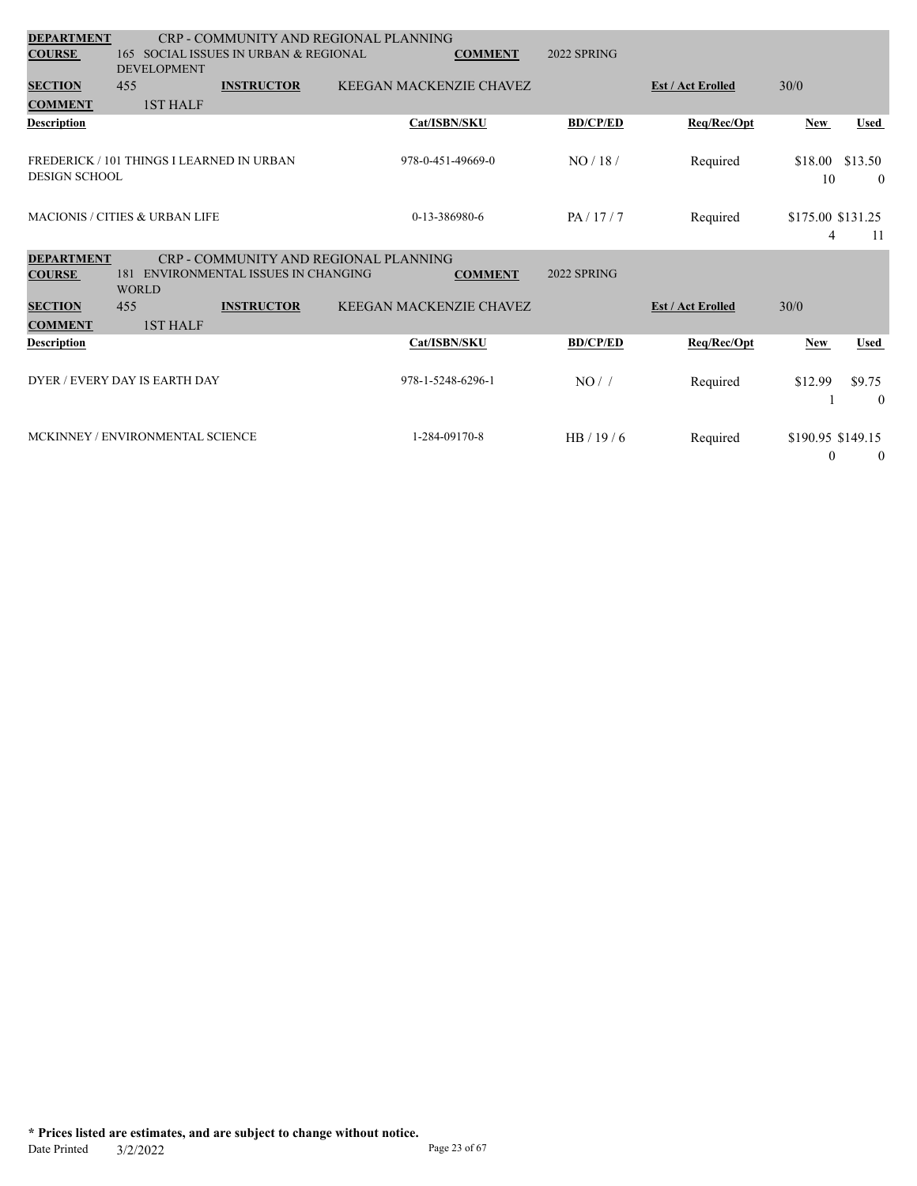| <b>DEPARTMENT</b><br><b>COURSE</b>                                |              | <b>DEVELOPMENT</b> | 165 SOCIAL ISSUES IN URBAN & REGIONAL | CRP - COMMUNITY AND REGIONAL PLANNING | <b>COMMENT</b>          | 2022 SPRING        |                          |                               |                           |
|-------------------------------------------------------------------|--------------|--------------------|---------------------------------------|---------------------------------------|-------------------------|--------------------|--------------------------|-------------------------------|---------------------------|
| <b>SECTION</b>                                                    | 455          |                    | <b>INSTRUCTOR</b>                     |                                       | KEEGAN MACKENZIE CHAVEZ |                    | <b>Est / Act Erolled</b> | 30/0                          |                           |
| <b>COMMENT</b>                                                    |              | 1ST HALF           |                                       |                                       |                         |                    |                          |                               |                           |
| Description                                                       |              |                    |                                       |                                       | Cat/ISBN/SKU            | <b>BD/CP/ED</b>    | Req/Rec/Opt              | <b>New</b>                    | <b>Used</b>               |
| FREDERICK / 101 THINGS I LEARNED IN URBAN<br><b>DESIGN SCHOOL</b> |              |                    |                                       |                                       | 978-0-451-49669-0       | NO/18/             | Required                 | \$18.00<br>10                 | \$13.50<br>$\overline{0}$ |
| <b>MACIONIS / CITIES &amp; URBAN LIFE</b>                         |              |                    |                                       |                                       | 0-13-386980-6           | PA/17/7            | Required                 | \$175.00 \$131.25<br>4        | -11                       |
| <b>DEPARTMENT</b><br><b>COURSE</b>                                | <b>WORLD</b> |                    | 181 ENVIRONMENTAL ISSUES IN CHANGING  | CRP - COMMUNITY AND REGIONAL PLANNING | <b>COMMENT</b>          | <b>2022 SPRING</b> |                          |                               |                           |
| <b>SECTION</b>                                                    | 455          |                    | <b>INSTRUCTOR</b>                     |                                       | KEEGAN MACKENZIE CHAVEZ |                    | <b>Est / Act Erolled</b> | 30/0                          |                           |
| <b>COMMENT</b>                                                    |              | <b>1ST HALF</b>    |                                       |                                       |                         |                    |                          |                               |                           |
| Description                                                       |              |                    |                                       |                                       | Cat/ISBN/SKU            | <b>BD/CP/ED</b>    | Req/Rec/Opt              | <b>New</b>                    | <b>Used</b>               |
| DYER / EVERY DAY IS EARTH DAY                                     |              |                    |                                       |                                       | 978-1-5248-6296-1       | NO/                | Required                 | \$12.99                       | \$9.75<br>$\theta$        |
| MCKINNEY / ENVIRONMENTAL SCIENCE                                  |              |                    |                                       |                                       | 1-284-09170-8           | HB/19/6            | Required                 | \$190.95 \$149.15<br>$\bf{0}$ | $\overline{0}$            |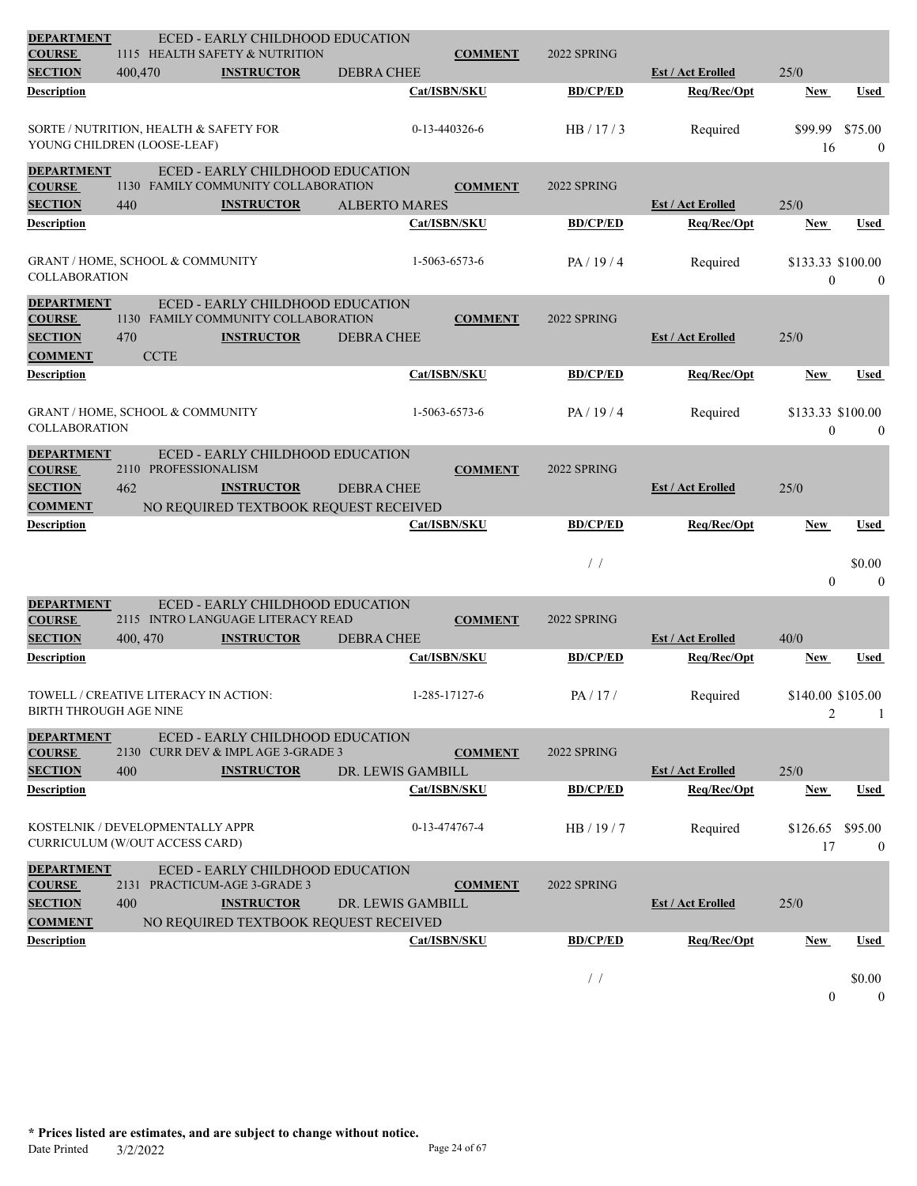| <b>DEPARTMENT</b><br><b>COURSE</b>                   |                                                                       | <b>ECED - EARLY CHILDHOOD EDUCATION</b><br>1115 HEALTH SAFETY & NUTRITION             |                      |                | 2022 SPRING     |                          |                                       |                             |
|------------------------------------------------------|-----------------------------------------------------------------------|---------------------------------------------------------------------------------------|----------------------|----------------|-----------------|--------------------------|---------------------------------------|-----------------------------|
| <b>SECTION</b>                                       | 400,470                                                               | <b>INSTRUCTOR</b>                                                                     | <b>DEBRA CHEE</b>    | <b>COMMENT</b> |                 | <b>Est / Act Erolled</b> | 25/0                                  |                             |
| Description                                          |                                                                       |                                                                                       |                      | Cat/ISBN/SKU   | <b>BD/CP/ED</b> | Req/Rec/Opt              | <b>New</b>                            | Used                        |
|                                                      | SORTE / NUTRITION, HEALTH & SAFETY FOR<br>YOUNG CHILDREN (LOOSE-LEAF) |                                                                                       |                      | 0-13-440326-6  | HB/17/3         | Required                 | \$99.99<br>16                         | \$75.00<br>$\theta$         |
| <b>DEPARTMENT</b><br><b>COURSE</b>                   |                                                                       | ECED - EARLY CHILDHOOD EDUCATION<br>1130 FAMILY COMMUNITY COLLABORATION               |                      | <b>COMMENT</b> | 2022 SPRING     |                          |                                       |                             |
| <b>SECTION</b>                                       | 440                                                                   | <b>INSTRUCTOR</b>                                                                     | <b>ALBERTO MARES</b> |                |                 | <b>Est / Act Erolled</b> | 25/0                                  |                             |
| <b>Description</b>                                   |                                                                       |                                                                                       |                      | Cat/ISBN/SKU   | <b>BD/CP/ED</b> | Req/Rec/Opt              | New                                   | Used                        |
| <b>COLLABORATION</b>                                 | <b>GRANT / HOME, SCHOOL &amp; COMMUNITY</b>                           |                                                                                       |                      | 1-5063-6573-6  | PA/19/4         | Required                 | \$133.33 \$100.00<br>$\boldsymbol{0}$ | $\boldsymbol{0}$            |
| <b>DEPARTMENT</b>                                    |                                                                       | <b>ECED - EARLY CHILDHOOD EDUCATION</b>                                               |                      |                |                 |                          |                                       |                             |
| <b>COURSE</b>                                        |                                                                       | 1130 FAMILY COMMUNITY COLLABORATION                                                   |                      | <b>COMMENT</b> | 2022 SPRING     |                          |                                       |                             |
| <b>SECTION</b><br><b>COMMENT</b>                     | 470<br><b>CCTE</b>                                                    | <b>INSTRUCTOR</b>                                                                     | <b>DEBRA CHEE</b>    |                |                 | <b>Est / Act Erolled</b> | 25/0                                  |                             |
| Description                                          |                                                                       |                                                                                       |                      | Cat/ISBN/SKU   | <b>BD/CP/ED</b> | Req/Rec/Opt              | <b>New</b>                            | Used                        |
| <b>COLLABORATION</b>                                 | <b>GRANT / HOME, SCHOOL &amp; COMMUNITY</b>                           |                                                                                       |                      | 1-5063-6573-6  | PA/19/4         | Required                 | \$133.33 \$100.00<br>$\mathbf{0}$     | $\overline{0}$              |
| <b>DEPARTMENT</b><br><b>COURSE</b><br><b>SECTION</b> | 2110 PROFESSIONALISM<br>462                                           | <b>ECED - EARLY CHILDHOOD EDUCATION</b><br><b>INSTRUCTOR</b>                          |                      | <b>COMMENT</b> | 2022 SPRING     |                          | 25/0                                  |                             |
| <b>COMMENT</b>                                       |                                                                       | NO REQUIRED TEXTBOOK REQUEST RECEIVED                                                 | <b>DEBRA CHEE</b>    |                |                 | <b>Est / Act Erolled</b> |                                       |                             |
|                                                      |                                                                       |                                                                                       |                      |                |                 |                          |                                       |                             |
| <b>Description</b>                                   |                                                                       |                                                                                       |                      | Cat/ISBN/SKU   | <b>BD/CP/ED</b> | Req/Rec/Opt              | <b>New</b>                            | Used                        |
|                                                      |                                                                       |                                                                                       |                      |                | $\frac{1}{2}$   |                          | $\mathbf{0}$                          | \$0.00<br>$\mathbf{0}$      |
| <b>DEPARTMENT</b>                                    |                                                                       | ECED - EARLY CHILDHOOD EDUCATION<br>2115 INTRO LANGUAGE LITERACY READ                 |                      |                |                 |                          |                                       |                             |
| <b>COURSE</b><br><b>SECTION</b>                      | 400, 470                                                              | <b>INSTRUCTOR</b>                                                                     | <b>DEBRA CHEE</b>    | <b>COMMENT</b> | 2022 SPRING     | <b>Est / Act Erolled</b> | 40/0                                  |                             |
| Description                                          |                                                                       |                                                                                       |                      | Cat/ISBN/SKU   | <b>BD/CP/ED</b> | Req/Rec/Opt              | <b>New</b>                            | Used                        |
| <b>BIRTH THROUGH AGE NINE</b>                        | TOWELL / CREATIVE LITERACY IN ACTION:                                 |                                                                                       |                      | 1-285-17127-6  | PA/17/          | Required                 | \$140.00 \$105.00<br>$\overline{2}$   | 1                           |
| <b>DEPARTMENT</b><br><b>COURSE</b>                   |                                                                       | ECED - EARLY CHILDHOOD EDUCATION<br>2130 CURR DEV & IMPLAGE 3-GRADE 3                 |                      | <b>COMMENT</b> | 2022 SPRING     |                          |                                       |                             |
| <b>SECTION</b>                                       | 400                                                                   | <b>INSTRUCTOR</b>                                                                     | DR. LEWIS GAMBILL    |                |                 | <b>Est / Act Erolled</b> | 25/0                                  |                             |
| <b>Description</b>                                   |                                                                       |                                                                                       |                      | Cat/ISBN/SKU   | <b>BD/CP/ED</b> | Req/Rec/Opt              | New                                   | Used                        |
|                                                      | KOSTELNIK / DEVELOPMENTALLY APPR<br>CURRICULUM (W/OUT ACCESS CARD)    |                                                                                       |                      | 0-13-474767-4  | HB / 19 / 7     | Required                 | \$126.65<br>17                        | \$95.00<br>$\boldsymbol{0}$ |
| <b>DEPARTMENT</b><br><b>COURSE</b><br><b>SECTION</b> | 400                                                                   | ECED - EARLY CHILDHOOD EDUCATION<br>2131 PRACTICUM-AGE 3-GRADE 3<br><b>INSTRUCTOR</b> | DR. LEWIS GAMBILL    | <b>COMMENT</b> | 2022 SPRING     | <b>Est / Act Erolled</b> | 25/0                                  |                             |
| <b>COMMENT</b>                                       |                                                                       | NO REQUIRED TEXTBOOK REQUEST RECEIVED                                                 |                      |                |                 |                          |                                       |                             |
| Description                                          |                                                                       |                                                                                       |                      | Cat/ISBN/SKU   | <b>BD/CP/ED</b> | Req/Rec/Opt              | <b>New</b>                            | Used                        |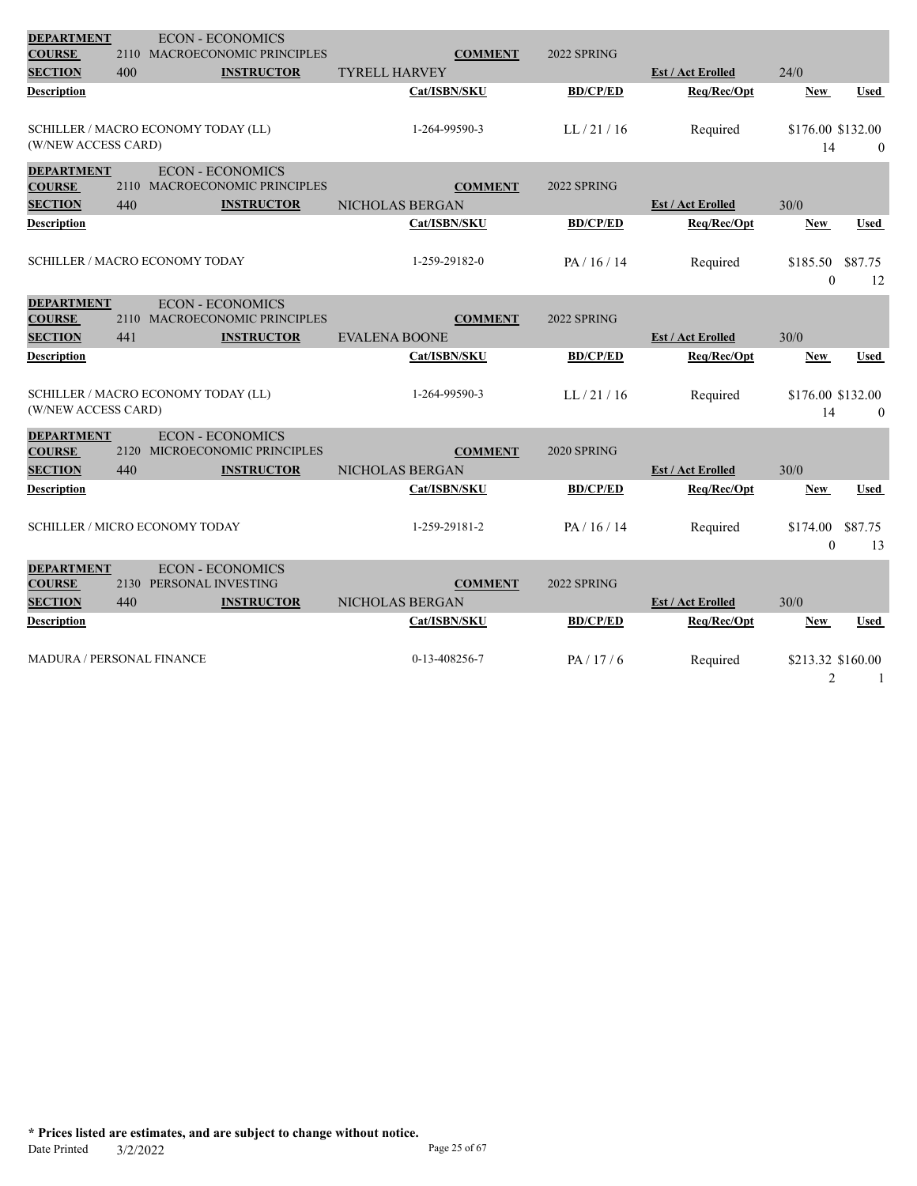| <b>DEPARTMENT</b>                  |      | <b>ECON - ECONOMICS</b>                            |                      |                 |                          |                         |              |
|------------------------------------|------|----------------------------------------------------|----------------------|-----------------|--------------------------|-------------------------|--------------|
| <b>COURSE</b>                      |      | 2110 MACROECONOMIC PRINCIPLES                      | <b>COMMENT</b>       | 2022 SPRING     |                          |                         |              |
| <b>SECTION</b>                     | 400  | <b>INSTRUCTOR</b>                                  | <b>TYRELL HARVEY</b> |                 | <b>Est / Act Erolled</b> | 24/0                    |              |
| Description                        |      |                                                    | Cat/ISBN/SKU         | <b>BD/CP/ED</b> | Req/Rec/Opt              | <b>New</b>              | Used         |
| (W/NEW ACCESS CARD)                |      | SCHILLER / MACRO ECONOMY TODAY (LL)                | 1-264-99590-3        | LL/21/16        | Required                 | \$176.00 \$132.00<br>14 | $\theta$     |
| <b>DEPARTMENT</b>                  |      | <b>ECON - ECONOMICS</b>                            |                      |                 |                          |                         |              |
| <b>COURSE</b>                      |      | 2110 MACROECONOMIC PRINCIPLES                      | <b>COMMENT</b>       | 2022 SPRING     |                          |                         |              |
| <b>SECTION</b>                     | 440  | <b>INSTRUCTOR</b>                                  | NICHOLAS BERGAN      |                 | <b>Est / Act Erolled</b> | 30/0                    |              |
| <b>Description</b>                 |      |                                                    | Cat/ISBN/SKU         | <b>BD/CP/ED</b> | Reg/Rec/Opt              | <b>New</b>              | <b>Used</b>  |
|                                    |      |                                                    |                      |                 |                          |                         |              |
|                                    |      | <b>SCHILLER / MACRO ECONOMY TODAY</b>              | 1-259-29182-0        | PA/16/14        | Required                 | \$185.50                | \$87.75      |
|                                    |      |                                                    |                      |                 |                          | $\theta$                | 12           |
| <b>DEPARTMENT</b>                  |      | <b>ECON - ECONOMICS</b>                            |                      |                 |                          |                         |              |
| <b>COURSE</b>                      |      | 2110 MACROECONOMIC PRINCIPLES                      | <b>COMMENT</b>       | 2022 SPRING     |                          |                         |              |
| <b>SECTION</b>                     | 441  | <b>INSTRUCTOR</b>                                  | <b>EVALENA BOONE</b> |                 | <b>Est / Act Erolled</b> | 30/0                    |              |
| <b>Description</b>                 |      |                                                    | Cat/ISBN/SKU         | <b>BD/CP/ED</b> | Req/Rec/Opt              | <b>New</b>              | Used         |
|                                    |      |                                                    |                      |                 |                          |                         |              |
| (W/NEW ACCESS CARD)                |      | SCHILLER / MACRO ECONOMY TODAY (LL)                | 1-264-99590-3        | LL/21/16        | Required                 | \$176.00 \$132.00       |              |
|                                    |      |                                                    |                      |                 |                          | 14                      | $\mathbf{0}$ |
| <b>DEPARTMENT</b>                  |      | <b>ECON - ECONOMICS</b>                            |                      |                 |                          |                         |              |
| <b>COURSE</b>                      | 2120 | MICROECONOMIC PRINCIPLES                           | <b>COMMENT</b>       | 2020 SPRING     |                          |                         |              |
| <b>SECTION</b>                     | 440  | <b>INSTRUCTOR</b>                                  | NICHOLAS BERGAN      |                 | <b>Est / Act Erolled</b> | 30/0                    |              |
| <b>Description</b>                 |      |                                                    | Cat/ISBN/SKU         | <b>BD/CP/ED</b> | Req/Rec/Opt              | <b>New</b>              | Used         |
|                                    |      | <b>SCHILLER / MICRO ECONOMY TODAY</b>              | 1-259-29181-2        | PA/16/14        |                          | \$174.00                | \$87.75      |
|                                    |      |                                                    |                      |                 | Required                 | $\mathbf{0}$            | 13           |
|                                    |      |                                                    |                      |                 |                          |                         |              |
| <b>DEPARTMENT</b><br><b>COURSE</b> |      | <b>ECON - ECONOMICS</b><br>2130 PERSONAL INVESTING | <b>COMMENT</b>       | 2022 SPRING     |                          |                         |              |
| <b>SECTION</b>                     | 440  | <b>INSTRUCTOR</b>                                  | NICHOLAS BERGAN      |                 | <b>Est / Act Erolled</b> | 30/0                    |              |
| <b>Description</b>                 |      |                                                    | Cat/ISBN/SKU         | <b>BD/CP/ED</b> | Req/Rec/Opt              | New                     | Used         |
|                                    |      |                                                    |                      |                 |                          |                         |              |
| MADURA / PERSONAL FINANCE          |      |                                                    | 0-13-408256-7        | PA/17/6         | Required                 | \$213.32 \$160.00       |              |
|                                    |      |                                                    |                      |                 |                          | $\overline{2}$          | 1            |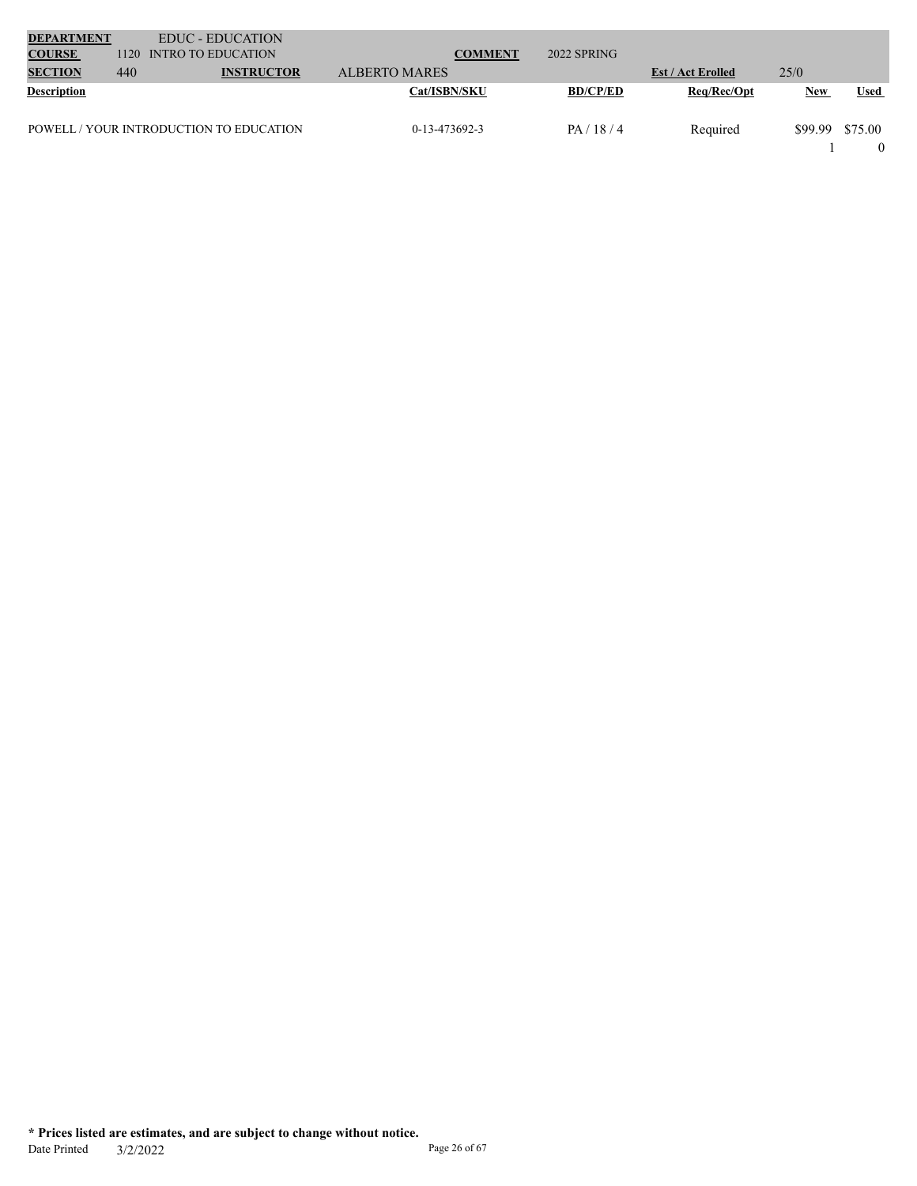| <b>DEPARTMENT</b>  |      | <b>EDUC - EDUCATION</b>                 |                 |                 |                          |            |             |
|--------------------|------|-----------------------------------------|-----------------|-----------------|--------------------------|------------|-------------|
| <b>COURSE</b>      | 1120 | <b>INTRO TO EDUCATION</b>               | <b>COMMENT</b>  | 2022 SPRING     |                          |            |             |
| <b>SECTION</b>     | 440  | <b>INSTRUCTOR</b>                       | ALBERTO MARES   |                 | <b>Est / Act Erolled</b> | 25/0       |             |
| <b>Description</b> |      |                                         | Cat/ISBN/SKU    | <b>BD/CP/ED</b> | Req/Rec/Opt              | <b>New</b> | <b>Used</b> |
|                    |      |                                         |                 |                 |                          |            |             |
|                    |      | POWELL / YOUR INTRODUCTION TO EDUCATION | $0-13-473692-3$ | PA/18/4         | Required                 | \$99.99    | \$75.00     |
|                    |      |                                         |                 |                 |                          |            |             |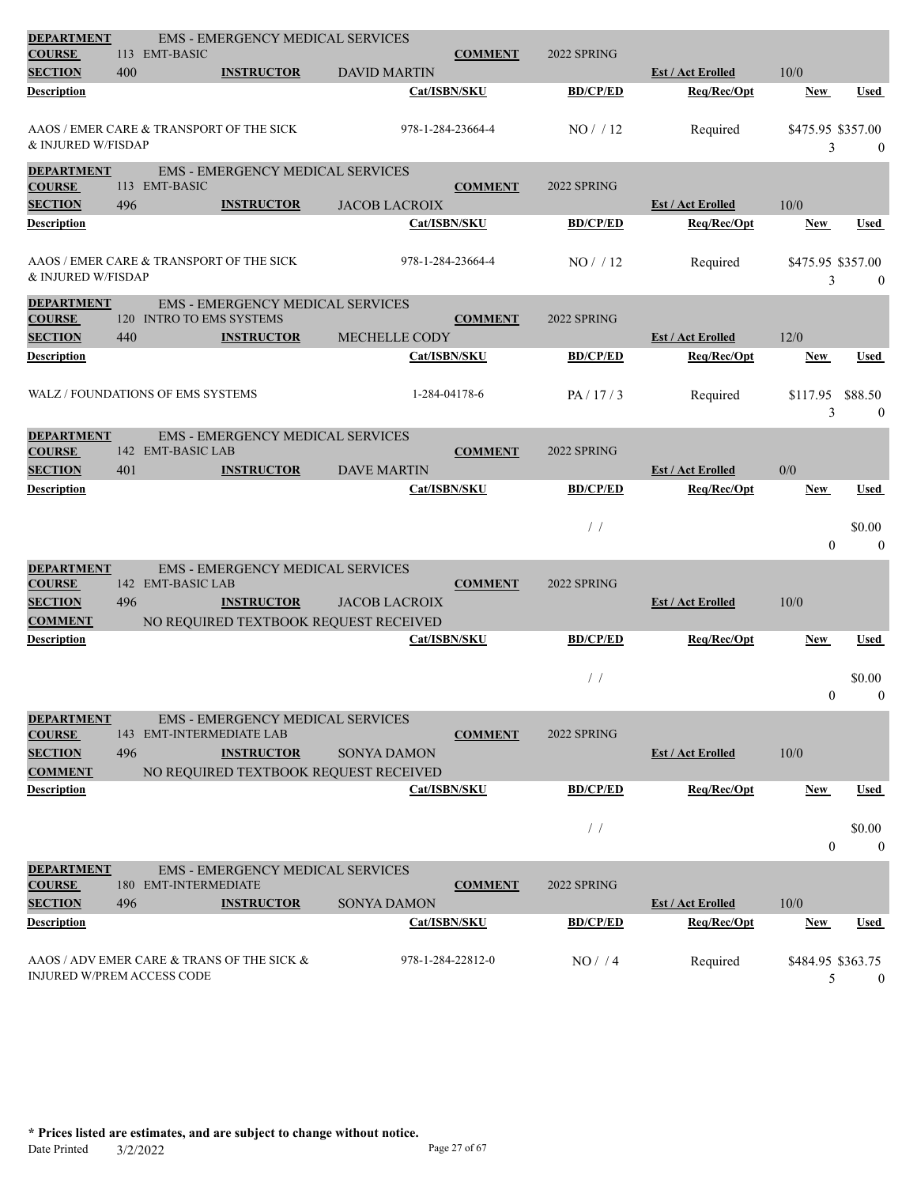| <b>DEPARTMENT</b>                    |     | <b>EMS - EMERGENCY MEDICAL SERVICES</b>                      |                      |                   |                 |                          |                   |                  |
|--------------------------------------|-----|--------------------------------------------------------------|----------------------|-------------------|-----------------|--------------------------|-------------------|------------------|
| <b>COURSE</b><br><b>SECTION</b>      | 400 | 113 EMT-BASIC<br><b>INSTRUCTOR</b>                           | <b>DAVID MARTIN</b>  | <b>COMMENT</b>    | 2022 SPRING     | <b>Est / Act Erolled</b> | 10/0              |                  |
| Description                          |     |                                                              |                      | Cat/ISBN/SKU      | <b>BD/CP/ED</b> | Req/Rec/Opt              | <b>New</b>        | <b>Used</b>      |
|                                      |     |                                                              |                      |                   |                 |                          |                   |                  |
|                                      |     | AAOS / EMER CARE & TRANSPORT OF THE SICK                     |                      | 978-1-284-23664-4 | NO/12           | Required                 | \$475.95 \$357.00 |                  |
| & INJURED W/FISDAP                   |     |                                                              |                      |                   |                 |                          | 3                 | $\mathbf{0}$     |
| <b>DEPARTMENT</b>                    |     | <b>EMS - EMERGENCY MEDICAL SERVICES</b>                      |                      |                   |                 |                          |                   |                  |
| <b>COURSE</b>                        |     | 113 EMT-BASIC                                                |                      | <b>COMMENT</b>    | 2022 SPRING     |                          |                   |                  |
| <b>SECTION</b>                       | 496 | <b>INSTRUCTOR</b>                                            | <b>JACOB LACROIX</b> |                   |                 | <b>Est / Act Erolled</b> | 10/0              |                  |
| Description                          |     |                                                              | Cat/ISBN/SKU         |                   | <b>BD/CP/ED</b> | Req/Rec/Opt              | New               | <b>Used</b>      |
|                                      |     | AAOS / EMER CARE & TRANSPORT OF THE SICK                     |                      | 978-1-284-23664-4 | NO / / 12       | Required                 | \$475.95 \$357.00 |                  |
| & INJURED W/FISDAP                   |     |                                                              |                      |                   |                 |                          | 3                 | $\boldsymbol{0}$ |
| <b>DEPARTMENT</b>                    |     | <b>EMS - EMERGENCY MEDICAL SERVICES</b>                      |                      |                   |                 |                          |                   |                  |
| <b>COURSE</b>                        |     | 120 INTRO TO EMS SYSTEMS                                     |                      | <b>COMMENT</b>    | 2022 SPRING     |                          |                   |                  |
| <b>SECTION</b>                       | 440 | <b>INSTRUCTOR</b>                                            | MECHELLE CODY        |                   |                 | <b>Est / Act Erolled</b> | 12/0              |                  |
| Description                          |     |                                                              |                      | Cat/ISBN/SKU      | <b>BD/CP/ED</b> | Req/Rec/Opt              | <b>New</b>        | <b>Used</b>      |
|                                      |     |                                                              |                      |                   |                 |                          |                   |                  |
|                                      |     | WALZ / FOUNDATIONS OF EMS SYSTEMS                            |                      | 1-284-04178-6     | PA/17/3         | Required                 | \$117.95          | \$88.50          |
|                                      |     |                                                              |                      |                   |                 |                          | 3                 | $\mathbf{0}$     |
| <b>DEPARTMENT</b><br><b>COURSE</b>   |     | <b>EMS - EMERGENCY MEDICAL SERVICES</b><br>142 EMT-BASIC LAB |                      | <b>COMMENT</b>    | 2022 SPRING     |                          |                   |                  |
| <b>SECTION</b>                       | 401 | <b>INSTRUCTOR</b>                                            | <b>DAVE MARTIN</b>   |                   |                 | <b>Est / Act Erolled</b> | 0/0               |                  |
| Description                          |     |                                                              |                      | Cat/ISBN/SKU      | <b>BD/CP/ED</b> | Req/Rec/Opt              | New               | Used             |
|                                      |     |                                                              |                      |                   |                 |                          |                   |                  |
|                                      |     |                                                              |                      |                   | /               |                          |                   | \$0.00           |
|                                      |     |                                                              |                      |                   |                 |                          | $\theta$          | $\mathbf{0}$     |
| <b>DEPARTMENT</b>                    |     | <b>EMS - EMERGENCY MEDICAL SERVICES</b>                      |                      |                   |                 |                          |                   |                  |
| <b>COURSE</b>                        |     | 142 EMT-BASIC LAB                                            |                      | <b>COMMENT</b>    | 2022 SPRING     |                          |                   |                  |
| <b>SECTION</b>                       | 496 | <b>INSTRUCTOR</b>                                            | <b>JACOB LACROIX</b> |                   |                 | <b>Est / Act Erolled</b> | 10/0              |                  |
| <b>COMMENT</b><br><b>Description</b> |     | NO REQUIRED TEXTBOOK REQUEST RECEIVED                        |                      | Cat/ISBN/SKU      | <b>BD/CP/ED</b> | Req/Rec/Opt              | <b>New</b>        | <b>Used</b>      |
|                                      |     |                                                              |                      |                   |                 |                          |                   |                  |
|                                      |     |                                                              |                      |                   | /               |                          |                   | \$0.00           |
|                                      |     |                                                              |                      |                   |                 |                          | $\theta$          | $\mathbf{0}$     |
| <b>DEPARTMENT</b>                    |     | <b>EMS - EMERGENCY MEDICAL SERVICES</b>                      |                      |                   |                 |                          |                   |                  |
| <b>COURSE</b>                        |     | 143 EMT-INTERMEDIATE LAB                                     |                      | <b>COMMENT</b>    | 2022 SPRING     |                          |                   |                  |
| <b>SECTION</b>                       | 496 | <b>INSTRUCTOR</b>                                            | SONYA DAMON          |                   |                 | <b>Est / Act Erolled</b> | 10/0              |                  |
| <b>COMMENT</b>                       |     | NO REQUIRED TEXTBOOK REQUEST RECEIVED                        |                      |                   |                 |                          |                   |                  |
| <b>Description</b>                   |     |                                                              | Cat/ISBN/SKU         |                   | <b>BD/CP/ED</b> | Req/Rec/Opt              | New               | Used             |
|                                      |     |                                                              |                      |                   | $/$ /           |                          |                   | \$0.00           |
|                                      |     |                                                              |                      |                   |                 |                          | $\mathbf{0}$      | $\boldsymbol{0}$ |
| <b>DEPARTMENT</b>                    |     | <b>EMS - EMERGENCY MEDICAL SERVICES</b>                      |                      |                   |                 |                          |                   |                  |
| <b>COURSE</b>                        |     | 180 EMT-INTERMEDIATE                                         |                      | <b>COMMENT</b>    | 2022 SPRING     |                          |                   |                  |
| <b>SECTION</b>                       | 496 | <b>INSTRUCTOR</b>                                            | <b>SONYA DAMON</b>   |                   |                 | <b>Est / Act Erolled</b> | 10/0              |                  |
| Description                          |     |                                                              | Cat/ISBN/SKU         |                   | <b>BD/CP/ED</b> | Req/Rec/Opt              | <b>New</b>        | Used             |
|                                      |     |                                                              |                      |                   |                 |                          |                   |                  |
| INJURED W/PREM ACCESS CODE           |     | AAOS / ADV EMER CARE & TRANS OF THE SICK &                   |                      | 978-1-284-22812-0 | NO/4            | Required                 | \$484.95 \$363.75 |                  |
|                                      |     |                                                              |                      |                   |                 |                          | 5                 | $\overline{0}$   |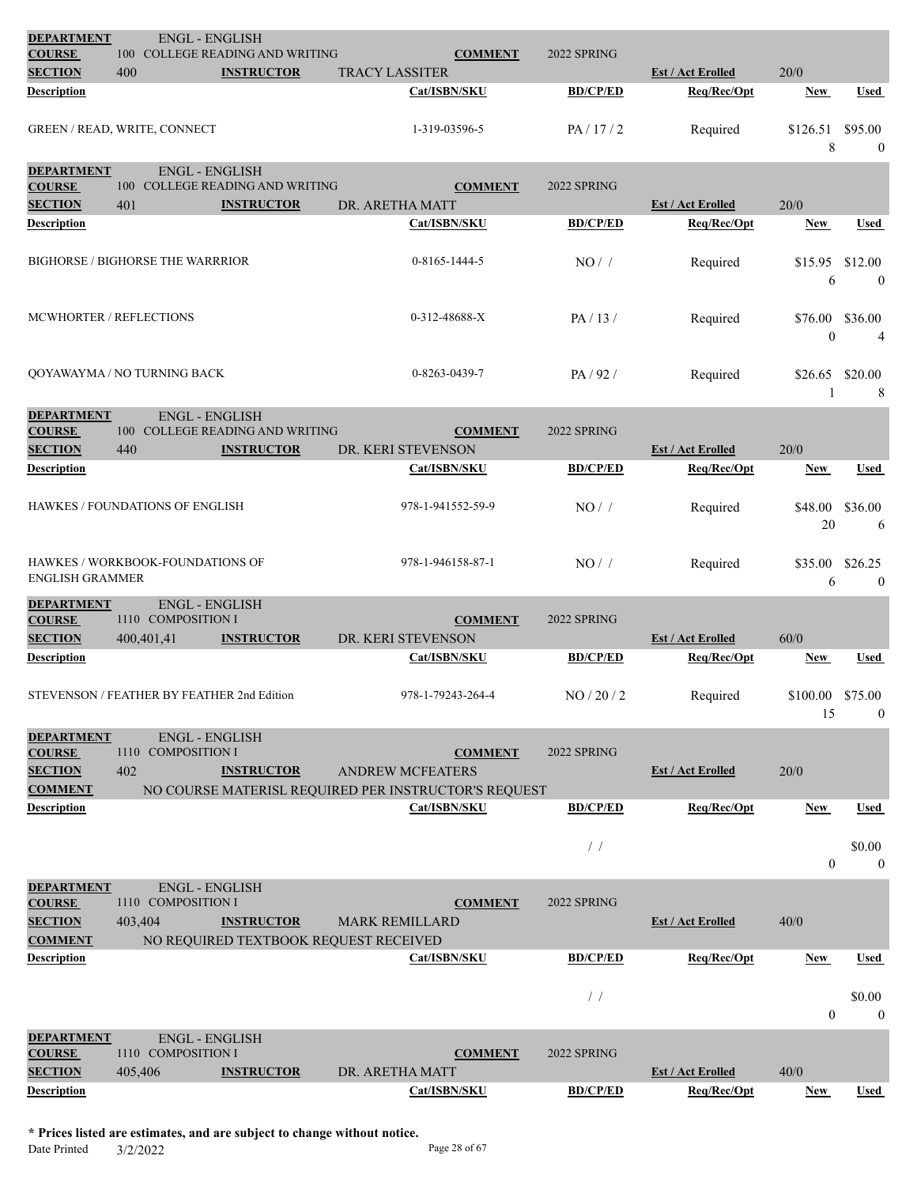| <b>DEPARTMENT</b>                                                      | <b>ENGL - ENGLISH</b>                                  |                                       |                                                                                                   |                 |                          |                         |                         |
|------------------------------------------------------------------------|--------------------------------------------------------|---------------------------------------|---------------------------------------------------------------------------------------------------|-----------------|--------------------------|-------------------------|-------------------------|
| <b>COURSE</b>                                                          |                                                        | 100 COLLEGE READING AND WRITING       | <b>COMMENT</b>                                                                                    | 2022 SPRING     |                          |                         |                         |
| <b>SECTION</b>                                                         | 400                                                    | <b>INSTRUCTOR</b>                     | <b>TRACY LASSITER</b>                                                                             |                 | <b>Est / Act Erolled</b> | 20/0                    |                         |
| Description                                                            |                                                        |                                       | Cat/ISBN/SKU                                                                                      | <b>BD/CP/ED</b> | Req/Rec/Opt              | <b>New</b>              | Used                    |
|                                                                        | GREEN / READ, WRITE, CONNECT                           |                                       | 1-319-03596-5                                                                                     | PA/17/2         | Required                 | \$126.51<br>8           | \$95.00<br>$\mathbf{0}$ |
| <b>DEPARTMENT</b>                                                      | <b>ENGL - ENGLISH</b>                                  |                                       |                                                                                                   |                 |                          |                         |                         |
| <b>COURSE</b>                                                          |                                                        | 100 COLLEGE READING AND WRITING       | <b>COMMENT</b>                                                                                    | 2022 SPRING     |                          |                         |                         |
| <b>SECTION</b>                                                         | 401                                                    | <b>INSTRUCTOR</b>                     | DR. ARETHA MATT                                                                                   |                 | <b>Est / Act Erolled</b> | 20/0                    |                         |
| Description                                                            |                                                        |                                       | Cat/ISBN/SKU                                                                                      | <b>BD/CP/ED</b> | Req/Rec/Opt              | <b>New</b>              | Used                    |
|                                                                        | <b>BIGHORSE / BIGHORSE THE WARRRIOR</b>                |                                       | 0-8165-1444-5                                                                                     | NO/             | Required                 | \$15.95<br>6            | \$12.00<br>$\mathbf{0}$ |
|                                                                        | <b>MCWHORTER / REFLECTIONS</b>                         |                                       | $0-312-48688-X$                                                                                   | PA/13/          | Required                 | \$76.00<br>$\mathbf{0}$ | \$36.00<br>4            |
|                                                                        | QOYAWAYMA / NO TURNING BACK                            |                                       | 0-8263-0439-7                                                                                     | PA/92/          | Required                 | \$26.65<br>-1           | \$20.00<br>8            |
| <b>DEPARTMENT</b>                                                      | <b>ENGL - ENGLISH</b>                                  |                                       |                                                                                                   |                 |                          |                         |                         |
| <b>COURSE</b>                                                          |                                                        | 100 COLLEGE READING AND WRITING       | <b>COMMENT</b>                                                                                    | 2022 SPRING     |                          |                         |                         |
| <b>SECTION</b>                                                         | 440                                                    | <b>INSTRUCTOR</b>                     | DR. KERI STEVENSON                                                                                |                 | <b>Est / Act Erolled</b> | 20/0                    |                         |
| Description                                                            |                                                        |                                       | Cat/ISBN/SKU                                                                                      | <b>BD/CP/ED</b> | Req/Rec/Opt              | <b>New</b>              | Used                    |
|                                                                        | HAWKES / FOUNDATIONS OF ENGLISH                        |                                       | 978-1-941552-59-9                                                                                 | $NO/$ /         | Required                 | \$48.00<br>20           | \$36.00<br>-6           |
| <b>ENGLISH GRAMMER</b>                                                 | HAWKES / WORKBOOK-FOUNDATIONS OF                       |                                       | 978-1-946158-87-1                                                                                 | NO/             | Required                 | \$35.00<br>6            | \$26.25<br>$\mathbf{0}$ |
| <b>DEPARTMENT</b><br><b>COURSE</b><br><b>SECTION</b>                   | <b>ENGL - ENGLISH</b><br>1110 COMPOSITION I            |                                       | <b>COMMENT</b><br>DR. KERI STEVENSON                                                              | 2022 SPRING     |                          | 60/0                    |                         |
| Description                                                            | 400,401,41                                             | <b>INSTRUCTOR</b>                     |                                                                                                   | <b>BD/CP/ED</b> | <b>Est / Act Erolled</b> |                         |                         |
|                                                                        |                                                        |                                       | Cat/ISBN/SKU                                                                                      |                 | Req/Rec/Opt              | <b>New</b>              | Used                    |
|                                                                        | STEVENSON / FEATHER BY FEATHER 2nd Edition             |                                       | 978-1-79243-264-4                                                                                 | NO/20/2         | Required                 | \$100.00<br>15          | \$75.00<br>$\mathbf{0}$ |
| <b>DEPARTMENT</b><br><b>COURSE</b><br><b>SECTION</b><br><b>COMMENT</b> | <b>ENGL - ENGLISH</b><br>1110 COMPOSITION I<br>402     | <b>INSTRUCTOR</b>                     | <b>COMMENT</b><br><b>ANDREW MCFEATERS</b><br>NO COURSE MATERISL REQUIRED PER INSTRUCTOR'S REQUEST | 2022 SPRING     | <b>Est / Act Erolled</b> | 20/0                    |                         |
| Description                                                            |                                                        |                                       | Cat/ISBN/SKU                                                                                      | <b>BD/CP/ED</b> | Req/Rec/Opt              | New                     | Used                    |
|                                                                        |                                                        |                                       |                                                                                                   |                 |                          |                         |                         |
|                                                                        |                                                        |                                       |                                                                                                   | /               |                          | $\overline{0}$          | \$0.00<br>$\mathbf{0}$  |
| <b>DEPARTMENT</b><br><b>COURSE</b><br><b>SECTION</b>                   | <b>ENGL - ENGLISH</b><br>1110 COMPOSITION I<br>403,404 | <b>INSTRUCTOR</b>                     | <b>COMMENT</b><br><b>MARK REMILLARD</b>                                                           | 2022 SPRING     | <b>Est / Act Erolled</b> | 40/0                    |                         |
| <b>COMMENT</b>                                                         |                                                        | NO REQUIRED TEXTBOOK REQUEST RECEIVED |                                                                                                   |                 |                          |                         |                         |
| Description                                                            |                                                        |                                       | Cat/ISBN/SKU                                                                                      | <b>BD/CP/ED</b> | Req/Rec/Opt              | New                     | Used                    |
|                                                                        |                                                        |                                       |                                                                                                   | $\frac{1}{2}$   |                          | $\theta$                | \$0.00<br>$\mathbf{0}$  |
| <b>DEPARTMENT</b><br><b>COURSE</b>                                     | <b>ENGL - ENGLISH</b><br>1110 COMPOSITION I            |                                       | <b>COMMENT</b>                                                                                    | 2022 SPRING     |                          |                         |                         |
| <b>SECTION</b>                                                         | 405,406                                                | <b>INSTRUCTOR</b>                     | DR. ARETHA MATT                                                                                   |                 | <b>Est / Act Erolled</b> | 40/0                    |                         |
| Description                                                            |                                                        |                                       | Cat/ISBN/SKU                                                                                      | <b>BD/CP/ED</b> | Req/Rec/Opt              | New                     | Used                    |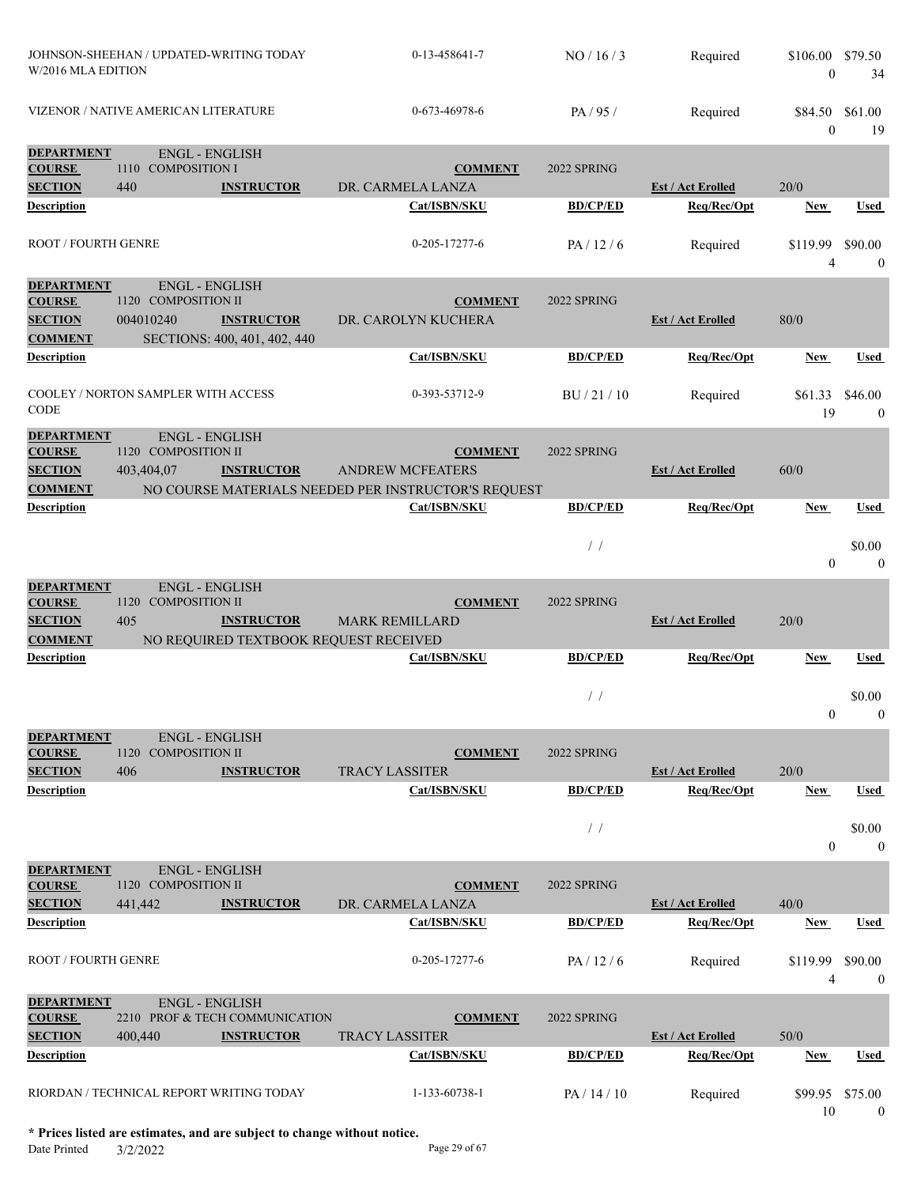| W/2016 MLA EDITION                                   | JOHNSON-SHEEHAN / UPDATED-WRITING TODAY            |                                                   | 0-13-458641-7                                       | NO/16/3         | Required                                | \$106.00 \$79.50<br>$\Omega$    | 34                          |
|------------------------------------------------------|----------------------------------------------------|---------------------------------------------------|-----------------------------------------------------|-----------------|-----------------------------------------|---------------------------------|-----------------------------|
|                                                      | VIZENOR / NATIVE AMERICAN LITERATURE               |                                                   | 0-673-46978-6                                       | PA/95/          | Required                                | \$84.50 \$61.00<br>$\mathbf{0}$ | 19                          |
| <b>DEPARTMENT</b><br><b>COURSE</b><br><b>SECTION</b> | <b>ENGL - ENGLISH</b><br>1110 COMPOSITION I<br>440 |                                                   | <b>COMMENT</b>                                      | 2022 SPRING     | <b>Est / Act Erolled</b>                | 20/0                            |                             |
| <b>Description</b>                                   |                                                    | <b>INSTRUCTOR</b>                                 | DR. CARMELA LANZA<br>Cat/ISBN/SKU                   | <b>BD/CP/ED</b> | Req/Rec/Opt                             | <b>New</b>                      | Used                        |
|                                                      |                                                    |                                                   |                                                     |                 |                                         |                                 |                             |
| ROOT / FOURTH GENRE                                  |                                                    |                                                   | $0 - 205 - 17277 - 6$                               | PA/12/6         | Required                                | \$119.99<br>4                   | \$90.00<br>$\boldsymbol{0}$ |
| <b>DEPARTMENT</b>                                    | <b>ENGL - ENGLISH</b>                              |                                                   |                                                     |                 |                                         |                                 |                             |
| <b>COURSE</b>                                        | 1120 COMPOSITION II                                |                                                   | <b>COMMENT</b>                                      | 2022 SPRING     |                                         |                                 |                             |
| <b>SECTION</b><br><b>COMMENT</b>                     | 004010240                                          | <b>INSTRUCTOR</b><br>SECTIONS: 400, 401, 402, 440 | DR. CAROLYN KUCHERA                                 |                 | <b>Est / Act Erolled</b>                | 80/0                            |                             |
| <b>Description</b>                                   |                                                    |                                                   | Cat/ISBN/SKU                                        | <b>BD/CP/ED</b> | Req/Rec/Opt                             | New                             | <b>Used</b>                 |
|                                                      |                                                    |                                                   |                                                     |                 |                                         |                                 |                             |
| CODE                                                 | COOLEY / NORTON SAMPLER WITH ACCESS                |                                                   | 0-393-53712-9                                       | BU/21/10        | Required                                | \$61.33<br>19                   | \$46.00<br>$\overline{0}$   |
| <b>DEPARTMENT</b>                                    | <b>ENGL - ENGLISH</b>                              |                                                   |                                                     |                 |                                         |                                 |                             |
| <b>COURSE</b><br><b>SECTION</b>                      | 1120 COMPOSITION II<br>403,404,07                  | <b>INSTRUCTOR</b>                                 | <b>COMMENT</b><br><b>ANDREW MCFEATERS</b>           | 2022 SPRING     | <b>Est / Act Erolled</b>                | 60/0                            |                             |
| <b>COMMENT</b>                                       |                                                    |                                                   | NO COURSE MATERIALS NEEDED PER INSTRUCTOR'S REQUEST |                 |                                         |                                 |                             |
| <b>Description</b>                                   |                                                    |                                                   | Cat/ISBN/SKU                                        | <b>BD/CP/ED</b> | Req/Rec/Opt                             | New                             | <b>Used</b>                 |
|                                                      |                                                    |                                                   |                                                     |                 |                                         |                                 |                             |
|                                                      |                                                    |                                                   |                                                     | /               |                                         | $\overline{0}$                  | \$0.00<br>$\theta$          |
| <b>DEPARTMENT</b>                                    | <b>ENGL - ENGLISH</b>                              |                                                   |                                                     |                 |                                         |                                 |                             |
| <b>COURSE</b>                                        | 1120<br><b>COMPOSITION II</b>                      |                                                   | <b>COMMENT</b>                                      | 2022 SPRING     |                                         |                                 |                             |
| <b>SECTION</b>                                       | 405                                                | <b>INSTRUCTOR</b>                                 | <b>MARK REMILLARD</b>                               |                 | <b>Est / Act Erolled</b>                | 20/0                            |                             |
| <b>COMMENT</b><br><b>Description</b>                 |                                                    | NO REQUIRED TEXTBOOK REQUEST RECEIVED             | Cat/ISBN/SKU                                        | <b>BD/CP/ED</b> | Req/Rec/Opt                             | New                             | Used                        |
|                                                      |                                                    |                                                   |                                                     |                 |                                         |                                 |                             |
|                                                      |                                                    |                                                   |                                                     | $\frac{1}{2}$   |                                         |                                 | \$0.00                      |
|                                                      |                                                    |                                                   |                                                     |                 |                                         | $\Omega$                        | $\overline{0}$              |
| <b>DEPARTMENT</b>                                    | <b>ENGL - ENGLISH</b>                              |                                                   |                                                     |                 |                                         |                                 |                             |
| <b>COURSE</b>                                        | 1120 COMPOSITION II                                |                                                   | <b>COMMENT</b>                                      | 2022 SPRING     |                                         |                                 |                             |
| <b>SECTION</b><br><b>Description</b>                 | 406                                                | <b>INSTRUCTOR</b>                                 | <b>TRACY LASSITER</b><br>Cat/ISBN/SKU               | <b>BD/CP/ED</b> | <b>Est / Act Erolled</b><br>Req/Rec/Opt | 20/0<br><b>New</b>              | Used                        |
|                                                      |                                                    |                                                   |                                                     |                 |                                         |                                 |                             |
|                                                      |                                                    |                                                   |                                                     | $\frac{1}{2}$   |                                         |                                 | \$0.00                      |
|                                                      |                                                    |                                                   |                                                     |                 |                                         | $\overline{0}$                  | $\boldsymbol{0}$            |
| <b>DEPARTMENT</b>                                    | <b>ENGL - ENGLISH</b>                              |                                                   |                                                     |                 |                                         |                                 |                             |
| <b>COURSE</b>                                        | 1120 COMPOSITION II                                |                                                   | <b>COMMENT</b>                                      | 2022 SPRING     |                                         |                                 |                             |
| <b>SECTION</b>                                       | 441,442                                            | <b>INSTRUCTOR</b>                                 | DR. CARMELA LANZA                                   |                 | <b>Est / Act Erolled</b>                | 40/0                            |                             |
| <b>Description</b>                                   |                                                    |                                                   | Cat/ISBN/SKU                                        | <b>BD/CP/ED</b> | Req/Rec/Opt                             | <b>New</b>                      | <b>Used</b>                 |
| ROOT / FOURTH GENRE                                  |                                                    |                                                   | 0-205-17277-6                                       | PA/12/6         | Required                                | \$119.99<br>4                   | \$90.00<br>$\mathbf{0}$     |
| <b>DEPARTMENT</b>                                    | <b>ENGL - ENGLISH</b>                              |                                                   |                                                     |                 |                                         |                                 |                             |
| <b>COURSE</b>                                        |                                                    | 2210 PROF & TECH COMMUNICATION                    | <b>COMMENT</b>                                      | 2022 SPRING     |                                         |                                 |                             |
| <b>SECTION</b>                                       | 400,440                                            | <b>INSTRUCTOR</b>                                 | <b>TRACY LASSITER</b>                               |                 | <b>Est / Act Erolled</b>                | 50/0                            |                             |
| <b>Description</b>                                   |                                                    |                                                   | Cat/ISBN/SKU                                        | <b>BD/CP/ED</b> | Req/Rec/Opt                             | New                             | <b>Used</b>                 |
|                                                      |                                                    |                                                   |                                                     |                 |                                         |                                 |                             |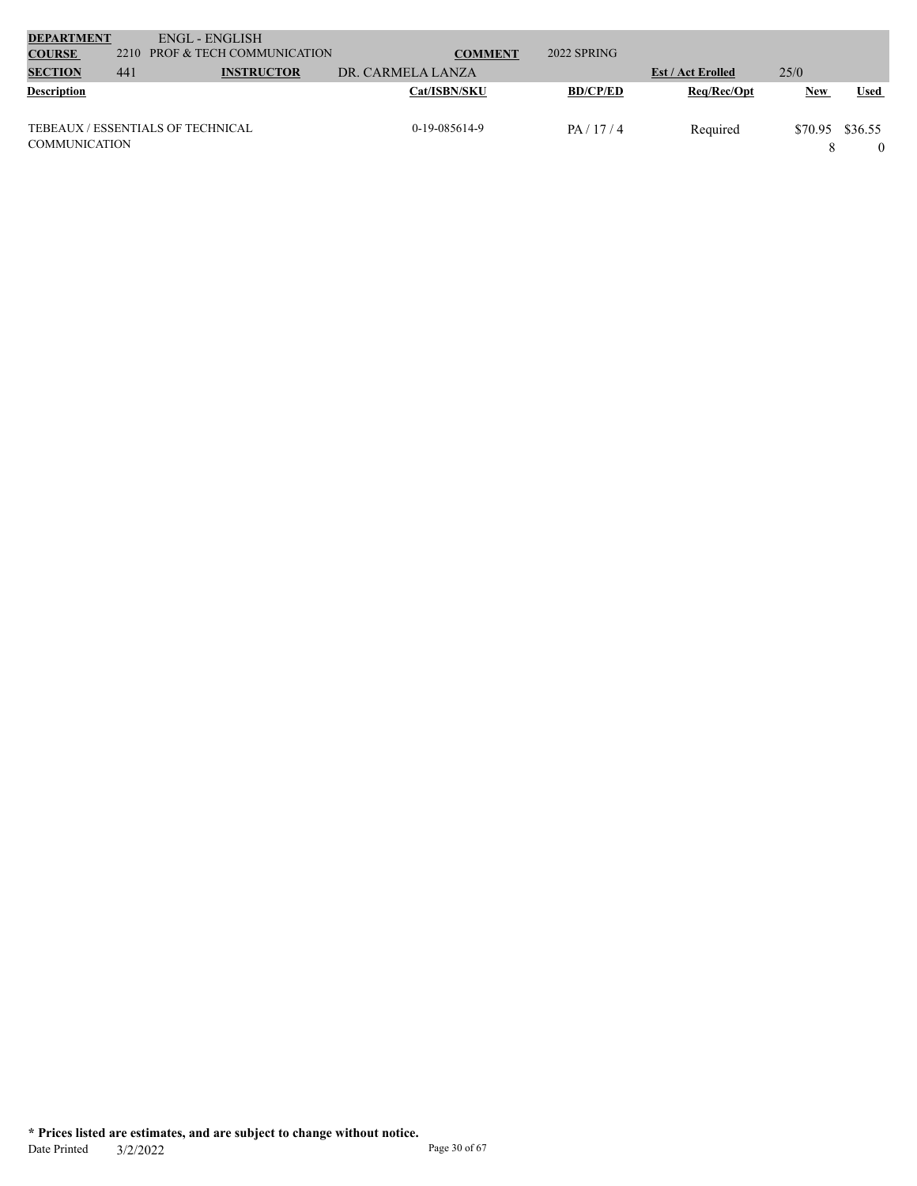| <b>DEPARTMENT</b>    |     | ENGL - ENGLISH                    |                   |                 |                          |            |             |
|----------------------|-----|-----------------------------------|-------------------|-----------------|--------------------------|------------|-------------|
| <b>COURSE</b>        |     | 2210 PROF & TECH COMMUNICATION    | <b>COMMENT</b>    | 2022 SPRING     |                          |            |             |
| <b>SECTION</b>       | 441 | <b>INSTRUCTOR</b>                 | DR. CARMELA LANZA |                 | <b>Est / Act Erolled</b> | 25/0       |             |
| <b>Description</b>   |     |                                   | Cat/ISBN/SKU      | <b>BD/CP/ED</b> | Reg/Rec/Opt              | <b>New</b> | <b>Used</b> |
|                      |     |                                   |                   |                 |                          |            |             |
|                      |     | TEBEAUX / ESSENTIALS OF TECHNICAL | 0-19-085614-9     | PA/17/4         | Required                 | \$70.95    | \$36.55     |
| <b>COMMUNICATION</b> |     |                                   |                   |                 |                          |            |             |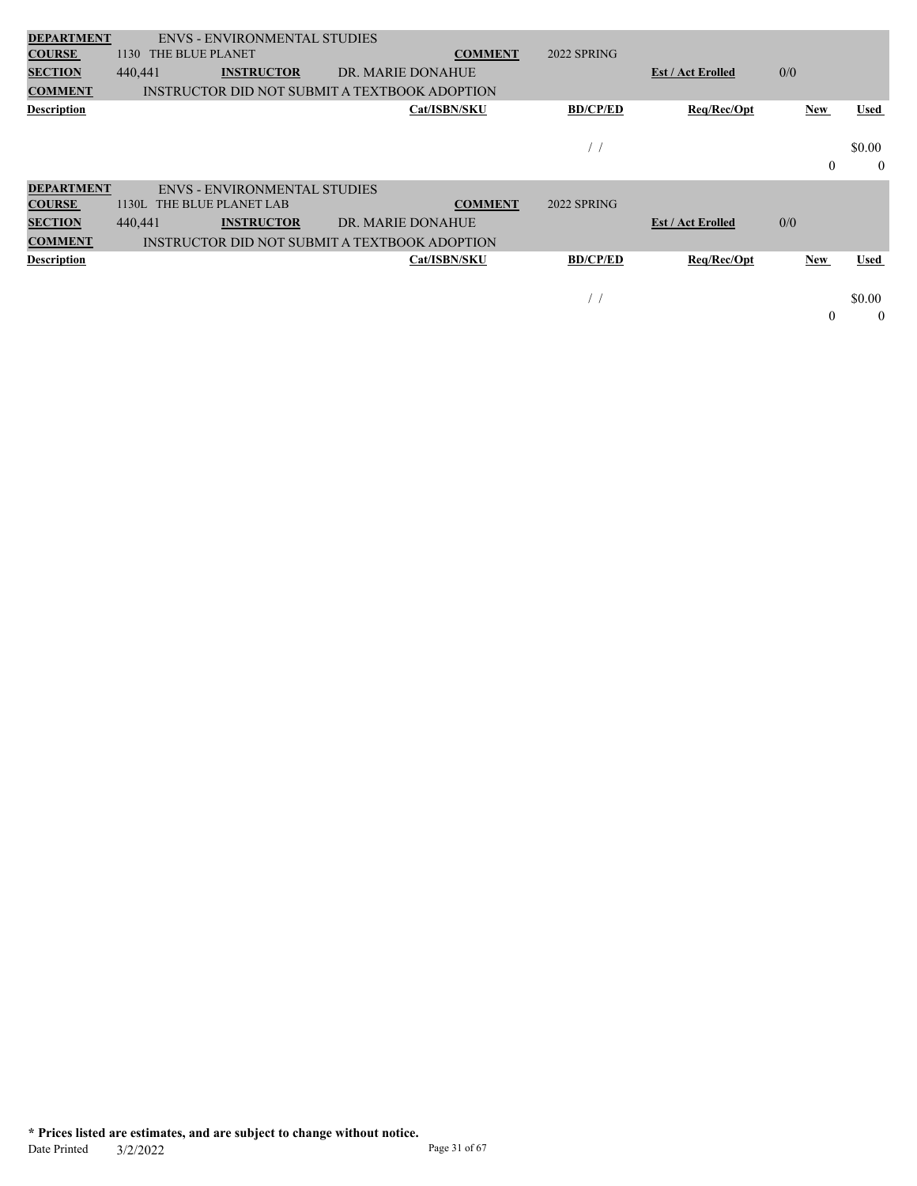| 1130    |                   |                                        | <b>COMMENT</b>                                                             | 2022 SPRING                                                                                                                              |                          |            |             |
|---------|-------------------|----------------------------------------|----------------------------------------------------------------------------|------------------------------------------------------------------------------------------------------------------------------------------|--------------------------|------------|-------------|
| 440,441 | <b>INSTRUCTOR</b> |                                        |                                                                            |                                                                                                                                          | <b>Est / Act Erolled</b> | 0/0        |             |
|         |                   |                                        |                                                                            |                                                                                                                                          |                          |            |             |
|         |                   |                                        | Cat/ISBN/SKU                                                               | <b>BD/CP/ED</b>                                                                                                                          | Req/Rec/Opt              | New        | Used        |
|         |                   |                                        |                                                                            |                                                                                                                                          |                          |            |             |
|         |                   |                                        |                                                                            |                                                                                                                                          |                          |            | \$0.00      |
|         |                   |                                        |                                                                            |                                                                                                                                          |                          | $\theta$   | $\theta$    |
|         |                   |                                        |                                                                            |                                                                                                                                          |                          |            |             |
| 1130L   |                   |                                        | <b>COMMENT</b>                                                             | 2022 SPRING                                                                                                                              |                          |            |             |
| 440,441 | <b>INSTRUCTOR</b> |                                        |                                                                            |                                                                                                                                          | <b>Est / Act Erolled</b> | 0/0        |             |
|         |                   |                                        |                                                                            |                                                                                                                                          |                          |            |             |
|         |                   |                                        | Cat/ISBN/SKU                                                               | <b>BD/CP/ED</b>                                                                                                                          | Req/Rec/Opt              | <b>New</b> | <b>Used</b> |
|         |                   |                                        |                                                                            |                                                                                                                                          |                          |            |             |
|         |                   |                                        |                                                                            | $\prime$ ,                                                                                                                               |                          |            | \$0.00      |
|         |                   |                                        |                                                                            |                                                                                                                                          |                          | $\theta$   | $\theta$    |
|         |                   |                                        |                                                                            |                                                                                                                                          |                          |            |             |
|         |                   | THE BLUE PLANET<br>THE BLUE PLANET LAB | <b>ENVS - ENVIRONMENTAL STUDIES</b><br><b>ENVS - ENVIRONMENTAL STUDIES</b> | DR. MARIE DONAHUE<br>INSTRUCTOR DID NOT SUBMIT A TEXTBOOK ADOPTION<br>DR. MARIE DONAHUE<br>INSTRUCTOR DID NOT SUBMIT A TEXTBOOK ADOPTION |                          |            |             |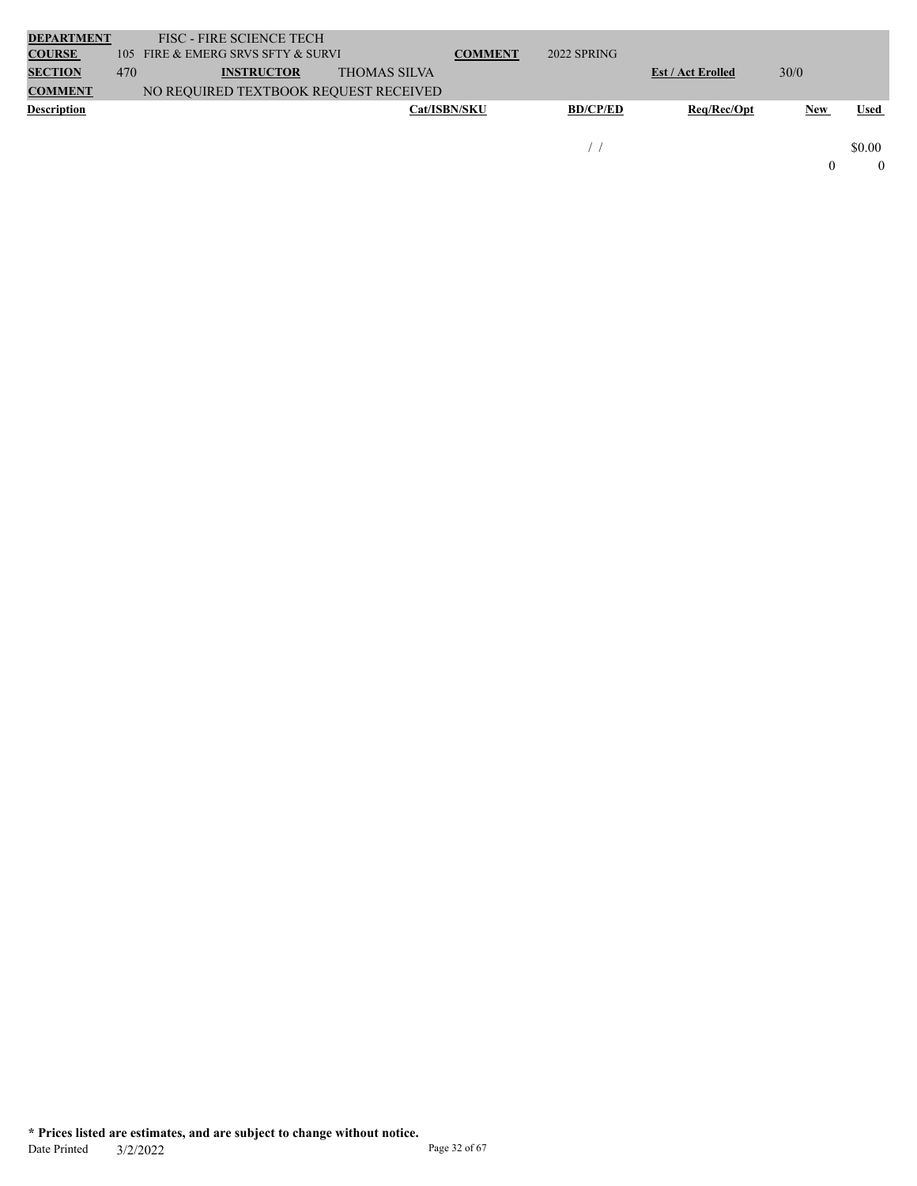| <b>DEPARTMENT</b>  |     | <b>FISC - FIRE SCIENCE TECH</b>       |                     |                     |                 |                          |      |             |
|--------------------|-----|---------------------------------------|---------------------|---------------------|-----------------|--------------------------|------|-------------|
| <b>COURSE</b>      | 105 | FIRE & EMERG SRVS SFTY & SURVI        |                     | <b>COMMENT</b>      | 2022 SPRING     |                          |      |             |
| <b>SECTION</b>     | 470 | <b>INSTRUCTOR</b>                     | <b>THOMAS SILVA</b> |                     |                 | <b>Est / Act Erolled</b> | 30/0 |             |
| <b>COMMENT</b>     |     | NO REQUIRED TEXTBOOK REQUEST RECEIVED |                     |                     |                 |                          |      |             |
| <b>Description</b> |     |                                       |                     | <b>Cat/ISBN/SKU</b> | <b>BD/CP/ED</b> | Reg/Rec/Opt              | New  | <b>Used</b> |
|                    |     |                                       |                     |                     |                 |                          |      |             |
|                    |     |                                       |                     |                     |                 |                          |      | \$0.00      |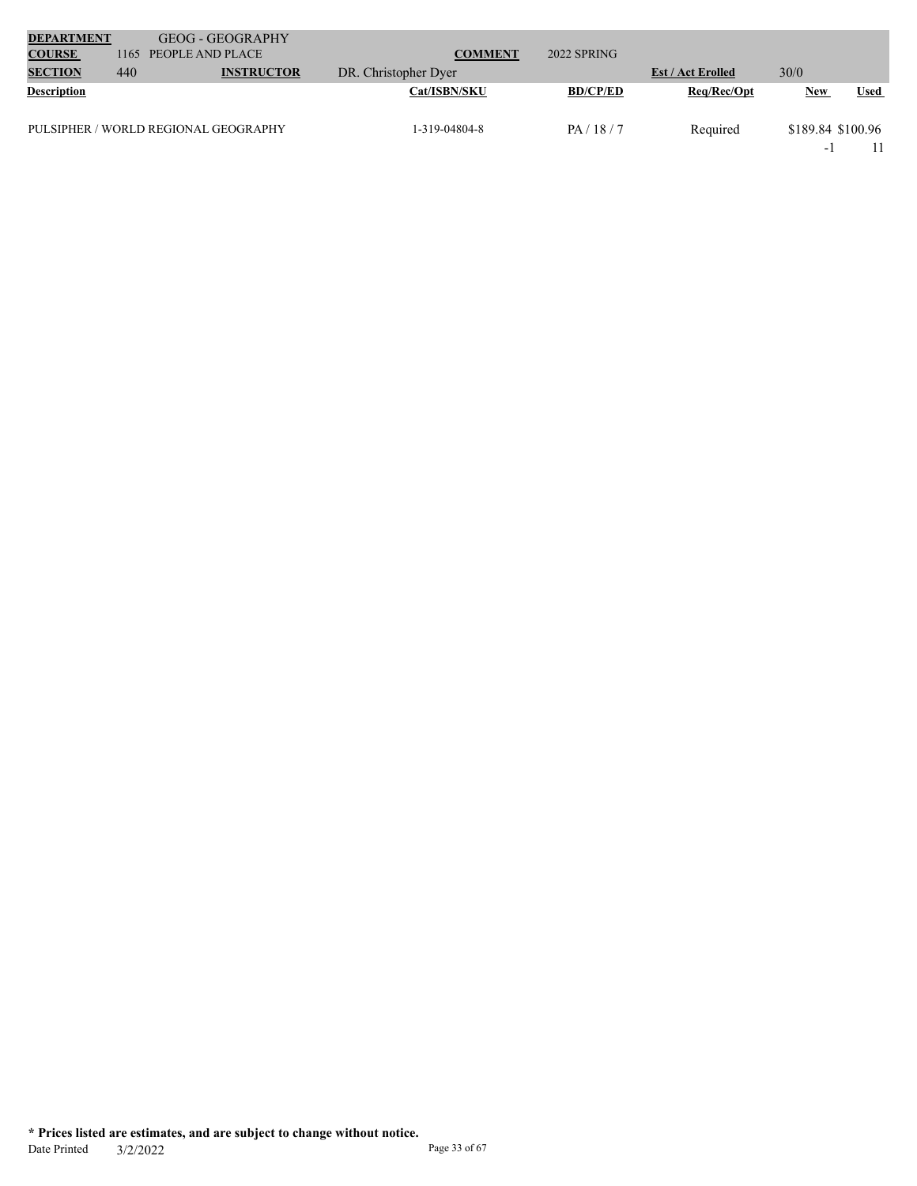| <b>DEPARTMENT</b>  |      | <b>GEOG - GEOGRAPHY</b>              |                      |                 |                          |                          |             |
|--------------------|------|--------------------------------------|----------------------|-----------------|--------------------------|--------------------------|-------------|
| <b>COURSE</b>      | 1165 | PEOPLE AND PLACE                     | <b>COMMENT</b>       | 2022 SPRING     |                          |                          |             |
| <b>SECTION</b>     | 440  | <b>INSTRUCTOR</b>                    | DR. Christopher Dyer |                 | <b>Est / Act Erolled</b> | 30/0                     |             |
| <b>Description</b> |      |                                      | <b>Cat/ISBN/SKU</b>  | <b>BD/CP/ED</b> | Req/Rec/Opt              | <b>New</b>               | <b>Used</b> |
|                    |      | PULSIPHER / WORLD REGIONAL GEOGRAPHY | 1-319-04804-8        | PA/18/7         | Required                 | \$189.84 \$100.96        |             |
|                    |      |                                      |                      |                 |                          | $\overline{\phantom{0}}$ |             |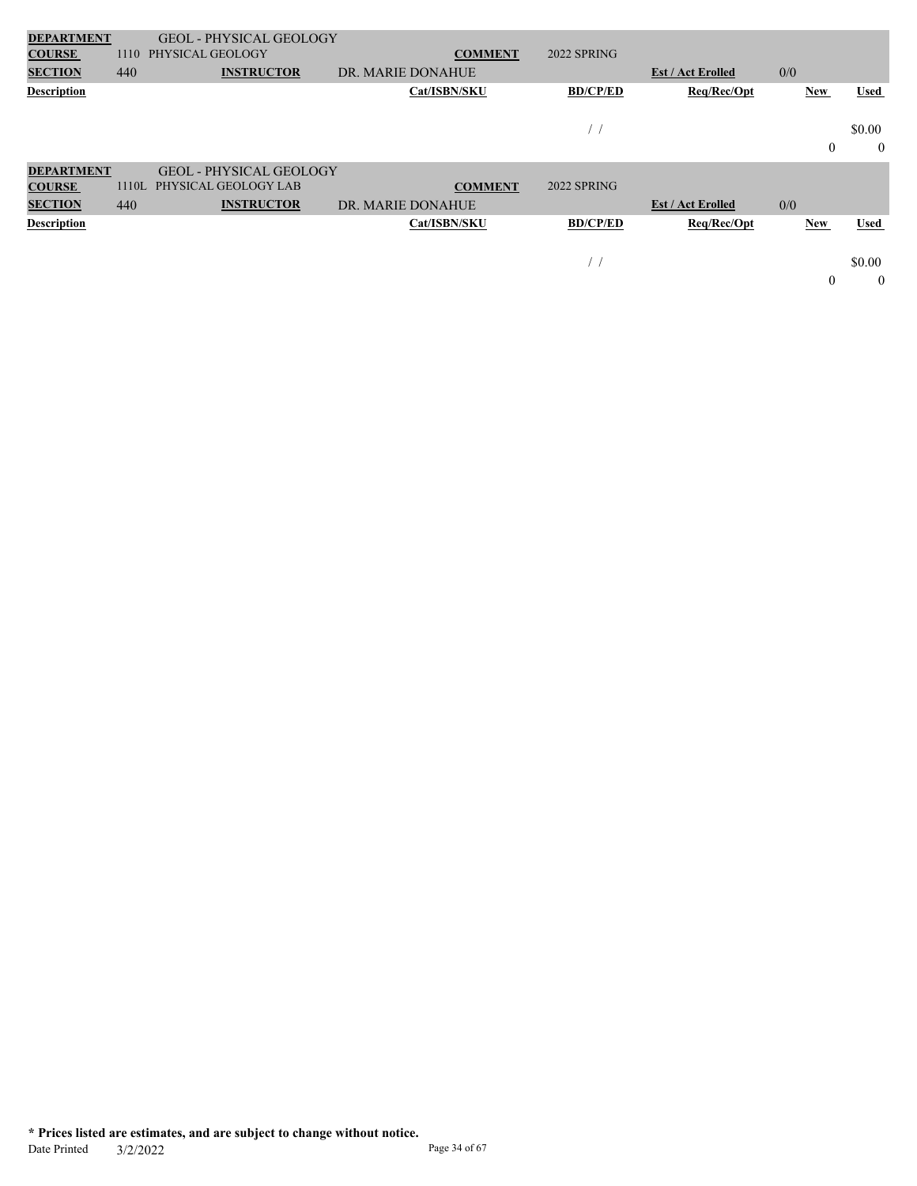| <b>DEPARTMENT</b>  |       | <b>GEOL - PHYSICAL GEOLOGY</b> |                   |                 |                          |              |                |
|--------------------|-------|--------------------------------|-------------------|-----------------|--------------------------|--------------|----------------|
| <b>COURSE</b>      | 1110  | PHYSICAL GEOLOGY               | <b>COMMENT</b>    | 2022 SPRING     |                          |              |                |
| <b>SECTION</b>     | 440   | <b>INSTRUCTOR</b>              | DR. MARIE DONAHUE |                 | <b>Est / Act Erolled</b> | 0/0          |                |
| <b>Description</b> |       |                                | Cat/ISBN/SKU      | <b>BD/CP/ED</b> | Req/Rec/Opt              | New          | <b>Used</b>    |
|                    |       |                                |                   |                 |                          |              |                |
|                    |       |                                |                   |                 |                          |              | \$0.00         |
|                    |       |                                |                   |                 |                          | $\mathbf{0}$ | $\overline{0}$ |
| <b>DEPARTMENT</b>  |       | <b>GEOL - PHYSICAL GEOLOGY</b> |                   |                 |                          |              |                |
| <b>COURSE</b>      | 1110L | PHYSICAL GEOLOGY LAB           | <b>COMMENT</b>    | 2022 SPRING     |                          |              |                |
| <b>SECTION</b>     | 440   | <b>INSTRUCTOR</b>              | DR. MARIE DONAHUE |                 | <b>Est / Act Erolled</b> | 0/0          |                |
| <b>Description</b> |       |                                | Cat/ISBN/SKU      | <b>BD/CP/ED</b> | Req/Rec/Opt              | New          | <b>Used</b>    |
|                    |       |                                |                   |                 |                          |              |                |
|                    |       |                                |                   | $\prime$ 1      |                          |              | \$0.00         |
|                    |       |                                |                   |                 |                          | $\mathbf{0}$ | $\theta$       |
|                    |       |                                |                   |                 |                          |              |                |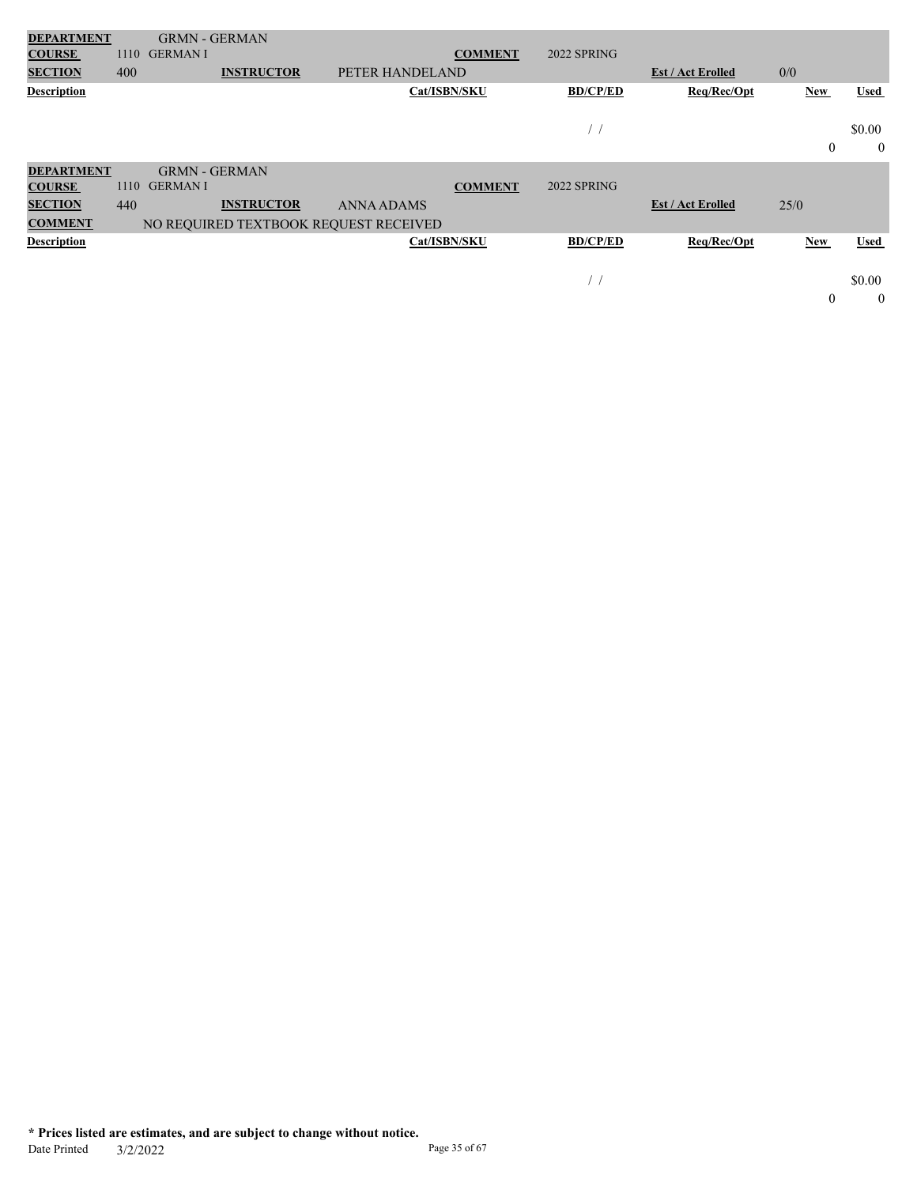| <b>DEPARTMENT</b>  |      | <b>GRMN - GERMAN</b> |                   |                                       |                |                 |                          |                  |             |
|--------------------|------|----------------------|-------------------|---------------------------------------|----------------|-----------------|--------------------------|------------------|-------------|
| <b>COURSE</b>      | 1110 | <b>GERMANI</b>       |                   |                                       | <b>COMMENT</b> | 2022 SPRING     |                          |                  |             |
| <b>SECTION</b>     | 400  |                      | <b>INSTRUCTOR</b> | PETER HANDELAND                       |                |                 | <b>Est / Act Erolled</b> | 0/0              |             |
| <b>Description</b> |      |                      |                   |                                       | Cat/ISBN/SKU   | <b>BD/CP/ED</b> | Req/Rec/Opt              | New              | <b>Used</b> |
|                    |      |                      |                   |                                       |                |                 |                          |                  |             |
|                    |      |                      |                   |                                       |                |                 |                          |                  | \$0.00      |
|                    |      |                      |                   |                                       |                |                 |                          | $\boldsymbol{0}$ | $\theta$    |
| <b>DEPARTMENT</b>  |      | <b>GRMN - GERMAN</b> |                   |                                       |                |                 |                          |                  |             |
| <b>COURSE</b>      | 1110 | <b>GERMANI</b>       |                   |                                       | <b>COMMENT</b> | 2022 SPRING     |                          |                  |             |
| <b>SECTION</b>     | 440  |                      | <b>INSTRUCTOR</b> | <b>ANNA ADAMS</b>                     |                |                 | <b>Est / Act Erolled</b> | 25/0             |             |
| <b>COMMENT</b>     |      |                      |                   | NO REQUIRED TEXTBOOK REQUEST RECEIVED |                |                 |                          |                  |             |
| <b>Description</b> |      |                      |                   |                                       | Cat/ISBN/SKU   | <b>BD/CP/ED</b> | Req/Rec/Opt              | New              | <b>Used</b> |
|                    |      |                      |                   |                                       |                |                 |                          |                  |             |
|                    |      |                      |                   |                                       |                |                 |                          |                  | \$0.00      |
|                    |      |                      |                   |                                       |                |                 |                          | $\theta$         | $\theta$    |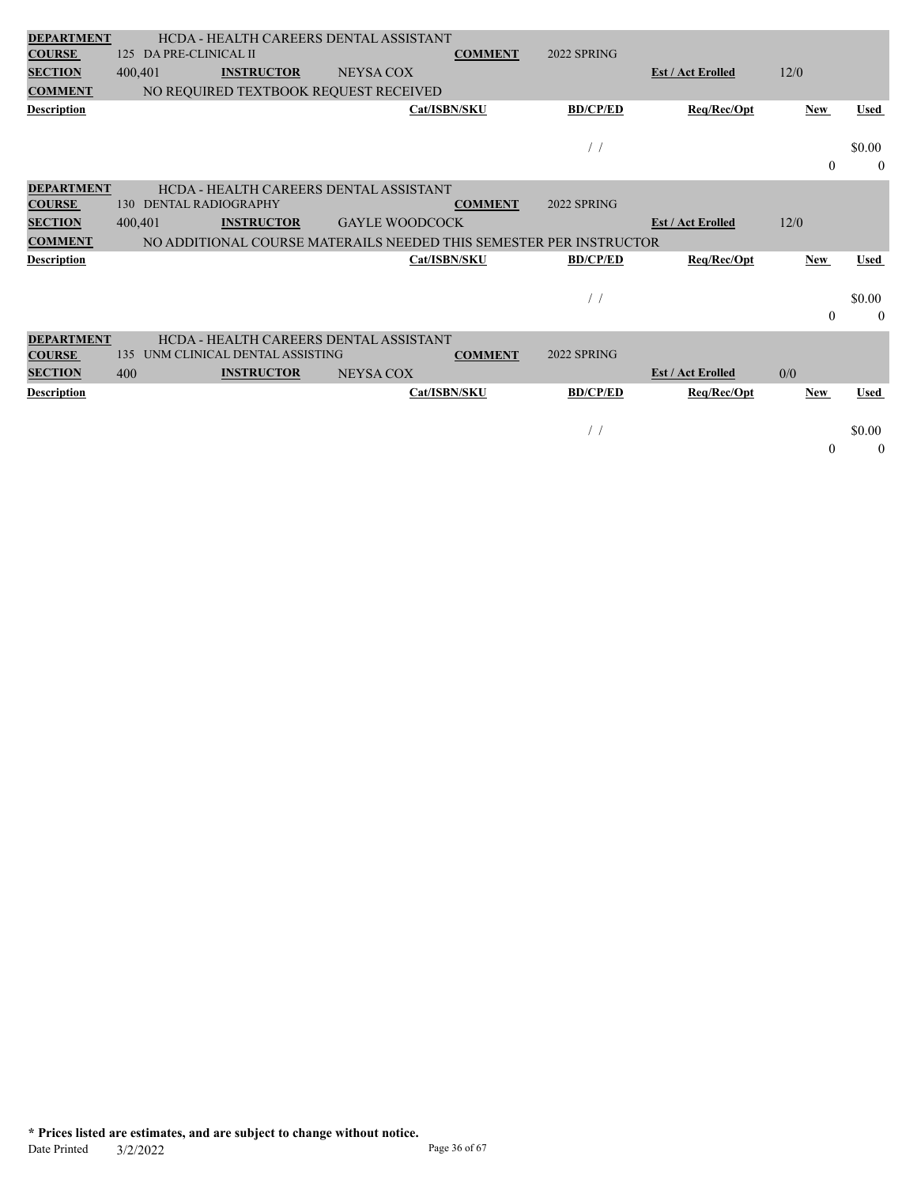| <b>DEPARTMENT</b>  |     |                        | HCDA - HEALTH CAREERS DENTAL ASSISTANT                             |                       |              |                |                 |                          |            |              |
|--------------------|-----|------------------------|--------------------------------------------------------------------|-----------------------|--------------|----------------|-----------------|--------------------------|------------|--------------|
| <b>COURSE</b>      | 125 | DA PRE-CLINICAL II     |                                                                    |                       |              | <b>COMMENT</b> | 2022 SPRING     |                          |            |              |
| <b>SECTION</b>     |     | 400,401                | <b>INSTRUCTOR</b>                                                  | <b>NEYSA COX</b>      |              |                |                 | <b>Est / Act Erolled</b> | 12/0       |              |
| <b>COMMENT</b>     |     |                        | NO REQUIRED TEXTBOOK REQUEST RECEIVED                              |                       |              |                |                 |                          |            |              |
| <b>Description</b> |     |                        |                                                                    |                       | Cat/ISBN/SKU |                | <b>BD/CP/ED</b> | Req/Rec/Opt              | <b>New</b> | <b>Used</b>  |
|                    |     |                        |                                                                    |                       |              |                |                 |                          |            |              |
|                    |     |                        |                                                                    |                       |              |                | $\frac{1}{2}$   |                          |            | \$0.00       |
|                    |     |                        |                                                                    |                       |              |                |                 |                          | $\theta$   | $\theta$     |
| <b>DEPARTMENT</b>  |     |                        | HCDA - HEALTH CAREERS DENTAL ASSISTANT                             |                       |              |                |                 |                          |            |              |
| <b>COURSE</b>      |     | 130 DENTAL RADIOGRAPHY |                                                                    |                       |              | <b>COMMENT</b> | 2022 SPRING     |                          |            |              |
| <b>SECTION</b>     |     | 400,401                | <b>INSTRUCTOR</b>                                                  | <b>GAYLE WOODCOCK</b> |              |                |                 | <b>Est / Act Erolled</b> | 12/0       |              |
| <b>COMMENT</b>     |     |                        | NO ADDITIONAL COURSE MATERAILS NEEDED THIS SEMESTER PER INSTRUCTOR |                       |              |                |                 |                          |            |              |
| <b>Description</b> |     |                        |                                                                    |                       | Cat/ISBN/SKU |                | <b>BD/CP/ED</b> | Req/Rec/Opt              | <b>New</b> | <b>Used</b>  |
|                    |     |                        |                                                                    |                       |              |                |                 |                          |            |              |
|                    |     |                        |                                                                    |                       |              |                | $\frac{1}{2}$   |                          |            |              |
|                    |     |                        |                                                                    |                       |              |                |                 |                          |            | \$0.00       |
|                    |     |                        |                                                                    |                       |              |                |                 |                          | $\theta$   | $\theta$     |
| <b>DEPARTMENT</b>  |     |                        | HCDA - HEALTH CAREERS DENTAL ASSISTANT                             |                       |              |                |                 |                          |            |              |
| <b>COURSE</b>      | 135 |                        | UNM CLINICAL DENTAL ASSISTING                                      |                       |              | <b>COMMENT</b> | 2022 SPRING     |                          |            |              |
| <b>SECTION</b>     | 400 |                        | <b>INSTRUCTOR</b>                                                  | <b>NEYSA COX</b>      |              |                |                 | <b>Est / Act Erolled</b> | 0/0        |              |
| <b>Description</b> |     |                        |                                                                    |                       | Cat/ISBN/SKU |                | <b>BD/CP/ED</b> | Req/Rec/Opt              | <b>New</b> | <b>Used</b>  |
|                    |     |                        |                                                                    |                       |              |                |                 |                          |            |              |
|                    |     |                        |                                                                    |                       |              |                | $\frac{1}{2}$   |                          |            | \$0.00       |
|                    |     |                        |                                                                    |                       |              |                |                 |                          | $\theta$   | $\mathbf{0}$ |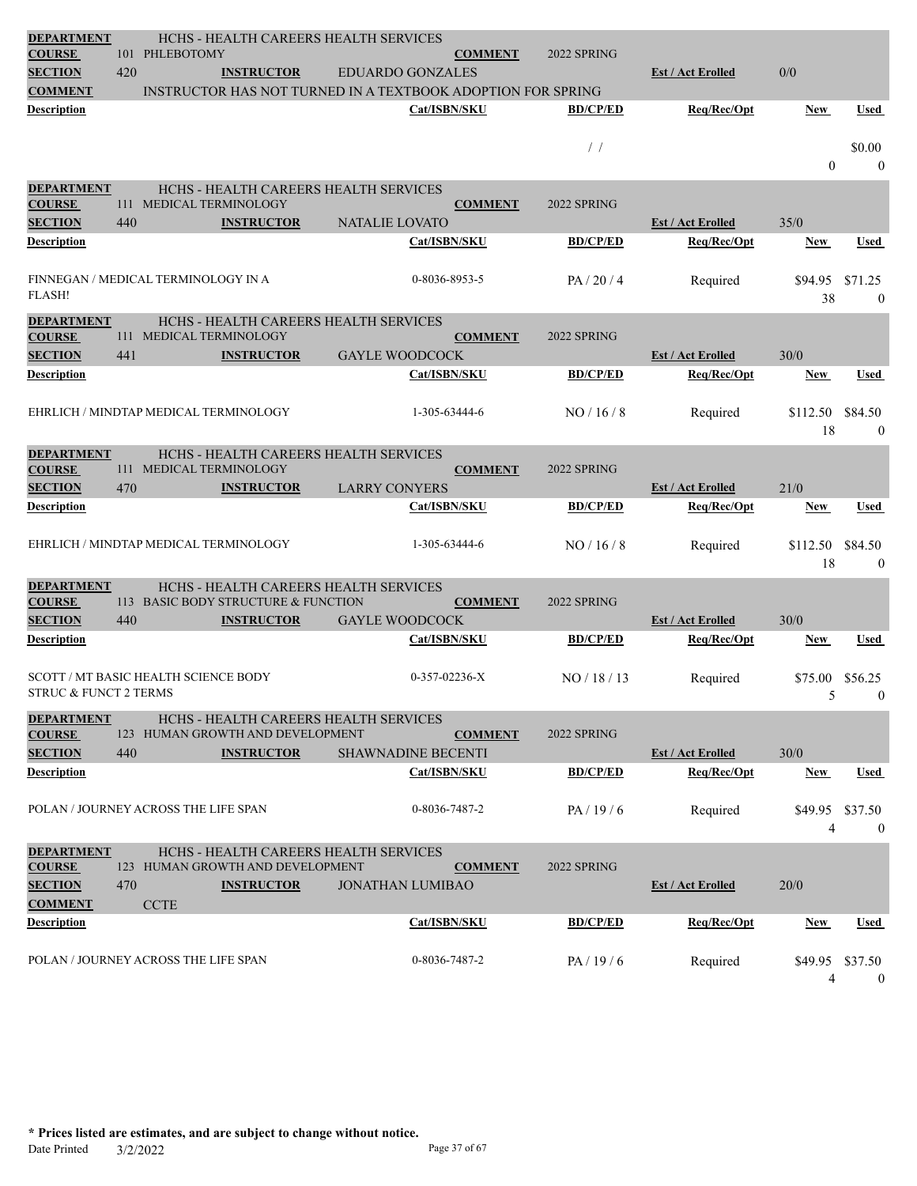| <b>DEPARTMENT</b>                  |     |                                                                    |                   | HCHS - HEALTH CAREERS HEALTH SERVICES |                 |                 |                          |                 |                         |
|------------------------------------|-----|--------------------------------------------------------------------|-------------------|---------------------------------------|-----------------|-----------------|--------------------------|-----------------|-------------------------|
| <b>COURSE</b>                      |     | 101 PHLEBOTOMY                                                     |                   |                                       | <b>COMMENT</b>  | 2022 SPRING     |                          |                 |                         |
| <b>SECTION</b>                     | 420 |                                                                    | <b>INSTRUCTOR</b> | <b>EDUARDO GONZALES</b>               |                 |                 | <b>Est / Act Erolled</b> | 0/0             |                         |
| <b>COMMENT</b>                     |     | <b>INSTRUCTOR HAS NOT TURNED IN A TEXTBOOK ADOPTION FOR SPRING</b> |                   |                                       |                 |                 |                          |                 |                         |
| <b>Description</b>                 |     |                                                                    |                   |                                       | Cat/ISBN/SKU    | <b>BD/CP/ED</b> | Req/Rec/Opt              | <b>New</b>      | <b>Used</b>             |
|                                    |     |                                                                    |                   |                                       |                 | $/$ /           |                          |                 | \$0.00                  |
|                                    |     |                                                                    |                   |                                       |                 |                 |                          | $\Omega$        | $\theta$                |
|                                    |     |                                                                    |                   |                                       |                 |                 |                          |                 |                         |
| <b>DEPARTMENT</b><br><b>COURSE</b> |     | 111 MEDICAL TERMINOLOGY                                            |                   | HCHS - HEALTH CAREERS HEALTH SERVICES | <b>COMMENT</b>  | 2022 SPRING     |                          |                 |                         |
| <b>SECTION</b>                     | 440 |                                                                    | <b>INSTRUCTOR</b> | <b>NATALIE LOVATO</b>                 |                 |                 | <b>Est / Act Erolled</b> | 35/0            |                         |
| <b>Description</b>                 |     |                                                                    |                   |                                       | Cat/ISBN/SKU    | <b>BD/CP/ED</b> | Req/Rec/Opt              | <b>New</b>      | <b>Used</b>             |
|                                    |     |                                                                    |                   |                                       |                 |                 |                          |                 |                         |
|                                    |     | FINNEGAN / MEDICAL TERMINOLOGY IN A                                |                   |                                       | 0-8036-8953-5   | PA/20/4         | Required                 | \$94.95         | \$71.25                 |
| FLASH!                             |     |                                                                    |                   |                                       |                 |                 |                          | 38              | $\mathbf{0}$            |
| <b>DEPARTMENT</b>                  |     |                                                                    |                   | HCHS - HEALTH CAREERS HEALTH SERVICES |                 |                 |                          |                 |                         |
| <b>COURSE</b>                      |     | 111 MEDICAL TERMINOLOGY                                            |                   |                                       | <b>COMMENT</b>  | 2022 SPRING     |                          |                 |                         |
| <b>SECTION</b>                     | 441 |                                                                    | <b>INSTRUCTOR</b> | <b>GAYLE WOODCOCK</b>                 |                 |                 | <b>Est / Act Erolled</b> | 30/0            |                         |
| Description                        |     |                                                                    |                   |                                       | Cat/ISBN/SKU    | <b>BD/CP/ED</b> | Req/Rec/Opt              | New             | Used                    |
|                                    |     |                                                                    |                   |                                       |                 |                 |                          |                 |                         |
|                                    |     | EHRLICH / MINDTAP MEDICAL TERMINOLOGY                              |                   |                                       | 1-305-63444-6   | NO/16/8         | Required                 | \$112.50        | \$84.50                 |
|                                    |     |                                                                    |                   |                                       |                 |                 |                          | 18              | $\mathbf{0}$            |
| <b>DEPARTMENT</b>                  |     |                                                                    |                   | HCHS - HEALTH CAREERS HEALTH SERVICES |                 |                 |                          |                 |                         |
| <b>COURSE</b>                      |     | 111 MEDICAL TERMINOLOGY                                            |                   |                                       | <b>COMMENT</b>  | 2022 SPRING     |                          |                 |                         |
| <b>SECTION</b>                     | 470 |                                                                    | <b>INSTRUCTOR</b> | <b>LARRY CONYERS</b>                  |                 |                 | <b>Est / Act Erolled</b> | 21/0            |                         |
| Description                        |     |                                                                    |                   |                                       | Cat/ISBN/SKU    | <b>BD/CP/ED</b> | Req/Rec/Opt              | New             | Used                    |
|                                    |     |                                                                    |                   |                                       |                 |                 |                          |                 |                         |
|                                    |     | EHRLICH / MINDTAP MEDICAL TERMINOLOGY                              |                   |                                       | 1-305-63444-6   | NO/16/8         | Required                 | \$112.50        | \$84.50                 |
|                                    |     |                                                                    |                   |                                       |                 |                 |                          | 18              | $\mathbf{0}$            |
| <b>DEPARTMENT</b>                  |     |                                                                    |                   | HCHS - HEALTH CAREERS HEALTH SERVICES |                 |                 |                          |                 |                         |
| <b>COURSE</b>                      |     | 113 BASIC BODY STRUCTURE & FUNCTION                                |                   |                                       | <b>COMMENT</b>  | 2022 SPRING     |                          |                 |                         |
| <b>SECTION</b>                     | 440 |                                                                    | <b>INSTRUCTOR</b> | <b>GAYLE WOODCOCK</b>                 |                 |                 | <b>Est / Act Erolled</b> | 30/0            |                         |
| Description                        |     |                                                                    |                   |                                       | Cat/ISBN/SKU    | <b>BD/CP/ED</b> | Req/Rec/Opt              | <b>New</b>      | Used                    |
|                                    |     | <b>SCOTT / MT BASIC HEALTH SCIENCE BODY</b>                        |                   |                                       | $0-357-02236-X$ | NO / 18 / 13    |                          |                 |                         |
| <b>STRUC &amp; FUNCT 2 TERMS</b>   |     |                                                                    |                   |                                       |                 |                 | Required                 | \$75.00<br>5    | \$56.25<br>$\mathbf{0}$ |
|                                    |     |                                                                    |                   |                                       |                 |                 |                          |                 |                         |
| <b>DEPARTMENT</b><br><b>COURSE</b> |     | 123 HUMAN GROWTH AND DEVELOPMENT                                   |                   | HCHS - HEALTH CAREERS HEALTH SERVICES | <b>COMMENT</b>  | 2022 SPRING     |                          |                 |                         |
| <b>SECTION</b>                     | 440 |                                                                    | <b>INSTRUCTOR</b> | <b>SHAWNADINE BECENTI</b>             |                 |                 | <b>Est / Act Erolled</b> | 30/0            |                         |
| <b>Description</b>                 |     |                                                                    |                   |                                       | Cat/ISBN/SKU    | <b>BD/CP/ED</b> | Req/Rec/Opt              | <b>New</b>      | <b>Used</b>             |
|                                    |     |                                                                    |                   |                                       |                 |                 |                          |                 |                         |
|                                    |     | POLAN / JOURNEY ACROSS THE LIFE SPAN                               |                   |                                       | 0-8036-7487-2   | PA/19/6         | Required                 | \$49.95 \$37.50 |                         |
|                                    |     |                                                                    |                   |                                       |                 |                 |                          | 4               | $\bf{0}$                |
| <b>DEPARTMENT</b>                  |     |                                                                    |                   | HCHS - HEALTH CAREERS HEALTH SERVICES |                 |                 |                          |                 |                         |
| <b>COURSE</b>                      |     | 123 HUMAN GROWTH AND DEVELOPMENT                                   |                   |                                       | <b>COMMENT</b>  | 2022 SPRING     |                          |                 |                         |
| <b>SECTION</b>                     | 470 |                                                                    | <b>INSTRUCTOR</b> | <b>JONATHAN LUMIBAO</b>               |                 |                 | <b>Est / Act Erolled</b> | 20/0            |                         |
| <b>COMMENT</b>                     |     | <b>CCTE</b>                                                        |                   |                                       |                 |                 |                          |                 |                         |
| Description                        |     |                                                                    |                   |                                       | Cat/ISBN/SKU    | <b>BD/CP/ED</b> | Req/Rec/Opt              | <b>New</b>      | <u>Used</u>             |
|                                    |     |                                                                    |                   |                                       |                 |                 |                          |                 |                         |
|                                    |     | POLAN / JOURNEY ACROSS THE LIFE SPAN                               |                   |                                       | 0-8036-7487-2   | PA/19/6         | Required                 | \$49.95 \$37.50 |                         |
|                                    |     |                                                                    |                   |                                       |                 |                 |                          | 4               | $\mathbf{0}$            |

**\* Prices listed are estimates, and are subject to change without notice.** 3/2/2022 Page 37 of 67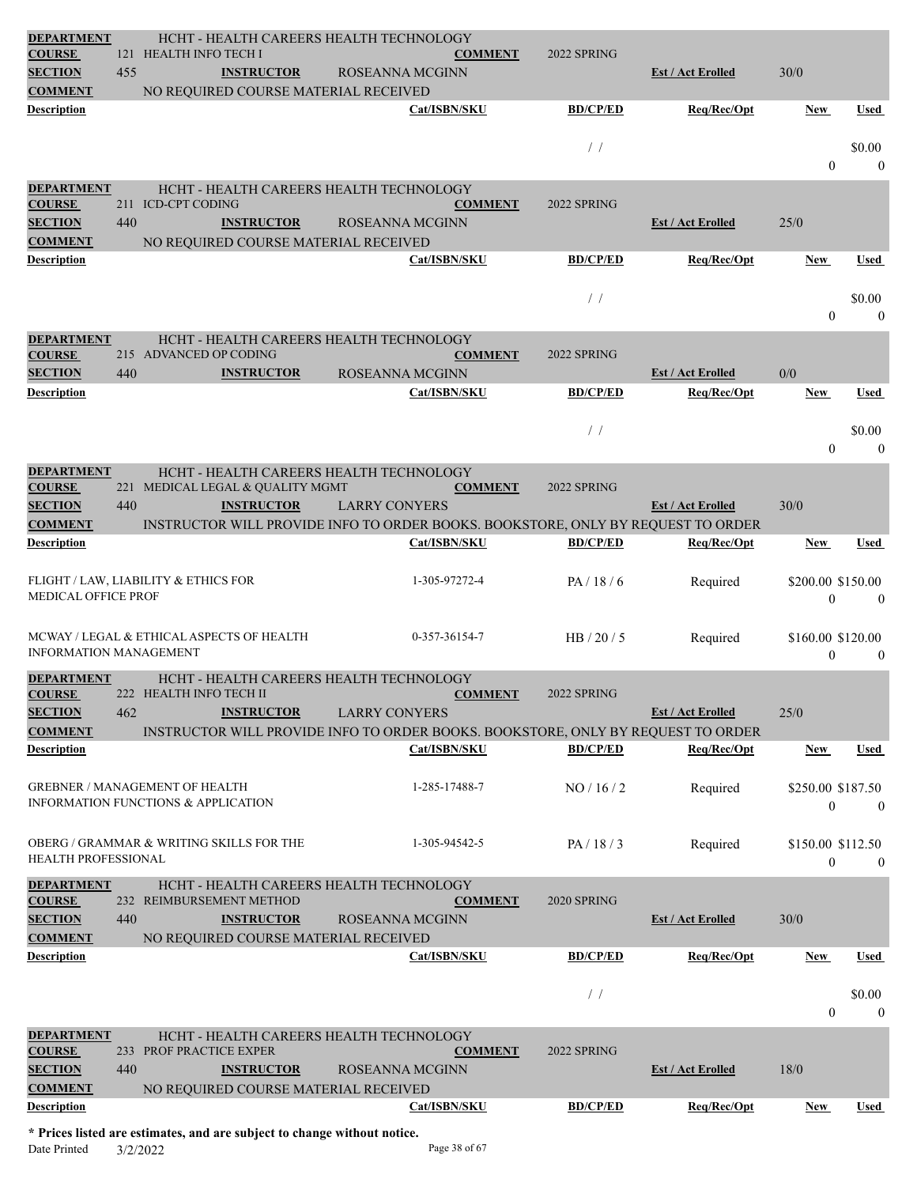| <b>DEPARTMENT</b><br><b>COURSE</b>   |     | HCHT - HEALTH CAREERS HEALTH TECHNOLOGY<br>121 HEALTH INFO TECH I                       | <b>COMMENT</b>                                                                   | 2022 SPRING     |                          |                                   |                        |
|--------------------------------------|-----|-----------------------------------------------------------------------------------------|----------------------------------------------------------------------------------|-----------------|--------------------------|-----------------------------------|------------------------|
| <b>SECTION</b>                       | 455 | <b>INSTRUCTOR</b>                                                                       | ROSEANNA MCGINN                                                                  |                 | <b>Est / Act Erolled</b> | 30/0                              |                        |
| <b>COMMENT</b>                       |     | NO REQUIRED COURSE MATERIAL RECEIVED                                                    |                                                                                  |                 |                          |                                   |                        |
| <b>Description</b>                   |     |                                                                                         | Cat/ISBN/SKU                                                                     | <b>BD/CP/ED</b> | Req/Rec/Opt              | <b>New</b>                        | <b>Used</b>            |
|                                      |     |                                                                                         |                                                                                  |                 |                          |                                   |                        |
|                                      |     |                                                                                         |                                                                                  | $\frac{1}{2}$   |                          |                                   | \$0.00                 |
|                                      |     |                                                                                         |                                                                                  |                 |                          | $\Omega$                          | $\mathbf{0}$           |
| <b>DEPARTMENT</b><br><b>COURSE</b>   |     | HCHT - HEALTH CAREERS HEALTH TECHNOLOGY<br>211 ICD-CPT CODING                           | <b>COMMENT</b>                                                                   | 2022 SPRING     |                          |                                   |                        |
| <b>SECTION</b>                       | 440 | <b>INSTRUCTOR</b>                                                                       | ROSEANNA MCGINN                                                                  |                 | <b>Est / Act Erolled</b> | 25/0                              |                        |
| <b>COMMENT</b>                       |     | NO REQUIRED COURSE MATERIAL RECEIVED                                                    |                                                                                  |                 |                          |                                   |                        |
| <b>Description</b>                   |     |                                                                                         | Cat/ISBN/SKU                                                                     | <b>BD/CP/ED</b> | Req/Rec/Opt              | <b>New</b>                        | Used                   |
|                                      |     |                                                                                         |                                                                                  |                 |                          |                                   |                        |
|                                      |     |                                                                                         |                                                                                  | /               |                          | $\theta$                          | \$0.00<br>$\mathbf{0}$ |
|                                      |     |                                                                                         |                                                                                  |                 |                          |                                   |                        |
| <b>DEPARTMENT</b><br><b>COURSE</b>   |     | HCHT - HEALTH CAREERS HEALTH TECHNOLOGY<br>215 ADVANCED OP CODING                       | <b>COMMENT</b>                                                                   | 2022 SPRING     |                          |                                   |                        |
| <b>SECTION</b>                       | 440 | <b>INSTRUCTOR</b>                                                                       | ROSEANNA MCGINN                                                                  |                 | <b>Est / Act Erolled</b> | 0/0                               |                        |
| <b>Description</b>                   |     |                                                                                         | Cat/ISBN/SKU                                                                     | <b>BD/CP/ED</b> | Req/Rec/Opt              | <b>New</b>                        | Used                   |
|                                      |     |                                                                                         |                                                                                  |                 |                          |                                   |                        |
|                                      |     |                                                                                         |                                                                                  | $\frac{1}{2}$   |                          | $\theta$                          | \$0.00<br>$\theta$     |
|                                      |     |                                                                                         |                                                                                  |                 |                          |                                   |                        |
| <b>DEPARTMENT</b><br><b>COURSE</b>   |     | HCHT - HEALTH CAREERS HEALTH TECHNOLOGY<br>221 MEDICAL LEGAL & QUALITY MGMT             | <b>COMMENT</b>                                                                   | 2022 SPRING     |                          |                                   |                        |
| <b>SECTION</b>                       | 440 | <b>INSTRUCTOR</b>                                                                       | <b>LARRY CONYERS</b>                                                             |                 | <b>Est / Act Erolled</b> | 30/0                              |                        |
| <b>COMMENT</b>                       |     |                                                                                         | INSTRUCTOR WILL PROVIDE INFO TO ORDER BOOKS. BOOKSTORE, ONLY BY REQUEST TO ORDER |                 |                          |                                   |                        |
| <b>Description</b>                   |     |                                                                                         | Cat/ISBN/SKU                                                                     | <b>BD/CP/ED</b> | Req/Rec/Opt              | <b>New</b>                        | Used                   |
|                                      |     | FLIGHT / LAW, LIABILITY & ETHICS FOR                                                    | 1-305-97272-4                                                                    | PA/18/6         |                          | \$200.00 \$150.00                 |                        |
| <b>MEDICAL OFFICE PROF</b>           |     |                                                                                         |                                                                                  |                 | Required                 | $\mathbf{0}$                      | $\theta$               |
|                                      |     |                                                                                         |                                                                                  |                 |                          |                                   |                        |
|                                      |     | MCWAY / LEGAL & ETHICAL ASPECTS OF HEALTH                                               | 0-357-36154-7                                                                    | HB $/ 20 / 5$   | Required                 | \$160.00 \$120.00                 |                        |
| <b>INFORMATION MANAGEMENT</b>        |     |                                                                                         |                                                                                  |                 |                          | $\overline{0}$                    | $\mathbf{0}$           |
| <b>DEPARTMENT</b>                    |     | HCHT - HEALTH CAREERS HEALTH TECHNOLOGY                                                 |                                                                                  |                 |                          |                                   |                        |
| <b>COURSE</b><br><b>SECTION</b>      | 462 | 222 HEALTH INFO TECH II<br><b>INSTRUCTOR</b>                                            | <b>COMMENT</b><br><b>LARRY CONYERS</b>                                           | 2022 SPRING     | <b>Est / Act Erolled</b> | 25/0                              |                        |
| <b>COMMENT</b>                       |     |                                                                                         | INSTRUCTOR WILL PROVIDE INFO TO ORDER BOOKS. BOOKSTORE, ONLY BY REQUEST TO ORDER |                 |                          |                                   |                        |
| <b>Description</b>                   |     |                                                                                         | Cat/ISBN/SKU                                                                     | <b>BD/CP/ED</b> | Req/Rec/Opt              | <b>New</b>                        | Used                   |
|                                      |     |                                                                                         |                                                                                  |                 |                          |                                   |                        |
|                                      |     | <b>GREBNER / MANAGEMENT OF HEALTH</b><br><b>INFORMATION FUNCTIONS &amp; APPLICATION</b> | 1-285-17488-7                                                                    | NO/16/2         | Required                 | \$250.00 \$187.50                 |                        |
|                                      |     |                                                                                         |                                                                                  |                 |                          |                                   | $\theta$               |
|                                      |     |                                                                                         |                                                                                  |                 |                          | $\theta$                          |                        |
|                                      |     |                                                                                         |                                                                                  |                 |                          |                                   |                        |
| <b>HEALTH PROFESSIONAL</b>           |     | <b>OBERG / GRAMMAR &amp; WRITING SKILLS FOR THE</b>                                     | 1-305-94542-5                                                                    | PA/18/3         | Required                 | \$150.00 \$112.50<br>$\mathbf{0}$ | $\overline{0}$         |
| <b>DEPARTMENT</b>                    |     | HCHT - HEALTH CAREERS HEALTH TECHNOLOGY                                                 |                                                                                  |                 |                          |                                   |                        |
| <b>COURSE</b>                        |     | 232 REIMBURSEMENT METHOD                                                                | <b>COMMENT</b>                                                                   | 2020 SPRING     |                          |                                   |                        |
| <b>SECTION</b>                       | 440 | <b>INSTRUCTOR</b>                                                                       | ROSEANNA MCGINN                                                                  |                 | <b>Est / Act Erolled</b> | 30/0                              |                        |
| <b>COMMENT</b>                       |     | NO REQUIRED COURSE MATERIAL RECEIVED                                                    |                                                                                  |                 |                          |                                   |                        |
| <b>Description</b>                   |     |                                                                                         | Cat/ISBN/SKU                                                                     | <b>BD/CP/ED</b> | Req/Rec/Opt              | <b>New</b>                        | Used                   |
|                                      |     |                                                                                         |                                                                                  | /               |                          |                                   | \$0.00                 |
|                                      |     |                                                                                         |                                                                                  |                 |                          | $\overline{0}$                    | $\mathbf{0}$           |
| <b>DEPARTMENT</b>                    |     | HCHT - HEALTH CAREERS HEALTH TECHNOLOGY                                                 |                                                                                  |                 |                          |                                   |                        |
| <b>COURSE</b>                        |     | 233 PROF PRACTICE EXPER                                                                 | <b>COMMENT</b>                                                                   | 2022 SPRING     |                          |                                   |                        |
| <b>SECTION</b>                       | 440 | <b>INSTRUCTOR</b>                                                                       | ROSEANNA MCGINN                                                                  |                 | <b>Est / Act Erolled</b> | 18/0                              |                        |
| <b>COMMENT</b><br><b>Description</b> |     | NO REQUIRED COURSE MATERIAL RECEIVED                                                    | Cat/ISBN/SKU                                                                     | <b>BD/CP/ED</b> | Req/Rec/Opt              | <b>New</b>                        | Used                   |

**\* Prices listed are estimates, and are subject to change without notice.** Date Printed  $3/2/2022$  Page 38 of 67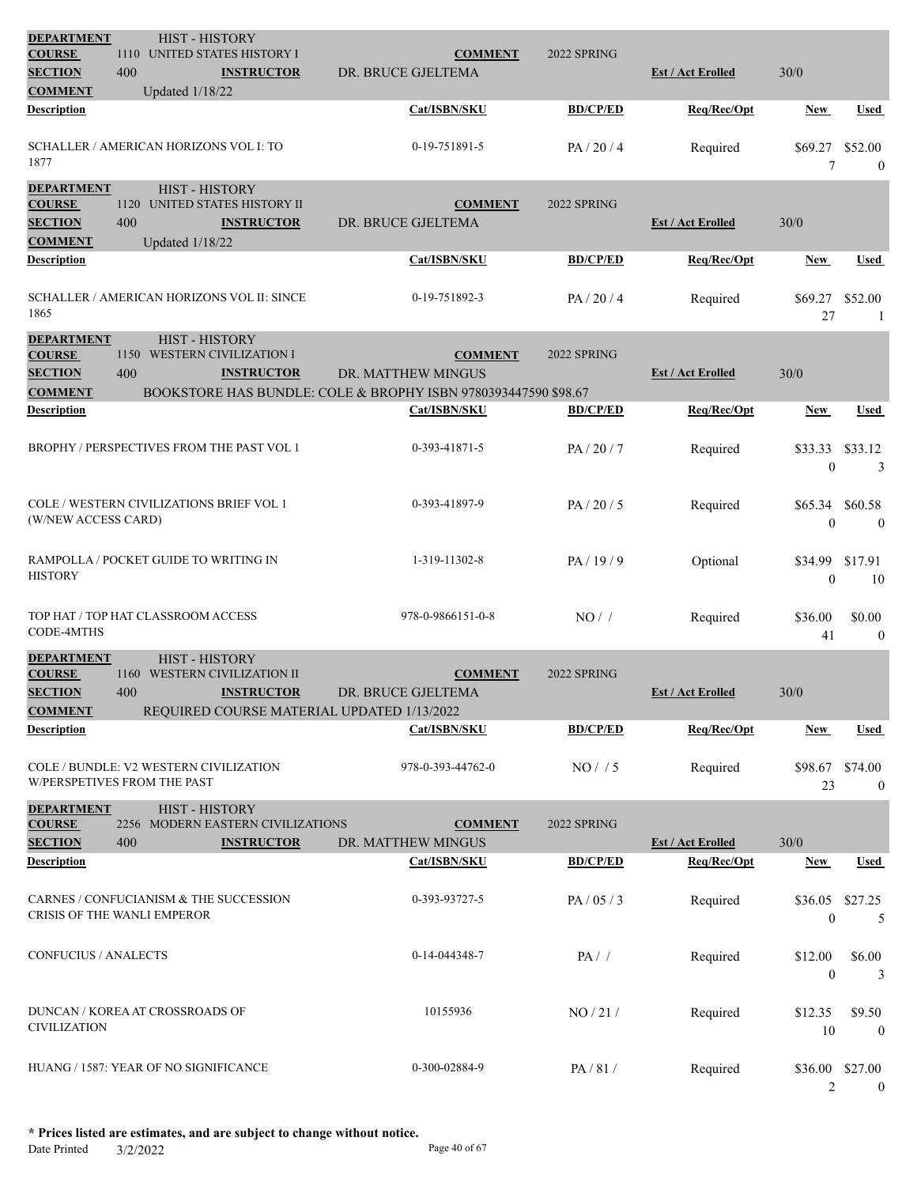| <b>DEPARTMENT</b>                                                      | <b>HIST - HISTORY</b>                                                        |                                              |                                                                                      |                 |                          |                                 |                          |
|------------------------------------------------------------------------|------------------------------------------------------------------------------|----------------------------------------------|--------------------------------------------------------------------------------------|-----------------|--------------------------|---------------------------------|--------------------------|
| <b>COURSE</b>                                                          | 1110 UNITED STATES HISTORY I                                                 |                                              | <b>COMMENT</b>                                                                       | 2022 SPRING     |                          |                                 |                          |
| <b>SECTION</b>                                                         | 400                                                                          | <b>INSTRUCTOR</b>                            | DR. BRUCE GJELTEMA                                                                   |                 | <b>Est / Act Erolled</b> | 30/0                            |                          |
| <b>COMMENT</b>                                                         | <b>Updated 1/18/22</b>                                                       |                                              |                                                                                      |                 |                          |                                 |                          |
| <b>Description</b>                                                     |                                                                              |                                              | Cat/ISBN/SKU                                                                         | <b>BD/CP/ED</b> | Req/Rec/Opt              | New                             | Used                     |
| 1877                                                                   | SCHALLER / AMERICAN HORIZONS VOL I: TO                                       |                                              | 0-19-751891-5                                                                        | PA/20/4         | Required                 | \$69.27<br>7                    | \$52.00<br>$\mathbf{0}$  |
| <b>DEPARTMENT</b><br><b>COURSE</b><br><b>SECTION</b>                   | <b>HIST - HISTORY</b><br>1120 UNITED STATES HISTORY II<br>400                | <b>INSTRUCTOR</b>                            | <b>COMMENT</b><br>DR. BRUCE GJELTEMA                                                 | 2022 SPRING     | <b>Est / Act Erolled</b> | 30/0                            |                          |
| <b>COMMENT</b>                                                         | <b>Updated 1/18/22</b>                                                       |                                              |                                                                                      |                 |                          |                                 |                          |
| <b>Description</b>                                                     |                                                                              |                                              | Cat/ISBN/SKU                                                                         | <b>BD/CP/ED</b> | Req/Rec/Opt              | New                             | Used                     |
| 1865                                                                   | SCHALLER / AMERICAN HORIZONS VOL II: SINCE                                   |                                              | 0-19-751892-3                                                                        | PA/20/4         | Required                 | \$69.27<br>27                   | \$52.00<br>-1            |
| <b>DEPARTMENT</b>                                                      | <b>HIST - HISTORY</b>                                                        |                                              |                                                                                      |                 |                          |                                 |                          |
| <b>COURSE</b>                                                          | 1150 WESTERN CIVILIZATION I                                                  |                                              | <b>COMMENT</b>                                                                       | 2022 SPRING     |                          |                                 |                          |
| <b>SECTION</b><br><b>COMMENT</b>                                       | 400                                                                          | <b>INSTRUCTOR</b>                            | DR. MATTHEW MINGUS<br>BOOKSTORE HAS BUNDLE: COLE & BROPHY ISBN 9780393447590 \$98.67 |                 | <b>Est / Act Erolled</b> | 30/0                            |                          |
| Description                                                            |                                                                              |                                              | Cat/ISBN/SKU                                                                         | <b>BD/CP/ED</b> | Req/Rec/Opt              | New                             | Used                     |
|                                                                        |                                                                              |                                              |                                                                                      |                 |                          |                                 |                          |
|                                                                        | BROPHY / PERSPECTIVES FROM THE PAST VOL 1                                    |                                              | 0-393-41871-5                                                                        | PA/20/7         | Required                 | \$33.33 \$33.12<br>$\mathbf{0}$ | 3                        |
| (W/NEW ACCESS CARD)                                                    | COLE / WESTERN CIVILIZATIONS BRIEF VOL 1                                     |                                              | 0-393-41897-9                                                                        | PA/20/5         | Required                 | \$65.34 \$60.58<br>$\mathbf{0}$ | $\overline{0}$           |
| <b>HISTORY</b>                                                         | RAMPOLLA / POCKET GUIDE TO WRITING IN                                        |                                              | 1-319-11302-8                                                                        | PA/19/9         | Optional                 | \$34.99<br>$\overline{0}$       | \$17.91<br>10            |
| CODE-4MTHS                                                             | TOP HAT / TOP HAT CLASSROOM ACCESS                                           |                                              | 978-0-9866151-0-8                                                                    | NO/             | Required                 | \$36.00<br>41                   | \$0.00<br>$\overline{0}$ |
| <b>DEPARTMENT</b><br><b>COURSE</b><br><b>SECTION</b><br><b>COMMENT</b> | <b>HIST - HISTORY</b><br>1160<br>400                                         | WESTERN CIVILIZATION II<br><b>INSTRUCTOR</b> | <b>COMMENT</b><br>DR. BRUCE GJELTEMA<br>REQUIRED COURSE MATERIAL UPDATED 1/13/2022   | 2022 SPRING     | <b>Est / Act Erolled</b> | 30/0                            |                          |
| <b>Description</b>                                                     |                                                                              |                                              | Cat/ISBN/SKU                                                                         | <b>BD/CP/ED</b> | Req/Rec/Opt              | New                             | Used                     |
|                                                                        | COLE / BUNDLE: V2 WESTERN CIVILIZATION<br><b>W/PERSPETIVES FROM THE PAST</b> |                                              | 978-0-393-44762-0                                                                    | NO/ / 5         | Required                 | \$98.67 \$74.00<br>23           | $\overline{0}$           |
| <b>DEPARTMENT</b>                                                      | <b>HIST - HISTORY</b>                                                        |                                              |                                                                                      |                 |                          |                                 |                          |
| <b>COURSE</b>                                                          |                                                                              | 2256 MODERN EASTERN CIVILIZATIONS            | <b>COMMENT</b>                                                                       | 2022 SPRING     |                          |                                 |                          |
| <b>SECTION</b>                                                         | 400                                                                          | <b>INSTRUCTOR</b>                            | DR. MATTHEW MINGUS                                                                   |                 | <b>Est / Act Erolled</b> | $30/0$                          |                          |
| <b>Description</b>                                                     |                                                                              |                                              | Cat/ISBN/SKU                                                                         | <b>BD/CP/ED</b> | Req/Rec/Opt              | <b>New</b>                      | <b>Used</b>              |
|                                                                        | CARNES / CONFUCIANISM & THE SUCCESSION<br>CRISIS OF THE WANLI EMPEROR        |                                              | 0-393-93727-5                                                                        | PA/05/3         | Required                 | \$36.05<br>$\boldsymbol{0}$     | \$27.25<br>5             |
| CONFUCIUS / ANALECTS                                                   |                                                                              |                                              | 0-14-044348-7                                                                        | $PA/$ /         | Required                 | \$12.00<br>$\mathbf{0}$         | \$6.00<br>3              |
| <b>CIVILIZATION</b>                                                    | DUNCAN / KOREA AT CROSSROADS OF                                              |                                              | 10155936                                                                             | NO/21/          | Required                 | \$12.35<br>10                   | \$9.50<br>$\bf{0}$       |
|                                                                        | HUANG / 1587: YEAR OF NO SIGNIFICANCE                                        |                                              | 0-300-02884-9                                                                        | PA/81/          | Required                 | \$36.00 \$27.00<br>2            | $\mathbf{0}$             |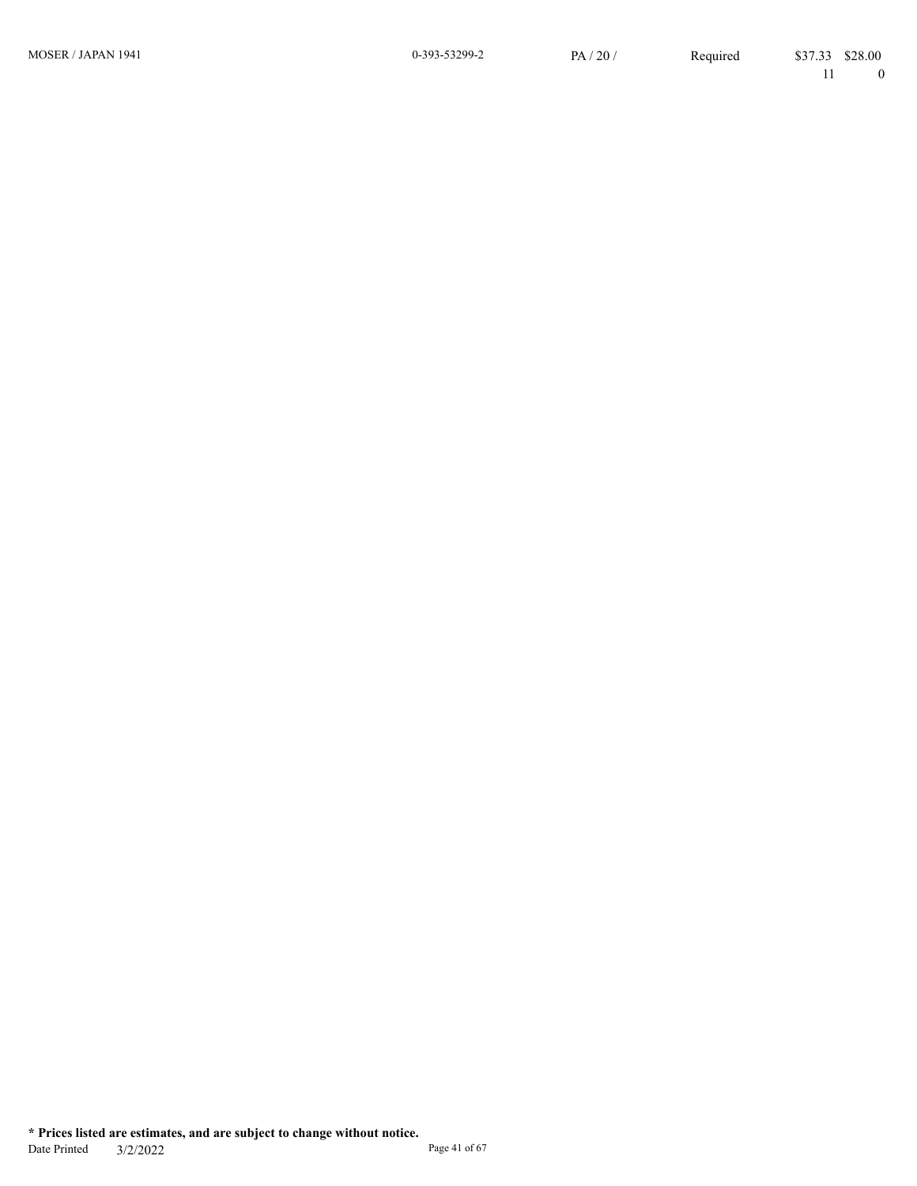MOSER / JAPAN 1941

11 0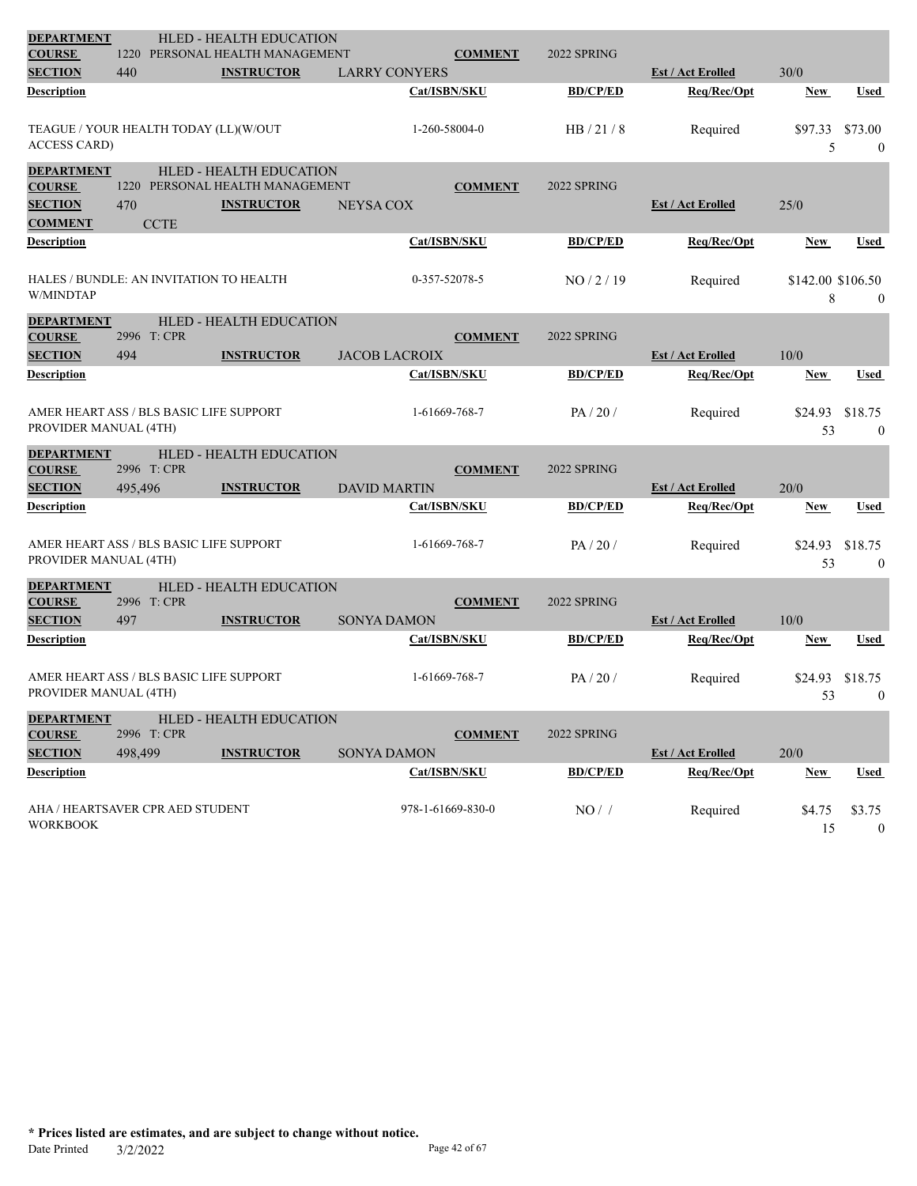| <b>DEPARTMENT</b>                  |                                         | <b>HLED - HEALTH EDUCATION</b><br>PERSONAL HEALTH MANAGEMENT |                      |                   |                 |                          |                   |                  |
|------------------------------------|-----------------------------------------|--------------------------------------------------------------|----------------------|-------------------|-----------------|--------------------------|-------------------|------------------|
| <b>COURSE</b><br><b>SECTION</b>    | 1220<br>440                             | <b>INSTRUCTOR</b>                                            | <b>LARRY CONYERS</b> | <b>COMMENT</b>    | 2022 SPRING     | <b>Est / Act Erolled</b> | 30/0              |                  |
| Description                        |                                         |                                                              |                      | Cat/ISBN/SKU      | <b>BD/CP/ED</b> | Req/Rec/Opt              | <b>New</b>        | <b>Used</b>      |
|                                    |                                         |                                                              |                      |                   |                 |                          |                   |                  |
|                                    | TEAGUE / YOUR HEALTH TODAY (LL)(W/OUT   |                                                              |                      | 1-260-58004-0     | HB/21/8         | Required                 | \$97.33           | \$73.00          |
| <b>ACCESS CARD)</b>                |                                         |                                                              |                      |                   |                 |                          | 5                 | $\mathbf{0}$     |
| <b>DEPARTMENT</b>                  |                                         | <b>HLED - HEALTH EDUCATION</b>                               |                      |                   |                 |                          |                   |                  |
| <b>COURSE</b>                      |                                         | 1220 PERSONAL HEALTH MANAGEMENT                              |                      | <b>COMMENT</b>    | 2022 SPRING     |                          |                   |                  |
| <b>SECTION</b>                     | 470                                     | <b>INSTRUCTOR</b>                                            | <b>NEYSA COX</b>     |                   |                 | <b>Est / Act Erolled</b> | 25/0              |                  |
| <b>COMMENT</b>                     | <b>CCTE</b>                             |                                                              |                      |                   |                 |                          |                   |                  |
| Description                        |                                         |                                                              |                      | Cat/ISBN/SKU      | <b>BD/CP/ED</b> | Req/Rec/Opt              | New               | <b>Used</b>      |
|                                    |                                         |                                                              |                      |                   |                 |                          |                   |                  |
|                                    | HALES / BUNDLE: AN INVITATION TO HEALTH |                                                              |                      | 0-357-52078-5     | NO/2/19         | Required                 | \$142.00 \$106.50 |                  |
| W/MINDTAP                          |                                         |                                                              |                      |                   |                 |                          | 8                 | $\bf{0}$         |
| <b>DEPARTMENT</b>                  |                                         | <b>HLED - HEALTH EDUCATION</b>                               |                      |                   |                 |                          |                   |                  |
| <b>COURSE</b>                      | 2996 T: CPR                             |                                                              |                      | <b>COMMENT</b>    | 2022 SPRING     |                          |                   |                  |
| <b>SECTION</b><br>Description      | 494                                     | <b>INSTRUCTOR</b>                                            | <b>JACOB LACROIX</b> | Cat/ISBN/SKU      | <b>BD/CP/ED</b> | <b>Est / Act Erolled</b> | 10/0              |                  |
|                                    |                                         |                                                              |                      |                   |                 | Req/Rec/Opt              | <b>New</b>        | Used             |
|                                    | AMER HEART ASS / BLS BASIC LIFE SUPPORT |                                                              |                      | 1-61669-768-7     | PA/20/          | Required                 | \$24.93           | \$18.75          |
| PROVIDER MANUAL (4TH)              |                                         |                                                              |                      |                   |                 |                          | 53                | $\mathbf{0}$     |
| <b>DEPARTMENT</b>                  |                                         | HLED - HEALTH EDUCATION                                      |                      |                   |                 |                          |                   |                  |
| <b>COURSE</b>                      | 2996 T: CPR                             |                                                              |                      | <b>COMMENT</b>    | 2022 SPRING     |                          |                   |                  |
| <b>SECTION</b>                     | 495,496                                 | <b>INSTRUCTOR</b>                                            | <b>DAVID MARTIN</b>  |                   |                 | <b>Est / Act Erolled</b> | 20/0              |                  |
| Description                        |                                         |                                                              |                      | Cat/ISBN/SKU      | <b>BD/CP/ED</b> | Req/Rec/Opt              | New               | Used             |
|                                    |                                         |                                                              |                      |                   |                 |                          |                   |                  |
|                                    | AMER HEART ASS / BLS BASIC LIFE SUPPORT |                                                              |                      | 1-61669-768-7     | PA/20/          | Required                 | \$24.93           | \$18.75          |
| PROVIDER MANUAL (4TH)              |                                         |                                                              |                      |                   |                 |                          | 53                | $\mathbf{0}$     |
| <b>DEPARTMENT</b>                  |                                         | HLED - HEALTH EDUCATION                                      |                      |                   |                 |                          |                   |                  |
| <b>COURSE</b>                      | 2996 T: CPR                             |                                                              |                      | <b>COMMENT</b>    | 2022 SPRING     |                          |                   |                  |
| <b>SECTION</b>                     | 497                                     | <b>INSTRUCTOR</b>                                            | <b>SONYA DAMON</b>   |                   |                 | <b>Est / Act Erolled</b> | 10/0              |                  |
| Description                        |                                         |                                                              |                      | Cat/ISBN/SKU      | <b>BD/CP/ED</b> | Req/Rec/Opt              | <b>New</b>        | <b>Used</b>      |
|                                    |                                         |                                                              |                      |                   |                 |                          |                   |                  |
| PROVIDER MANUAL (4TH)              | AMER HEART ASS / BLS BASIC LIFE SUPPORT |                                                              |                      | 1-61669-768-7     | PA/20/          | Required                 | \$24.93           | \$18.75          |
|                                    |                                         |                                                              |                      |                   |                 |                          | 53                | $\mathbf{0}$     |
| <b>DEPARTMENT</b><br><b>COURSE</b> | 2996 T: CPR                             | HLED - HEALTH EDUCATION                                      |                      | <b>COMMENT</b>    | 2022 SPRING     |                          |                   |                  |
| <b>SECTION</b>                     | 498,499                                 | <b>INSTRUCTOR</b>                                            | <b>SONYA DAMON</b>   |                   |                 | <b>Est / Act Erolled</b> | 20/0              |                  |
| <b>Description</b>                 |                                         |                                                              |                      | Cat/ISBN/SKU      | <b>BD/CP/ED</b> | Req/Rec/Opt              | <b>New</b>        | <b>Used</b>      |
|                                    |                                         |                                                              |                      |                   |                 |                          |                   |                  |
|                                    | AHA / HEARTSAVER CPR AED STUDENT        |                                                              |                      | 978-1-61669-830-0 | NO/             | Required                 | \$4.75            | \$3.75           |
| <b>WORKBOOK</b>                    |                                         |                                                              |                      |                   |                 |                          | 15                | $\boldsymbol{0}$ |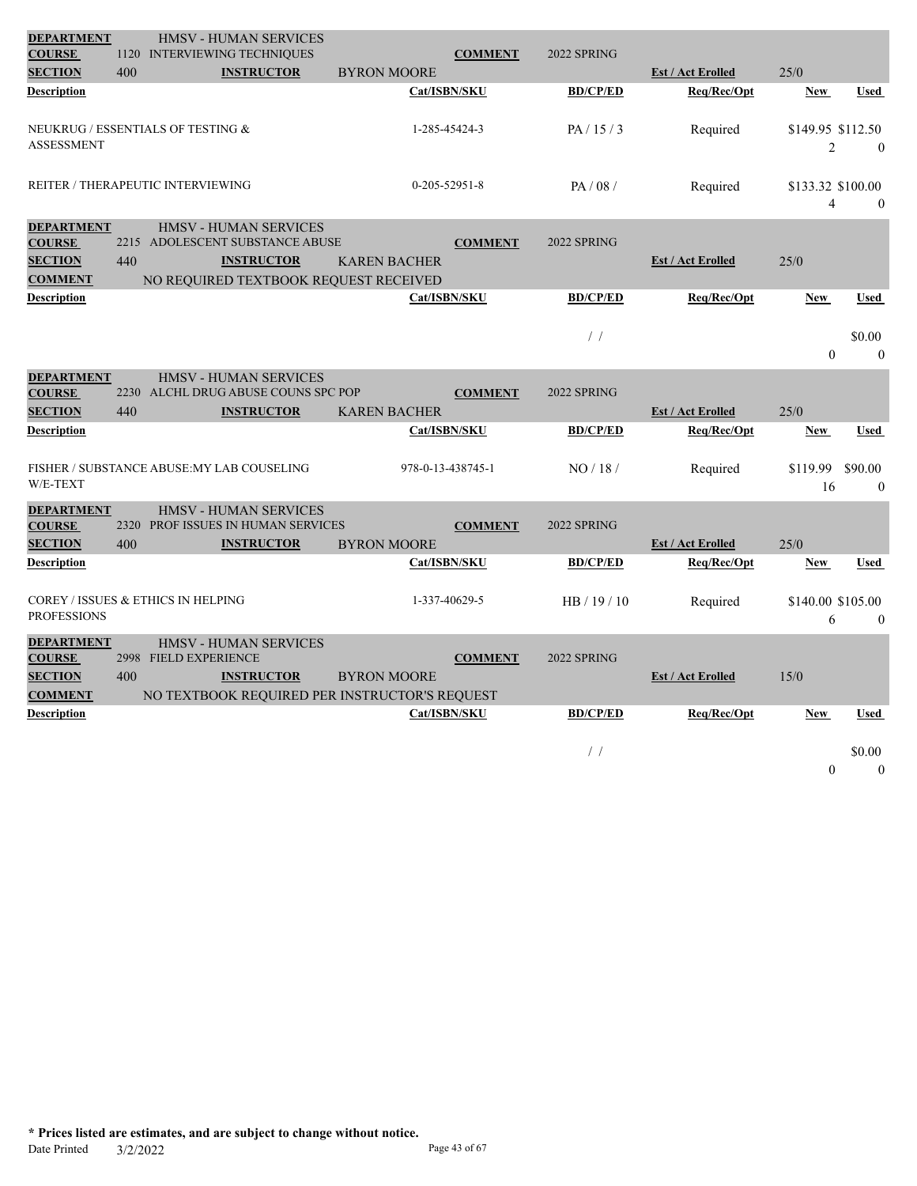| <b>DEPARTMENT</b><br><b>COURSE</b>                                     |                                          | <b>HMSV - HUMAN SERVICES</b><br>1120 INTERVIEWING TECHNIQUES                                       |                     | <b>COMMENT</b>    | 2022 SPRING     |                                         |                                     |                         |
|------------------------------------------------------------------------|------------------------------------------|----------------------------------------------------------------------------------------------------|---------------------|-------------------|-----------------|-----------------------------------------|-------------------------------------|-------------------------|
| <b>SECTION</b>                                                         | 400                                      | <b>INSTRUCTOR</b>                                                                                  | <b>BYRON MOORE</b>  |                   |                 | <b>Est / Act Erolled</b>                | 25/0                                |                         |
| <b>Description</b>                                                     |                                          |                                                                                                    |                     | Cat/ISBN/SKU      | <b>BD/CP/ED</b> | Reg/Rec/Opt                             | <b>New</b>                          | <b>Used</b>             |
| <b>ASSESSMENT</b>                                                      | NEUKRUG / ESSENTIALS OF TESTING &        |                                                                                                    |                     | 1-285-45424-3     | PA/15/3         | Required                                | \$149.95 \$112.50<br>$\overline{2}$ | $\Omega$                |
|                                                                        | <b>REITER / THERAPEUTIC INTERVIEWING</b> |                                                                                                    |                     | $0-205-52951-8$   | PA/08/          | Required                                | \$133.32 \$100.00<br>$\overline{4}$ | $\Omega$                |
| <b>DEPARTMENT</b><br><b>COURSE</b>                                     |                                          | <b>HMSV - HUMAN SERVICES</b><br>2215 ADOLESCENT SUBSTANCE ABUSE                                    |                     | <b>COMMENT</b>    | 2022 SPRING     |                                         |                                     |                         |
| <b>SECTION</b>                                                         | 440                                      | <b>INSTRUCTOR</b>                                                                                  | <b>KAREN BACHER</b> |                   |                 | <b>Est / Act Erolled</b>                | 25/0                                |                         |
| <b>COMMENT</b><br><b>Description</b>                                   |                                          | NO REQUIRED TEXTBOOK REQUEST RECEIVED                                                              |                     | Cat/ISBN/SKU      | <b>BD/CP/ED</b> | Req/Rec/Opt                             | <b>New</b>                          | <b>Used</b>             |
|                                                                        |                                          |                                                                                                    |                     |                   | $\frac{1}{2}$   |                                         | $\theta$                            | \$0.00<br>$\theta$      |
| <b>DEPARTMENT</b><br><b>COURSE</b><br><b>SECTION</b>                   | 440                                      | <b>HMSV - HUMAN SERVICES</b><br>2230 ALCHL DRUG ABUSE COUNS SPC POP<br><b>INSTRUCTOR</b>           | <b>KAREN BACHER</b> | <b>COMMENT</b>    | 2022 SPRING     | <b>Est / Act Erolled</b>                | 25/0                                |                         |
| <b>Description</b>                                                     |                                          |                                                                                                    |                     | Cat/ISBN/SKU      | <b>BD/CP/ED</b> | Req/Rec/Opt                             | <b>New</b>                          | <b>Used</b>             |
| W/E-TEXT                                                               |                                          | FISHER / SUBSTANCE ABUSE: MY LAB COUSELING                                                         |                     | 978-0-13-438745-1 | NO/18/          | Required                                | \$119.99<br>16                      | \$90.00<br>$\mathbf{0}$ |
| <b>DEPARTMENT</b><br><b>COURSE</b>                                     |                                          | <b>HMSV - HUMAN SERVICES</b><br>2320 PROF ISSUES IN HUMAN SERVICES                                 |                     | <b>COMMENT</b>    | 2022 SPRING     |                                         |                                     |                         |
| <b>SECTION</b><br><b>Description</b>                                   | 400                                      | <b>INSTRUCTOR</b>                                                                                  | <b>BYRON MOORE</b>  | Cat/ISBN/SKU      | <b>BD/CP/ED</b> | <b>Est / Act Erolled</b><br>Req/Rec/Opt | 25/0<br><b>New</b>                  | <b>Used</b>             |
| <b>PROFESSIONS</b>                                                     | COREY / ISSUES & ETHICS IN HELPING       |                                                                                                    |                     | 1-337-40629-5     | HB / 19 / 10    | Required                                | \$140.00 \$105.00<br>6              | $\theta$                |
| <b>DEPARTMENT</b><br><b>COURSE</b><br><b>SECTION</b><br><b>COMMENT</b> | 2998 FIELD EXPERIENCE<br>400             | <b>HMSV - HUMAN SERVICES</b><br><b>INSTRUCTOR</b><br>NO TEXTBOOK REQUIRED PER INSTRUCTOR'S REQUEST | <b>BYRON MOORE</b>  | <b>COMMENT</b>    | 2022 SPRING     | <b>Est / Act Erolled</b>                | 15/0                                |                         |
| <b>Description</b>                                                     |                                          |                                                                                                    |                     | Cat/ISBN/SKU      | <b>BD/CP/ED</b> | Req/Rec/Opt                             | <b>New</b>                          | <b>Used</b>             |
|                                                                        |                                          |                                                                                                    |                     |                   | $\frac{1}{2}$   |                                         | $\theta$                            | \$0.00<br>$\theta$      |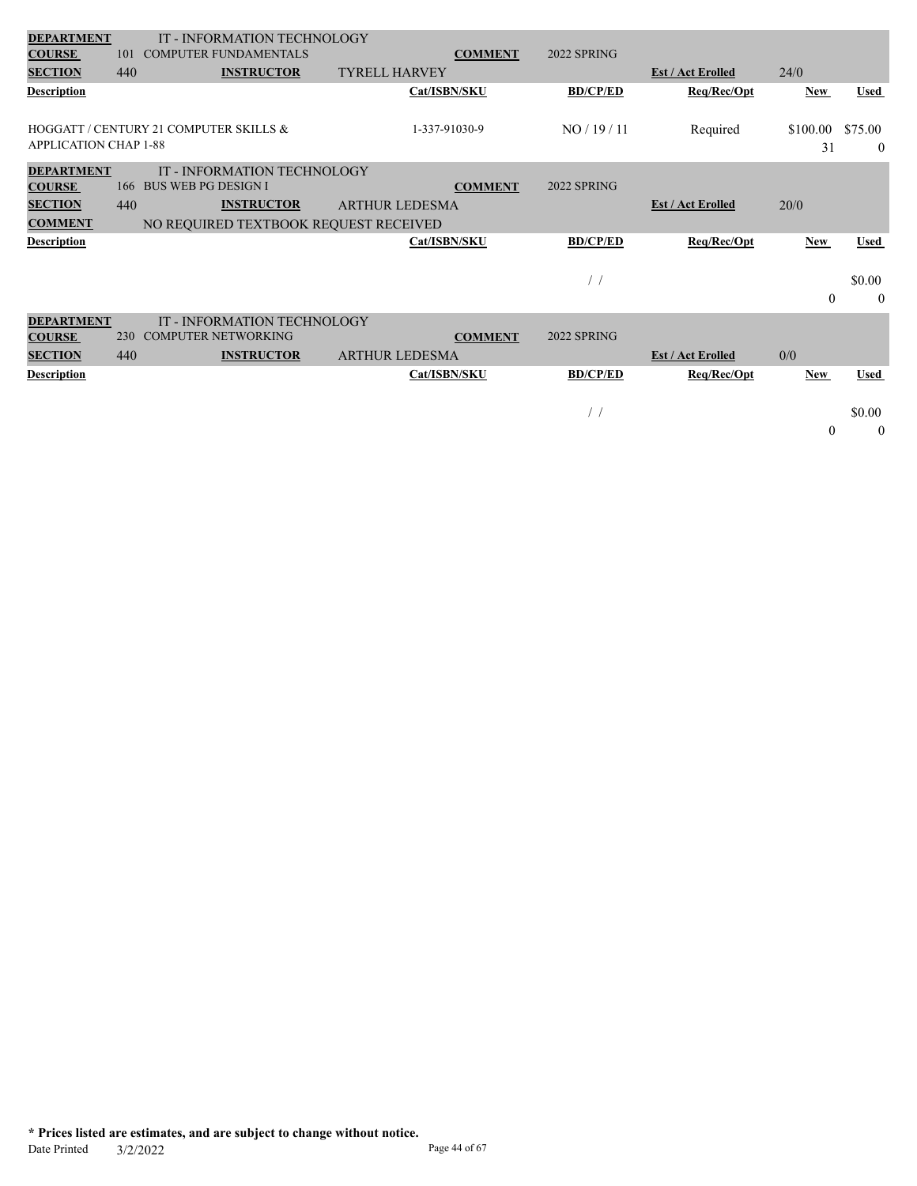| <b>DEPARTMENT</b>               |            | IT - INFORMATION TECHNOLOGY<br><b>COMPUTER FUNDAMENTALS</b> |                                        | <b>2022 SPRING</b> |                          |            |             |
|---------------------------------|------------|-------------------------------------------------------------|----------------------------------------|--------------------|--------------------------|------------|-------------|
| <b>COURSE</b><br><b>SECTION</b> | 101<br>440 | <b>INSTRUCTOR</b>                                           | <b>COMMENT</b><br><b>TYRELL HARVEY</b> |                    | <b>Est / Act Erolled</b> | 24/0       |             |
|                                 |            |                                                             |                                        |                    |                          |            |             |
| <b>Description</b>              |            |                                                             | Cat/ISBN/SKU                           | <b>BD/CP/ED</b>    | Req/Rec/Opt              | New        | <b>Used</b> |
|                                 |            | HOGGATT / CENTURY 21 COMPUTER SKILLS &                      | 1-337-91030-9                          | NO/19/11           | Required                 | \$100.00   | \$75.00     |
| <b>APPLICATION CHAP 1-88</b>    |            |                                                             |                                        |                    |                          | 31         | $\theta$    |
| <b>DEPARTMENT</b>               |            | IT - INFORMATION TECHNOLOGY                                 |                                        |                    |                          |            |             |
| <b>COURSE</b>                   |            | 166 BUS WEB PG DESIGN I                                     | <b>COMMENT</b>                         | 2022 SPRING        |                          |            |             |
| <b>SECTION</b>                  | 440        | <b>INSTRUCTOR</b>                                           | <b>ARTHUR LEDESMA</b>                  |                    | <b>Est / Act Erolled</b> | 20/0       |             |
| <b>COMMENT</b>                  |            | NO REQUIRED TEXTBOOK REQUEST RECEIVED                       |                                        |                    |                          |            |             |
| <b>Description</b>              |            |                                                             | Cat/ISBN/SKU                           | <b>BD/CP/ED</b>    | Req/Rec/Opt              | <b>New</b> | Used        |
|                                 |            |                                                             |                                        |                    |                          |            |             |
|                                 |            |                                                             |                                        | $\left  \right $   |                          |            | \$0.00      |
|                                 |            |                                                             |                                        |                    |                          | $\theta$   | $\theta$    |
| <b>DEPARTMENT</b>               |            | IT - INFORMATION TECHNOLOGY                                 |                                        |                    |                          |            |             |
| <b>COURSE</b>                   | 230        | <b>COMPUTER NETWORKING</b>                                  | <b>COMMENT</b>                         | 2022 SPRING        |                          |            |             |
| <b>SECTION</b>                  | 440        | <b>INSTRUCTOR</b>                                           | <b>ARTHUR LEDESMA</b>                  |                    | <b>Est / Act Erolled</b> | 0/0        |             |
| <b>Description</b>              |            |                                                             | Cat/ISBN/SKU                           | <b>BD/CP/ED</b>    | Req/Rec/Opt              | <b>New</b> | <b>Used</b> |
|                                 |            |                                                             |                                        |                    |                          |            |             |
|                                 |            |                                                             |                                        | $\prime$           |                          |            | \$0.00      |

 $\begin{matrix} 0 \end{matrix} \qquad \qquad 0$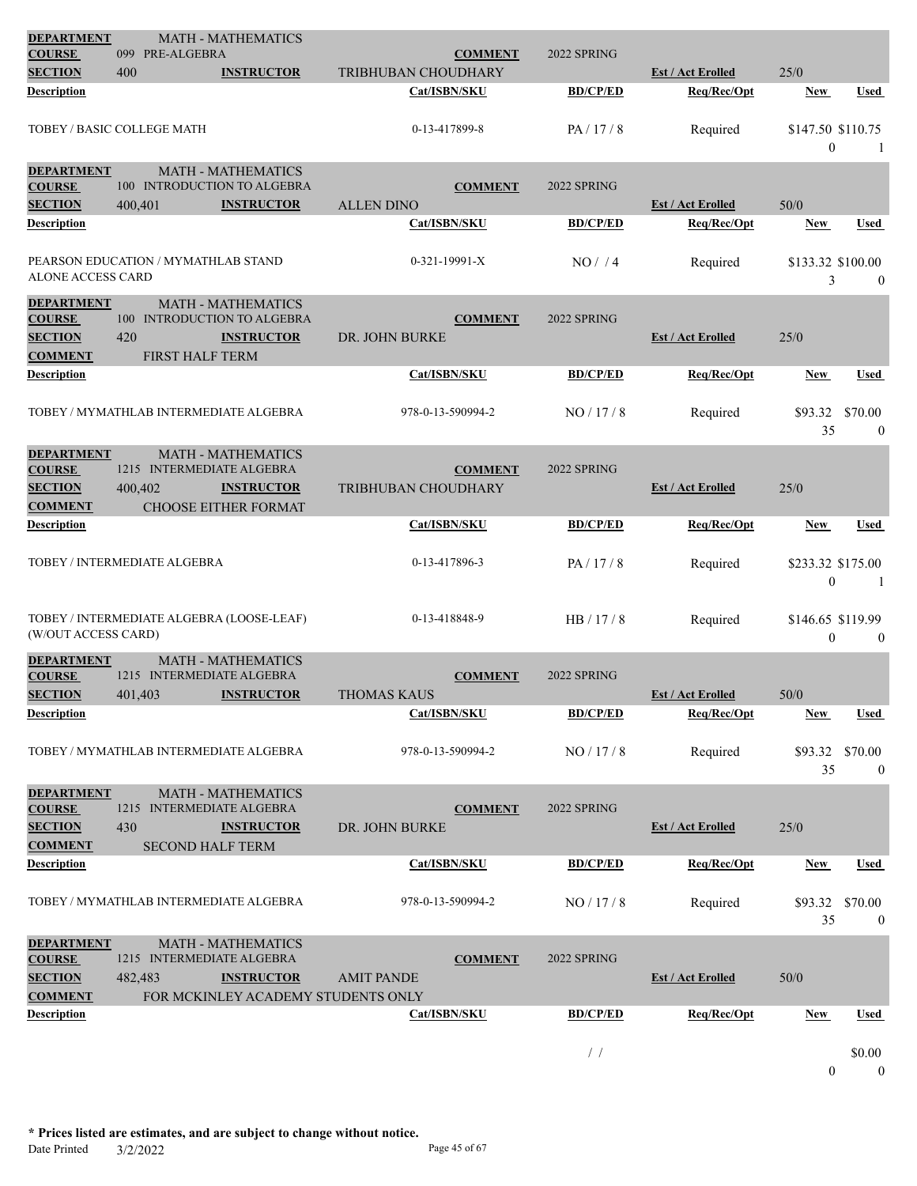| <b>DEPARTMENT</b><br><b>COURSE</b>                   | 099 PRE-ALGEBRA                           | <b>MATH - MATHEMATICS</b>                                |                     | <b>COMMENT</b>    | 2022 SPRING     |                          |                                   |                           |
|------------------------------------------------------|-------------------------------------------|----------------------------------------------------------|---------------------|-------------------|-----------------|--------------------------|-----------------------------------|---------------------------|
| <b>SECTION</b>                                       | 400                                       | <b>INSTRUCTOR</b>                                        | TRIBHUBAN CHOUDHARY |                   |                 | <b>Est / Act Erolled</b> | 25/0                              |                           |
| <b>Description</b>                                   |                                           |                                                          |                     | Cat/ISBN/SKU      | <b>BD/CP/ED</b> | Req/Rec/Opt              | New                               | Used                      |
|                                                      | TOBEY / BASIC COLLEGE MATH                |                                                          |                     | 0-13-417899-8     | PA/17/8         | Required                 | \$147.50 \$110.75<br>$\mathbf{0}$ | -1                        |
| <b>DEPARTMENT</b><br><b>COURSE</b>                   |                                           | <b>MATH - MATHEMATICS</b><br>100 INTRODUCTION TO ALGEBRA |                     | <b>COMMENT</b>    | 2022 SPRING     |                          |                                   |                           |
| <b>SECTION</b>                                       | 400,401                                   | <b>INSTRUCTOR</b>                                        | <b>ALLEN DINO</b>   |                   |                 | <b>Est / Act Erolled</b> | 50/0                              |                           |
| Description                                          |                                           |                                                          |                     | Cat/ISBN/SKU      | <b>BD/CP/ED</b> | Req/Rec/Opt              | <b>New</b>                        | <b>Used</b>               |
| <b>ALONE ACCESS CARD</b>                             | PEARSON EDUCATION / MYMATHLAB STAND       |                                                          |                     | 0-321-19991-X     | NO/74           | Required                 | \$133.32 \$100.00<br>3            | $\mathbf{0}$              |
| <b>DEPARTMENT</b>                                    |                                           | <b>MATH - MATHEMATICS</b>                                |                     |                   |                 |                          |                                   |                           |
| <b>COURSE</b>                                        |                                           | 100 INTRODUCTION TO ALGEBRA                              |                     | <b>COMMENT</b>    | 2022 SPRING     |                          |                                   |                           |
| <b>SECTION</b>                                       | 420                                       | <b>INSTRUCTOR</b>                                        | DR. JOHN BURKE      |                   |                 | <b>Est / Act Erolled</b> | 25/0                              |                           |
| <b>COMMENT</b>                                       | <b>FIRST HALF TERM</b>                    |                                                          |                     |                   |                 |                          |                                   |                           |
| <b>Description</b>                                   |                                           |                                                          |                     | Cat/ISBN/SKU      | <b>BD/CP/ED</b> | Req/Rec/Opt              | New                               | Used                      |
|                                                      | TOBEY / MYMATHLAB INTERMEDIATE ALGEBRA    |                                                          |                     | 978-0-13-590994-2 | NO/17/8         | Required                 | \$93.32<br>35                     | \$70.00<br>$\theta$       |
| <b>DEPARTMENT</b><br><b>COURSE</b>                   | 1215 INTERMEDIATE ALGEBRA                 | <b>MATH - MATHEMATICS</b>                                |                     | <b>COMMENT</b>    | 2022 SPRING     |                          |                                   |                           |
| <b>SECTION</b>                                       | 400,402                                   | <b>INSTRUCTOR</b>                                        | TRIBHUBAN CHOUDHARY |                   |                 | <b>Est / Act Erolled</b> | 25/0                              |                           |
| <b>COMMENT</b>                                       |                                           | <b>CHOOSE EITHER FORMAT</b>                              |                     |                   |                 |                          |                                   |                           |
| Description                                          |                                           |                                                          |                     | Cat/ISBN/SKU      | <b>BD/CP/ED</b> | Req/Rec/Opt              | <b>New</b>                        | <b>Used</b>               |
|                                                      |                                           |                                                          |                     |                   |                 |                          |                                   |                           |
|                                                      | TOBEY / INTERMEDIATE ALGEBRA              |                                                          |                     | 0-13-417896-3     | PA/17/8         | Required                 | \$233.32 \$175.00<br>$\theta$     | -1                        |
| (W/OUT ACCESS CARD)                                  | TOBEY / INTERMEDIATE ALGEBRA (LOOSE-LEAF) |                                                          |                     | 0-13-418848-9     | HB / 17 / 8     | Required                 | \$146.65 \$119.99<br>$\mathbf{0}$ | $\mathbf{0}$              |
| <b>DEPARTMENT</b><br><b>COURSE</b>                   | 1215 INTERMEDIATE ALGEBRA                 | <b>MATH - MATHEMATICS</b>                                |                     | <b>COMMENT</b>    | 2022 SPRING     |                          |                                   |                           |
| <b>SECTION</b>                                       | 401,403                                   | <b>INSTRUCTOR</b>                                        | <b>THOMAS KAUS</b>  |                   |                 | <b>Est / Act Erolled</b> | 50/0                              |                           |
| Description                                          |                                           |                                                          |                     | Cat/ISBN/SKU      | <b>BD/CP/ED</b> | Req/Rec/Opt              | New                               | Used                      |
|                                                      | TOBEY / MYMATHLAB INTERMEDIATE ALGEBRA    |                                                          |                     | 978-0-13-590994-2 | NO/17/8         | Required                 | \$93.32<br>35                     | \$70.00<br>$\overline{0}$ |
| <b>DEPARTMENT</b><br><b>COURSE</b><br><b>SECTION</b> | 1215 INTERMEDIATE ALGEBRA<br>430          | <b>MATH - MATHEMATICS</b><br><b>INSTRUCTOR</b>           | DR. JOHN BURKE      | <b>COMMENT</b>    | 2022 SPRING     | <b>Est / Act Erolled</b> | 25/0                              |                           |
| <b>COMMENT</b><br><b>Description</b>                 | <b>SECOND HALF TERM</b>                   |                                                          |                     | Cat/ISBN/SKU      | <b>BD/CP/ED</b> | Req/Rec/Opt              | <b>New</b>                        | <b>Used</b>               |
|                                                      |                                           |                                                          |                     |                   |                 |                          |                                   |                           |
|                                                      | TOBEY / MYMATHLAB INTERMEDIATE ALGEBRA    |                                                          |                     | 978-0-13-590994-2 | NO/17/8         | Required                 | \$93.32<br>35                     | \$70.00<br>$\mathbf{0}$   |
| <b>DEPARTMENT</b><br><b>COURSE</b>                   | 1215 INTERMEDIATE ALGEBRA                 | <b>MATH - MATHEMATICS</b>                                |                     | <b>COMMENT</b>    | 2022 SPRING     |                          |                                   |                           |
| <b>SECTION</b>                                       | 482,483                                   | <b>INSTRUCTOR</b>                                        | <b>AMIT PANDE</b>   |                   |                 | <b>Est / Act Erolled</b> | 50/0                              |                           |
| <b>COMMENT</b>                                       |                                           | FOR MCKINLEY ACADEMY STUDENTS ONLY                       |                     |                   |                 |                          |                                   |                           |
| Description                                          |                                           |                                                          |                     | Cat/ISBN/SKU      | <b>BD/CP/ED</b> | Req/Rec/Opt              | <b>New</b>                        | Used                      |
|                                                      |                                           |                                                          |                     |                   | $\frac{1}{2}$   |                          |                                   | \$0.00                    |
|                                                      |                                           |                                                          |                     |                   |                 |                          | $\mathbf{0}$                      | $\mathbf{0}$              |

**\* Prices listed are estimates, and are subject to change without notice.** Date Printed 3/2/2022 Page 45 of 67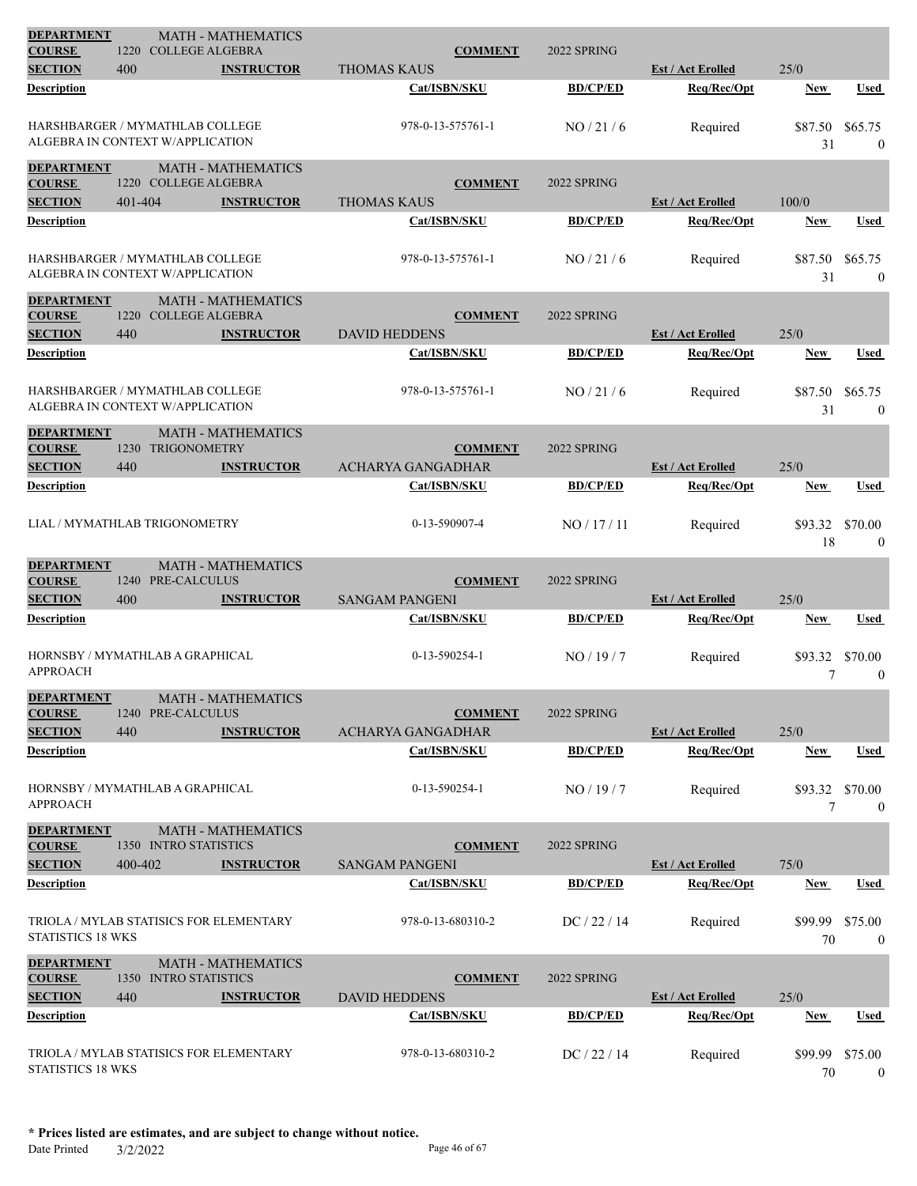| <b>DEPARTMENT</b><br><b>COURSE</b>   | 1220                                                                       | <b>MATH - MATHEMATICS</b><br><b>COLLEGE ALGEBRA</b> |                       | <b>COMMENT</b>    | 2022 SPRING     |                                         |                      |                             |
|--------------------------------------|----------------------------------------------------------------------------|-----------------------------------------------------|-----------------------|-------------------|-----------------|-----------------------------------------|----------------------|-----------------------------|
| <b>SECTION</b>                       | 400                                                                        | <b>INSTRUCTOR</b>                                   | <b>THOMAS KAUS</b>    |                   |                 | <b>Est / Act Erolled</b>                | 25/0                 |                             |
| Description                          |                                                                            |                                                     |                       | Cat/ISBN/SKU      | <b>BD/CP/ED</b> | Req/Rec/Opt                             | New                  | <b>Used</b>                 |
|                                      | <b>HARSHBARGER / MYMATHLAB COLLEGE</b><br>ALGEBRA IN CONTEXT W/APPLICATION |                                                     |                       | 978-0-13-575761-1 | NO/21/6         | Required                                | \$87.50<br>31        | \$65.75<br>$\mathbf{0}$     |
| <b>DEPARTMENT</b><br><b>COURSE</b>   | 1220 COLLEGE ALGEBRA                                                       | <b>MATH - MATHEMATICS</b>                           |                       | <b>COMMENT</b>    | 2022 SPRING     |                                         |                      |                             |
| <b>SECTION</b>                       | 401-404                                                                    | <b>INSTRUCTOR</b>                                   | <b>THOMAS KAUS</b>    |                   |                 | <b>Est / Act Erolled</b>                | 100/0                |                             |
| Description                          |                                                                            |                                                     |                       | Cat/ISBN/SKU      | <b>BD/CP/ED</b> | Req/Rec/Opt                             | New                  | <b>Used</b>                 |
|                                      | HARSHBARGER / MYMATHLAB COLLEGE<br>ALGEBRA IN CONTEXT W/APPLICATION        |                                                     |                       | 978-0-13-575761-1 | NO/21/6         | Required                                | \$87.50<br>31        | \$65.75<br>$\mathbf{0}$     |
| <b>DEPARTMENT</b><br><b>COURSE</b>   | 1220 COLLEGE ALGEBRA                                                       | <b>MATH - MATHEMATICS</b>                           |                       | <b>COMMENT</b>    | 2022 SPRING     |                                         |                      |                             |
| <b>SECTION</b>                       | 440                                                                        | <b>INSTRUCTOR</b>                                   | <b>DAVID HEDDENS</b>  |                   |                 | <b>Est / Act Erolled</b>                | 25/0                 |                             |
| Description                          |                                                                            |                                                     |                       | Cat/ISBN/SKU      | <b>BD/CP/ED</b> | Req/Rec/Opt                             | New                  | Used                        |
|                                      | HARSHBARGER / MYMATHLAB COLLEGE<br>ALGEBRA IN CONTEXT W/APPLICATION        |                                                     |                       | 978-0-13-575761-1 | NO/21/6         | Required                                | \$87.50<br>31        | \$65.75<br>$\mathbf{0}$     |
| <b>DEPARTMENT</b><br><b>COURSE</b>   | 1230<br><b>TRIGONOMETRY</b>                                                | <b>MATH - MATHEMATICS</b>                           |                       | <b>COMMENT</b>    | 2022 SPRING     |                                         |                      |                             |
| <b>SECTION</b>                       | 440                                                                        | <b>INSTRUCTOR</b>                                   | ACHARYA GANGADHAR     |                   | <b>BD/CP/ED</b> | <b>Est / Act Erolled</b>                | 25/0                 |                             |
| Description                          |                                                                            |                                                     |                       | Cat/ISBN/SKU      |                 | Req/Rec/Opt                             | <b>New</b>           | <b>Used</b>                 |
|                                      | LIAL / MYMATHLAB TRIGONOMETRY                                              |                                                     |                       | 0-13-590907-4     | NO / 17 / 11    | Required                                | \$93.32<br>18        | \$70.00<br>$\mathbf{0}$     |
| <b>DEPARTMENT</b><br><b>COURSE</b>   | 1240 PRE-CALCULUS                                                          | <b>MATH - MATHEMATICS</b>                           |                       | <b>COMMENT</b>    | 2022 SPRING     |                                         |                      |                             |
| <b>SECTION</b><br><b>Description</b> | 400                                                                        | <b>INSTRUCTOR</b>                                   | <b>SANGAM PANGENI</b> | Cat/ISBN/SKU      | <b>BD/CP/ED</b> | <b>Est / Act Erolled</b><br>Req/Rec/Opt | 25/0<br><b>New</b>   | Used                        |
|                                      |                                                                            |                                                     |                       |                   |                 |                                         |                      |                             |
| <b>APPROACH</b>                      | HORNSBY / MYMATHLAB A GRAPHICAL                                            |                                                     |                       | 0-13-590254-1     | NO/19/7         | Required                                | \$93.32<br>7         | \$70.00<br>$\boldsymbol{0}$ |
| <b>DEPARTMENT</b><br><b>COURSE</b>   | 1240 PRE-CALCULUS                                                          | <b>MATH - MATHEMATICS</b>                           |                       | <b>COMMENT</b>    | 2022 SPRING     |                                         |                      |                             |
| <b>SECTION</b>                       | 440                                                                        | <b>INSTRUCTOR</b>                                   | ACHARYA GANGADHAR     |                   |                 | <b>Est / Act Erolled</b>                | 25/0                 |                             |
| Description                          |                                                                            |                                                     |                       | Cat/ISBN/SKU      | <b>BD/CP/ED</b> | Req/Rec/Opt                             | <b>New</b>           | <b>Used</b>                 |
| <b>APPROACH</b>                      | HORNSBY / MYMATHLAB A GRAPHICAL                                            |                                                     |                       | 0-13-590254-1     | NO/19/7         | Required                                | \$93.32 \$70.00<br>7 | $\mathbf{0}$                |
| <b>DEPARTMENT</b><br><b>COURSE</b>   | 1350 INTRO STATISTICS                                                      | <b>MATH - MATHEMATICS</b>                           |                       | <b>COMMENT</b>    | 2022 SPRING     |                                         |                      |                             |
| <b>SECTION</b>                       | 400-402                                                                    | <b>INSTRUCTOR</b>                                   | <b>SANGAM PANGENI</b> |                   |                 | <b>Est / Act Erolled</b>                | 75/0                 |                             |
| Description                          |                                                                            |                                                     |                       | Cat/ISBN/SKU      | <b>BD/CP/ED</b> | Req/Rec/Opt                             | <b>New</b>           | Used                        |
| STATISTICS 18 WKS                    |                                                                            | TRIOLA / MYLAB STATISICS FOR ELEMENTARY             |                       | 978-0-13-680310-2 | DC / 22 / 14    | Required                                | \$99.99<br>70        | \$75.00<br>$\mathbf{0}$     |
| <b>DEPARTMENT</b><br><b>COURSE</b>   | 1350 INTRO STATISTICS                                                      | <b>MATH - MATHEMATICS</b>                           |                       | <b>COMMENT</b>    | 2022 SPRING     |                                         |                      |                             |
| <b>SECTION</b>                       | 440                                                                        | <b>INSTRUCTOR</b>                                   | DAVID HEDDENS         |                   |                 | <b>Est / Act Erolled</b>                | 25/0                 |                             |
| Description                          |                                                                            |                                                     |                       | Cat/ISBN/SKU      | <b>BD/CP/ED</b> | Req/Rec/Opt                             | New                  | Used                        |
| STATISTICS 18 WKS                    |                                                                            | TRIOLA / MYLAB STATISICS FOR ELEMENTARY             |                       | 978-0-13-680310-2 | DC / 22 / 14    | Required                                | \$99.99<br>70        | \$75.00<br>$\mathbf{0}$     |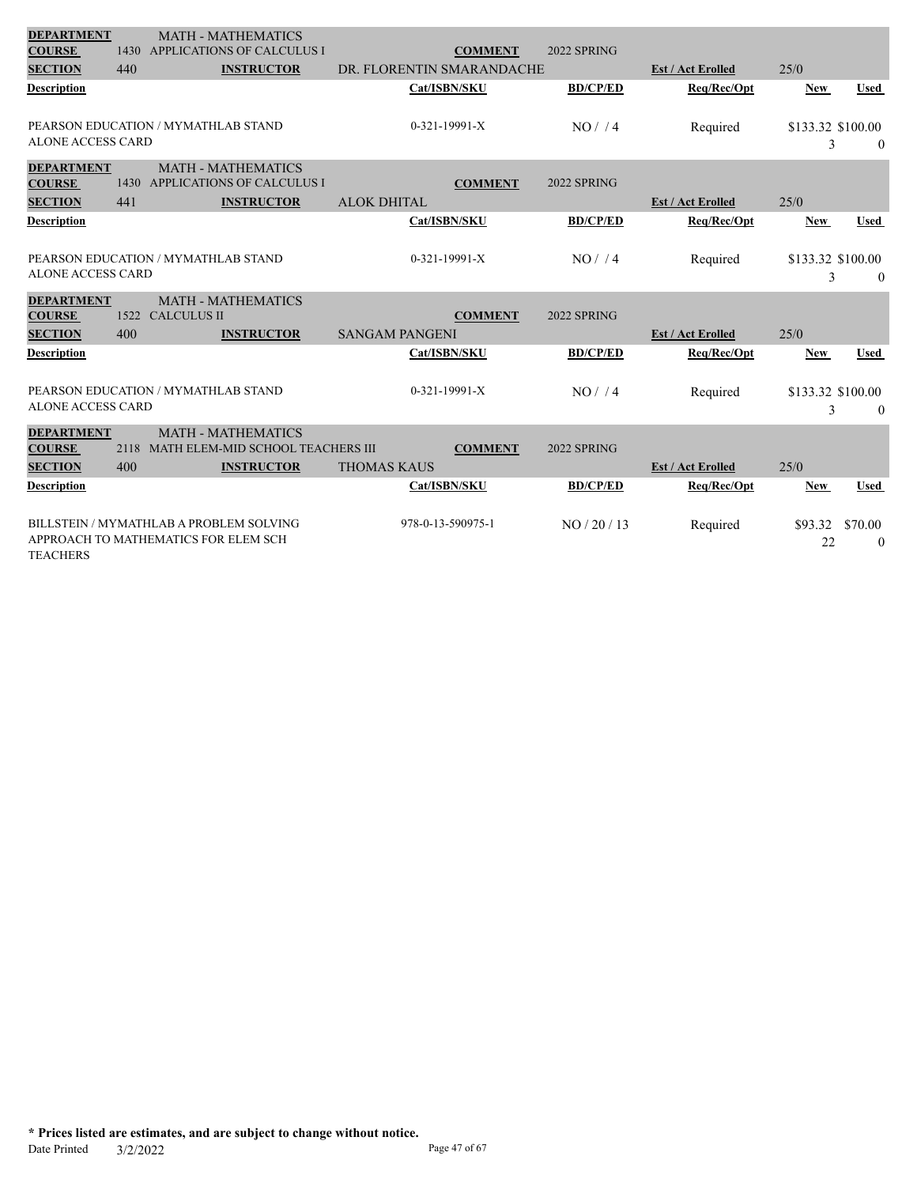| <b>DEPARTMENT</b>                                    |             | <b>MATH - MATHEMATICS</b>                                                       |                                         |                 |                          |                                          |
|------------------------------------------------------|-------------|---------------------------------------------------------------------------------|-----------------------------------------|-----------------|--------------------------|------------------------------------------|
| <b>COURSE</b>                                        | 1430        | <b>APPLICATIONS OF CALCULUS I</b>                                               | <b>COMMENT</b>                          | 2022 SPRING     |                          |                                          |
| <b>SECTION</b>                                       | 440         | <b>INSTRUCTOR</b>                                                               | DR. FLORENTIN SMARANDACHE               |                 | <b>Est / Act Erolled</b> | 25/0                                     |
| Description                                          |             |                                                                                 | Cat/ISBN/SKU                            | <b>BD/CP/ED</b> | Req/Rec/Opt              | <b>Used</b><br><b>New</b>                |
| <b>ALONE ACCESS CARD</b>                             |             | PEARSON EDUCATION / MYMATHLAB STAND                                             | 0-321-19991-X                           | NO/14           | Required                 | \$133.32 \$100.00<br>3<br>$\theta$       |
| <b>DEPARTMENT</b><br><b>COURSE</b><br><b>SECTION</b> | 1430<br>441 | <b>MATH - MATHEMATICS</b><br>APPLICATIONS OF CALCULUS I<br><b>INSTRUCTOR</b>    | <b>COMMENT</b><br><b>ALOK DHITAL</b>    | 2022 SPRING     | <b>Est / Act Erolled</b> | 25/0                                     |
| <b>Description</b>                                   |             |                                                                                 | Cat/ISBN/SKU                            | <b>BD/CP/ED</b> | Req/Rec/Opt              | <b>Used</b><br><b>New</b>                |
| <b>ALONE ACCESS CARD</b>                             |             | PEARSON EDUCATION / MYMATHLAB STAND                                             | $0-321-19991-X$                         | NO/14           | Required                 | \$133.32 \$100.00<br>3<br>$\theta$       |
| <b>DEPARTMENT</b><br><b>COURSE</b><br><b>SECTION</b> | 1522<br>400 | <b>MATH - MATHEMATICS</b><br><b>CALCULUS II</b><br><b>INSTRUCTOR</b>            | <b>COMMENT</b><br><b>SANGAM PANGENI</b> | 2022 SPRING     | <b>Est / Act Erolled</b> | 25/0                                     |
| <b>Description</b>                                   |             |                                                                                 | Cat/ISBN/SKU                            | <b>BD/CP/ED</b> | Req/Rec/Opt              | <b>Used</b><br><b>New</b>                |
| <b>ALONE ACCESS CARD</b>                             |             | PEARSON EDUCATION / MYMATHLAB STAND                                             | $0-321-19991-X$                         | NO/4            | Required                 | \$133.32 \$100.00<br>3<br>$\overline{0}$ |
| <b>DEPARTMENT</b><br><b>COURSE</b>                   | 2118        | <b>MATH - MATHEMATICS</b><br>MATH ELEM-MID SCHOOL TEACHERS III                  | <b>COMMENT</b>                          | 2022 SPRING     |                          |                                          |
| <b>SECTION</b>                                       | 400         | <b>INSTRUCTOR</b>                                                               | <b>THOMAS KAUS</b>                      |                 | <b>Est / Act Erolled</b> | 25/0                                     |
| Description                                          |             |                                                                                 | Cat/ISBN/SKU                            | <b>BD/CP/ED</b> | Req/Rec/Opt              | <b>New</b><br><b>Used</b>                |
| <b>TEACHERS</b>                                      |             | BILLSTEIN / MYMATHLAB A PROBLEM SOLVING<br>APPROACH TO MATHEMATICS FOR ELEM SCH | 978-0-13-590975-1                       | NO/20/13        | Required                 | \$70.00<br>\$93.32<br>22<br>$\theta$     |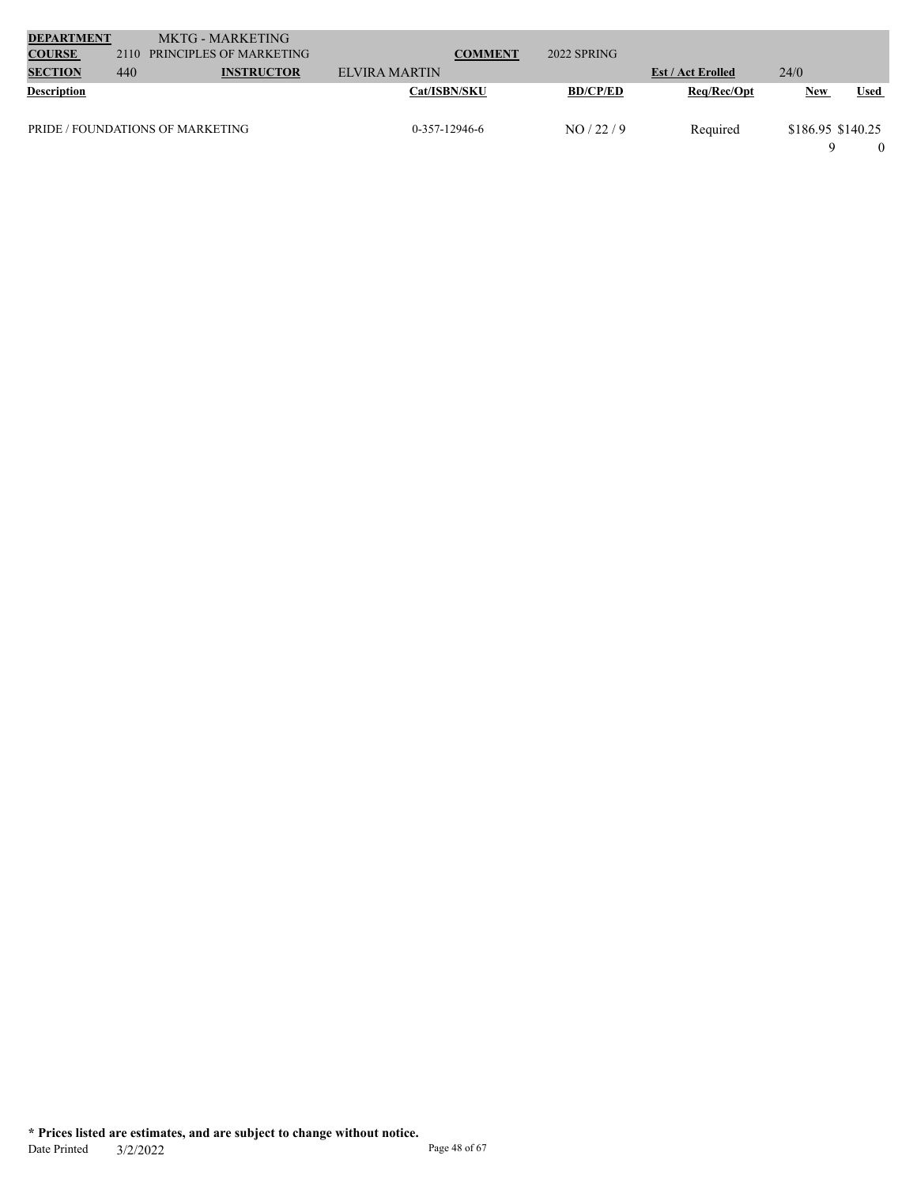| <b>DEPARTMENT</b>  |      | MKTG - MARKETING                 |                 |                 |                          |                   |             |  |
|--------------------|------|----------------------------------|-----------------|-----------------|--------------------------|-------------------|-------------|--|
| <b>COURSE</b>      | 2110 | PRINCIPLES OF MARKETING          | <b>COMMENT</b>  | 2022 SPRING     |                          |                   |             |  |
| <b>SECTION</b>     | 440  | <b>INSTRUCTOR</b>                | ELVIRA MARTIN   |                 | <b>Est / Act Erolled</b> | 24/0              |             |  |
| <b>Description</b> |      |                                  | Cat/ISBN/SKU    | <b>BD/CP/ED</b> | Reg/Rec/Opt              | <b>New</b>        | <b>Used</b> |  |
|                    |      | PRIDE / FOUNDATIONS OF MARKETING | $0-357-12946-6$ | NO/22/9         | Required                 | \$186.95 \$140.25 |             |  |
|                    |      |                                  |                 |                 |                          |                   |             |  |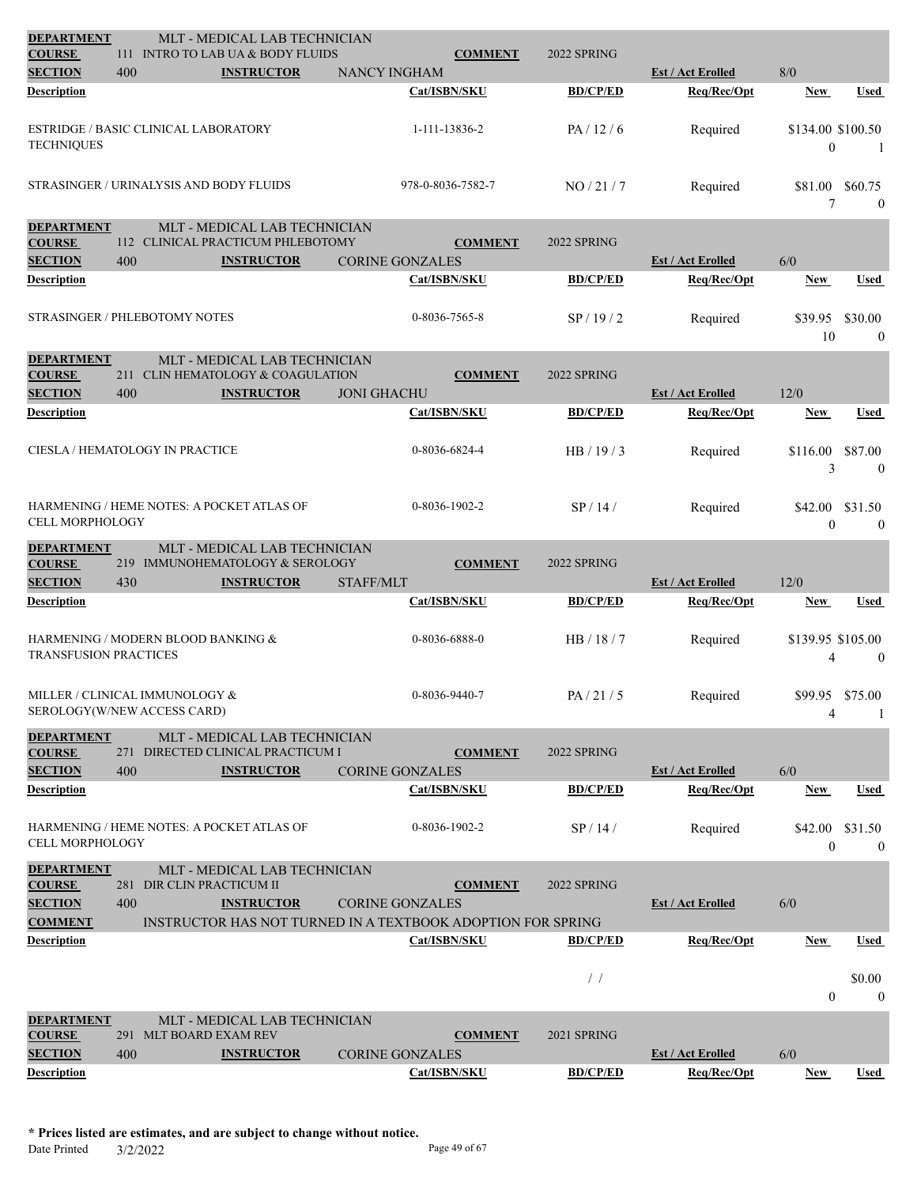| <b>DEPARTMENT</b><br><b>COURSE</b>   |     | MLT - MEDICAL LAB TECHNICIAN<br>111 INTRO TO LAB UA & BODY FLUIDS  |                    | <b>COMMENT</b>                           | 2022 SPRING     |                                         |                                     |                             |
|--------------------------------------|-----|--------------------------------------------------------------------|--------------------|------------------------------------------|-----------------|-----------------------------------------|-------------------------------------|-----------------------------|
| <b>SECTION</b>                       | 400 | <b>INSTRUCTOR</b>                                                  |                    | <b>NANCY INGHAM</b>                      |                 | <b>Est / Act Erolled</b>                | 8/0                                 |                             |
| Description                          |     |                                                                    |                    | Cat/ISBN/SKU                             | <b>BD/CP/ED</b> | Req/Rec/Opt                             | New                                 | Used                        |
|                                      |     |                                                                    |                    |                                          |                 |                                         |                                     |                             |
| <b>TECHNIQUES</b>                    |     | <b>ESTRIDGE / BASIC CLINICAL LABORATORY</b>                        |                    | 1-111-13836-2                            | PA/12/6         | Required                                | \$134.00 \$100.50<br>$\overline{0}$ | $\overline{1}$              |
|                                      |     | STRASINGER / URINALYSIS AND BODY FLUIDS                            |                    | 978-0-8036-7582-7                        | NO/21/7         | Required                                | \$81.00<br>7                        | \$60.75<br>$\overline{0}$   |
| <b>DEPARTMENT</b><br><b>COURSE</b>   |     | MLT - MEDICAL LAB TECHNICIAN<br>112 CLINICAL PRACTICUM PHLEBOTOMY  |                    | <b>COMMENT</b>                           | 2022 SPRING     |                                         |                                     |                             |
| <b>SECTION</b>                       | 400 | <b>INSTRUCTOR</b>                                                  |                    | <b>CORINE GONZALES</b>                   |                 | <b>Est / Act Erolled</b>                | 6/0                                 |                             |
| Description                          |     |                                                                    |                    | Cat/ISBN/SKU                             | <b>BD/CP/ED</b> | Req/Rec/Opt                             | New                                 | Used                        |
|                                      |     | <b>STRASINGER / PHLEBOTOMY NOTES</b>                               |                    | 0-8036-7565-8                            | SP/19/2         | Required                                | \$39.95<br>10                       | \$30.00<br>$\boldsymbol{0}$ |
| <b>DEPARTMENT</b>                    |     | MLT - MEDICAL LAB TECHNICIAN                                       |                    |                                          |                 |                                         |                                     |                             |
| <b>COURSE</b>                        |     | 211 CLIN HEMATOLOGY & COAGULATION                                  |                    | <b>COMMENT</b>                           | 2022 SPRING     |                                         |                                     |                             |
| <b>SECTION</b>                       | 400 | <b>INSTRUCTOR</b>                                                  | <b>JONI GHACHU</b> |                                          |                 | <b>Est / Act Erolled</b>                | 12/0                                |                             |
| <b>Description</b>                   |     |                                                                    |                    | Cat/ISBN/SKU                             | <b>BD/CP/ED</b> | Req/Rec/Opt                             | New                                 | Used                        |
|                                      |     | CIESLA / HEMATOLOGY IN PRACTICE                                    |                    | 0-8036-6824-4                            | HB/19/3         | Required                                | \$116.00<br>3                       | \$87.00<br>$\mathbf{0}$     |
| <b>CELL MORPHOLOGY</b>               |     | HARMENING / HEME NOTES: A POCKET ATLAS OF                          |                    | 0-8036-1902-2                            | SP/14/          | Required                                | \$42.00<br>$\overline{0}$           | \$31.50<br>$\mathbf{0}$     |
| <b>DEPARTMENT</b>                    |     | MLT - MEDICAL LAB TECHNICIAN                                       |                    |                                          |                 |                                         |                                     |                             |
| <b>COURSE</b><br><b>SECTION</b>      | 430 | 219 IMMUNOHEMATOLOGY & SEROLOGY<br><b>INSTRUCTOR</b>               | STAFF/MLT          | <b>COMMENT</b>                           | 2022 SPRING     | <b>Est / Act Erolled</b>                | 12/0                                |                             |
| <b>Description</b>                   |     |                                                                    |                    | Cat/ISBN/SKU                             | <b>BD/CP/ED</b> | Req/Rec/Opt                             | New                                 | Used                        |
|                                      |     |                                                                    |                    |                                          |                 |                                         |                                     |                             |
| <b>TRANSFUSION PRACTICES</b>         |     | HARMENING / MODERN BLOOD BANKING &                                 |                    | 0-8036-6888-0                            | HB / 18 / 7     | Required                                | \$139.95 \$105.00<br>4              | $\boldsymbol{0}$            |
|                                      |     | MILLER / CLINICAL IMMUNOLOGY &<br>SEROLOGY(W/NEW ACCESS CARD)      |                    | 0-8036-9440-7                            | PA/21/5         | Required                                | \$99.95 \$75.00<br>4                | $\mathbf{1}$                |
| <b>DEPARTMENT</b>                    |     | MLT - MEDICAL LAB TECHNICIAN                                       |                    |                                          |                 |                                         |                                     |                             |
| <b>COURSE</b><br><b>SECTION</b>      | 400 | 271 DIRECTED CLINICAL PRACTICUM I<br><b>INSTRUCTOR</b>             |                    | <b>COMMENT</b><br><b>CORINE GONZALES</b> | 2022 SPRING     | <b>Est / Act Erolled</b>                | 6/0                                 |                             |
| <b>Description</b>                   |     |                                                                    |                    | Cat/ISBN/SKU                             | <b>BD/CP/ED</b> | Req/Rec/Opt                             | <b>New</b>                          | Used                        |
|                                      |     |                                                                    |                    |                                          |                 |                                         |                                     |                             |
| <b>CELL MORPHOLOGY</b>               |     | HARMENING / HEME NOTES: A POCKET ATLAS OF                          |                    | 0-8036-1902-2                            | SP/14/          | Required                                | \$42.00<br>$\overline{0}$           | \$31.50<br>$\mathbf{0}$     |
| <b>DEPARTMENT</b>                    |     | MLT - MEDICAL LAB TECHNICIAN                                       |                    |                                          |                 |                                         |                                     |                             |
| <b>COURSE</b><br><b>SECTION</b>      | 400 | 281 DIR CLIN PRACTICUM II<br><b>INSTRUCTOR</b>                     |                    | <b>COMMENT</b><br><b>CORINE GONZALES</b> | 2022 SPRING     | <b>Est / Act Erolled</b>                | 6/0                                 |                             |
| <b>COMMENT</b>                       |     | <b>INSTRUCTOR HAS NOT TURNED IN A TEXTBOOK ADOPTION FOR SPRING</b> |                    |                                          |                 |                                         |                                     |                             |
| Description                          |     |                                                                    |                    | Cat/ISBN/SKU                             | <b>BD/CP/ED</b> | Req/Rec/Opt                             | New                                 | Used                        |
|                                      |     |                                                                    |                    |                                          |                 |                                         |                                     |                             |
|                                      |     |                                                                    |                    |                                          | $\frac{1}{2}$   |                                         | $\overline{0}$                      | \$0.00<br>$\mathbf{0}$      |
| <b>DEPARTMENT</b>                    |     | MLT - MEDICAL LAB TECHNICIAN                                       |                    |                                          |                 |                                         |                                     |                             |
| <b>COURSE</b>                        |     | 291 MLT BOARD EXAM REV                                             |                    | <b>COMMENT</b>                           | 2021 SPRING     |                                         |                                     |                             |
| <b>SECTION</b><br><b>Description</b> | 400 | <b>INSTRUCTOR</b>                                                  |                    | <b>CORINE GONZALES</b><br>Cat/ISBN/SKU   | <b>BD/CP/ED</b> | <b>Est / Act Erolled</b><br>Req/Rec/Opt | 6/0<br><b>New</b>                   | <b>Used</b>                 |
|                                      |     |                                                                    |                    |                                          |                 |                                         |                                     |                             |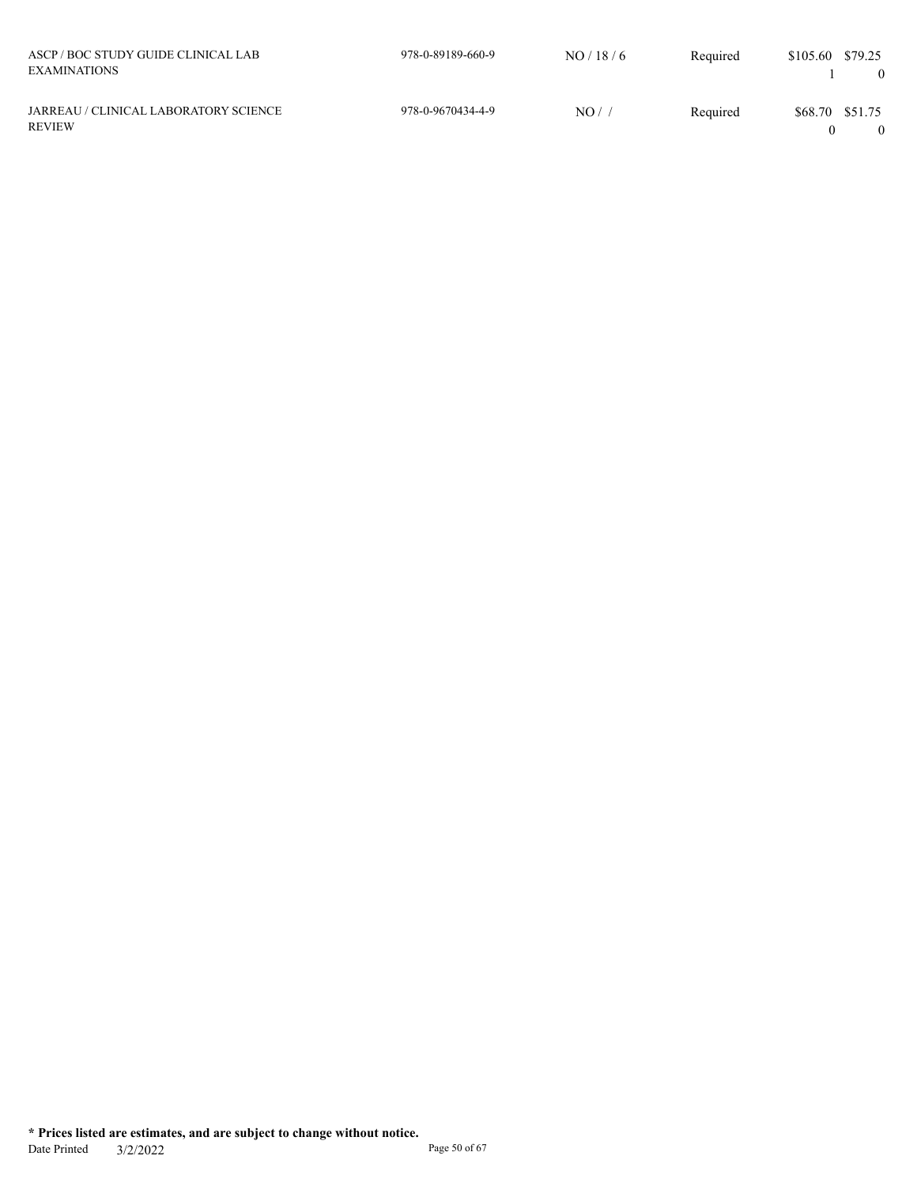| ASCP/BOC STUDY GUIDE CLINICAL LAB<br><b>EXAMINATIONS</b> | 978-0-89189-660-9 | NO/18/6 | Required | \$105.60        | \$79.25 |
|----------------------------------------------------------|-------------------|---------|----------|-----------------|---------|
| JARREAU / CLINICAL LABORATORY SCIENCE<br><b>REVIEW</b>   | 978-0-9670434-4-9 | NO/     | Required | \$68.70 \$51.75 |         |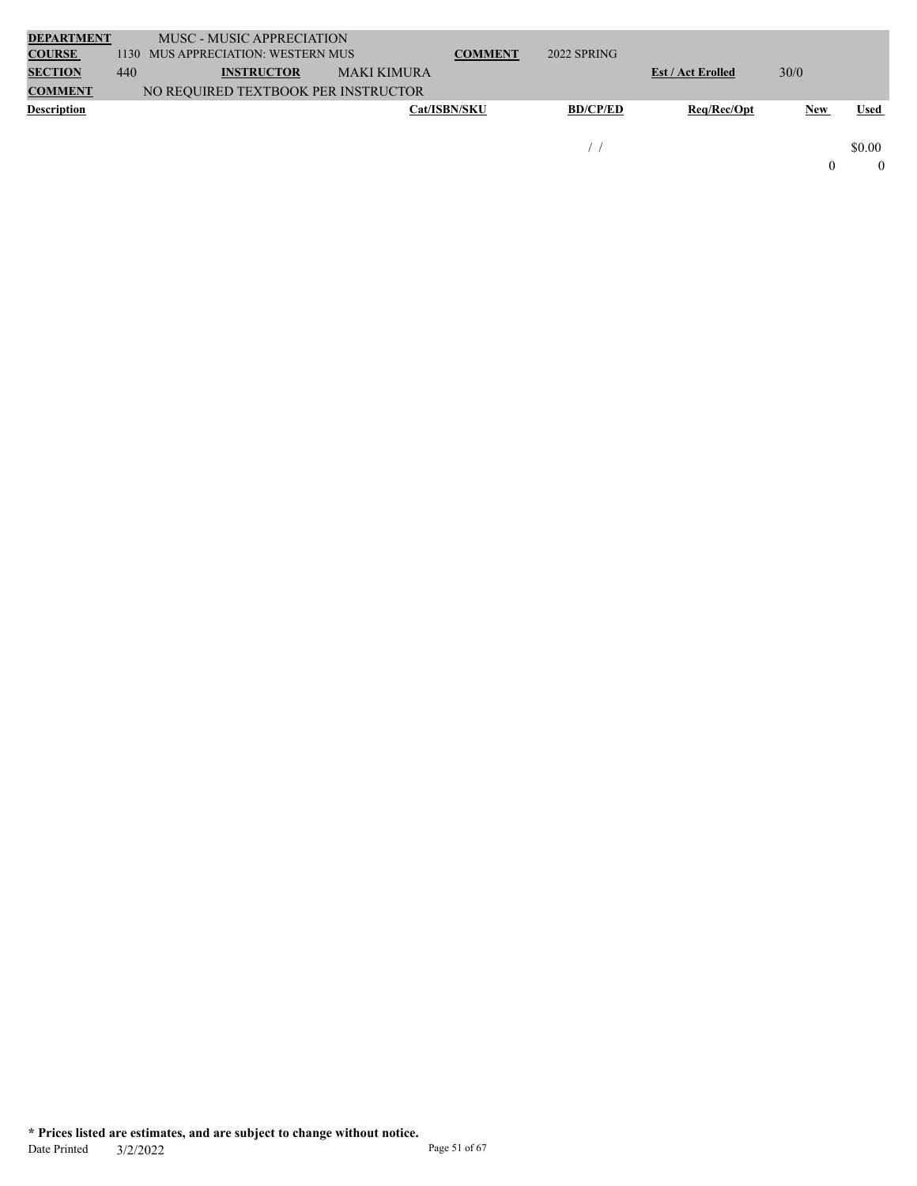| <b>DEPARTMENT</b>  |     | MUSC - MUSIC APPRECIATION           |             |                     |                 |                          |      |             |
|--------------------|-----|-------------------------------------|-------------|---------------------|-----------------|--------------------------|------|-------------|
| <b>COURSE</b>      |     | 1130 MUS APPRECIATION: WESTERN MUS  |             | <b>COMMENT</b>      | 2022 SPRING     |                          |      |             |
| <b>SECTION</b>     | 440 | <b>INSTRUCTOR</b>                   | MAKI KIMURA |                     |                 | <b>Est / Act Erolled</b> | 30/0 |             |
| <b>COMMENT</b>     |     | NO REQUIRED TEXTBOOK PER INSTRUCTOR |             |                     |                 |                          |      |             |
| <b>Description</b> |     |                                     |             | <b>Cat/ISBN/SKU</b> | <b>BD/CP/ED</b> | Reg/Rec/Opt              | New  | <b>Used</b> |
|                    |     |                                     |             |                     |                 |                          |      |             |
|                    |     |                                     |             |                     |                 |                          |      | \$0.00      |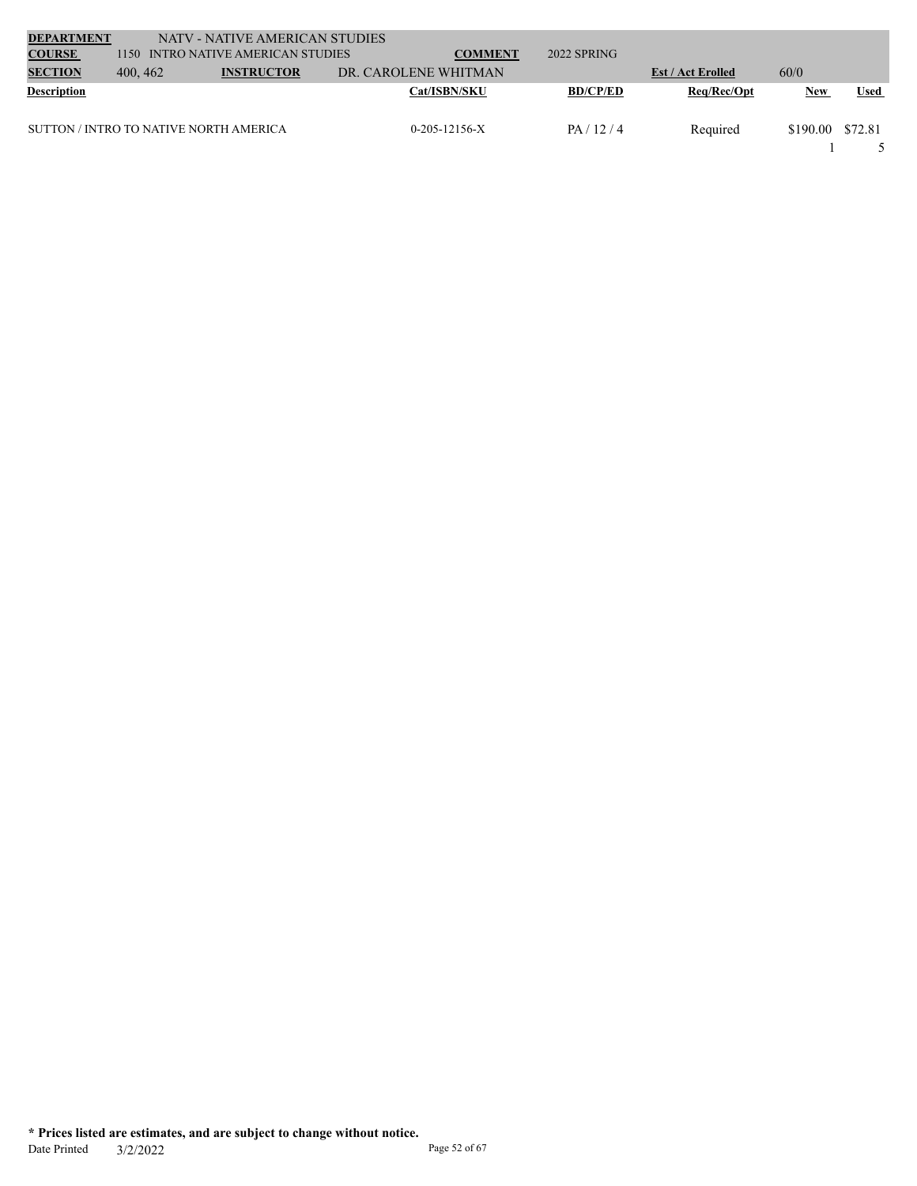| <b>DEPARTMENT</b>  |          | NATV - NATIVE AMERICAN STUDIES         |                      |                     |                 |                          |            |             |
|--------------------|----------|----------------------------------------|----------------------|---------------------|-----------------|--------------------------|------------|-------------|
| <b>COURSE</b>      | 1150     | INTRO NATIVE AMERICAN STUDIES          |                      | <b>COMMENT</b>      | $2022$ SPRING   |                          |            |             |
| <b>SECTION</b>     | 400, 462 | <b>INSTRUCTOR</b>                      | DR. CAROLENE WHITMAN |                     |                 | <b>Est / Act Erolled</b> | 60/0       |             |
| <b>Description</b> |          |                                        |                      | <b>Cat/ISBN/SKU</b> | <b>BD/CP/ED</b> | Req/Rec/Opt              | <b>New</b> | <b>Used</b> |
|                    |          | SUTTON / INTRO TO NATIVE NORTH AMERICA |                      | $0-205-12156-X$     | PA/12/4         | Required                 | \$190.00   | \$72.81     |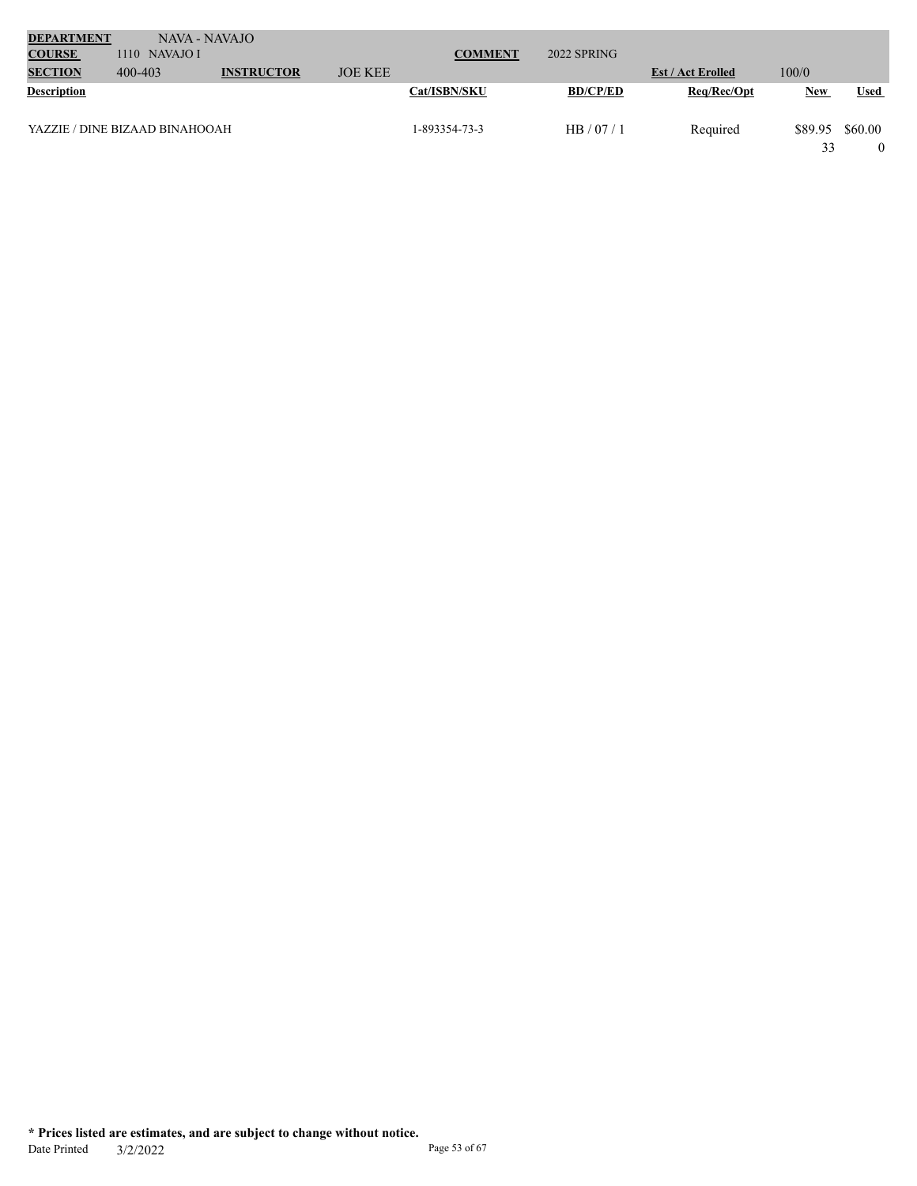| <b>DEPARTMENT</b><br><b>COURSE</b> | NAVA - NAVAJO<br>$1110$ NAVAJO I |                   |                | <b>COMMENT</b> | 2022 SPRING     |                          |               |             |
|------------------------------------|----------------------------------|-------------------|----------------|----------------|-----------------|--------------------------|---------------|-------------|
| <b>SECTION</b>                     | 400-403                          | <b>INSTRUCTOR</b> | <b>JOE KEE</b> |                |                 | <b>Est / Act Erolled</b> | 100/0         |             |
| <b>Description</b>                 |                                  |                   |                | Cat/ISBN/SKU   | <b>BD/CP/ED</b> | Req/Rec/Opt              | <b>New</b>    | <b>Used</b> |
|                                    | YAZZIE / DINE BIZAAD BINAHOOAH   |                   |                | 1-893354-73-3  | HB/07/1         | Required                 | \$89.95<br>33 | \$60.00     |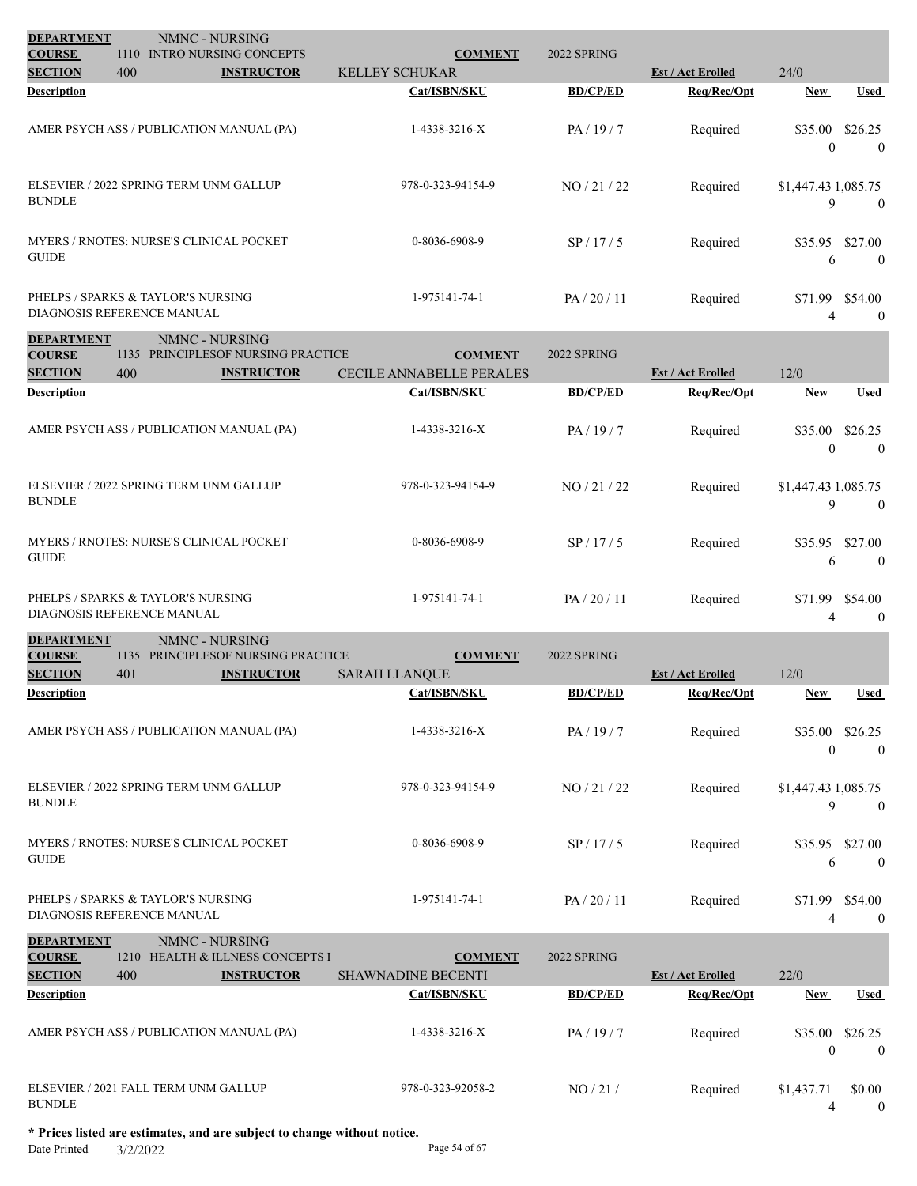| <b>DEPARTMENT</b><br>NMNC - NURSING<br>1110 INTRO NURSING CONCEPTS                                |                                                   | 2022 SPRING     |                          |                                                  |
|---------------------------------------------------------------------------------------------------|---------------------------------------------------|-----------------|--------------------------|--------------------------------------------------|
| <b>COURSE</b><br><b>SECTION</b><br>400<br><b>INSTRUCTOR</b>                                       | <b>COMMENT</b><br><b>KELLEY SCHUKAR</b>           |                 | <b>Est / Act Erolled</b> | 24/0                                             |
| <b>Description</b>                                                                                | Cat/ISBN/SKU                                      | <b>BD/CP/ED</b> | Req/Rec/Opt              | Used<br>New                                      |
| AMER PSYCH ASS / PUBLICATION MANUAL (PA)                                                          | 1-4338-3216-X                                     | PA/19/7         | Required                 | \$35.00<br>\$26.25<br>$\overline{0}$<br>$\theta$ |
| ELSEVIER / 2022 SPRING TERM UNM GALLUP<br><b>BUNDLE</b>                                           | 978-0-323-94154-9                                 | NO / 21 / 22    | Required                 | \$1,447.43 1,085.75<br>9<br>$\overline{0}$       |
| <b>MYERS / RNOTES: NURSE'S CLINICAL POCKET</b><br><b>GUIDE</b>                                    | 0-8036-6908-9                                     | SP/17/5         | Required                 | \$27.00<br>\$35.95<br>$\theta$<br>6              |
| PHELPS / SPARKS & TAYLOR'S NURSING<br>DIAGNOSIS REFERENCE MANUAL                                  | 1-975141-74-1                                     | PA/20/11        | Required                 | \$71.99 \$54.00<br>$\mathbf{0}$<br>4             |
| <b>DEPARTMENT</b><br>NMNC - NURSING                                                               |                                                   |                 |                          |                                                  |
| <b>COURSE</b><br>1135 PRINCIPLESOF NURSING PRACTICE<br><b>SECTION</b><br>400<br><b>INSTRUCTOR</b> | <b>COMMENT</b><br><b>CECILE ANNABELLE PERALES</b> | 2022 SPRING     | <b>Est / Act Erolled</b> | 12/0                                             |
| <b>Description</b>                                                                                | Cat/ISBN/SKU                                      | <b>BD/CP/ED</b> | Req/Rec/Opt              | Used<br>New                                      |
| AMER PSYCH ASS / PUBLICATION MANUAL (PA)                                                          | 1-4338-3216-X                                     | PA/19/7         | Required                 | \$35.00<br>\$26.25<br>$\Omega$<br>$\overline{0}$ |
| ELSEVIER / 2022 SPRING TERM UNM GALLUP<br><b>BUNDLE</b>                                           | 978-0-323-94154-9                                 | NO / 21 / 22    | Required                 | \$1,447.43 1,085.75<br>9<br>$\theta$             |
| MYERS / RNOTES: NURSE'S CLINICAL POCKET<br><b>GUIDE</b>                                           | 0-8036-6908-9                                     | SP/17/5         | Required                 | \$27.00<br>\$35.95<br>$\mathbf{0}$<br>6          |
| PHELPS / SPARKS & TAYLOR'S NURSING<br>DIAGNOSIS REFERENCE MANUAL                                  | 1-975141-74-1                                     | PA/20/11        | Required                 | \$71.99<br>\$54.00<br>$\boldsymbol{0}$<br>4      |
| <b>DEPARTMENT</b><br>NMNC - NURSING<br>1135 PRINCIPLESOF NURSING PRACTICE                         | <b>COMMENT</b>                                    | 2022 SPRING     |                          |                                                  |
| <b>COURSE</b><br><b>INSTRUCTOR</b><br><b>SECTION</b><br>401                                       | SARAH LLANQUE                                     |                 | <b>Est / Act Erolled</b> | 12/0                                             |
| <b>Description</b>                                                                                | Cat/ISBN/SKU                                      | <b>BD/CP/ED</b> | Req/Rec/Opt              | <b>Used</b><br>New                               |
| AMER PSYCH ASS / PUBLICATION MANUAL (PA)                                                          | 1-4338-3216-X                                     | PA/19/7         | Required                 | \$35.00<br>\$26.25<br>$\bf{0}$<br>$\theta$       |
| ELSEVIER / 2022 SPRING TERM UNM GALLUP<br><b>BUNDLE</b>                                           | 978-0-323-94154-9                                 | NO / 21 / 22    | Required                 | \$1,447.43 1,085.75<br>9<br>$\mathbf{0}$         |
| MYERS / RNOTES: NURSE'S CLINICAL POCKET<br><b>GUIDE</b>                                           | 0-8036-6908-9                                     | SP/17/5         | Required                 | \$27.00<br>\$35.95<br>6<br>$\overline{0}$        |
| PHELPS / SPARKS & TAYLOR'S NURSING                                                                | 1-975141-74-1                                     | PA/20/11        | Required                 | \$71.99 \$54.00                                  |

PHELPS / SPARKS & TAYLOR'S NURSING DIAGNOSIS REFERENCE MANUAL

| <b>DEPARTMENT</b><br><b>COURSE</b> | 1210 | NMNC - NURSING<br><b>HEALTH &amp; ILLNESS CONCEPTS I</b> | <b>COMMENT</b>            | 2022 SPRING     |                          |                         |                           |
|------------------------------------|------|----------------------------------------------------------|---------------------------|-----------------|--------------------------|-------------------------|---------------------------|
| <b>SECTION</b>                     | 400  | <b>INSTRUCTOR</b>                                        | <b>SHAWNADINE BECENTI</b> |                 | <b>Est / Act Erolled</b> | 22/0                    |                           |
| <b>Description</b>                 |      |                                                          | Cat/ISBN/SKU              | <b>BD/CP/ED</b> | Req/Rec/Opt              | <b>New</b>              | Used                      |
|                                    |      | AMER PSYCH ASS / PUBLICATION MANUAL (PA)                 | 1-4338-3216-X             | PA/19/7         | Required                 | \$35.00<br>$\mathbf{0}$ | \$26.25<br>$\overline{0}$ |
| <b>BUNDLE</b>                      |      | ELSEVIER / 2021 FALL TERM UNM GALLUP                     | 978-0-323-92058-2         | NO/21/          | Required                 | \$1,437.71<br>4         | \$0.00<br>$\theta$        |

4 0

**\* Prices listed are estimates, and are subject to change without notice.**

Date Printed 3/2/2022 Page 54 of 67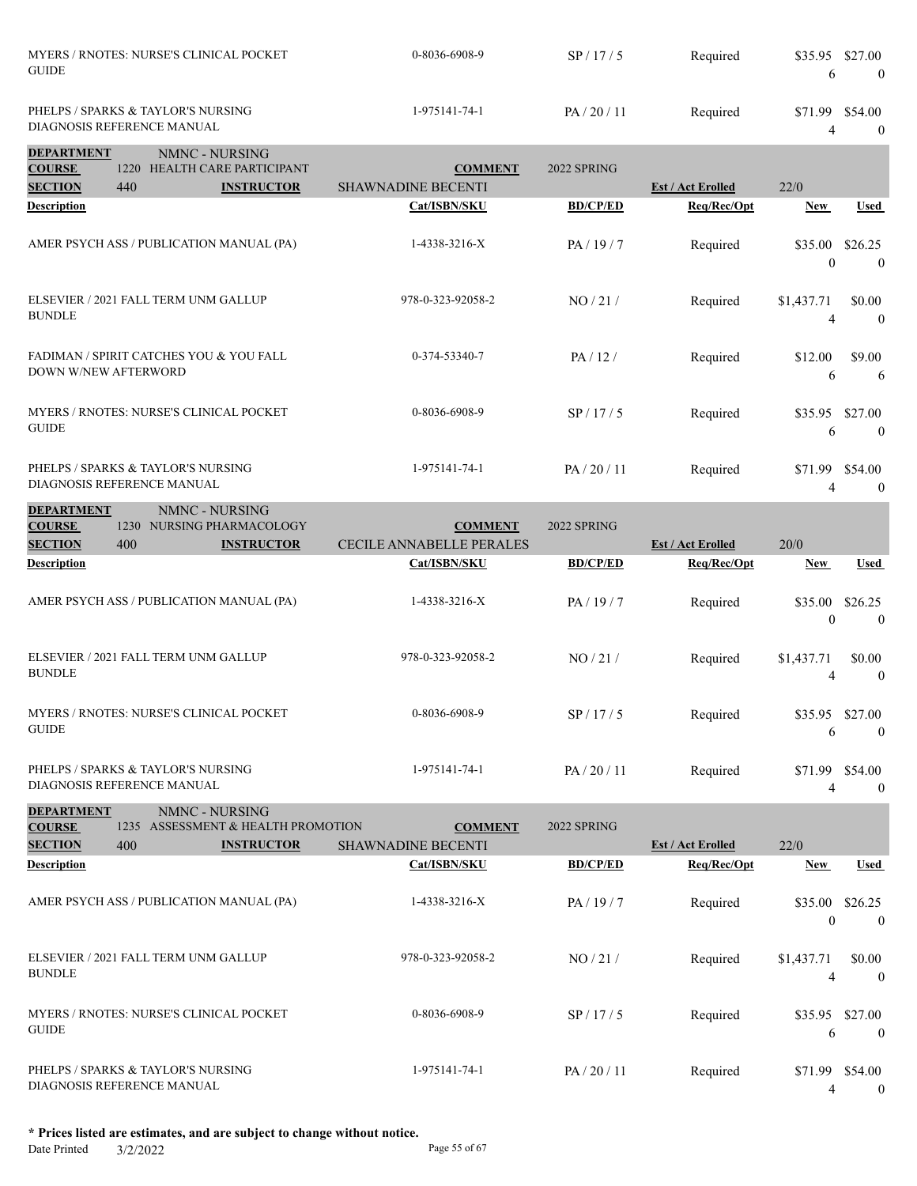| MYERS / RNOTES: NURSE'S CLINICAL POCKET<br><b>GUIDE</b>          | $0-8036-6908-9$ | SP/17/5  | Required | \$35.95 \$27.00    |
|------------------------------------------------------------------|-----------------|----------|----------|--------------------|
| PHELPS / SPARKS & TAYLOR'S NURSING<br>DIAGNOSIS REFERENCE MANUAL | 1-975141-74-1   | PA/20/11 | Required | \$54.00<br>\$71.99 |
| <b>DEPARTMENT</b><br>NMNC - NHRSING                              |                 |          |          |                    |

| DET ANT MET I               |      | <b>INIVITY - INURDINU</b>                |                           |                 |                          |                     |                           |
|-----------------------------|------|------------------------------------------|---------------------------|-----------------|--------------------------|---------------------|---------------------------|
| <b>COURSE</b>               | 1220 | HEALTH CARE PARTICIPANT                  | <b>COMMENT</b>            | 2022 SPRING     |                          |                     |                           |
| <b>SECTION</b>              | 440  | <b>INSTRUCTOR</b>                        | <b>SHAWNADINE BECENTI</b> |                 | <b>Est / Act Erolled</b> | 22/0                |                           |
| <b>Description</b>          |      |                                          | Cat/ISBN/SKU              | <b>BD/CP/ED</b> | Req/Rec/Opt              | <b>New</b>          | <b>Used</b>               |
|                             |      | AMER PSYCH ASS / PUBLICATION MANUAL (PA) | 1-4338-3216-X             | PA/19/7         | Required                 | \$35.00<br>$\theta$ | \$26.25<br>$\overline{0}$ |
| <b>BUNDLE</b>               |      | ELSEVIER / 2021 FALL TERM UNM GALLUP     | 978-0-323-92058-2         | NO/21/          | Required                 | \$1,437.71<br>4     | \$0.00<br>$\theta$        |
| <b>DOWN W/NEW AFTERWORD</b> |      | FADIMAN / SPIRIT CATCHES YOU & YOU FALL  | 0-374-53340-7             | PA/12/          | Required                 | \$12.00<br>6        | \$9.00<br>6               |
| <b>GUIDE</b>                |      | MYERS / RNOTES: NURSE'S CLINICAL POCKET  | 0-8036-6908-9             | SP/17/5         | Required                 | \$35.95<br>6        | \$27.00<br>$\overline{0}$ |
| DIAGNOSIS REFERENCE MANUAL  |      | PHELPS / SPARKS & TAYLOR'S NURSING       | 1-975141-74-1             | PA/20/11        | Required                 | \$71.99             | \$54.00<br>$\mathbf{0}$   |

| <b>DEPARTMENT</b><br><b>COURSE</b><br><b>SECTION</b> | 1230<br>400 | NMNC - NURSING<br>NURSING PHARMACOLOGY<br><b>INSTRUCTOR</b> | <b>COMMENT</b><br><b>CECILE ANNABELLE PERALES</b> | 2022 SPRING     | <b>Est / Act Erolled</b> | 20/0                |                     |
|------------------------------------------------------|-------------|-------------------------------------------------------------|---------------------------------------------------|-----------------|--------------------------|---------------------|---------------------|
| <b>Description</b>                                   |             |                                                             | Cat/ISBN/SKU                                      | <b>BD/CP/ED</b> | Req/Rec/Opt              | <b>New</b>          | Used                |
|                                                      |             | AMER PSYCH ASS / PUBLICATION MANUAL (PA)                    | 1-4338-3216-X                                     | PA/19/7         | Required                 | \$35.00<br>$\theta$ | \$26.25<br>$\theta$ |
| <b>BUNDLE</b>                                        |             | ELSEVIER / 2021 FALL TERM UNM GALLUP                        | 978-0-323-92058-2                                 | NO/21/          | Required                 | \$1,437.71<br>4     | \$0.00<br>$\theta$  |
| <b>GUIDE</b>                                         |             | MYERS / RNOTES: NURSE'S CLINICAL POCKET                     | 0-8036-6908-9                                     | SP/17/5         | Required                 | \$35.95<br>6        | \$27.00<br>$\theta$ |
| DIAGNOSIS REFERENCE MANUAL                           |             | PHELPS / SPARKS & TAYLOR'S NURSING                          | 1-975141-74-1                                     | PA / 20 / 11    | Required                 | \$71.99<br>4        | \$54.00<br>$\theta$ |

| <b>DEPARTMENT</b>          |      | NMNC - NURSING                                 |                           |                 |                          |                     |                           |
|----------------------------|------|------------------------------------------------|---------------------------|-----------------|--------------------------|---------------------|---------------------------|
| <b>COURSE</b>              | 1235 | ASSESSMENT & HEALTH PROMOTION                  | <b>COMMENT</b>            | 2022 SPRING     |                          |                     |                           |
| <b>SECTION</b>             | 400  | <b>INSTRUCTOR</b>                              | <b>SHAWNADINE BECENTI</b> |                 | <b>Est / Act Erolled</b> | 22/0                |                           |
| <b>Description</b>         |      |                                                | Cat/ISBN/SKU              | <b>BD/CP/ED</b> | Req/Rec/Opt              | <b>New</b>          | Used                      |
|                            |      | AMER PSYCH ASS / PUBLICATION MANUAL (PA)       | 1-4338-3216-X             | PA/19/7         | Required                 | \$35.00<br>$\theta$ | \$26.25<br>$\overline{0}$ |
| <b>BUNDLE</b>              |      | ELSEVIER / 2021 FALL TERM UNM GALLUP           | 978-0-323-92058-2         | NO/21/          | Required                 | \$1,437.71<br>4     | \$0.00<br>$\Omega$        |
| <b>GUIDE</b>               |      | <b>MYERS / RNOTES: NURSE'S CLINICAL POCKET</b> | 0-8036-6908-9             | SP/17/5         | Required                 | \$35.95<br>6        | \$27.00<br>$\theta$       |
| DIAGNOSIS REFERENCE MANUAL |      | PHELPS / SPARKS & TAYLOR'S NURSING             | 1-975141-74-1             | PA/20/11        | Required                 | \$71.99             | \$54.00<br>$\mathbf{0}$   |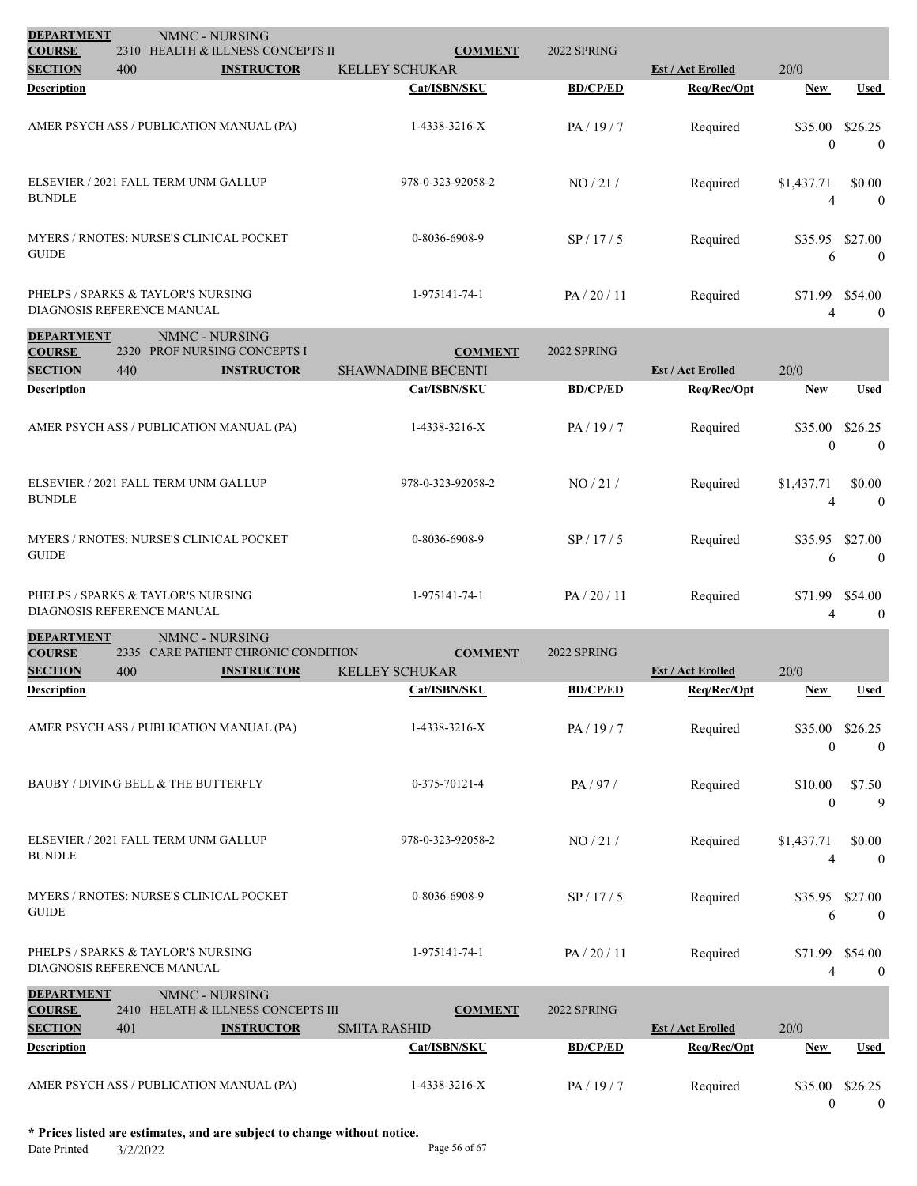| <b>DEPARTMENT</b><br><b>COURSE</b> |      | NMNC - NURSING<br>2310 HEALTH & ILLNESS CONCEPTS II | <b>COMMENT</b>            | 2022 SPRING     |                          |                         |                                   |
|------------------------------------|------|-----------------------------------------------------|---------------------------|-----------------|--------------------------|-------------------------|-----------------------------------|
| <b>SECTION</b>                     | 400  | <b>INSTRUCTOR</b>                                   | <b>KELLEY SCHUKAR</b>     |                 | <b>Est / Act Erolled</b> | 20/0                    |                                   |
| <b>Description</b>                 |      |                                                     | Cat/ISBN/SKU              | <b>BD/CP/ED</b> | Req/Rec/Opt              | <b>New</b>              | <b>Used</b>                       |
|                                    |      | AMER PSYCH ASS / PUBLICATION MANUAL (PA)            | 1-4338-3216-X             | PA/19/7         | Required                 | \$35.00<br>$\mathbf{0}$ | \$26.25<br>$\overline{0}$         |
| <b>BUNDLE</b>                      |      | ELSEVIER / 2021 FALL TERM UNM GALLUP                | 978-0-323-92058-2         | NO/21/          | Required                 | \$1,437.71<br>4         | \$0.00<br>$\theta$                |
| <b>GUIDE</b>                       |      | MYERS / RNOTES: NURSE'S CLINICAL POCKET             | 0-8036-6908-9             | SP/17/5         | Required                 | 6                       | \$35.95 \$27.00<br>$\overline{0}$ |
| DIAGNOSIS REFERENCE MANUAL         |      | PHELPS / SPARKS & TAYLOR'S NURSING                  | 1-975141-74-1             | PA/20/11        | Required                 | \$71.99 \$54.00<br>4    | $\overline{0}$                    |
| <b>DEPARTMENT</b><br><b>COURSE</b> | 2320 | NMNC - NURSING<br>PROF NURSING CONCEPTS I           | <b>COMMENT</b>            | 2022 SPRING     |                          |                         |                                   |
| <b>SECTION</b>                     | 440  | <b>INSTRUCTOR</b>                                   | <b>SHAWNADINE BECENTI</b> |                 | <b>Est / Act Erolled</b> | 20/0                    |                                   |
| <b>Description</b>                 |      |                                                     | Cat/ISBN/SKU              | <b>BD/CP/ED</b> | Req/Rec/Opt              | New                     | Used                              |
|                                    |      | AMER PSYCH ASS / PUBLICATION MANUAL (PA)            | 1-4338-3216-X             | PA/19/7         | Required                 | \$35.00<br>$\theta$     | \$26.25<br>$\theta$               |
| <b>BUNDLE</b>                      |      | ELSEVIER / 2021 FALL TERM UNM GALLUP                | 978-0-323-92058-2         | NO / 21 /       | Required                 | \$1,437.71<br>Δ         | \$0.00<br>$\theta$                |
| <b>GUIDE</b>                       |      | MYERS / RNOTES: NURSE'S CLINICAL POCKET             | 0-8036-6908-9             | SP/17/5         | Required                 | 6                       | \$35.95 \$27.00<br>$\overline{0}$ |
|                                    |      | PHELPS / SPARKS & TAYLOR'S NURSING                  | 1-975141-74-1             | PA / 20 / 11    | Required                 |                         | \$71.99 \$54.00                   |

| PHELPS / SPARKS & TAYLOR'S NURSING<br>DIAGNOSIS REFERENCE MANUAL |                | 1-975141-74-1 | PA / 20 / 11 | Required | \$71.99 \$54.00 |  |
|------------------------------------------------------------------|----------------|---------------|--------------|----------|-----------------|--|
|                                                                  |                |               |              |          |                 |  |
| <b>DEPARTMENT</b>                                                | NMNC - NURSING |               |              |          |                 |  |

| <b>COURSE</b>                                        | 2335        | CARE PATIENT CHRONIC CONDITION                                                  | <b>COMMENT</b>                        | 2022 SPRING     |                          |                     |                             |
|------------------------------------------------------|-------------|---------------------------------------------------------------------------------|---------------------------------------|-----------------|--------------------------|---------------------|-----------------------------|
| <b>SECTION</b>                                       | 400         | <b>INSTRUCTOR</b>                                                               | <b>KELLEY SCHUKAR</b>                 |                 | <b>Est / Act Erolled</b> | 20/0                |                             |
| <b>Description</b>                                   |             |                                                                                 | Cat/ISBN/SKU                          | <b>BD/CP/ED</b> | Req/Rec/Opt              | <b>New</b>          | <b>Used</b>                 |
|                                                      |             | AMER PSYCH ASS / PUBLICATION MANUAL (PA)                                        | 1-4338-3216-X                         | PA/19/7         | Required                 | \$35.00<br>$\theta$ | \$26.25<br>$\theta$         |
|                                                      |             | BAUBY / DIVING BELL & THE BUTTERFLY                                             | $0-375-70121-4$                       | PA/97/          | Required                 | \$10.00<br>$\theta$ | \$7.50<br>9                 |
| <b>BUNDLE</b>                                        |             | ELSEVIER / 2021 FALL TERM UNM GALLUP                                            | 978-0-323-92058-2                     | NO/21/          | Required                 | \$1,437.71<br>4     | \$0.00<br>$\theta$          |
| <b>GUIDE</b>                                         |             | <b>MYERS / RNOTES: NURSE'S CLINICAL POCKET</b>                                  | 0-8036-6908-9                         | SP/17/5         | Required                 | \$35.95<br>6        | \$27.00<br>$\theta$         |
| DIAGNOSIS REFERENCE MANUAL                           |             | PHELPS / SPARKS & TAYLOR'S NURSING                                              | 1-975141-74-1                         | PA/20/11        | Required                 | 4                   | \$71.99 \$54.00<br>$\theta$ |
| <b>DEPARTMENT</b><br><b>COURSE</b><br><b>SECTION</b> | 2410<br>401 | NMNC - NURSING<br><b>HELATH &amp; ILLNESS CONCEPTS III</b><br><b>INSTRUCTOR</b> | <b>COMMENT</b><br><b>SMITA RASHID</b> | 2022 SPRING     | <b>Est / Act Erolled</b> | 20/0                |                             |
| <b>Description</b>                                   |             |                                                                                 | Cat/ISBN/SKU                          | <b>BD/CP/ED</b> | Req/Rec/Opt              | <b>New</b>          | <b>Used</b>                 |

AMER PSYCH ASS / PUBLICATION MANUAL (PA)

 $\begin{matrix} 0 \end{matrix} \qquad \begin{matrix} 0 \end{matrix}$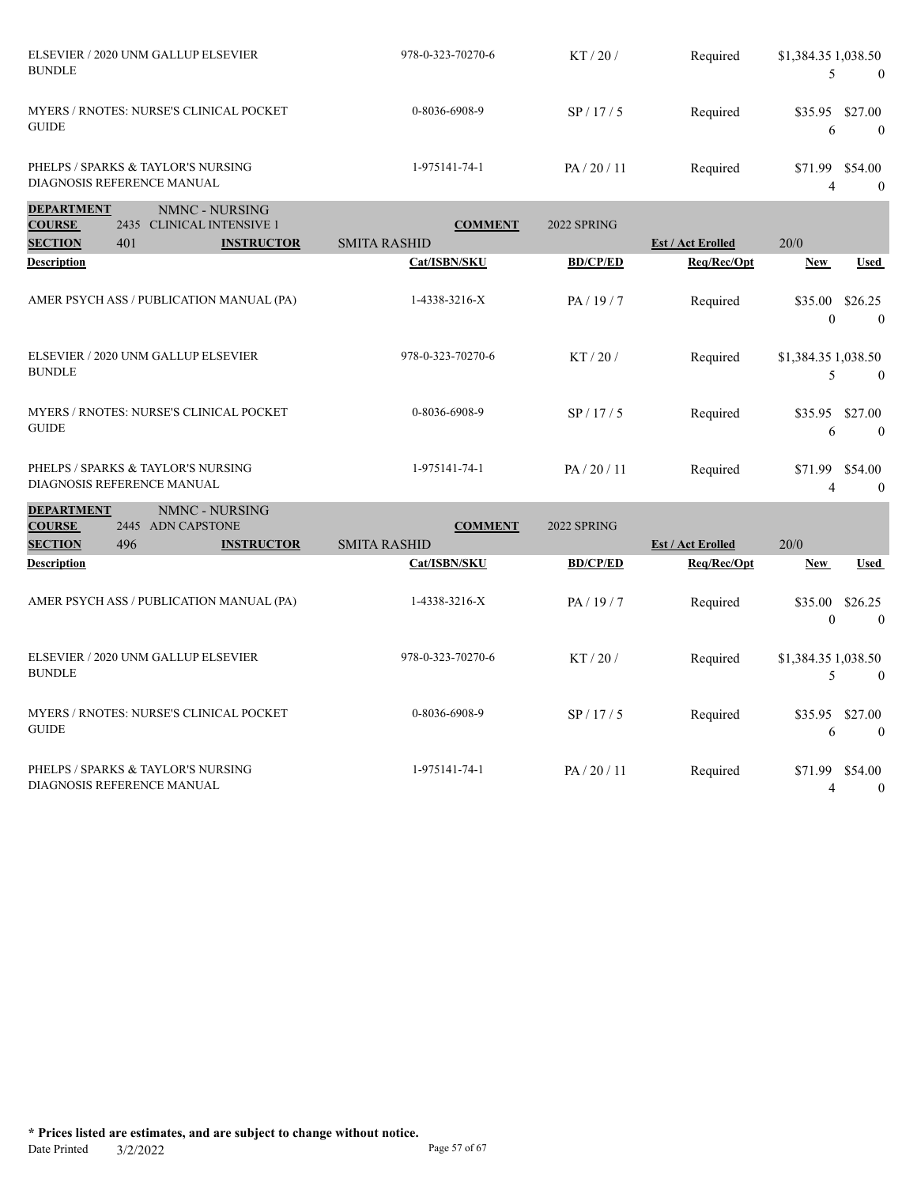| ELSEVIER / 2020 UNM GALLUP ELSEVIER<br><b>BUNDLE</b>             | 978-0-323-70270-6 | KT/20/   | Required | \$1,384.35 1,038.50<br>$\theta$  |
|------------------------------------------------------------------|-------------------|----------|----------|----------------------------------|
| MYERS / RNOTES: NURSE'S CLINICAL POCKET<br><b>GUIDE</b>          | 0-8036-6908-9     | SP/17/5  | Required | \$35.95 \$27.00<br>$\theta$<br>6 |
| PHELPS / SPARKS & TAYLOR'S NURSING<br>DIAGNOSIS REFERENCE MANUAL | 1-975141-74-1     | PA/20/11 | Required | \$54.00<br>\$71.99<br>$\theta$   |
| <b>DEPARTMENT</b><br>NMNC - NURSING                              |                   |          |          |                                  |

| <b>COURSE</b>              | 2435 | <b>CLINICAL INTENSIVE 1</b>                    | <b>COMMENT</b>      | 2022 SPRING     |                          |                          |                     |
|----------------------------|------|------------------------------------------------|---------------------|-----------------|--------------------------|--------------------------|---------------------|
| <b>SECTION</b>             | 401  | <b>INSTRUCTOR</b>                              | <b>SMITA RASHID</b> |                 | <b>Est / Act Erolled</b> | 20/0                     |                     |
| <b>Description</b>         |      |                                                | Cat/ISBN/SKU        | <b>BD/CP/ED</b> | Req/Rec/Opt              | <b>New</b>               | <b>Used</b>         |
|                            |      | AMER PSYCH ASS / PUBLICATION MANUAL (PA)       | 1-4338-3216-X       | PA/19/7         | Required                 | \$35.00<br>$\theta$      | \$26.25<br>$\theta$ |
| <b>BUNDLE</b>              |      | ELSEVIER / 2020 UNM GALLUP ELSEVIER            | 978-0-323-70270-6   | KT/20/          | Required                 | \$1,384.35 1,038.50<br>5 | $\theta$            |
| <b>GUIDE</b>               |      | <b>MYERS / RNOTES: NURSE'S CLINICAL POCKET</b> | 0-8036-6908-9       | SP/17/5         | Required                 | \$35.95<br>6             | \$27.00<br>$\theta$ |
| DIAGNOSIS REFERENCE MANUAL |      | PHELPS / SPARKS & TAYLOR'S NURSING             | 1-975141-74-1       | PA/20/11        | Required                 | \$71.99<br>4             | \$54.00<br>$\theta$ |

| <b>DEPARTMENT</b><br><b>COURSE</b> | 2445 | NMNC - NURSING<br><b>ADN CAPSTONE</b>    |                     | <b>COMMENT</b> | 2022 SPRING     |                          |                     |                     |
|------------------------------------|------|------------------------------------------|---------------------|----------------|-----------------|--------------------------|---------------------|---------------------|
| <b>SECTION</b>                     | 496  | <b>INSTRUCTOR</b>                        | <b>SMITA RASHID</b> |                |                 | <b>Est / Act Erolled</b> | 20/0                |                     |
| <b>Description</b>                 |      |                                          | Cat/ISBN/SKU        |                | <b>BD/CP/ED</b> | Req/Rec/Opt              | New                 | <b>Used</b>         |
|                                    |      | AMER PSYCH ASS / PUBLICATION MANUAL (PA) | 1-4338-3216-X       |                | PA/19/7         | Required                 | \$35.00<br>$\theta$ | \$26.25<br>$\theta$ |
| <b>BUNDLE</b>                      |      | ELSEVIER / 2020 UNM GALLUP ELSEVIER      | 978-0-323-70270-6   |                | KT/20/          | Required                 | \$1,384.35 1,038.50 | $\theta$            |
| <b>GUIDE</b>                       |      | MYERS / RNOTES: NURSE'S CLINICAL POCKET  | 0-8036-6908-9       |                | SP/17/5         | Required                 | \$35.95<br>6        | \$27.00<br>$\theta$ |
| DIAGNOSIS REFERENCE MANUAL         |      | PHELPS / SPARKS & TAYLOR'S NURSING       | 1-975141-74-1       |                | PA/20/11        | Required                 | \$71.99<br>4        | \$54.00<br>$\theta$ |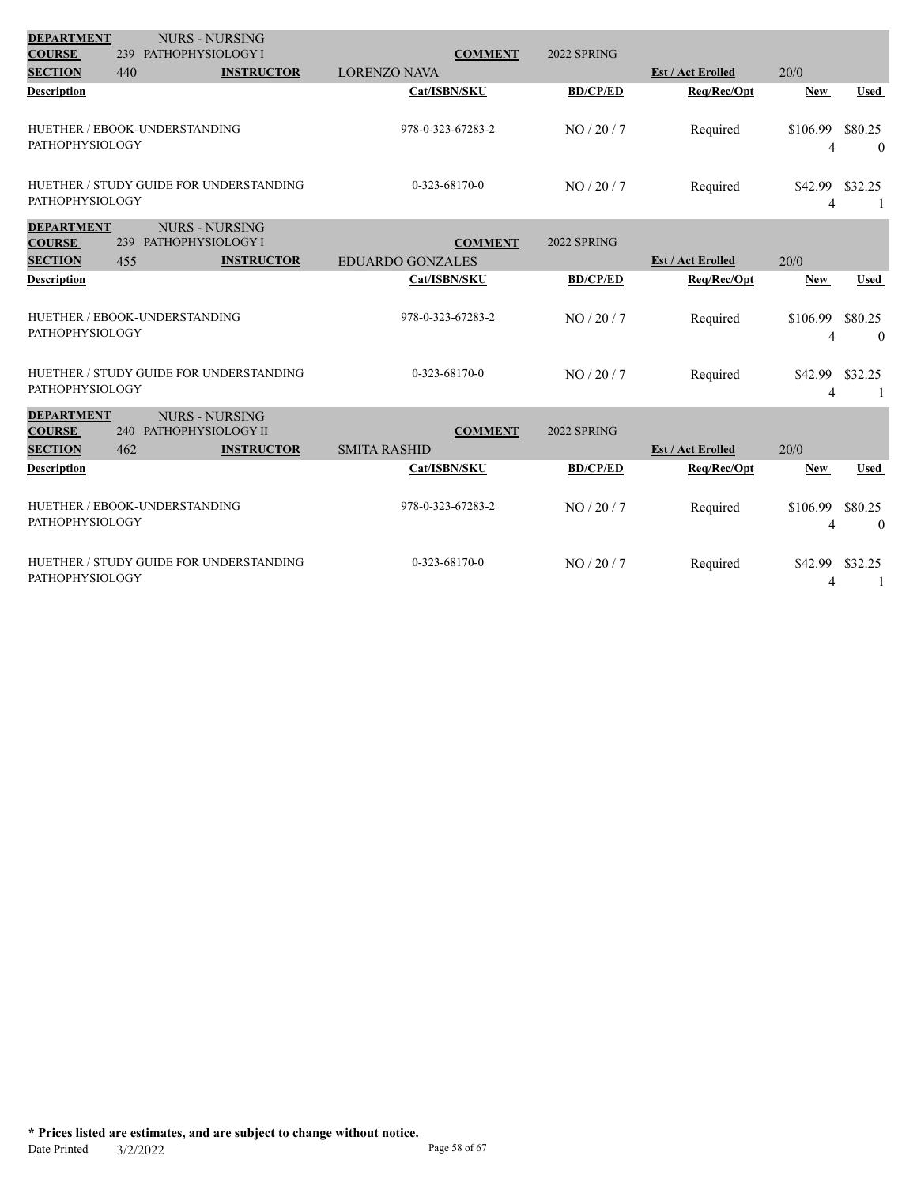| <b>DEPARTMENT</b>                                    |                               | <b>NURS - NURSING</b>                      |                                           |                 |                          |                            |                           |
|------------------------------------------------------|-------------------------------|--------------------------------------------|-------------------------------------------|-----------------|--------------------------|----------------------------|---------------------------|
| <b>COURSE</b>                                        | 239 PATHOPHYSIOLOGY I         |                                            | <b>COMMENT</b>                            | 2022 SPRING     |                          |                            |                           |
| <b>SECTION</b>                                       | 440                           | <b>INSTRUCTOR</b>                          | <b>LORENZO NAVA</b>                       |                 | <b>Est / Act Erolled</b> | 20/0                       |                           |
| Description                                          |                               |                                            | Cat/ISBN/SKU                              | <b>BD/CP/ED</b> | Req/Rec/Opt              | <b>New</b>                 | <b>Used</b>               |
| <b>PATHOPHYSIOLOGY</b>                               | HUETHER / EBOOK-UNDERSTANDING |                                            | 978-0-323-67283-2                         | NO/20/7         | Required                 | \$106.99<br>$\overline{4}$ | \$80.25<br>$\overline{0}$ |
| <b>PATHOPHYSIOLOGY</b>                               |                               | HUETHER / STUDY GUIDE FOR UNDERSTANDING    | $0-323-68170-0$                           | NO/20/7         | Required                 | \$42.99<br>$\overline{4}$  | \$32.25                   |
| <b>DEPARTMENT</b><br><b>COURSE</b><br><b>SECTION</b> | 239 PATHOPHYSIOLOGY I<br>455  | <b>NURS - NURSING</b><br><b>INSTRUCTOR</b> | <b>COMMENT</b><br><b>EDUARDO GONZALES</b> | 2022 SPRING     | <b>Est / Act Erolled</b> | 20/0                       |                           |
| <b>Description</b>                                   |                               |                                            | Cat/ISBN/SKU                              | <b>BD/CP/ED</b> | Req/Rec/Opt              | <b>New</b>                 | <b>Used</b>               |
| <b>PATHOPHYSIOLOGY</b>                               | HUETHER / EBOOK-UNDERSTANDING |                                            | 978-0-323-67283-2                         | NO/20/7         | Required                 | \$106.99<br>4              | \$80.25<br>$\theta$       |
| <b>PATHOPHYSIOLOGY</b>                               |                               | HUETHER / STUDY GUIDE FOR UNDERSTANDING    | 0-323-68170-0                             | NO/20/7         | Required                 | \$42.99<br>$\overline{4}$  | \$32.25<br>1              |
| <b>DEPARTMENT</b><br><b>COURSE</b><br><b>SECTION</b> | 240 PATHOPHYSIOLOGY II<br>462 | <b>NURS - NURSING</b><br><b>INSTRUCTOR</b> | <b>COMMENT</b><br><b>SMITA RASHID</b>     | 2022 SPRING     | <b>Est / Act Erolled</b> | 20/0                       |                           |
|                                                      |                               |                                            |                                           |                 |                          |                            |                           |
| Description                                          |                               |                                            | Cat/ISBN/SKU                              | <b>BD/CP/ED</b> | Req/Rec/Opt              | <b>New</b>                 | <b>Used</b>               |
| <b>PATHOPHYSIOLOGY</b>                               | HUETHER / EBOOK-UNDERSTANDING |                                            | 978-0-323-67283-2                         | NO / 20 / 7     | Required                 | \$106.99<br>4              | \$80.25<br>$\theta$       |
| <b>PATHOPHYSIOLOGY</b>                               |                               | HUETHER / STUDY GUIDE FOR UNDERSTANDING    | $0-323-68170-0$                           | NO/20/7         | Required                 | \$42.99<br>$\overline{4}$  | \$32.25<br>1              |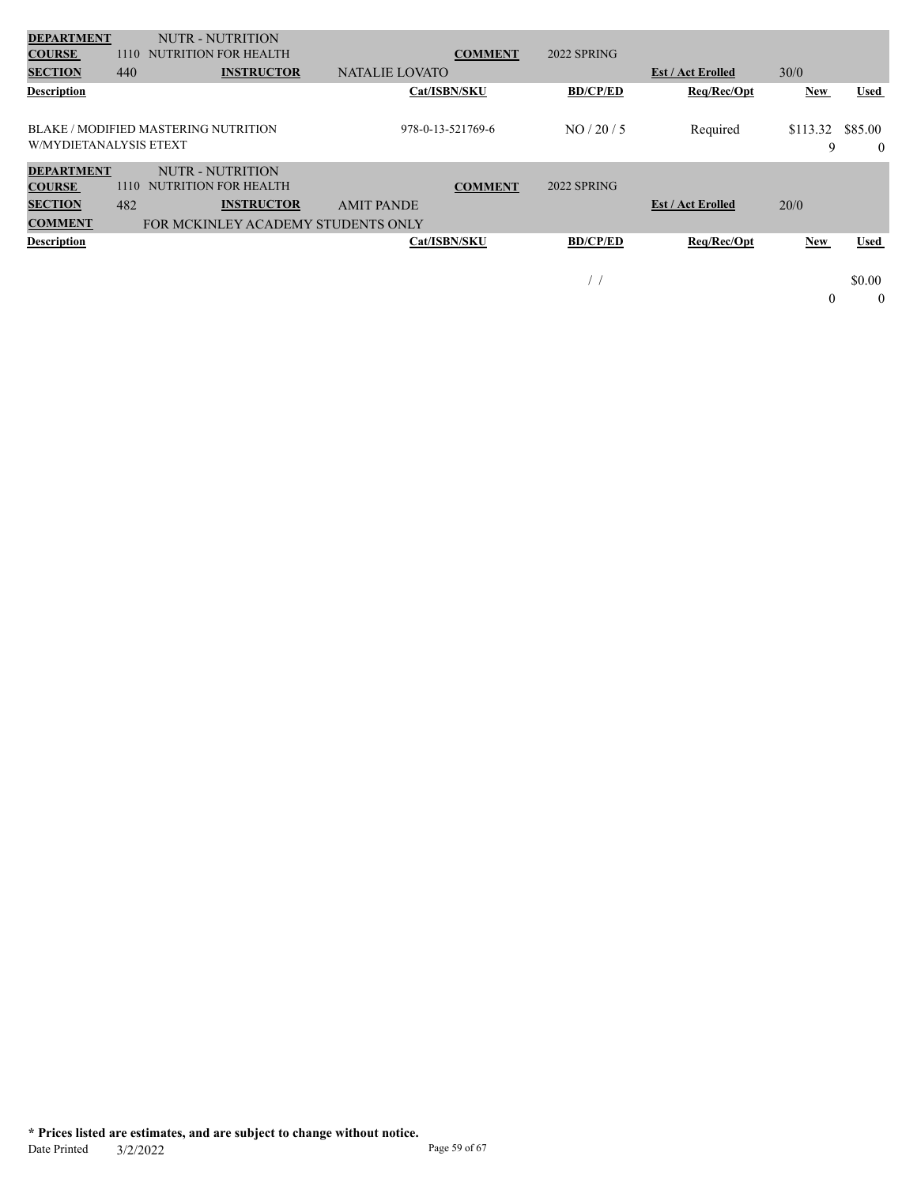| <b>DEPARTMENT</b>      |      | <b>NUTR - NUTRITION</b>                     |                       |                |                  |                          |                  |                |
|------------------------|------|---------------------------------------------|-----------------------|----------------|------------------|--------------------------|------------------|----------------|
| <b>COURSE</b>          | 1110 | NUTRITION FOR HEALTH                        |                       | <b>COMMENT</b> | 2022 SPRING      |                          |                  |                |
| <b>SECTION</b>         | 440  | <b>INSTRUCTOR</b>                           | <b>NATALIE LOVATO</b> |                |                  | <b>Est / Act Erolled</b> | 30/0             |                |
| <b>Description</b>     |      |                                             | Cat/ISBN/SKU          |                | <b>BD/CP/ED</b>  | Req/Rec/Opt              | New              | Used           |
|                        |      |                                             |                       |                |                  |                          |                  |                |
|                        |      | <b>BLAKE / MODIFIED MASTERING NUTRITION</b> | 978-0-13-521769-6     |                | NO / 20 / 5      | Required                 | \$113.32         | \$85.00        |
| W/MYDIETANALYSIS ETEXT |      |                                             |                       |                |                  |                          | 9                | $\overline{0}$ |
| <b>DEPARTMENT</b>      |      | NUTR - NUTRITION                            |                       |                |                  |                          |                  |                |
| <b>COURSE</b>          | 1110 | <b>NUTRITION FOR HEALTH</b>                 |                       | <b>COMMENT</b> | 2022 SPRING      |                          |                  |                |
| <b>SECTION</b>         | 482  | <b>INSTRUCTOR</b>                           | <b>AMIT PANDE</b>     |                |                  | <b>Est / Act Erolled</b> | 20/0             |                |
| <b>COMMENT</b>         |      | FOR MCKINLEY ACADEMY STUDENTS ONLY          |                       |                |                  |                          |                  |                |
| <b>Description</b>     |      |                                             | Cat/ISBN/SKU          |                | <b>BD/CP/ED</b>  | Req/Rec/Opt              | New              | Used           |
|                        |      |                                             |                       |                |                  |                          |                  |                |
|                        |      |                                             |                       |                | $\left  \right $ |                          |                  | \$0.00         |
|                        |      |                                             |                       |                |                  |                          | $\boldsymbol{0}$ | $\mathbf{0}$   |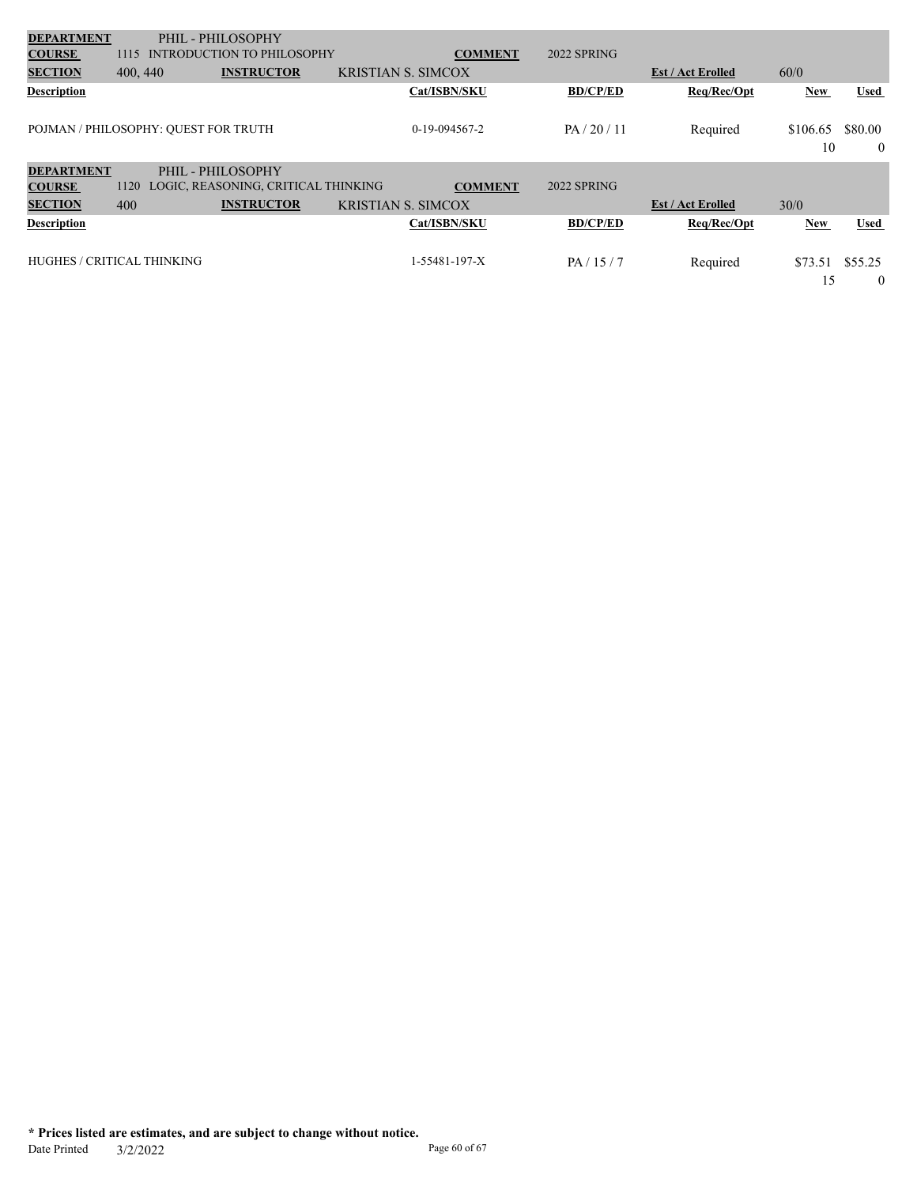| <b>DEPARTMENT</b>          |          | PHIL - PHILOSOPHY                    |                           |                 |                 |                          |                |                     |
|----------------------------|----------|--------------------------------------|---------------------------|-----------------|-----------------|--------------------------|----------------|---------------------|
| <b>COURSE</b>              | 1115     | <b>INTRODUCTION TO PHILOSOPHY</b>    |                           | <b>COMMENT</b>  | 2022 SPRING     |                          |                |                     |
| <b>SECTION</b>             | 400, 440 | <b>INSTRUCTOR</b>                    | <b>KRISTIAN S. SIMCOX</b> |                 |                 | <b>Est / Act Erolled</b> | 60/0           |                     |
| <b>Description</b>         |          |                                      |                           | Cat/ISBN/SKU    | <b>BD/CP/ED</b> | Req/Rec/Opt              | New            | <b>Used</b>         |
|                            |          | POJMAN / PHILOSOPHY: QUEST FOR TRUTH |                           | $0-19-094567-2$ | PA / 20 / 11    | Required                 | \$106.65<br>10 | \$80.00<br>$\theta$ |
| <b>DEPARTMENT</b>          |          | PHIL - PHILOSOPHY                    |                           |                 |                 |                          |                |                     |
| <b>COURSE</b>              | 1120     | LOGIC, REASONING, CRITICAL THINKING  |                           | <b>COMMENT</b>  | 2022 SPRING     |                          |                |                     |
| <b>SECTION</b>             | 400      | <b>INSTRUCTOR</b>                    | <b>KRISTIAN S. SIMCOX</b> |                 |                 | <b>Est / Act Erolled</b> | 30/0           |                     |
| <b>Description</b>         |          |                                      |                           | Cat/ISBN/SKU    | <b>BD/CP/ED</b> | Req/Rec/Opt              | New            | <b>Used</b>         |
| HUGHES / CRITICAL THINKING |          |                                      |                           | 1-55481-197-X   | PA/15/7         | Required                 | \$73.51<br>15  | \$55.25<br>$\theta$ |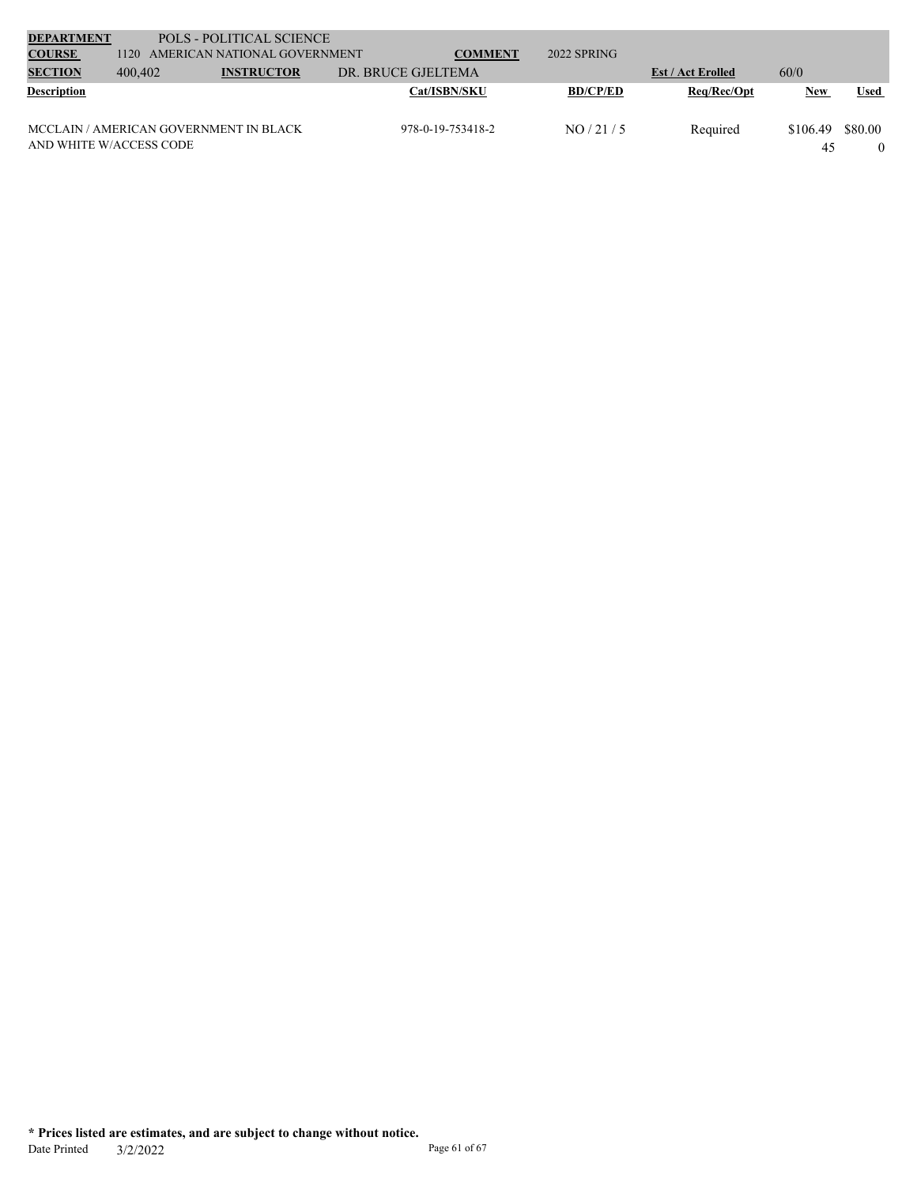| <b>DEPARTMENT</b>       |                                        | POLS - POLITICAL SCIENCE          |                    |                   |                 |                          |          |             |
|-------------------------|----------------------------------------|-----------------------------------|--------------------|-------------------|-----------------|--------------------------|----------|-------------|
| <b>COURSE</b>           |                                        | 1120 AMERICAN NATIONAL GOVERNMENT |                    | <b>COMMENT</b>    | $2022$ SPRING   |                          |          |             |
| <b>SECTION</b>          | 400,402                                | <b>INSTRUCTOR</b>                 | DR. BRUCE GJELTEMA |                   |                 | <b>Est / Act Erolled</b> | 60/0     |             |
| <b>Description</b>      |                                        |                                   |                    | Cat/ISBN/SKU      | <b>BD/CP/ED</b> | Reg/Rec/Opt              | New      | <b>Used</b> |
|                         |                                        |                                   |                    |                   |                 |                          |          |             |
|                         | MCCLAIN / AMERICAN GOVERNMENT IN BLACK |                                   |                    | 978-0-19-753418-2 | NO/21/5         | Required                 | \$106.49 | \$80.00     |
| AND WHITE W/ACCESS CODE |                                        |                                   |                    |                   |                 |                          | 45       |             |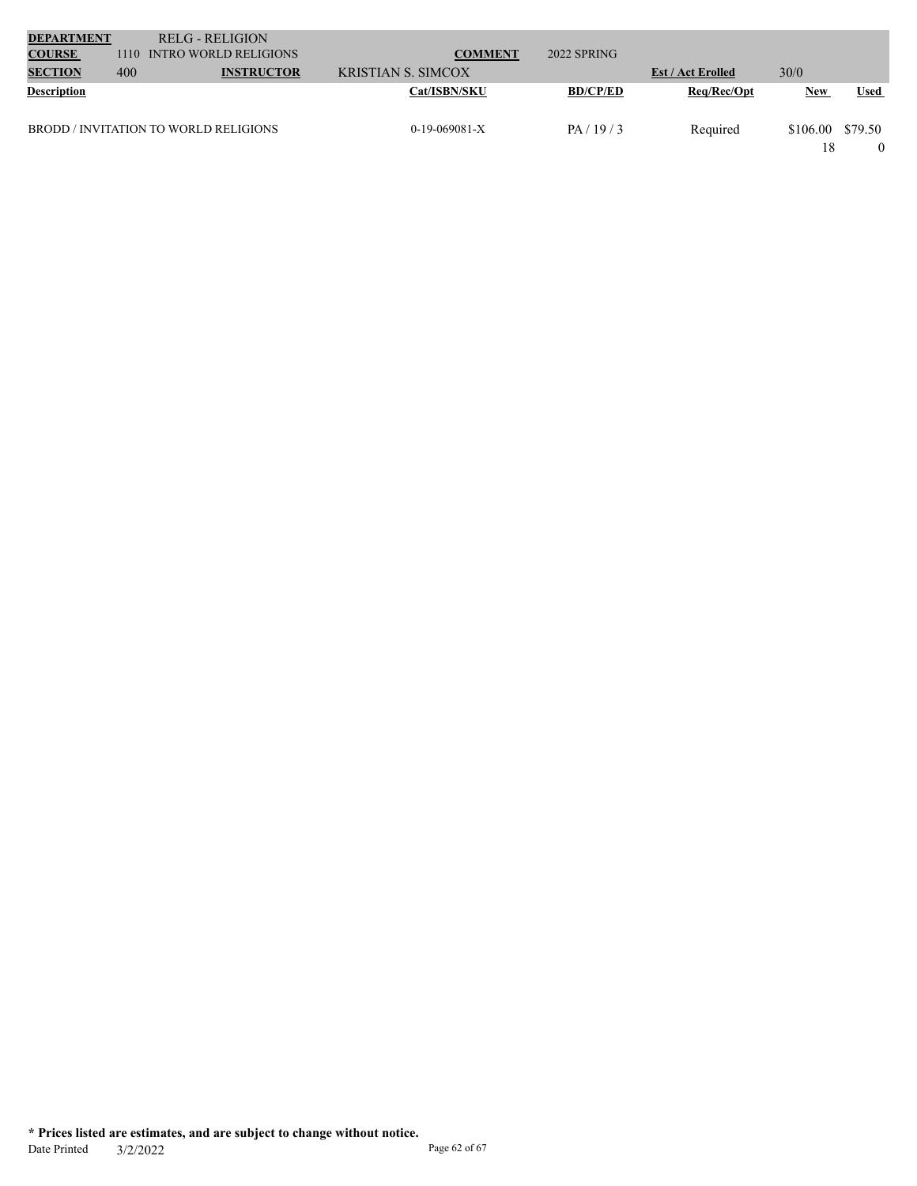| <b>DEPARTMENT</b>  |      | <b>RELG - RELIGION</b>                |                           |                 |                          |            |             |
|--------------------|------|---------------------------------------|---------------------------|-----------------|--------------------------|------------|-------------|
| <b>COURSE</b>      | 1110 | <b>INTRO WORLD RELIGIONS</b>          | <b>COMMENT</b>            | 2022 SPRING     |                          |            |             |
| <b>SECTION</b>     | 400  | <b>INSTRUCTOR</b>                     | <b>KRISTIAN S. SIMCOX</b> |                 | <b>Est / Act Erolled</b> | 30/0       |             |
| <b>Description</b> |      |                                       | <b>Cat/ISBN/SKU</b>       | <b>BD/CP/ED</b> | Req/Rec/Opt              | <b>New</b> | <b>Used</b> |
|                    |      | BRODD / INVITATION TO WORLD RELIGIONS | $0-19-069081-X$           | PA/19/3         | Required                 | \$106.00   | \$79.50     |
|                    |      |                                       |                           |                 |                          | 18         |             |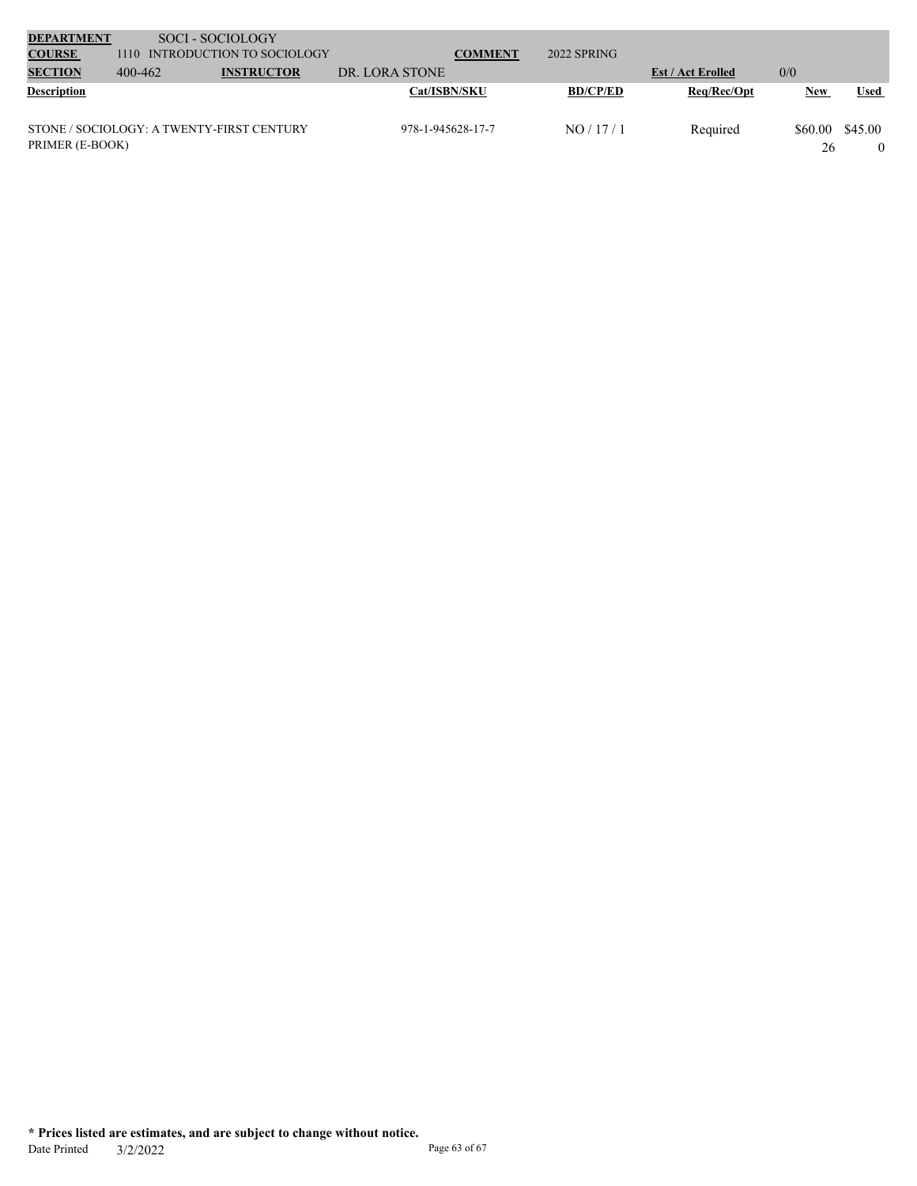| <b>DEPARTMENT</b>  |         | SOCI - SOCIOLOGY                          |                   |                |                 |                          |            |             |
|--------------------|---------|-------------------------------------------|-------------------|----------------|-----------------|--------------------------|------------|-------------|
| <b>COURSE</b>      | 1110    | INTRODUCTION TO SOCIOLOGY                 |                   | <b>COMMENT</b> | 2022 SPRING     |                          |            |             |
| <b>SECTION</b>     | 400-462 | <b>INSTRUCTOR</b>                         | DR. LORA STONE    |                |                 | <b>Est / Act Erolled</b> | 0/0        |             |
| <b>Description</b> |         |                                           | Cat/ISBN/SKU      |                | <b>BD/CP/ED</b> | Req/Rec/Opt              | <b>New</b> | <b>Used</b> |
|                    |         |                                           |                   |                |                 |                          |            |             |
|                    |         | STONE / SOCIOLOGY: A TWENTY-FIRST CENTURY | 978-1-945628-17-7 |                | NO/17/1         | Required                 | \$60.00    | \$45.00     |
| PRIMER (E-BOOK)    |         |                                           |                   |                |                 |                          | 26         |             |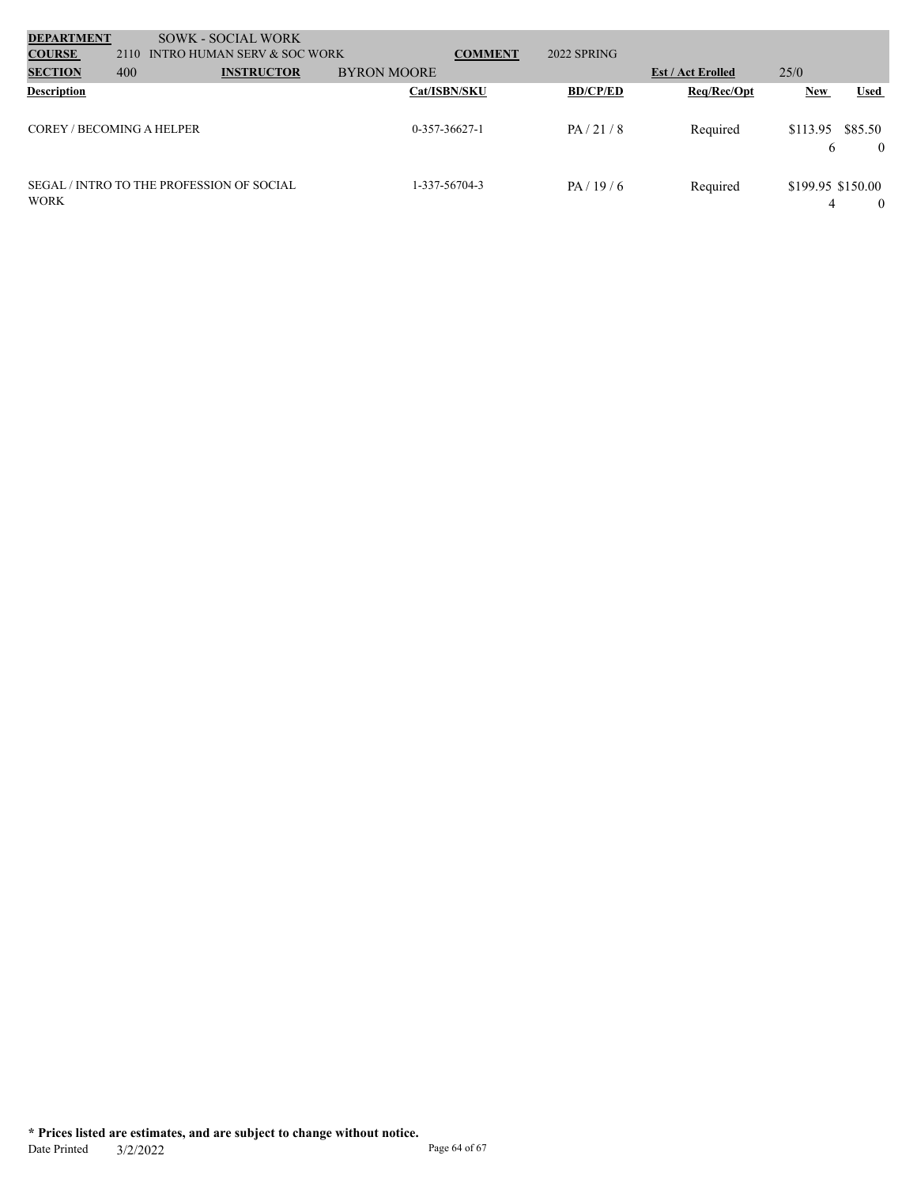| <b>DEPARTMENT</b>         |                                                  | <b>SOWK - SOCIAL WORK</b>   |                    |                |                 |                          |                        |             |          |
|---------------------------|--------------------------------------------------|-----------------------------|--------------------|----------------|-----------------|--------------------------|------------------------|-------------|----------|
| <b>COURSE</b>             | 2110                                             | INTRO HUMAN SERV & SOC WORK |                    | <b>COMMENT</b> | 2022 SPRING     |                          |                        |             |          |
| <b>SECTION</b>            | 400                                              | <b>INSTRUCTOR</b>           | <b>BYRON MOORE</b> |                |                 | <b>Est / Act Erolled</b> | 25/0                   |             |          |
| <b>Description</b>        |                                                  |                             | Cat/ISBN/SKU       |                | <b>BD/CP/ED</b> | Req/Rec/Opt              | <b>New</b>             | <b>Used</b> |          |
| COREY / BECOMING A HELPER |                                                  |                             | $0-357-36627-1$    |                | PA/21/8         | Required                 | \$113.95<br>6          | \$85.50     | $\theta$ |
| <b>WORK</b>               | <b>SEGAL / INTRO TO THE PROFESSION OF SOCIAL</b> |                             | 1-337-56704-3      |                | PA/19/6         | Required                 | \$199.95 \$150.00<br>4 |             | $\left($ |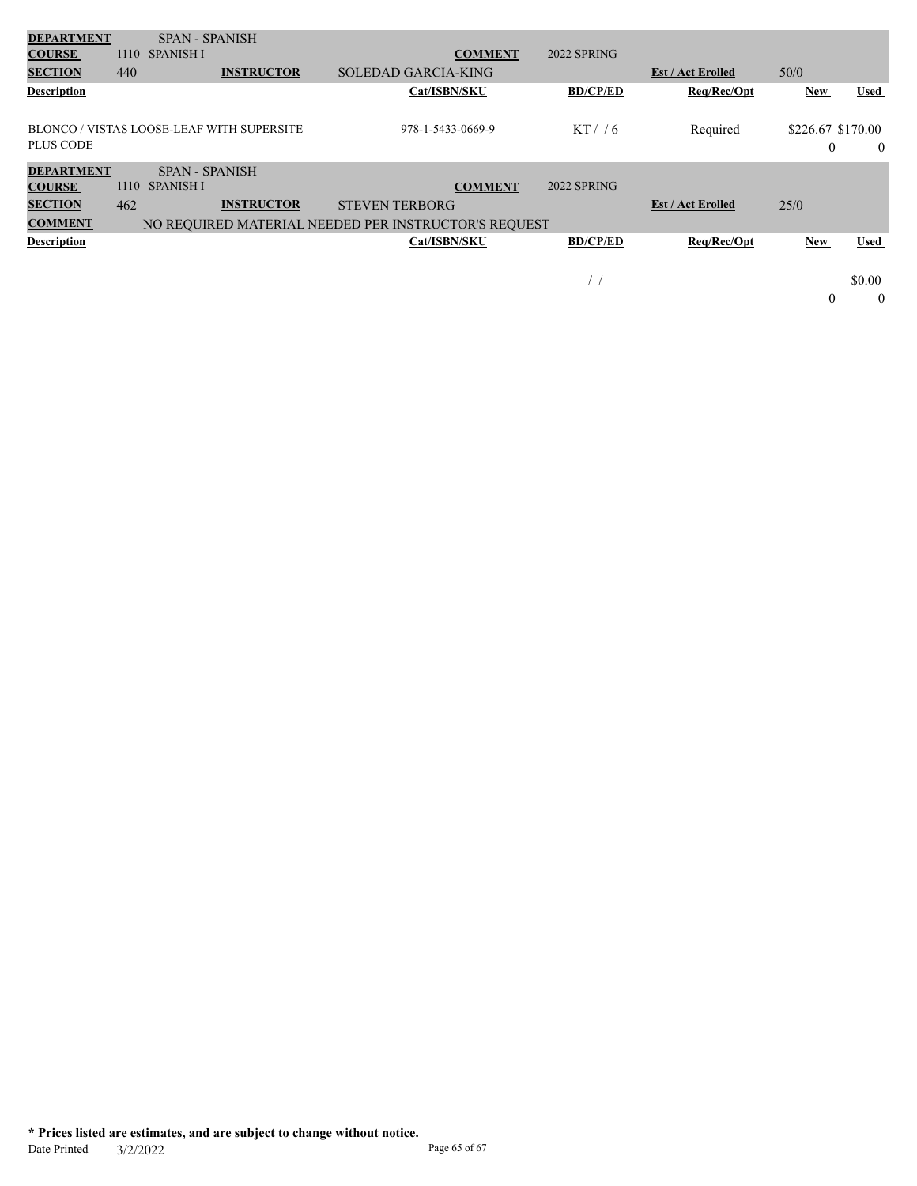| <b>DEPARTMENT</b>  |      | <b>SPAN - SPANISH</b> |                                           |                                                      |                   |                 |                          |                   |             |
|--------------------|------|-----------------------|-------------------------------------------|------------------------------------------------------|-------------------|-----------------|--------------------------|-------------------|-------------|
| <b>COURSE</b>      | 1110 | <b>SPANISH I</b>      |                                           |                                                      | <b>COMMENT</b>    | 2022 SPRING     |                          |                   |             |
| <b>SECTION</b>     | 440  |                       | <b>INSTRUCTOR</b>                         | <b>SOLEDAD GARCIA-KING</b>                           |                   |                 | <b>Est / Act Erolled</b> | 50/0              |             |
| <b>Description</b> |      |                       |                                           |                                                      | Cat/ISBN/SKU      | <b>BD/CP/ED</b> | Req/Rec/Opt              | <b>New</b>        | Used        |
|                    |      |                       |                                           |                                                      |                   |                 |                          |                   |             |
|                    |      |                       | BLONCO / VISTAS LOOSE-LEAF WITH SUPERSITE |                                                      | 978-1-5433-0669-9 | $KT$ / 6        | Required                 | \$226.67 \$170.00 |             |
| <b>PLUS CODE</b>   |      |                       |                                           |                                                      |                   |                 |                          | $\theta$          | $\bf{0}$    |
| <b>DEPARTMENT</b>  |      | <b>SPAN - SPANISH</b> |                                           |                                                      |                   |                 |                          |                   |             |
| <b>COURSE</b>      | 1110 | <b>SPANISH I</b>      |                                           |                                                      | <b>COMMENT</b>    | 2022 SPRING     |                          |                   |             |
| <b>SECTION</b>     | 462  |                       | <b>INSTRUCTOR</b>                         | <b>STEVEN TERBORG</b>                                |                   |                 | <b>Est / Act Erolled</b> | 25/0              |             |
| <b>COMMENT</b>     |      |                       |                                           | NO REQUIRED MATERIAL NEEDED PER INSTRUCTOR'S REQUEST |                   |                 |                          |                   |             |
| <b>Description</b> |      |                       |                                           |                                                      | Cat/ISBN/SKU      | <b>BD/CP/ED</b> | Req/Rec/Opt              | <b>New</b>        | <b>Used</b> |
|                    |      |                       |                                           |                                                      |                   |                 |                          |                   |             |
|                    |      |                       |                                           |                                                      |                   | ,               |                          |                   | \$0.00      |
|                    |      |                       |                                           |                                                      |                   |                 |                          | $\theta$          | $\theta$    |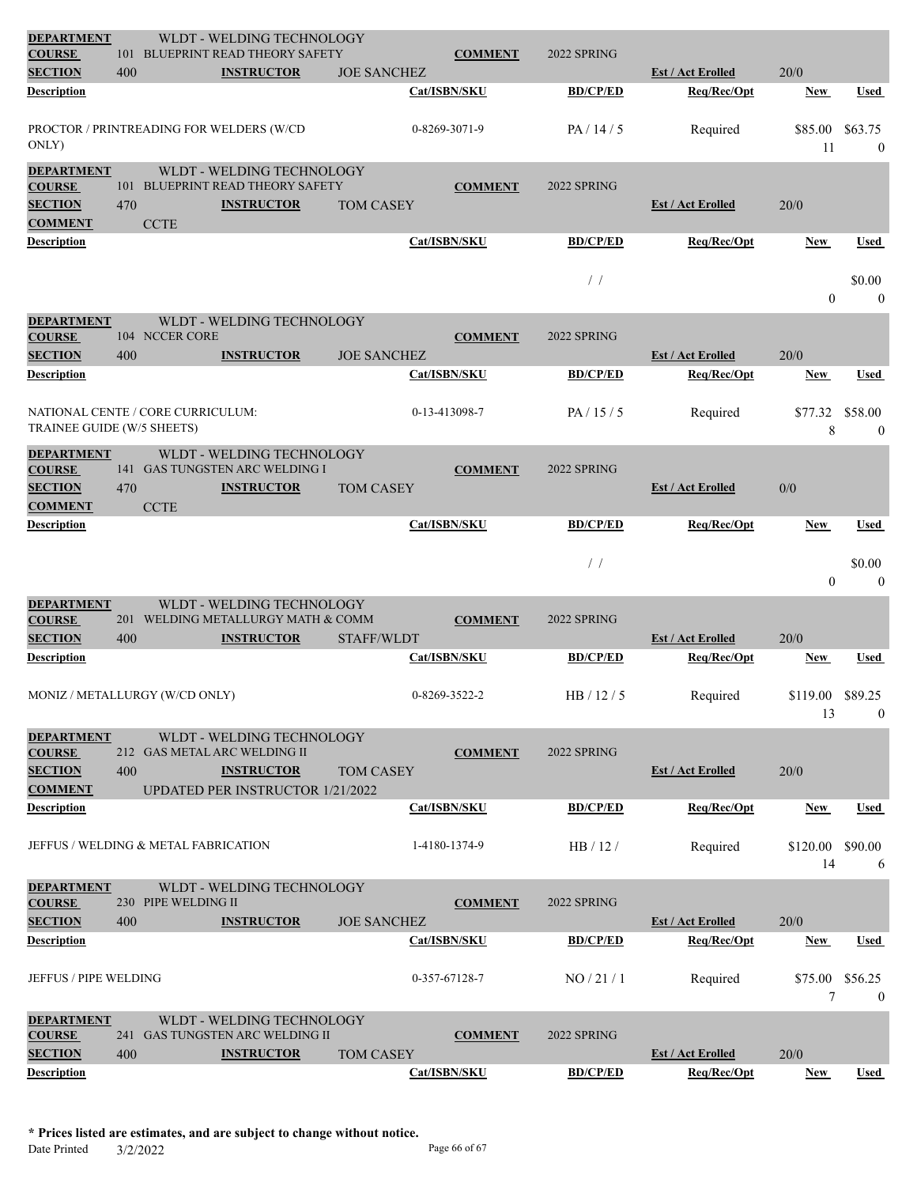| <b>DEPARTMENT</b><br><b>COURSE</b>                                     |     |                     | WLDT - WELDING TECHNOLOGY<br>101 BLUEPRINT READ THEORY SAFETY                                                             |                    |               | <b>COMMENT</b> | 2022 SPRING     |                          |                |                             |
|------------------------------------------------------------------------|-----|---------------------|---------------------------------------------------------------------------------------------------------------------------|--------------------|---------------|----------------|-----------------|--------------------------|----------------|-----------------------------|
| <b>SECTION</b>                                                         | 400 |                     | <b>INSTRUCTOR</b>                                                                                                         | <b>JOE SANCHEZ</b> |               |                |                 | <b>Est / Act Erolled</b> | 20/0           |                             |
| <b>Description</b>                                                     |     |                     |                                                                                                                           |                    | Cat/ISBN/SKU  |                | <b>BD/CP/ED</b> | Req/Rec/Opt              | New            | Used                        |
| ONLY)                                                                  |     |                     | PROCTOR / PRINTREADING FOR WELDERS (W/CD                                                                                  |                    | 0-8269-3071-9 |                | PA/14/5         | Required                 | \$85.00<br>11  | \$63.75<br>$\mathbf{0}$     |
| <b>DEPARTMENT</b><br><b>COURSE</b><br><b>SECTION</b><br><b>COMMENT</b> | 470 | <b>CCTE</b>         | WLDT - WELDING TECHNOLOGY<br>101 BLUEPRINT READ THEORY SAFETY<br><b>INSTRUCTOR</b>                                        | <b>TOM CASEY</b>   |               | <b>COMMENT</b> | 2022 SPRING     | <b>Est / Act Erolled</b> | 20/0           |                             |
| <b>Description</b>                                                     |     |                     |                                                                                                                           |                    | Cat/ISBN/SKU  |                | <b>BD/CP/ED</b> | Req/Rec/Opt              | New            | Used                        |
|                                                                        |     |                     |                                                                                                                           |                    |               |                | /               |                          | $\overline{0}$ | \$0.00<br>$\mathbf{0}$      |
| <b>DEPARTMENT</b><br><b>COURSE</b>                                     |     | 104 NCCER CORE      | WLDT - WELDING TECHNOLOGY                                                                                                 |                    |               | <b>COMMENT</b> | 2022 SPRING     |                          |                |                             |
| <b>SECTION</b>                                                         | 400 |                     | <b>INSTRUCTOR</b>                                                                                                         | <b>JOE SANCHEZ</b> |               |                |                 | <b>Est / Act Erolled</b> | 20/0           |                             |
| Description                                                            |     |                     |                                                                                                                           |                    | Cat/ISBN/SKU  |                | <b>BD/CP/ED</b> | Req/Rec/Opt              | New            | Used                        |
| NATIONAL CENTE / CORE CURRICULUM:<br>TRAINEE GUIDE (W/5 SHEETS)        |     |                     |                                                                                                                           |                    | 0-13-413098-7 |                | PA/15/5         | Required                 | \$77.32<br>8   | \$58.00<br>$\boldsymbol{0}$ |
| <b>DEPARTMENT</b><br><b>COURSE</b><br><b>SECTION</b>                   | 470 |                     | WLDT - WELDING TECHNOLOGY<br>141 GAS TUNGSTEN ARC WELDING I<br><b>INSTRUCTOR</b>                                          | <b>TOM CASEY</b>   |               | <b>COMMENT</b> | 2022 SPRING     | <b>Est / Act Erolled</b> | 0/0            |                             |
| <b>COMMENT</b><br>Description                                          |     | <b>CCTE</b>         |                                                                                                                           |                    | Cat/ISBN/SKU  |                | <b>BD/CP/ED</b> | Req/Rec/Opt              | New            | <b>Used</b>                 |
|                                                                        |     |                     |                                                                                                                           |                    |               |                | /               |                          | $\overline{0}$ | \$0.00<br>$\mathbf{0}$      |
| <b>DEPARTMENT</b><br><b>COURSE</b><br><b>SECTION</b>                   | 400 |                     | WLDT - WELDING TECHNOLOGY<br>201 WELDING METALLURGY MATH & COMM<br><b>INSTRUCTOR</b>                                      | STAFF/WLDT         |               | <b>COMMENT</b> | 2022 SPRING     | <b>Est / Act Erolled</b> | 20/0           |                             |
| Description                                                            |     |                     |                                                                                                                           |                    | Cat/ISBN/SKU  |                | <b>BD/CP/ED</b> | Req/Rec/Opt              | New            | Used                        |
| MONIZ / METALLURGY (W/CD ONLY)                                         |     |                     |                                                                                                                           |                    | 0-8269-3522-2 |                | HB/12/5         | Required                 | \$119.00<br>13 | \$89.25<br>$\mathbf{0}$     |
| <b>DEPARTMENT</b><br><b>COURSE</b><br><b>SECTION</b><br><b>COMMENT</b> | 400 |                     | WLDT - WELDING TECHNOLOGY<br>212 GAS METAL ARC WELDING II<br><b>INSTRUCTOR</b><br><b>UPDATED PER INSTRUCTOR 1/21/2022</b> | <b>TOM CASEY</b>   |               | <b>COMMENT</b> | 2022 SPRING     | <b>Est / Act Erolled</b> | 20/0           |                             |
| <b>Description</b>                                                     |     |                     |                                                                                                                           |                    | Cat/ISBN/SKU  |                | <b>BD/CP/ED</b> | Req/Rec/Opt              | New            | Used                        |
| JEFFUS / WELDING & METAL FABRICATION                                   |     |                     |                                                                                                                           |                    |               | 1-4180-1374-9  | HB/12/          | Required                 | \$120.00<br>14 | \$90.00<br>6                |
| <b>DEPARTMENT</b><br><b>COURSE</b><br><b>SECTION</b>                   | 400 | 230 PIPE WELDING II | WLDT - WELDING TECHNOLOGY<br><b>INSTRUCTOR</b>                                                                            | <b>JOE SANCHEZ</b> |               | <b>COMMENT</b> | 2022 SPRING     | <b>Est / Act Erolled</b> | 20/0           |                             |
| <b>Description</b>                                                     |     |                     |                                                                                                                           |                    | Cat/ISBN/SKU  |                | <b>BD/CP/ED</b> | Req/Rec/Opt              | New            | Used                        |
| JEFFUS / PIPE WELDING                                                  |     |                     |                                                                                                                           |                    | 0-357-67128-7 |                | NO/21/1         | Required                 | \$75.00<br>7   | \$56.25<br>$\boldsymbol{0}$ |
| <b>DEPARTMENT</b><br><b>COURSE</b><br><b>SECTION</b>                   | 400 |                     | WLDT - WELDING TECHNOLOGY<br>241 GAS TUNGSTEN ARC WELDING II<br><b>INSTRUCTOR</b>                                         | <b>TOM CASEY</b>   |               | <b>COMMENT</b> | 2022 SPRING     | <b>Est / Act Erolled</b> | 20/0           |                             |
| <b>Description</b>                                                     |     |                     |                                                                                                                           |                    | Cat/ISBN/SKU  |                | <b>BD/CP/ED</b> | Req/Rec/Opt              | New            | Used                        |